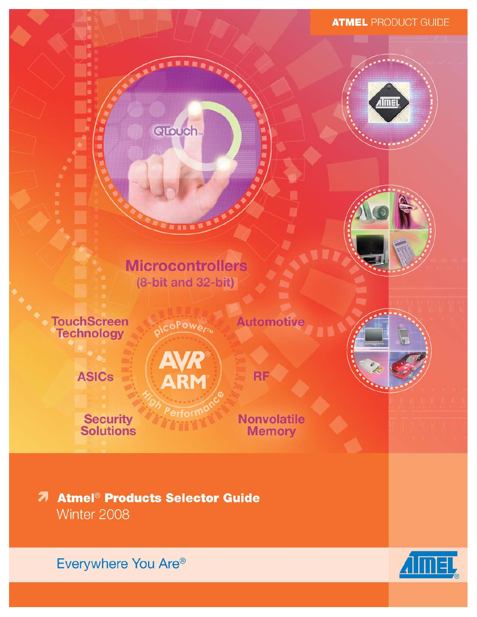### **ATMEL PRODUCT GUIDE**





# **Microcontrollers** (8-bit and 32-bit)

coPower

QTouch.

**TouchScreen Technology** 

**ASICs** 

**Security**<br>Solutions

**AVR**<br>ARM

Perfort

**Nonvolatile Memory** 

**RF** 

**Automotive** 

**7 Atmel<sup>®</sup> Products Selector Guide** Winter 2008

Everywhere You Are®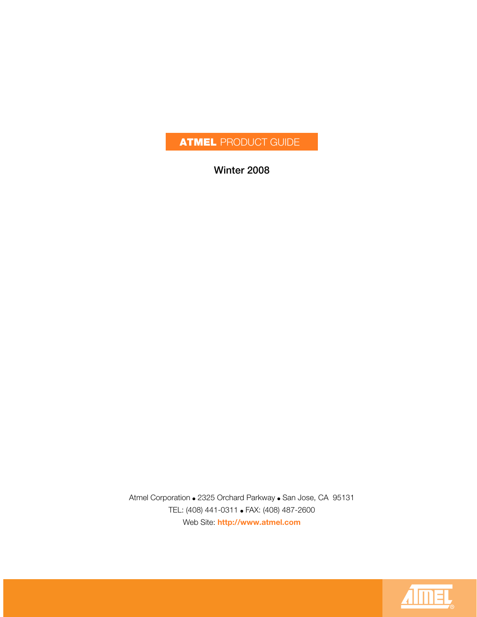# **ATMEL** PRODUCT GUIDE

**Winter 2008**

Atmel Corporation ● 2325 Orchard Parkway ● San Jose, CA 95131 TEL: (408) 441-0311 ● FAX: (408) 487-2600 Web Site: **<http://www.atmel.com>**

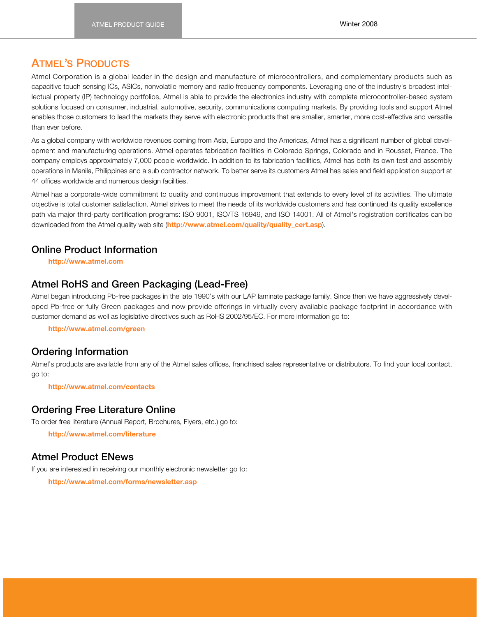### **ATMEL'S PRODUCTS**

Atmel Corporation is a global leader in the design and manufacture of microcontrollers, and complementary products such as capacitive touch sensing ICs, ASICs, nonvolatile memory and radio frequency components. Leveraging one of the industry's broadest intellectual property (IP) technology portfolios, Atmel is able to provide the electronics industry with complete microcontroller-based system solutions focused on consumer, industrial, automotive, security, communications computing markets. By providing tools and support Atmel enables those customers to lead the markets they serve with electronic products that are smaller, smarter, more cost-effective and versatile than ever before.

As a global company with worldwide revenues coming from Asia, Europe and the Americas, Atmel has a significant number of global development and manufacturing operations. Atmel operates fabrication facilities in Colorado Springs, Colorado and in Rousset, France. The company employs approximately 7,000 people worldwide. In addition to its fabrication facilities, Atmel has both its own test and assembly operations in Manila, Philippines and a sub contractor network. To better serve its customers Atmel has sales and field application support at 44 offices worldwide and numerous design facilities.

Atmel has a corporate-wide commitment to quality and continuous improvement that extends to every level of its activities. The ultimate objective is total customer satisfaction. Atmel strives to meet the needs of its worldwide customers and has continued its quality excellence path via major third-party certification programs: ISO 9001, ISO/TS 16949, and ISO 14001. All of Atmel's registration certificates can be downloaded from the Atmel quality web site (**[http://www.atmel.com/quality/quality\\_cert.asp](http://www.atmel.com/quality/quality_cert.asp)**).

### **Online Product Information**

**<http://www.atmel.com>**

#### **Atmel RoHS and Green Packaging (Lead-Free)**

Atmel began introducing Pb-free packages in the late 1990's with our LAP laminate package family. Since then we have aggressively developed Pb-free or fully Green packages and now provide offerings in virtually every available package footprint in accordance with customer demand as well as legislative directives such as RoHS 2002/95/EC. For more information go to:

**<http://www.atmel.com/green>**

#### **Ordering Information**

Atmel's products are available from any of the Atmel sales offices, franchised sales representative or distributors. To find your local contact, go to:

**<http://www.atmel.com/contacts>**

#### **Ordering Free Literature Online**

To order free literature (Annual Report, Brochures, Flyers, etc.) go to:

**<http://www.atmel.com/literature>**

#### **Atmel Product ENews**

If you are interested in receiving our monthly electronic newsletter go to:

**<http://www.atmel.com/forms/newsletter.asp>**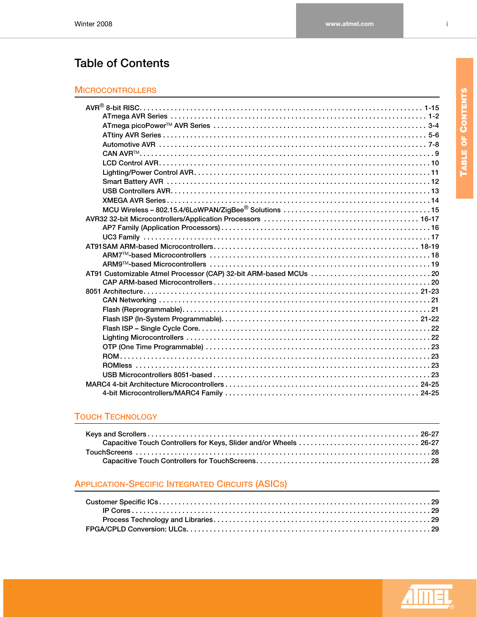# **Table of Contents**

### **[MICROCONTROLLERS](#page-7-0)**

### **[TOUCH TECHNOLOGY](#page-32-0)**

### **[APPLICATION-SPECIFIC INTEGRATED CIRCUITS \(ASICS\)](#page-35-0)**



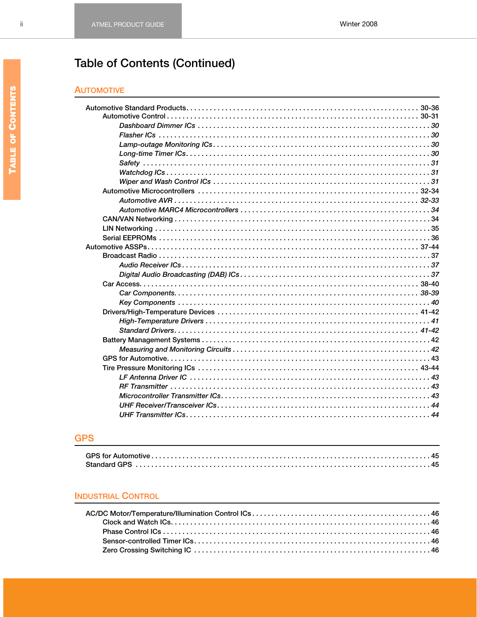# **Table of Contents (Continued)**

#### **AUTOMOTIVE**

### **GPS**

#### **INDUSTRIAL CONTROL**

 $\rm ii$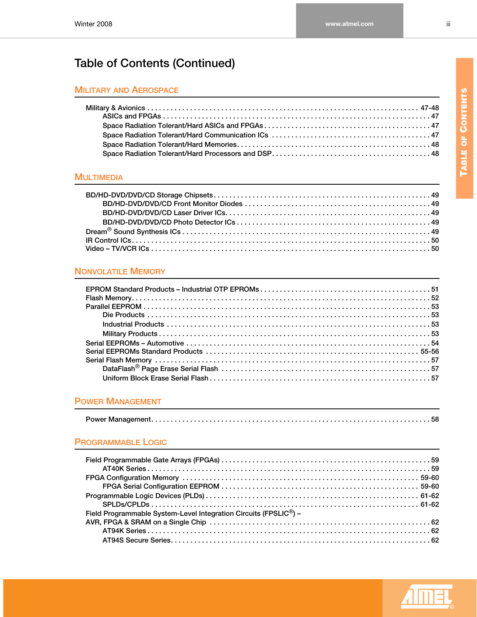# **Table of Contents (Continued)**

#### **MILITARY AND AEROSPACE**

#### **[MULTIMEDIA](#page-55-0)**

### **[NONVOLATILE MEMORY](#page-57-0)**

#### **[POWER MANAGEMENT](#page-64-0)**

#### **[PROGRAMMABLE LOGIC](#page-65-0)**

| Field Programmable System-Level Integration Circuits (FPSLIC <sup>®</sup> ) - |  |
|-------------------------------------------------------------------------------|--|
|                                                                               |  |
|                                                                               |  |
|                                                                               |  |



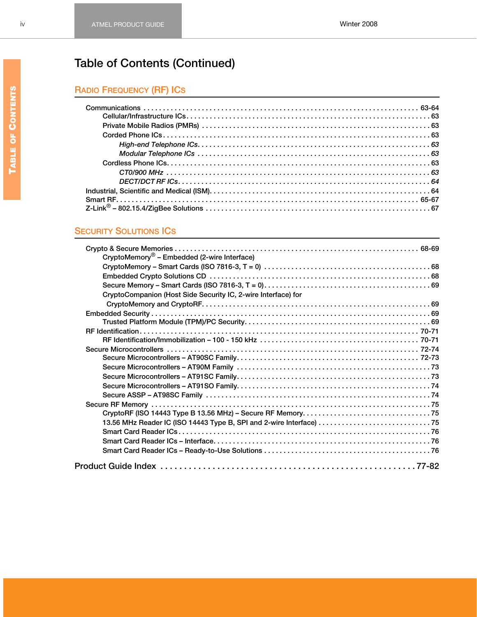# **Table of Contents (Continued)**

# **RADIO FREQUENCY (RF) ICS**

### **[SECURITY SOLUTIONS ICS](#page-74-0)**

| CryptoMemory <sup>®</sup> – Embedded (2-wire Interface)                                                                           |  |
|-----------------------------------------------------------------------------------------------------------------------------------|--|
| CryptoMemory - Smart Cards (ISO 7816-3, T = 0) $\dots\dots\dots\dots\dots\dots\dots\dots\dots\dots\dots\dots\dots\dots\dots\dots$ |  |
|                                                                                                                                   |  |
|                                                                                                                                   |  |
| CryptoCompanion (Host Side Security IC, 2-wire Interface) for                                                                     |  |
|                                                                                                                                   |  |
|                                                                                                                                   |  |
|                                                                                                                                   |  |
|                                                                                                                                   |  |
|                                                                                                                                   |  |
|                                                                                                                                   |  |
|                                                                                                                                   |  |
|                                                                                                                                   |  |
|                                                                                                                                   |  |
|                                                                                                                                   |  |
|                                                                                                                                   |  |
|                                                                                                                                   |  |
|                                                                                                                                   |  |
| 13.56 MHz Reader IC (ISO 14443 Type B, SPI and 2-wire Interface)  75                                                              |  |
|                                                                                                                                   |  |
|                                                                                                                                   |  |
|                                                                                                                                   |  |
|                                                                                                                                   |  |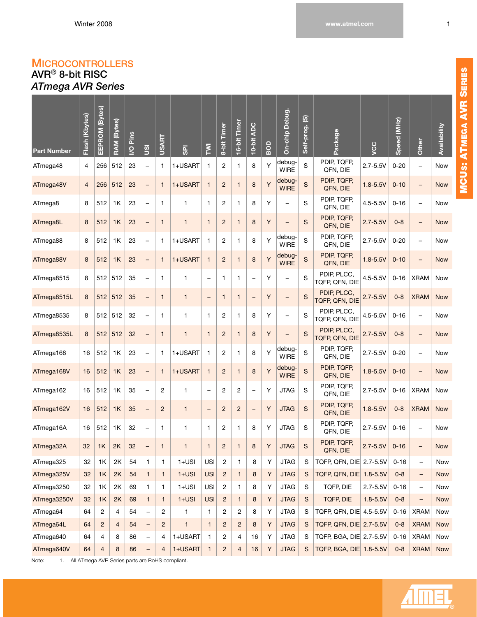## <span id="page-7-0"></span>**MICROCONTROLLERS**

<span id="page-7-2"></span><span id="page-7-1"></span>**AVR**® **8-bit RISC** *ATmega AVR Series*

| <b>Part Number</b> | Flash (Kbytes) | EEPROM (Bytes) | RAM (Bytes)    | I/O Pins | gi                       | <b>USART</b>   | <b>GPI</b>   | Σ                        | 8-bit Timer             | 16-bit Timer             | 10-bit ADC               | BOD     | On-chip Debug.           | Self-prog. (S) | Package                       | ycc          | Speed (MHz) | Other                    | Availability |
|--------------------|----------------|----------------|----------------|----------|--------------------------|----------------|--------------|--------------------------|-------------------------|--------------------------|--------------------------|---------|--------------------------|----------------|-------------------------------|--------------|-------------|--------------------------|--------------|
| ATmega48           | 4              | 256            | 512            | 23       | $\overline{\phantom{0}}$ | $\mathbf{1}$   | 1+USART      | 1                        | $\overline{c}$          | $\mathbf{1}$             | 8                        | Υ       | debug-<br><b>WIRE</b>    | S              | PDIP, TQFP,<br>QFN, DIE       | $2.7 - 5.5V$ | $0 - 20$    | -                        | Now          |
| ATmega48V          | $\overline{4}$ | 256            | 512            | 23       | $\qquad \qquad -$        | $\mathbf{1}$   | 1+USART      | $\mathbf{1}$             | $\overline{2}$          | $\mathbf{1}$             | 8                        | Y       | debug-<br><b>WIRE</b>    | S              | PDIP, TQFP,<br>QFN, DIE       | $1.8 - 5.5V$ | $0 - 10$    | $\overline{\phantom{0}}$ | <b>Now</b>   |
| ATmega8            | 8              | 512            | 1K             | 23       | $\overline{\phantom{0}}$ | $\mathbf{1}$   | 1            | 1                        | $\mathbf{2}$            | $\mathbf{1}$             | 8                        | Υ       | —                        | S              | PDIP, TQFP,<br>QFN, DIE       | $4.5 - 5.5V$ | $0 - 16$    | -                        | Now          |
| ATmega8L           | 8              | 512            | 1K             | 23       | $\qquad \qquad -$        | $\mathbf{1}$   | $\mathbf{1}$ | $\mathbf{1}$             | $\overline{c}$          | $\mathbf{1}$             | 8                        | $\sf Y$ | $\overline{\phantom{0}}$ | $\mathsf{s}$   | PDIP, TQFP,<br>QFN, DIE       | $2.7 - 5.5V$ | $0 - 8$     | $\overline{\phantom{0}}$ | <b>Now</b>   |
| ATmega88           | 8              | 512            | 1K             | 23       | $\overline{\phantom{0}}$ | $\mathbf{1}$   | 1+USART      | $\mathbf{1}$             | $\overline{c}$          | $\mathbf{1}$             | 8                        | Υ       | debug-<br><b>WIRE</b>    | S              | PDIP, TQFP,<br>QFN, DIE       | $2.7 - 5.5V$ | $0 - 20$    | $\overline{\phantom{0}}$ | Now          |
| ATmega88V          | $\bf 8$        | 512            | 1K             | 23       | $\qquad \qquad -$        | $\mathbf{1}$   | 1+USART      | $\mathbf{1}$             | $\overline{c}$          | $\mathbf{1}$             | 8                        | Υ       | debug-<br><b>WIRE</b>    | $\mathbb S$    | PDIP, TQFP,<br>QFN, DIE       | $1.8 - 5.5V$ | $0 - 10$    | $\overline{\phantom{0}}$ | <b>Now</b>   |
| ATmega8515         | 8              | 512            | 512            | 35       | $\overline{\phantom{a}}$ | $\mathbf{1}$   | 1            | $\overline{\phantom{0}}$ | $\mathbf{1}$            | $\mathbf{1}$             | $\overline{\phantom{0}}$ | Υ       | -                        | S              | PDIP, PLCC,<br>TQFP, QFN, DIE | $4.5 - 5.5V$ | $0 - 16$    | <b>XRAM</b>              | Now          |
| ATmega8515L        | 8              | 512            | 512            | 35       | $\equiv$                 | $\mathbf{1}$   | $\mathbf{1}$ | $\qquad \qquad -$        | $\mathbf{1}$            | $\mathbf{1}$             | $\qquad \qquad -$        | $\sf Y$ | $\overline{\phantom{0}}$ | $\mathsf{s}$   | PDIP, PLCC,<br>TQFP, QFN, DIE | $2.7 - 5.5V$ | $0 - 8$     | <b>XRAM</b>              | <b>Now</b>   |
| ATmega8535         | 8              | 512            | 512            | 32       | $\overline{\phantom{0}}$ | $\mathbf{1}$   | 1            | $\mathbf{1}$             | $\overline{c}$          | $\mathbf{1}$             | 8                        | Υ       | $\overline{\phantom{0}}$ | S              | PDIP, PLCC,<br>TQFP, QFN, DIE | $4.5 - 5.5V$ | $0 - 16$    |                          | Now          |
| ATmega8535L        | 8              | 512            | 512            | 32       | $\qquad \qquad -$        | $\mathbf{1}$   | $\mathbf{1}$ | $\mathbf{1}$             | $\overline{c}$          | $\mathbf{1}$             | 8                        | $\sf Y$ | $\overline{\phantom{0}}$ | $\mathsf{s}$   | PDIP, PLCC,<br>TQFP, QFN, DIE | $2.7 - 5.5V$ | $0 - 8$     | -                        | <b>Now</b>   |
| ATmega168          | 16             | 512            | 1K             | 23       | $\overline{\phantom{0}}$ | $\mathbf{1}$   | 1+USART      | 1                        | $\overline{c}$          | $\mathbf{1}$             | 8                        | Υ       | debug-<br><b>WIRE</b>    | S              | PDIP, TQFP,<br>QFN, DIE       | $2.7 - 5.5V$ | $0 - 20$    | $\overline{\phantom{0}}$ | Now          |
| ATmega168V         | 16             | 512            | 1K             | 23       | $\qquad \qquad -$        | $\mathbf{1}$   | 1+USART      | $\mathbf{1}$             | $\overline{c}$          | $\mathbf{1}$             | 8                        | Υ       | debug-<br><b>WIRE</b>    | $\mathbb S$    | PDIP, TQFP,<br>QFN, DIE       | $1.8 - 5.5V$ | $0 - 10$    | -                        | <b>Now</b>   |
| ATmega162          | 16             | 512            | 1K             | 35       | $\overline{\phantom{a}}$ | $\overline{c}$ | 1            | $\overline{\phantom{0}}$ | $\overline{\mathbf{c}}$ | $\overline{c}$           | $\qquad \qquad -$        | Υ       | <b>JTAG</b>              | S              | PDIP, TQFP,<br>QFN, DIE       | $2.7 - 5.5V$ | $0 - 16$    | <b>XRAM</b>              | Now          |
| ATmega162V         | 16             | 512            | 1K             | 35       | $\equiv$                 | $\overline{c}$ | $\mathbf{1}$ | $\qquad \qquad -$        | $\overline{c}$          | $\overline{c}$           | $\qquad \qquad -$        | Υ       | <b>JTAG</b>              | $\mathbf S$    | PDIP, TQFP,<br>QFN, DIE       | $1.8 - 5.5V$ | $0 - 8$     | <b>XRAM</b>              | <b>Now</b>   |
| ATmega16A          | 16             | 512            | 1K             | 32       | $\overline{\phantom{a}}$ | $\mathbf{1}$   | 1            | 1                        | $\overline{c}$          | 1                        | 8                        | Υ       | <b>JTAG</b>              | ${\mathsf S}$  | PDIP, TQFP,<br>QFN, DIE       | $2.7 - 5.5V$ | $0 - 16$    |                          | Now          |
| ATmega32A          | 32             | 1K             | 2K             | 32       | $\qquad \qquad -$        | $\mathbf{1}$   | 1            | $\mathbf{1}$             | $\overline{c}$          | $\mathbf{1}$             | 8                        | Y       | <b>JTAG</b>              | $\mathsf{s}$   | PDIP, TQFP,<br>QFN, DIE       | $2.7 - 5.5V$ | $0 - 16$    |                          | <b>Now</b>   |
| ATmega325          | 32             | 1K             | 2K             | 54       | $\mathbf{1}$             | 1              | $1+USI$      | USI                      | $\overline{\mathbf{c}}$ | $\mathbf{1}$             | 8                        | Y       | <b>JTAG</b>              | S              | TQFP, QFN, DIE 2.7-5.5V       |              | $0 - 16$    | $\overline{\phantom{0}}$ | Now          |
| ATmega325V         | 32             | 1K             | 2K             | 54       | $\mathbf{1}$             | $\mathbf{1}$   | $1+USI$      | <b>USI</b>               | $\overline{c}$          | $\mathbf{1}$             | 8                        | Y       | <b>JTAG</b>              | S              | TQFP, QFN, DIE 1.8-5.5V       |              | $0 - 8$     | $\qquad \qquad -$        | <b>Now</b>   |
| ATmega3250         | 32             | 1K             | 2K             | 69       | 1                        | 1              | $1+USI$      | <b>USI</b>               | 2                       | 1                        | 8                        | Υ       | <b>JTAG</b>              | S              | TQFP, DIE                     | $2.7 - 5.5V$ | $0 - 16$    | $\qquad \qquad -$        | Now          |
| ATmega3250V        | 32             | 1K             | 2K             | 69       | $\mathbf{1}$             | $\mathbf{1}$   | $1+USI$      | <b>USI</b>               | $\overline{c}$          | $\mathbf{1}$             | 8                        | Y       | <b>JTAG</b>              | S              | <b>TQFP, DIE</b>              | $1.8 - 5.5V$ | $0 - 8$     |                          | <b>Now</b>   |
| ATmega64           | 64             | 2              | 4              | 54       | $\overline{\phantom{0}}$ | $\overline{c}$ | $\mathbf{1}$ | 1                        | 2                       | 2                        | 8                        | Y       | <b>JTAG</b>              | S              | TQFP, QFN, DIE 4.5-5.5V       |              | $0 - 16$    | <b>XRAM</b>              | Now          |
| ATmega64L          | 64             | 2              | $\overline{4}$ | 54       | $\qquad \qquad -$        | $\overline{c}$ | $\mathbf{1}$ | $\mathbf{1}$             | $\overline{c}$          | $\overline{c}$           | 8                        | Υ       | <b>JTAG</b>              | S              | TQFP, QFN, DIE 2.7-5.5V       |              | $0 - 8$     | <b>XRAM</b>              | <b>Now</b>   |
| ATmega640          | 64             | 4              | 8              | 86       | $\qquad \qquad -$        | 4              | 1+USART      | $\mathbf{1}$             | $\overline{c}$          | $\overline{4}$           | 16                       | Y       | <b>JTAG</b>              | S              | TQFP, BGA, DIE 2.7-5.5V       |              | $0 - 16$    | <b>XRAM</b>              | Now          |
| ATmega640V         | 64             | 4              | 8              | 86       | -                        | 4              | 1+USART      | $\mathbf{1}$             | $\overline{c}$          | $\overline{\mathcal{L}}$ | $16$                     | Υ       | <b>JTAG</b>              | S              | TQFP, BGA, DIE 1.8-5.5V       |              | $0 - 8$     | <b>XRAM</b>              | <b>Now</b>   |

Note: 1. All ATmega AVR Series parts are RoHS compliant.

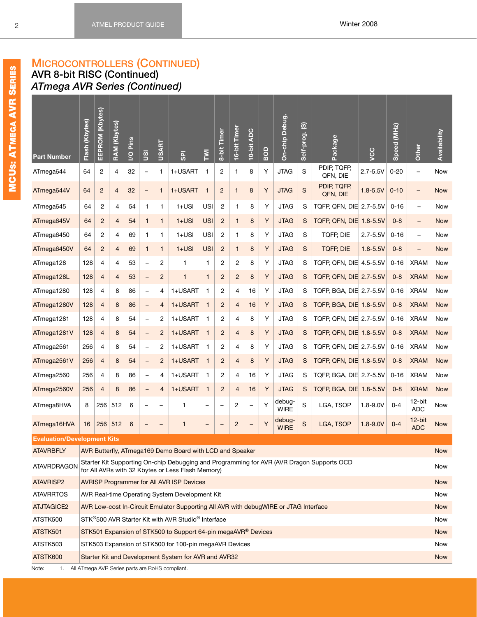**AVR 8-bit RISC (Continued)** *ATmega AVR Series (Continued)*

| <b>Part Number</b>                 | Flash (Kbytes)                                                                                                                                                                                                                                                                                                                                                                                                            | EEPROM (Kbytes) | <b>RAM (Kbytes)</b>      | <b>Pins</b><br>$\overline{S}$ | gu                       | <b>USART</b>             | <b>GPI</b>                                                                                                     | $\overline{\Sigma}$      | 8-bit Timer       | 16-bit Timer   | 10-bit ADC               | BOD | On-chip Debug.        | $\overline{\omega}$<br>Self-prog. | Package                                                                                   | ycc          | (MHz)<br>Speed | Other                    | Availability      |
|------------------------------------|---------------------------------------------------------------------------------------------------------------------------------------------------------------------------------------------------------------------------------------------------------------------------------------------------------------------------------------------------------------------------------------------------------------------------|-----------------|--------------------------|-------------------------------|--------------------------|--------------------------|----------------------------------------------------------------------------------------------------------------|--------------------------|-------------------|----------------|--------------------------|-----|-----------------------|-----------------------------------|-------------------------------------------------------------------------------------------|--------------|----------------|--------------------------|-------------------|
| ATmega644                          | 64                                                                                                                                                                                                                                                                                                                                                                                                                        | $\overline{2}$  | 4                        | 32                            | $\qquad \qquad -$        | $\mathbf{1}$             | 1+USART                                                                                                        | $\mathbf{1}$             | 2                 | 1              | 8                        | Υ   | <b>JTAG</b>           | S                                 | PDIP, TQFP,<br>QFN, DIE                                                                   | $2.7 - 5.5V$ | $0 - 20$       | $\overline{\phantom{0}}$ | Now               |
| ATmega644V                         | 64                                                                                                                                                                                                                                                                                                                                                                                                                        | $\overline{c}$  | $\overline{\mathcal{L}}$ | 32                            | $\qquad \qquad -$        | $\mathbf{1}$             | 1+USART                                                                                                        | $\mathbf{1}$             | $\overline{c}$    | 1              | 8                        | Υ   | <b>JTAG</b>           | S                                 | PDIP, TQFP,<br>QFN, DIE                                                                   | $1.8 - 5.5V$ | $0 - 10$       | $\overline{\phantom{a}}$ | <b>Now</b>        |
| ATmega645                          | 64                                                                                                                                                                                                                                                                                                                                                                                                                        | 2               | 4                        | 54                            | 1                        | 1                        | $1+USI$                                                                                                        | USI                      | $\overline{c}$    | 1              | 8                        | Υ   | <b>JTAG</b>           | S                                 | TQFP, QFN, DIE 2.7-5.5V                                                                   |              | $0 - 16$       | $\qquad \qquad -$        | Now               |
| ATmega645V                         | 64                                                                                                                                                                                                                                                                                                                                                                                                                        | $\overline{c}$  | $\overline{4}$           | 54                            | $\mathbf{1}$             | $\mathbf{1}$             | $1+USI$                                                                                                        | <b>USI</b>               | $\sqrt{2}$        | $\mathbf{1}$   | 8                        | Y   | <b>JTAG</b>           | S                                 | TQFP, QFN, DIE 1.8-5.5V                                                                   |              | $0 - 8$        | -                        | <b>Now</b>        |
| ATmega6450                         | 64                                                                                                                                                                                                                                                                                                                                                                                                                        | 2               | 4                        | 69                            | 1                        | 1                        | $1+USI$                                                                                                        | USI                      | $\overline{c}$    | 1              | 8                        | Υ   | <b>JTAG</b>           | ${\mathsf S}$                     | TQFP, DIE                                                                                 | $2.7 - 5.5V$ | $0 - 16$       | $\qquad \qquad -$        | Now               |
| ATmega6450V                        | 64                                                                                                                                                                                                                                                                                                                                                                                                                        | $\overline{c}$  | $\overline{4}$           | 69                            | $\mathbf{1}$             | $\mathbf{1}$             | $1+USI$                                                                                                        | <b>USI</b>               | $\overline{c}$    | $\mathbf{1}$   | 8                        | Y   | <b>JTAG</b>           | ${\mathsf S}$                     | <b>TQFP, DIE</b>                                                                          | $1.8 - 5.5V$ | $0 - 8$        | -                        | <b>Now</b>        |
| ATmega128                          | 128                                                                                                                                                                                                                                                                                                                                                                                                                       | 4               | 4                        | 53                            | $\overline{\phantom{0}}$ | 2                        | $\mathbf{1}$                                                                                                   | 1                        | 2                 | 2              | 8                        | Υ   | <b>JTAG</b>           | S                                 | TQFP, QFN, DIE 4.5-5.5V                                                                   |              | $0 - 16$       | <b>XRAM</b>              | Now               |
| ATmega128L                         | 128                                                                                                                                                                                                                                                                                                                                                                                                                       | 4               | $\overline{4}$           | 53                            | $\qquad \qquad -$        | $\overline{2}$           | $\mathbf{1}$                                                                                                   | $\mathbf{1}$             | $\overline{c}$    | $\overline{c}$ | 8                        | Y   | <b>JTAG</b>           | S                                 | TQFP, QFN, DIE 2.7-5.5V                                                                   |              | $0 - 8$        | <b>XRAM</b>              | <b>Now</b>        |
| ATmega1280                         | Υ<br>1+USART<br>$\overline{c}$<br><b>JTAG</b><br>S<br>TQFP, BGA, DIE 2.7-5.5V<br>128<br>4<br>8<br>4<br>16<br>$0 - 16$<br><b>XRAM</b><br>86<br>4<br>$\mathbf{1}$<br>$\overline{\phantom{a}}$<br>Y<br>1+USART<br>$\overline{c}$<br><b>JTAG</b><br>S<br>TQFP, BGA, DIE 1.8-5.5V<br>128<br>$\overline{4}$<br>8<br>86<br>$\mathbf{1}$<br>$\overline{4}$<br>16<br>$0 - 8$<br><b>XRAM</b><br>$\overline{4}$<br>$\qquad \qquad -$ |                 |                          |                               |                          |                          |                                                                                                                |                          |                   |                |                          |     |                       |                                   |                                                                                           | Now          |                |                          |                   |
| ATmega1280V                        | Υ<br>1+USART<br>$\overline{c}$<br><b>JTAG</b><br>S<br>TQFP, QFN, DIE 2.7-5.5V<br>128<br>4<br>8<br>54<br>2<br>4<br>8<br>$0 - 16$<br><b>XRAM</b><br>1<br>$\qquad \qquad -$                                                                                                                                                                                                                                                  |                 |                          |                               |                          |                          |                                                                                                                |                          |                   |                |                          |     |                       |                                   |                                                                                           | <b>Now</b>   |                |                          |                   |
| ATmega1281                         | Y<br>1+USART<br>$\overline{c}$<br><b>JTAG</b><br>S<br>TQFP, QFN, DIE 1.8-5.5V<br>128<br>4<br>8<br>54<br>$\overline{c}$<br>$\mathbf{1}$<br>$\overline{4}$<br>8<br>$0 - 8$<br><b>XRAM</b><br>-                                                                                                                                                                                                                              |                 |                          |                               |                          |                          |                                                                                                                |                          |                   |                |                          |     |                       |                                   |                                                                                           | Now          |                |                          |                   |
| ATmega1281V                        |                                                                                                                                                                                                                                                                                                                                                                                                                           |                 |                          |                               |                          |                          |                                                                                                                |                          |                   |                |                          |     |                       |                                   |                                                                                           |              | <b>Now</b>     |                          |                   |
| ATmega2561                         | 256                                                                                                                                                                                                                                                                                                                                                                                                                       | 4               | 8                        | 54                            | $\qquad \qquad -$        | 2                        | 1+USART                                                                                                        | 1                        | 2                 | 4              | 8                        | Υ   | <b>JTAG</b>           | S                                 | TQFP, QFN, DIE 2.7-5.5V                                                                   |              | $0 - 16$       | <b>XRAM</b>              | Now               |
| ATmega2561V                        | 256                                                                                                                                                                                                                                                                                                                                                                                                                       | 4               | 8                        | 54                            | $\qquad \qquad -$        | $\overline{c}$           | 1+USART                                                                                                        | $\mathbf{1}$             | $\overline{c}$    | $\overline{4}$ | 8                        | Y   | <b>JTAG</b>           | S                                 | TQFP, QFN, DIE 1.8-5.5V                                                                   |              | $0 - 8$        | <b>XRAM</b>              | <b>Now</b>        |
| ATmega2560                         | 256                                                                                                                                                                                                                                                                                                                                                                                                                       | 4               | 8                        | 86                            | $\overline{\phantom{a}}$ | 4                        | 1+USART                                                                                                        | 1                        | $\overline{c}$    | 4              | 16                       | Υ   | <b>JTAG</b>           | S                                 | TQFP, BGA, DIE 2.7-5.5V                                                                   |              | $0 - 16$       | <b>XRAM</b>              | Now               |
| ATmega2560V                        | 256                                                                                                                                                                                                                                                                                                                                                                                                                       | 4               | 8                        | 86                            | $\qquad \qquad =$        | $\overline{4}$           | 1+USART                                                                                                        | $\mathbf{1}$             | $\overline{c}$    | $\overline{4}$ | 16                       | Y   | <b>JTAG</b>           | S                                 | TQFP, BGA, DIE 1.8-5.5V                                                                   |              | $0 - 8$        | <b>XRAM</b>              | <b>Now</b>        |
| ATmega8HVA                         | 8                                                                                                                                                                                                                                                                                                                                                                                                                         | 256             | 512                      | 6                             | $\overline{\phantom{0}}$ | $\overline{\phantom{a}}$ | 1                                                                                                              | $\overline{\phantom{a}}$ | $\qquad \qquad -$ | 2              | $\overline{\phantom{a}}$ | Y   | debug-<br><b>WIRE</b> | S                                 | LGA, TSOP                                                                                 | $1.8 - 9.0V$ | $0 - 4$        | 12-bit<br><b>ADC</b>     | <b>Now</b>        |
| ATmega16HVA                        | 16                                                                                                                                                                                                                                                                                                                                                                                                                        | 256             | 512                      | 6                             | $\qquad \qquad -$        | -                        | 1                                                                                                              | $\qquad \qquad -$        | -                 | $\overline{c}$ | $\qquad \qquad -$        | Y   | debug-<br><b>WIRE</b> | S                                 | LGA, TSOP                                                                                 | $1.8 - 9.0V$ | $0 - 4$        | 12-bit<br><b>ADC</b>     | <b>Now</b>        |
| <b>Evaluation/Development Kits</b> |                                                                                                                                                                                                                                                                                                                                                                                                                           |                 |                          |                               |                          |                          |                                                                                                                |                          |                   |                |                          |     |                       |                                   |                                                                                           |              |                |                          |                   |
| <b>ATAVRBFLY</b>                   |                                                                                                                                                                                                                                                                                                                                                                                                                           |                 |                          |                               |                          |                          | AVR Butterfly, ATmega169 Demo Board with LCD and Speaker                                                       |                          |                   |                |                          |     |                       |                                   |                                                                                           |              |                |                          | <b>Now</b>        |
| <b>ATAVRDRAGON</b>                 |                                                                                                                                                                                                                                                                                                                                                                                                                           |                 |                          |                               |                          |                          | for All AVRs with 32 Kbytes or Less Flash Memory)                                                              |                          |                   |                |                          |     |                       |                                   | Starter Kit Supporting On-chip Debugging and Programming for AVR (AVR Dragon Supports OCD |              |                |                          | Now               |
| ATAVRISP2                          |                                                                                                                                                                                                                                                                                                                                                                                                                           |                 |                          |                               |                          |                          | <b>AVRISP Programmer for All AVR ISP Devices</b>                                                               |                          |                   |                |                          |     |                       |                                   |                                                                                           |              |                |                          | <b>Now</b>        |
| <b>ATAVRRTOS</b>                   |                                                                                                                                                                                                                                                                                                                                                                                                                           |                 |                          |                               |                          |                          | AVR Real-time Operating System Development Kit                                                                 |                          |                   |                |                          |     |                       |                                   |                                                                                           |              |                |                          | Now               |
| <b>ATJTAGICE2</b>                  |                                                                                                                                                                                                                                                                                                                                                                                                                           |                 |                          |                               |                          |                          | AVR Low-cost In-Circuit Emulator Supporting All AVR with debugWIRE or JTAG Interface                           |                          |                   |                |                          |     |                       |                                   |                                                                                           |              |                |                          | <b>Now</b>        |
| ATSTK500                           |                                                                                                                                                                                                                                                                                                                                                                                                                           |                 |                          |                               |                          |                          | STK®500 AVR Starter Kit with AVR Studio® Interface                                                             |                          |                   |                |                          |     |                       |                                   |                                                                                           |              |                |                          | Now               |
| ATSTK501                           |                                                                                                                                                                                                                                                                                                                                                                                                                           |                 |                          |                               |                          |                          | STK501 Expansion of STK500 to Support 64-pin megaAVR® Devices                                                  |                          |                   |                |                          |     |                       |                                   |                                                                                           |              |                |                          | <b>Now</b>        |
| ATSTK503<br>ATSTK600               |                                                                                                                                                                                                                                                                                                                                                                                                                           |                 |                          |                               |                          |                          | STK503 Expansion of STK500 for 100-pin megaAVR Devices<br>Starter Kit and Development System for AVR and AVR32 |                          |                   |                |                          |     |                       |                                   |                                                                                           |              |                |                          | Now<br><b>Now</b> |
| Note:<br>1.                        |                                                                                                                                                                                                                                                                                                                                                                                                                           |                 |                          |                               |                          |                          | All ATmega AVR Series parts are RoHS compliant.                                                                |                          |                   |                |                          |     |                       |                                   |                                                                                           |              |                |                          |                   |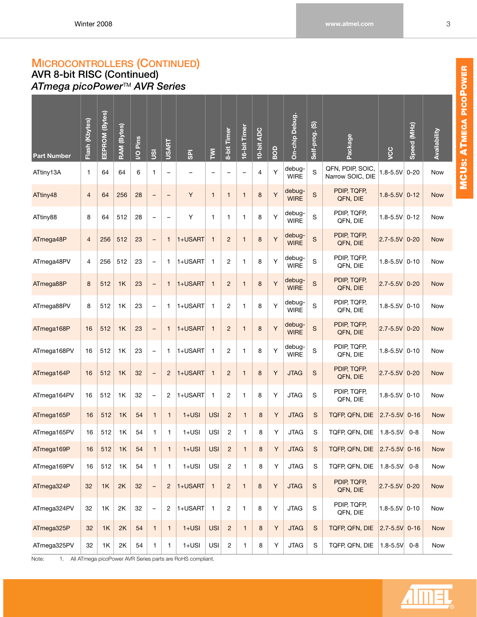## **MICROCONTROLLERS (CONTINUED) AVR 8-bit RISC (Continued)**

<span id="page-9-0"></span>*ATmega picoPower*TM *AVR Series*

| <b>Part Number</b> | Flash (Kbytes) | EEPROM (Bytes) | <b>RAM</b> (Bytes) | I/O Pins | gn                       | <b>USART</b>             | <b>GPI</b> | $\overline{\Sigma}$ | 8-bit Timer              | 16-bit Timer      | 10-bit ADC | BOD | On-chip Debug.        | Self-prog. (S) | Package                              | ycc               | Speed (MHz) | Availability |
|--------------------|----------------|----------------|--------------------|----------|--------------------------|--------------------------|------------|---------------------|--------------------------|-------------------|------------|-----|-----------------------|----------------|--------------------------------------|-------------------|-------------|--------------|
| ATtiny13A          | 1              | 64             | 64                 | 6        | 1                        | $\overline{\phantom{0}}$ | -          | -                   | $\overline{\phantom{0}}$ | $\qquad \qquad -$ | 4          | Υ   | debug-<br><b>WIRE</b> | S              | QFN, PDIP, SOIC,<br>Narrow SOIC, DIE | $1.8 - 5.5V$      | $0 - 20$    | Now          |
| ATtiny48           | $\overline{4}$ | 64             | 256                | 28       | $\overline{\phantom{0}}$ | $\overline{\phantom{0}}$ | Y          | $\mathbf{1}$        | $\mathbf{1}$             | $\mathbf{1}$      | 8          | Y   | debug-<br><b>WIRE</b> | S              | PDIP, TQFP,<br>QFN, DIE              | $1.8 - 5.5V$      | $0 - 12$    | <b>Now</b>   |
| ATtiny88           | 8              | 64             | 512                | 28       | -                        | $\overline{\phantom{0}}$ | Y          | $\mathbf{1}$        | 1                        | 1                 | 8          | Y   | debug-<br><b>WIRE</b> | S              | PDIP, TQFP,<br>QFN, DIE              | $1.8 - 5.5V$ 0-12 |             | Now          |
| ATmega48P          | $\overline{4}$ | 256            | 512                | 23       | $\qquad \qquad -$        | $\mathbf{1}$             | 1+USART    | $\mathbf{1}$        | $\overline{c}$           | $\mathbf{1}$      | 8          | Y   | debug-<br><b>WIRE</b> | S              | PDIP, TQFP,<br>QFN, DIE              | $2.7 - 5.5V$ 0-20 |             | <b>Now</b>   |
| ATmega48PV         | 4              | 256            | 512                | 23       | $\qquad \qquad -$        | 1                        | 1+USART    | $\mathbf{1}$        | $\overline{c}$           | 1                 | 8          | Y   | debug-<br><b>WIRE</b> | S              | PDIP, TQFP,<br>QFN, DIE              | $1.8 - 5.5V$ 0-10 |             | Now          |
| ATmega88P          | 8              | 512            | 1K                 | 23       | $\overline{\phantom{0}}$ | $\mathbf{1}$             | 1+USART    | $\overline{1}$      | $\overline{2}$           | $\mathbf{1}$      | 8          | Y   | debug-<br><b>WIRE</b> | S              | PDIP, TQFP,<br>QFN, DIE              | $2.7 - 5.5V$      | $0 - 20$    | <b>Now</b>   |
| ATmega88PV         | 8              | 512            | 1K                 | 23       | $\overline{\phantom{0}}$ | 1                        | 1+USART    | $\mathbf{1}$        | 2                        | 1                 | 8          | Y   | debug-<br><b>WIRE</b> | S              | PDIP, TQFP,<br>QFN, DIE              | $1.8 - 5.5V$      | $0 - 10$    | Now          |
| ATmega168P         | 16             | 512            | 1K                 | 23       | $\qquad \qquad -$        | $\mathbf{1}$             | 1+USART    | $\overline{1}$      | $\overline{c}$           | $\mathbf{1}$      | 8          | Y   | debug-<br><b>WIRE</b> | S              | PDIP, TQFP,<br>QFN, DIE              | $2.7 - 5.5V$      | $0 - 20$    | <b>Now</b>   |
| ATmega168PV        | 16             | 512            | 1K                 | 23       | $\overline{\phantom{0}}$ | 1                        | 1+USART    | $\mathbf{1}$        | 2                        | $\mathbf{1}$      | 8          | Y   | debug-<br><b>WIRE</b> | S              | PDIP, TQFP,<br>QFN, DIE              | $1.8 - 5.5V$ 0-10 |             | Now          |
| ATmega164P         | 16             | 512            | 1K                 | 32       | $\overline{\phantom{a}}$ | $\overline{2}$           | 1+USART    | $\mathbf{1}$        | $\overline{2}$           | $\mathbf{1}$      | 8          | Y   | <b>JTAG</b>           | S              | PDIP, TQFP,<br>QFN, DIE              | $2.7 - 5.5V$      | $0 - 20$    | <b>Now</b>   |
| ATmega164PV        | 16             | 512            | 1K                 | 32       | $\overline{\phantom{0}}$ | $\overline{c}$           | 1+USART    | $\mathbf{1}$        | $\overline{c}$           | 1                 | 8          | Y   | <b>JTAG</b>           | S              | PDIP, TQFP,<br>QFN, DIE              | $1.8 - 5.5V$ 0-10 |             | Now          |
| ATmega165P         | 16             | 512            | 1K                 | 54       | $\mathbf{1}$             | $\mathbf{1}$             | $1+USI$    | <b>USI</b>          | $\overline{c}$           | $\mathbf{1}$      | 8          | Y   | <b>JTAG</b>           | S              | TQFP, QFN, DIE                       | $2.7 - 5.5V$ 0-16 |             | <b>Now</b>   |
| ATmega165PV        | 16             | 512            | 1K                 | 54       | $\mathbf{1}$             | 1                        | $1+USI$    | <b>USI</b>          | $\overline{c}$           | $\mathbf{1}$      | 8          | Y   | <b>JTAG</b>           | S              | TQFP, QFN, DIE                       | $1.8 - 5.5V$      | $0 - 8$     | Now          |
| ATmega169P         | 16             | 512            | 1K                 | 54       | $\mathbf{1}$             | 1                        | $1+USI$    | <b>USI</b>          | $\overline{\mathbf{c}}$  | $\mathbf{1}$      | 8          | Y   | <b>JTAG</b>           | S              | TQFP, QFN, DIE 2.7-5.5V 0-16         |                   |             | <b>Now</b>   |
| ATmega169PV        | 16             | 512            | 1K                 | 54       | $\mathbf{1}$             | $\mathbf{1}$             | $1+USI$    | <b>USI</b>          | $\sqrt{2}$               | $\mathbf{1}$      | 8          | Y   | <b>JTAG</b>           | $\mathbf S$    | TQFP, QFN, DIE                       | $1.8 - 5.5V$      | $0 - 8$     | Now          |
| ATmega324P         | 32             | 1K             | 2K                 | 32       | $\qquad \qquad -$        | $\overline{c}$           | 1+USART    | $\overline{1}$      | $\sqrt{2}$               | $\mathbf{1}$      | $\bf 8$    | Y   | <b>JTAG</b>           | ${\mathsf S}$  | PDIP, TQFP,<br>QFN, DIE              | $2.7 - 5.5V$ 0-20 |             | Now          |
| ATmega324PV        | 32             | 1K             | 2K                 | 32       | $\overline{\phantom{0}}$ | $\overline{c}$           | 1+USART    | $\overline{1}$      | $\overline{c}$           | $\mathbf{1}$      | 8          | Y   | <b>JTAG</b>           | S              | PDIP, TQFP,<br>QFN, DIE              | $1.8 - 5.5V$ 0-10 |             | Now          |
| ATmega325P         | 32             | 1K             | 2K                 | 54       | $\mathbf{1}$             | $\mathbf{1}$             | $1+USI$    | <b>USI</b>          | $\sqrt{2}$               | $\mathbf{1}$      | $\bf 8$    | Y   | <b>JTAG</b>           | ${\mathsf S}$  | TQFP, QFN, DIE                       | $2.7 - 5.5V$ 0-16 |             | <b>Now</b>   |
| ATmega325PV        | 32             | 1K             | 2K                 | 54       | $\mathbf{1}$             | $\mathbf{1}$             | $1+USI$    | <b>USI</b>          | $\overline{c}$           | $\mathbf{1}$      | 8          | Υ   | <b>JTAG</b>           | $\mathbf S$    | TQFP, QFN, DIE                       | $1.8 - 5.5V$      | $0 - 8$     | Now          |

Note: 1. All ATmega picoPower AVR Series parts are RoHS compliant.

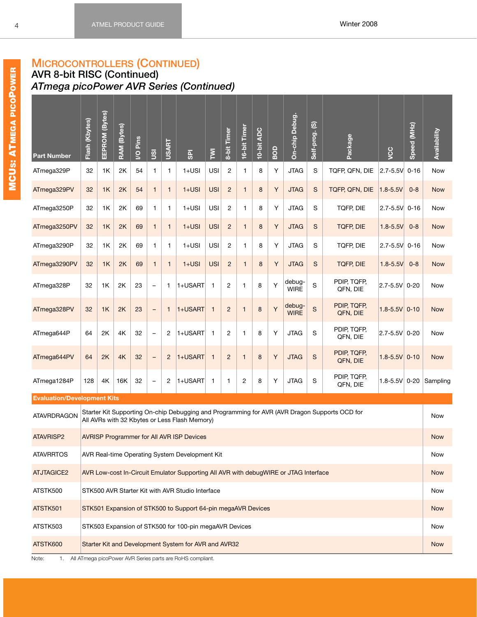### **AVR 8-bit RISC (Continued)** *ATmega picoPower AVR Series (Continued)*

| <b>USI</b><br>2<br>S<br>TQFP, QFN, DIE<br>32<br>1K<br>2K<br>54<br>$1+USI$<br>$\mathbf{1}$<br>8<br>Y<br><b>JTAG</b><br>$2.7 - 5.5V$<br>$0 - 16$<br>ATmega329P<br>$\mathbf{1}$<br>1<br>Now<br>$\sqrt{2}$<br>S<br>$1+USI$<br><b>USI</b><br>8<br>Y<br><b>JTAG</b><br>TQFP, QFN, DIE<br>ATmega329PV<br>32<br>1K<br>2K<br>54<br>$\mathbf{1}$<br>1<br>$1.8 - 5.5V$<br>$0 - 8$<br><b>Now</b><br>$\mathbf{1}$<br>$1+USI$<br><b>USI</b><br>$\overline{c}$<br>Y<br><b>JTAG</b><br>S<br>TQFP, DIE<br>2.7-5.5V 0-16<br>ATmega3250P<br>32<br>1K<br>2K<br>69<br>1<br>8<br>$\mathbf{1}$<br>1<br>Now<br>$1+USI$<br><b>USI</b><br>$\overline{2}$<br>8<br>Y<br><b>JTAG</b><br>S<br><b>TQFP, DIE</b><br>$1.8 - 5.5V$<br>ATmega3250PV<br>32<br>1K<br>2K<br>69<br>$\mathbf{1}$<br>1<br>$0 - 8$<br>$\mathbf{1}$<br><b>Now</b><br>$1+USI$<br><b>USI</b><br>$\overline{c}$<br>Y<br><b>JTAG</b><br>S<br>TQFP, DIE<br>ATmega3290P<br>32<br>1K<br>2K<br>69<br>1<br>8<br>2.7-5.5V 0-16<br>$\mathbf{1}$<br>1<br>Now<br>S<br>$1+USI$<br><b>USI</b><br>$\overline{2}$<br>8<br>Y<br><b>JTAG</b><br><b>TQFP, DIE</b><br>$1.8 - 5.5V$<br>32<br>1K<br>2K<br>69<br>$\mathbf{1}$<br>1<br>$0 - 8$<br>ATmega3290PV<br>$\mathbf{1}$<br><b>Now</b><br>PDIP, TQFP,<br>debug-<br>S<br>Y<br>2<br>$ 2.7 - 5.5V $ 0-20<br>ATmega328P<br>32<br>1K<br>2K<br>23<br>$\mathbf{1}$<br>1+USART<br>1<br>8<br><b>Now</b><br>1<br>$\qquad \qquad -$<br><b>WIRE</b><br>QFN, DIE | <b>Part Number</b> | Flash (Kbytes) | EEPROM (Bytes)                                                                                                                                                             | RAM (Bytes) | Pins<br>$\overline{Q}$ | $\overline{9}$ | <b>USART</b> | <b>GPI</b> | $\overline{\Sigma}$ | 8-bit Timer | 16-bit Timer | 10-bit ADC | BOD | On-chip Debug. | $\widehat{\mathfrak{G}}$<br>Self-prog. | Package | <b>VCC</b> | Speed (MHz) | Availability |
|-----------------------------------------------------------------------------------------------------------------------------------------------------------------------------------------------------------------------------------------------------------------------------------------------------------------------------------------------------------------------------------------------------------------------------------------------------------------------------------------------------------------------------------------------------------------------------------------------------------------------------------------------------------------------------------------------------------------------------------------------------------------------------------------------------------------------------------------------------------------------------------------------------------------------------------------------------------------------------------------------------------------------------------------------------------------------------------------------------------------------------------------------------------------------------------------------------------------------------------------------------------------------------------------------------------------------------------------------------------------------------------------------------------------------|--------------------|----------------|----------------------------------------------------------------------------------------------------------------------------------------------------------------------------|-------------|------------------------|----------------|--------------|------------|---------------------|-------------|--------------|------------|-----|----------------|----------------------------------------|---------|------------|-------------|--------------|
|                                                                                                                                                                                                                                                                                                                                                                                                                                                                                                                                                                                                                                                                                                                                                                                                                                                                                                                                                                                                                                                                                                                                                                                                                                                                                                                                                                                                                       |                    |                |                                                                                                                                                                            |             |                        |                |              |            |                     |             |              |            |     |                |                                        |         |            |             |              |
|                                                                                                                                                                                                                                                                                                                                                                                                                                                                                                                                                                                                                                                                                                                                                                                                                                                                                                                                                                                                                                                                                                                                                                                                                                                                                                                                                                                                                       |                    |                |                                                                                                                                                                            |             |                        |                |              |            |                     |             |              |            |     |                |                                        |         |            |             |              |
|                                                                                                                                                                                                                                                                                                                                                                                                                                                                                                                                                                                                                                                                                                                                                                                                                                                                                                                                                                                                                                                                                                                                                                                                                                                                                                                                                                                                                       |                    |                |                                                                                                                                                                            |             |                        |                |              |            |                     |             |              |            |     |                |                                        |         |            |             |              |
|                                                                                                                                                                                                                                                                                                                                                                                                                                                                                                                                                                                                                                                                                                                                                                                                                                                                                                                                                                                                                                                                                                                                                                                                                                                                                                                                                                                                                       |                    |                |                                                                                                                                                                            |             |                        |                |              |            |                     |             |              |            |     |                |                                        |         |            |             |              |
|                                                                                                                                                                                                                                                                                                                                                                                                                                                                                                                                                                                                                                                                                                                                                                                                                                                                                                                                                                                                                                                                                                                                                                                                                                                                                                                                                                                                                       |                    |                |                                                                                                                                                                            |             |                        |                |              |            |                     |             |              |            |     |                |                                        |         |            |             |              |
|                                                                                                                                                                                                                                                                                                                                                                                                                                                                                                                                                                                                                                                                                                                                                                                                                                                                                                                                                                                                                                                                                                                                                                                                                                                                                                                                                                                                                       |                    |                | PDIP, TQFP,<br>debug-                                                                                                                                                      |             |                        |                |              |            |                     |             |              |            |     |                |                                        |         |            |             |              |
|                                                                                                                                                                                                                                                                                                                                                                                                                                                                                                                                                                                                                                                                                                                                                                                                                                                                                                                                                                                                                                                                                                                                                                                                                                                                                                                                                                                                                       |                    |                | Y<br>$\mathbf S$<br>32<br>1K<br>2K<br>23<br>1+USART<br>$\mathbf{1}$<br>$\overline{2}$<br>8<br>$\mathbf{1}$<br>$\mathbf{1}$<br>$\qquad \qquad -$<br><b>WIRE</b><br>QFN, DIE |             |                        |                |              |            |                     |             |              |            |     |                |                                        |         |            |             |              |
| $1.8 - 5.5V$ 0-10<br>ATmega328PV<br><b>Now</b>                                                                                                                                                                                                                                                                                                                                                                                                                                                                                                                                                                                                                                                                                                                                                                                                                                                                                                                                                                                                                                                                                                                                                                                                                                                                                                                                                                        |                    |                | PDIP, TQFP,<br>S<br>64<br>2K<br>4K<br>32<br>$\overline{c}$<br>1+USART<br>$\mathbf{1}$<br>$\overline{2}$<br>8<br>Y<br><b>JTAG</b><br>1<br>$\qquad \qquad -$                 |             |                        |                |              |            |                     |             |              |            |     |                |                                        |         |            |             |              |
| $ 2.7 - 5.5V $ 0-20<br>ATmega644P<br><b>Now</b><br>QFN, DIE                                                                                                                                                                                                                                                                                                                                                                                                                                                                                                                                                                                                                                                                                                                                                                                                                                                                                                                                                                                                                                                                                                                                                                                                                                                                                                                                                           |                    |                |                                                                                                                                                                            |             |                        |                |              |            |                     |             |              |            |     |                |                                        |         |            |             |              |
| PDIP, TQFP,<br>64<br>2K<br>4K<br>$\overline{c}$<br>1+USART<br>$\overline{2}$<br>Y<br><b>JTAG</b><br>S<br>$1.8 - 5.5V$ 0-10<br>ATmega644PV<br>32<br>$\mathbf{1}$<br>8<br><b>Now</b><br>1<br>$\qquad \qquad -$<br>QFN, DIE                                                                                                                                                                                                                                                                                                                                                                                                                                                                                                                                                                                                                                                                                                                                                                                                                                                                                                                                                                                                                                                                                                                                                                                              |                    |                |                                                                                                                                                                            |             |                        |                |              |            |                     |             |              |            |     |                |                                        |         |            |             |              |
| PDIP, TQFP,<br>S<br>128<br>4K<br>32<br>$\overline{c}$<br>1+USART<br>2<br>8<br>Υ<br><b>JTAG</b><br>$1.8 - 5.5V$ 0-20<br>ATmega1284P<br>16K<br>$\mathbf{1}$<br>1<br>$\qquad \qquad -$<br>QFN, DIE                                                                                                                                                                                                                                                                                                                                                                                                                                                                                                                                                                                                                                                                                                                                                                                                                                                                                                                                                                                                                                                                                                                                                                                                                       |                    |                |                                                                                                                                                                            |             |                        |                |              |            |                     |             |              |            |     |                |                                        |         |            |             | Sampling     |
| <b>Evaluation/Development Kits</b>                                                                                                                                                                                                                                                                                                                                                                                                                                                                                                                                                                                                                                                                                                                                                                                                                                                                                                                                                                                                                                                                                                                                                                                                                                                                                                                                                                                    |                    |                |                                                                                                                                                                            |             |                        |                |              |            |                     |             |              |            |     |                |                                        |         |            |             |              |
| Starter Kit Supporting On-chip Debugging and Programming for AVR (AVR Dragon Supports OCD for<br><b>ATAVRDRAGON</b><br>Now<br>All AVRs with 32 Kbytes or Less Flash Memory)                                                                                                                                                                                                                                                                                                                                                                                                                                                                                                                                                                                                                                                                                                                                                                                                                                                                                                                                                                                                                                                                                                                                                                                                                                           |                    |                |                                                                                                                                                                            |             |                        |                |              |            |                     |             |              |            |     |                |                                        |         |            |             |              |
| <b>ATAVRISP2</b><br><b>Now</b><br><b>AVRISP Programmer for All AVR ISP Devices</b>                                                                                                                                                                                                                                                                                                                                                                                                                                                                                                                                                                                                                                                                                                                                                                                                                                                                                                                                                                                                                                                                                                                                                                                                                                                                                                                                    |                    |                |                                                                                                                                                                            |             |                        |                |              |            |                     |             |              |            |     |                |                                        |         |            |             |              |
| <b>ATAVRRTOS</b><br>AVR Real-time Operating System Development Kit<br>Now                                                                                                                                                                                                                                                                                                                                                                                                                                                                                                                                                                                                                                                                                                                                                                                                                                                                                                                                                                                                                                                                                                                                                                                                                                                                                                                                             |                    |                |                                                                                                                                                                            |             |                        |                |              |            |                     |             |              |            |     |                |                                        |         |            |             |              |
| <b>ATJTAGICE2</b><br>AVR Low-cost In-Circuit Emulator Supporting All AVR with debugWIRE or JTAG Interface<br><b>Now</b>                                                                                                                                                                                                                                                                                                                                                                                                                                                                                                                                                                                                                                                                                                                                                                                                                                                                                                                                                                                                                                                                                                                                                                                                                                                                                               |                    |                |                                                                                                                                                                            |             |                        |                |              |            |                     |             |              |            |     |                |                                        |         |            |             |              |
| ATSTK500<br>STK500 AVR Starter Kit with AVR Studio Interface<br>Now                                                                                                                                                                                                                                                                                                                                                                                                                                                                                                                                                                                                                                                                                                                                                                                                                                                                                                                                                                                                                                                                                                                                                                                                                                                                                                                                                   |                    |                |                                                                                                                                                                            |             |                        |                |              |            |                     |             |              |            |     |                |                                        |         |            |             |              |
| STK501 Expansion of STK500 to Support 64-pin megaAVR Devices<br>ATSTK501<br><b>Now</b>                                                                                                                                                                                                                                                                                                                                                                                                                                                                                                                                                                                                                                                                                                                                                                                                                                                                                                                                                                                                                                                                                                                                                                                                                                                                                                                                |                    |                |                                                                                                                                                                            |             |                        |                |              |            |                     |             |              |            |     |                |                                        |         |            |             |              |
| ATSTK503<br>STK503 Expansion of STK500 for 100-pin megaAVR Devices<br>Now                                                                                                                                                                                                                                                                                                                                                                                                                                                                                                                                                                                                                                                                                                                                                                                                                                                                                                                                                                                                                                                                                                                                                                                                                                                                                                                                             |                    |                |                                                                                                                                                                            |             |                        |                |              |            |                     |             |              |            |     |                |                                        |         |            |             |              |
| ATSTK600<br>Starter Kit and Development System for AVR and AVR32<br><b>Now</b><br>All ATmega picoPower AVR Series parts are RoHS compliant                                                                                                                                                                                                                                                                                                                                                                                                                                                                                                                                                                                                                                                                                                                                                                                                                                                                                                                                                                                                                                                                                                                                                                                                                                                                            |                    |                |                                                                                                                                                                            |             |                        |                |              |            |                     |             |              |            |     |                |                                        |         |            |             |              |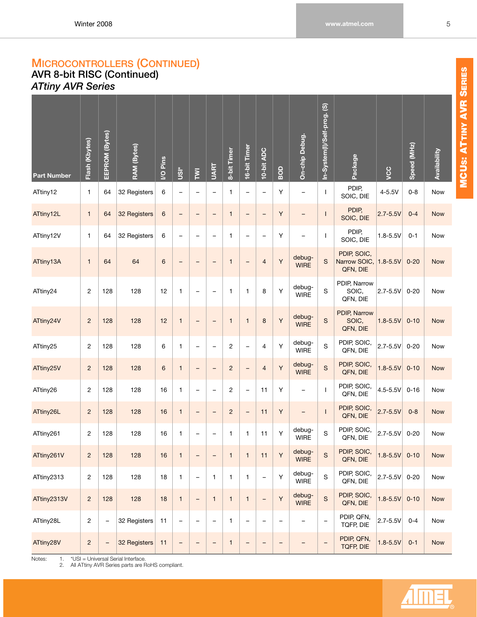## **MICROCONTROLLERS (CONTINUED) AVR 8-bit RISC (Continued)** *ATtiny AVR Series*

<span id="page-11-0"></span>

| <b>Part Number</b> | Flash (Kbytes) | EEPROM (Bytes)           | RAM (Bytes)  | I/O Pins        | <b>isn</b>               | $\overline{\Sigma}$      | <b>UART</b>              | 8-bit Timer    | 16-bit Timer             | 10-bit ADC        | BOD               | On-chip Debug.           | In-System(I)/Self-prog. (S) | Package                                          | ycc            | Speed (MHz) | Availability |
|--------------------|----------------|--------------------------|--------------|-----------------|--------------------------|--------------------------|--------------------------|----------------|--------------------------|-------------------|-------------------|--------------------------|-----------------------------|--------------------------------------------------|----------------|-------------|--------------|
| ATtiny12           | $\mathbf{1}$   | 64                       | 32 Registers | 6               | $\overline{\phantom{0}}$ | $\overline{\phantom{0}}$ | $\qquad \qquad -$        | $\mathbf{1}$   | $\qquad \qquad -$        | $\qquad \qquad -$ | Υ                 | $\overline{\phantom{0}}$ | T                           | PDIP,<br>SOIC, DIE                               | $4 - 5.5V$     | $0 - 8$     | Now          |
| ATtiny12L          | $\mathbf{1}$   | 64                       | 32 Registers | $\,6$           | $\qquad \qquad -$        | $\qquad \qquad -$        | $\qquad \qquad -$        | $\mathbf{1}$   | $\overline{\phantom{a}}$ | $\qquad \qquad -$ | Υ                 | -                        | $\mathsf{I}$                | PDIP,<br>SOIC, DIE                               | $2.7 - 5.5V$   | $0 - 4$     | <b>Now</b>   |
| ATtiny12V          | 1              | 64                       | 32 Registers | 6               | $\overline{\phantom{0}}$ | $\overline{\phantom{0}}$ | $\qquad \qquad -$        | $\mathbf{1}$   | $\overline{\phantom{0}}$ | $\qquad \qquad -$ | Υ                 | $\qquad \qquad -$        | $\mathbf{I}$                | PDIP,<br>SOIC, DIE                               | $1.8 - 5.5V$   | $0 - 1$     | Now          |
| ATtiny13A          | $\mathbf{1}$   | 64                       | 64           | 6               | $\qquad \qquad -$        | ۳                        | -                        | $\mathbf{1}$   | $\qquad \qquad -$        | $\overline{4}$    | Y                 | debug-<br><b>WIRE</b>    | S                           | PDIP, SOIC,<br>Narrow SOIC, 1.8-5.5V<br>QFN, DIE |                | $0 - 20$    | <b>Now</b>   |
| ATtiny24           | $\overline{c}$ | 128                      | 128          | 12              | $\mathbf{1}$             | $\overline{\phantom{0}}$ | $\qquad \qquad -$        | $\mathbf{1}$   | $\mathbf{1}$             | 8                 | Υ                 | debug-<br><b>WIRE</b>    | S                           | PDIP, Narrow<br>SOIC,<br>QFN, DIE                | $2.7 - 5.5V$   | $0 - 20$    | Now          |
| ATtiny24V          | $\overline{c}$ | 128                      | 128          | 12              | $\mathbf{1}$             | $\qquad \qquad -$        | $\qquad \qquad -$        | $\mathbf{1}$   | $\mathbf{1}$             | 8                 | Υ                 | debug-<br><b>WIRE</b>    | $\rm S$                     | PDIP, Narrow<br>SOIC,<br>QFN, DIE                | $1.8 - 5.5V$   | $0 - 10$    | <b>Now</b>   |
| ATtiny25           | $\overline{c}$ | 128                      | 128          | 6               | $\mathbf{1}$             | $\overline{\phantom{0}}$ | $\qquad \qquad -$        | $\overline{c}$ | $\qquad \qquad -$        | 4                 | Υ                 | debug-<br>WIRE           | S                           | PDIP, SOIC,<br>QFN, DIE                          | $2.7 - 5.5V$   | $0 - 20$    | Now          |
| ATtiny25V          | $\overline{c}$ | 128                      | 128          | $6\phantom{1}6$ | $\mathbf{1}$             | $\qquad \qquad -$        | $\overline{\phantom{0}}$ | $\overline{c}$ | $\overline{\phantom{m}}$ | $\overline{4}$    | Υ                 | debug-<br><b>WIRE</b>    | $\mathsf{s}$                | PDIP, SOIC,<br>QFN, DIE                          | $1.8 - 5.5V$   | $0 - 10$    | <b>Now</b>   |
| ATtiny26           | 2              | 128                      | 128          | 16              | 1                        | $\overline{\phantom{0}}$ | $\qquad \qquad -$        | $\overline{c}$ | $\qquad \qquad -$        | 11                | Υ                 | $\overline{\phantom{0}}$ | $\mathbf{I}$                | PDIP, SOIC,<br>QFN, DIE                          | 4.5-5.5V       | $0 - 16$    | Now          |
| ATtiny26L          | $\overline{c}$ | 128                      | 128          | 16              | $\mathbf{1}$             | -                        | $\qquad \qquad -$        | $\overline{c}$ | $\qquad \qquad -$        | 11                | Υ                 | $\qquad \qquad -$        | $\mathbf{I}$                | PDIP, SOIC,<br>QFN, DIE                          | $2.7 - 5.5V$   | $0 - 8$     | <b>Now</b>   |
| ATtiny261          | 2              | 128                      | 128          | 16              | 1                        | $\overline{\phantom{0}}$ | $\overline{\phantom{0}}$ | 1              | 1                        | 11                | Υ                 | debug-<br><b>WIRE</b>    | $\rm S$                     | PDIP, SOIC,<br>QFN, DIE                          | 2.7-5.5V       | $0 - 20$    | <b>Now</b>   |
| ATtiny261V         | $\overline{c}$ | 128                      | 128          | 16              | $\mathbf{1}$             | $\qquad \qquad -$        | $\qquad \qquad -$        | $\mathbf{1}$   | $\mathbf{1}$             | 11                | Υ                 | debug-<br><b>WIRE</b>    | $\mathbf S$                 | PDIP, SOIC,<br>QFN, DIE                          | $1.8 - 5.5V$   | $0 - 10$    | Now          |
| ATtiny2313         | 2              | 128                      | 128          | 18              | $\mathbf{1}$             | $\qquad \qquad -$        | $\mathbf{1}$             | $\mathbf{1}$   | $\mathbf{1}$             | $\qquad \qquad -$ | Y                 | debug-<br><b>WIRE</b>    | $\mathbf S$                 | PDIP, SOIC,<br>QFN, DIE                          | $ 2.7 - 5.5V $ | $0 - 20$    | Now          |
| ATtiny2313V        | $\sqrt{2}$     | 128                      | 128          | 18              | $\mathbf{1}$             | $\qquad \qquad -$        | $\mathbf{1}$             | $\mathbf{1}$   | $\mathbf{1}$             | $\qquad \qquad -$ | Y                 | debug-<br><b>WIRE</b>    | $\mathsf{s}$                | PDIP, SOIC,<br>QFN, DIE                          | $1.8 - 5.5V$   | $0 - 10$    | <b>Now</b>   |
| ATtiny28L          | 2              | $\overline{\phantom{0}}$ | 32 Registers | 11              | $\qquad \qquad -$        | $\overline{\phantom{0}}$ | $\qquad \qquad -$        | $\mathbf{1}$   | $\qquad \qquad -$        | $\qquad \qquad -$ | -                 | -                        | -                           | PDIP, QFN,<br>TQFP, DIE                          | $2.7 - 5.5V$   | $0 - 4$     | Now          |
| ATtiny28V          | $\overline{c}$ | $\overline{a}$           | 32 Registers | 11              | $\overline{\phantom{a}}$ | $\qquad \qquad -$        | $\overline{\phantom{0}}$ | $\mathbf{1}$   | $\qquad \qquad -$        | $\qquad \qquad -$ | $\qquad \qquad -$ | -                        | $\overline{\phantom{0}}$    | PDIP, QFN,<br><b>TQFP, DIE</b>                   | $1.8 - 5.5V$   | $0 - 1$     | <b>Now</b>   |

Notes: 1. \*USI = Universal Serial Interface.

2. All ATtiny AVR Series parts are RoHS compliant.

IME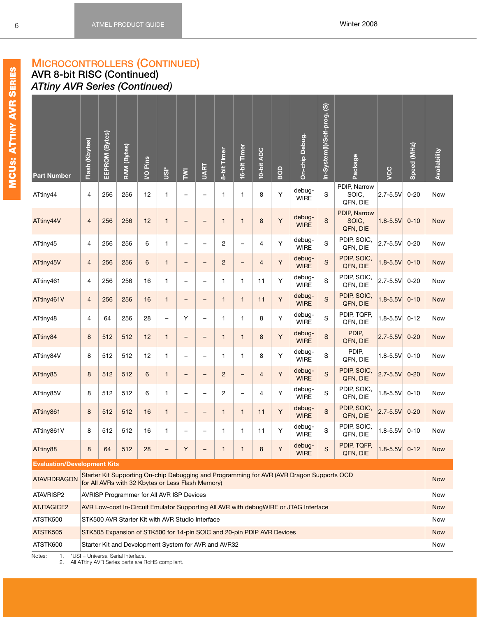### **MICROCONTROLLERS (CONTINUED) AVR 8-bit RISC (Continued)** *ATtiny AVR Series (Continued)*

| <b>Part Number</b>                 | Flash (Kbytes)                                                                                                                                                                                                                                                                                                                                                                                                                                                                                                     | EEPROM (Bytes) | RAM (Bytes)                                                            | I/O Pins | isn          | $\overline{\Sigma}$      | <b>UART</b>              | 8-bit Timer    | 16-bit Timer             | 10-bit ADC     | BOD | On-chip Debug.                                                                            | In-System(I)/Self-prog. (S) | Package                           | VCC               | Speed (MHz) | Availability |
|------------------------------------|--------------------------------------------------------------------------------------------------------------------------------------------------------------------------------------------------------------------------------------------------------------------------------------------------------------------------------------------------------------------------------------------------------------------------------------------------------------------------------------------------------------------|----------------|------------------------------------------------------------------------|----------|--------------|--------------------------|--------------------------|----------------|--------------------------|----------------|-----|-------------------------------------------------------------------------------------------|-----------------------------|-----------------------------------|-------------------|-------------|--------------|
| ATtiny44                           | 4                                                                                                                                                                                                                                                                                                                                                                                                                                                                                                                  | 256            | 256                                                                    | 12       | 1            | $\overline{\phantom{0}}$ | $\overline{\phantom{0}}$ | $\mathbf{1}$   | 1                        | 8              | Y   | debug-<br><b>WIRE</b>                                                                     | S                           | PDIP, Narrow<br>SOIC,<br>QFN, DIE | $2.7 - 5.5V$      | $0 - 20$    | Now          |
| ATtiny44V                          | $\overline{4}$                                                                                                                                                                                                                                                                                                                                                                                                                                                                                                     | 256            | 256                                                                    | 12       | $\mathbf{1}$ | $\overline{\phantom{0}}$ |                          | $\mathbf{1}$   | $\mathbf{1}$             | 8              | Υ   | debug-<br><b>WIRE</b>                                                                     | S                           | PDIP, Narrow<br>SOIC,<br>QFN, DIE | $1.8 - 5.5V$      | $0 - 10$    | <b>Now</b>   |
| ATtiny45                           | $\overline{4}$                                                                                                                                                                                                                                                                                                                                                                                                                                                                                                     | 256            | 256                                                                    | 6        | $\mathbf{1}$ | $\overline{\phantom{0}}$ |                          | $\overline{c}$ | $\overline{\phantom{0}}$ | $\overline{4}$ | Y   | debug-<br><b>WIRE</b>                                                                     | S                           | PDIP, SOIC,<br>QFN, DIE           | $2.7 - 5.5V$      | $0 - 20$    | <b>Now</b>   |
| ATtiny45V                          | $\overline{4}$                                                                                                                                                                                                                                                                                                                                                                                                                                                                                                     | 256            | 256                                                                    | 6        | $\mathbf{1}$ | -                        | $\overline{\phantom{0}}$ | $\overline{c}$ | -                        | $\overline{4}$ | Υ   | debug-<br><b>WIRE</b>                                                                     | S                           | PDIP, SOIC,<br>QFN, DIE           | $1.8 - 5.5V$      | $0 - 10$    | <b>Now</b>   |
| ATtiny461                          | PDIP, SOIC,<br>debug-<br>Y<br>$\overline{4}$<br>256<br>16<br>S<br>$2.7 - 5.5V$<br>256<br>11<br>$\mathbf{1}$<br>1<br>1<br>$\overline{\phantom{0}}$<br><b>WIRE</b><br>QFN, DIE<br>PDIP, SOIC,<br>debug-<br>Υ<br>S<br>$1.8 - 5.5V$<br>$\overline{4}$<br>256<br>256<br>16<br>11<br>$\mathbf{1}$<br>$\mathbf{1}$<br>$\mathbf{1}$<br>-<br><b>WIRE</b><br>QFN, DIE<br>PDIP, TQFP,<br>debug-<br>Y<br>S<br>$\overline{4}$<br>28<br>Y<br>8<br>$1.8 - 5.5V$<br>64<br>256<br>1<br>1<br>$\overline{\phantom{0}}$<br><b>WIRE</b> |                |                                                                        |          |              |                          |                          |                |                          |                |     |                                                                                           |                             |                                   |                   | $0 - 20$    | Now          |
| ATtiny461V                         | QFN, DIE<br>PDIP,<br>debug-                                                                                                                                                                                                                                                                                                                                                                                                                                                                                        |                |                                                                        |          |              |                          |                          |                |                          |                |     |                                                                                           |                             |                                   |                   | $0 - 10$    | <b>Now</b>   |
| ATtiny48                           | Υ<br>8<br>512<br>512<br>12<br>8<br>S<br>$2.7 - 5.5V$<br>$\mathbf{1}$<br>$\mathbf{1}$<br>$\mathbf{1}$<br>-<br>$\overline{\phantom{0}}$<br><b>WIRE</b><br>QFN, DIE                                                                                                                                                                                                                                                                                                                                                   |                |                                                                        |          |              |                          |                          |                |                          |                |     |                                                                                           |                             |                                   |                   | $0 - 12$    | Now          |
| ATtiny84                           |                                                                                                                                                                                                                                                                                                                                                                                                                                                                                                                    |                |                                                                        |          |              |                          |                          |                |                          |                |     |                                                                                           |                             |                                   |                   | $0 - 20$    | <b>Now</b>   |
| ATtiny84V                          | 8                                                                                                                                                                                                                                                                                                                                                                                                                                                                                                                  | 512            | 512                                                                    | 12       | $\mathbf{1}$ | $\overline{\phantom{0}}$ |                          | 1              | 1                        | 8              | Y   | debug-<br><b>WIRE</b>                                                                     | S                           | PDIP,<br>QFN, DIE                 | $1.8 - 5.5V$      | $0 - 10$    | Now          |
| ATtiny85                           | 8                                                                                                                                                                                                                                                                                                                                                                                                                                                                                                                  | 512            | 512                                                                    | 6        | $\mathbf{1}$ | $\qquad \qquad -$        | $\overline{\phantom{0}}$ | $\overline{c}$ | $\qquad \qquad -$        | $\overline{4}$ | Υ   | debug-<br><b>WIRE</b>                                                                     | S                           | PDIP, SOIC,<br>QFN, DIE           | $2.7 - 5.5V$      | $0 - 20$    | <b>Now</b>   |
| ATtiny85V                          | 8                                                                                                                                                                                                                                                                                                                                                                                                                                                                                                                  | 512            | 512                                                                    | 6        | $\mathbf{1}$ | $\overline{\phantom{0}}$ |                          | $\overline{c}$ | -                        | $\overline{4}$ | Y   | debug-<br><b>WIRE</b>                                                                     | S                           | PDIP, SOIC,<br>QFN, DIE           | $1.8 - 5.5V$      | $0 - 10$    | Now          |
| ATtiny861                          | 8                                                                                                                                                                                                                                                                                                                                                                                                                                                                                                                  | 512            | 512                                                                    | 16       | $\mathbf{1}$ | $\qquad \qquad -$        | $\overline{\phantom{0}}$ | $\mathbf{1}$   | $\mathbf{1}$             | 11             | Υ   | debug-<br><b>WIRE</b>                                                                     | S                           | PDIP, SOIC,<br>QFN, DIE           | $2.7 - 5.5V$      | $0 - 20$    | <b>Now</b>   |
| ATtiny861V                         | 8                                                                                                                                                                                                                                                                                                                                                                                                                                                                                                                  | 512            | 512                                                                    | 16       | $\mathbf{1}$ |                          |                          | 1              | 1                        | 11             | Y   | debug-<br><b>WIRE</b>                                                                     | S                           | PDIP, SOIC,<br>QFN, DIE           | $1.8 - 5.5V$      | $0 - 10$    | Now          |
| ATtiny88                           | 8                                                                                                                                                                                                                                                                                                                                                                                                                                                                                                                  | 64             | 512                                                                    | 28       |              | Y                        |                          |                | $\mathbf{1}$             | $\bf 8$        | Y   | debug-<br><b>WIRE</b>                                                                     | $\mathbf S$                 | PDIP, TQFP,<br>QFN, DIE           | $1.8 - 5.5V$ 0-12 |             | <b>Now</b>   |
| <b>Evaluation/Development Kits</b> |                                                                                                                                                                                                                                                                                                                                                                                                                                                                                                                    |                |                                                                        |          |              |                          |                          |                |                          |                |     |                                                                                           |                             |                                   |                   |             |              |
| <b>ATAVRDRAGON</b>                 |                                                                                                                                                                                                                                                                                                                                                                                                                                                                                                                    |                | for All AVRs with 32 Kbytes or Less Flash Memory)                      |          |              |                          |                          |                |                          |                |     | Starter Kit Supporting On-chip Debugging and Programming for AVR (AVR Dragon Supports OCD |                             |                                   |                   |             | <b>Now</b>   |
| ATAVRISP2                          |                                                                                                                                                                                                                                                                                                                                                                                                                                                                                                                    |                | AVRISP Programmer for All AVR ISP Devices                              |          |              |                          |                          |                |                          |                |     |                                                                                           |                             |                                   |                   |             | Now          |
| <b>ATJTAGICE2</b>                  |                                                                                                                                                                                                                                                                                                                                                                                                                                                                                                                    |                |                                                                        |          |              |                          |                          |                |                          |                |     | AVR Low-cost In-Circuit Emulator Supporting All AVR with debugWIRE or JTAG Interface      |                             |                                   |                   |             | <b>Now</b>   |
| ATSTK500                           |                                                                                                                                                                                                                                                                                                                                                                                                                                                                                                                    |                | STK500 AVR Starter Kit with AVR Studio Interface                       |          |              |                          |                          |                |                          |                |     |                                                                                           |                             |                                   |                   |             | Now          |
| ATSTK505                           |                                                                                                                                                                                                                                                                                                                                                                                                                                                                                                                    |                | STK505 Expansion of STK500 for 14-pin SOIC and 20-pin PDIP AVR Devices |          |              |                          |                          |                |                          |                |     |                                                                                           |                             |                                   |                   |             | <b>Now</b>   |
| ATSTK600                           |                                                                                                                                                                                                                                                                                                                                                                                                                                                                                                                    |                | Starter Kit and Development System for AVR and AVR32                   |          |              |                          |                          |                |                          |                |     |                                                                                           |                             |                                   |                   |             | Now          |
| Notes:<br>1.                       |                                                                                                                                                                                                                                                                                                                                                                                                                                                                                                                    |                | *USI = Universal Serial Interface.                                     |          |              |                          |                          |                |                          |                |     |                                                                                           |                             |                                   |                   |             |              |

2. All ATtiny AVR Series parts are RoHS compliant.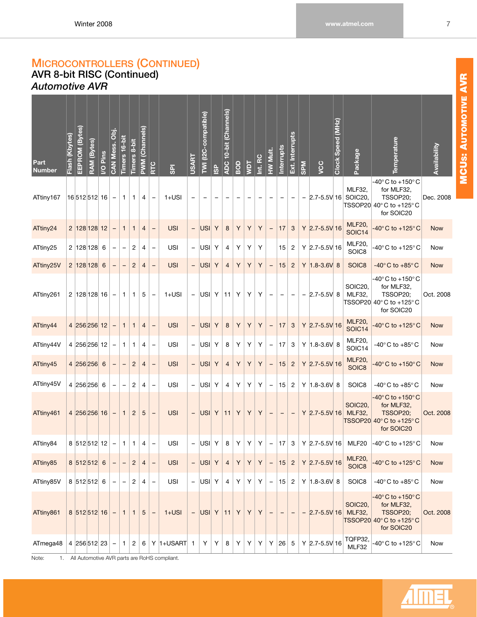### **MICROCONTROLLERS (CONTINUED) AVR 8-bit RISC (Continued)** *Automotive AVR*

<span id="page-13-0"></span>

| Part<br><b>Number</b> | (Kbytes)<br>Flash ( | EEPROM (Bytes) | RAM (Bytes) | Pins<br>$\overline{6}$ | CAN Mess. Obj.    | Timers 16-bit | Timers 8-bit   | <b>PWM (Channels)</b> | <b>RTC</b>               | $\overline{\mathbf{s}}$ | <b>USART</b>             | TWI (I2C-compatible)     | $\frac{6}{2}$ | ADC 10-bit (Channels) | BOD | Taw | Int. RC | <b>HW Mult.</b>          | Interrupts               | Ext. Interrupts           | <b>NdS</b> | VCC                | Clock Speed (MHz) | Package                           | Temperature                                                                                                                   | Availability |
|-----------------------|---------------------|----------------|-------------|------------------------|-------------------|---------------|----------------|-----------------------|--------------------------|-------------------------|--------------------------|--------------------------|---------------|-----------------------|-----|-----|---------|--------------------------|--------------------------|---------------------------|------------|--------------------|-------------------|-----------------------------------|-------------------------------------------------------------------------------------------------------------------------------|--------------|
| ATtiny167             |                     | 16 512 512 16  |             |                        | $\qquad \qquad -$ | 1             | 1              | 4                     |                          | $1+USI$                 | $\overline{\phantom{0}}$ | $\overline{\phantom{0}}$ |               |                       |     |     |         | $\overline{\phantom{0}}$ | $\qquad \qquad -$        | $\qquad \qquad -$         |            |                    |                   | MLF32,<br>$-$ 2.7-5.5V 16 SOIC20, | -40°C to +150°C<br>for MLF32,<br>TSSOP20;<br>TSSOP20 $40^{\circ}$ C to +125 $^{\circ}$ C<br>for SOIC20                        | Dec. 2008    |
| ATtiny24              |                     | 2 128 128 12   |             |                        |                   | 1             | 1              | 4                     |                          | <b>USI</b>              | -                        | USI                      | Y             | $\bf 8$               | Y   | Y   | Y       | $\qquad \qquad -$        | 17                       | $\sqrt{3}$                |            | Y 2.7-5.5V 16      |                   | <b>MLF20,</b><br>SOIC14           | 40°C to +125°C                                                                                                                | <b>Now</b>   |
| ATtiny25              |                     | 2  128 128     |             | 6                      |                   | <b>—</b>      | 2              | 4                     | -                        | <b>USI</b>              |                          | $  USI $ Y               |               | 4                     | Y   | Y   | Υ       |                          | 15                       | $\overline{c}$            |            | Y 2.7-5.5V 16      |                   | <b>MLF20,</b><br>SOIC8            | $-40^{\circ}$ C to $+125^{\circ}$ C                                                                                           | Now          |
| ATtiny25V             |                     | 2 128 128      |             | 6                      |                   |               | $\overline{c}$ | 4                     | $\overline{\phantom{0}}$ | <b>USI</b>              | $\overline{\phantom{0}}$ | USI Y                    |               | $\overline{4}$        | Υ   | Y   | Υ       | $\qquad \qquad -$        | 15                       | $\overline{c}$            |            | $Y$ 1.8-3.6V 8     |                   | SOIC8                             | -40 $^{\circ}$ C to +85 $^{\circ}$ C                                                                                          | <b>Now</b>   |
| ATtiny261             |                     | 2 128 128 16   |             |                        |                   | 1             | 1              | 5                     |                          | $1+USI$                 | $\blacksquare$           | $ USI $ Y                |               | 11                    | Υ   | Y   | Υ       | $\qquad \qquad -$        | $\qquad \qquad -$        | $\overline{\phantom{0}}$  |            | $-$ 2.7-5.5V 8     |                   | SOIC20,<br>MLF32,                 | -40°C to +150°C<br>for MLF32,<br>TSSOP20;<br>TSSOP20 40° C to +125° C<br>for SOIC20                                           | Oct. 2008    |
| ATtiny44              |                     | 4 256 256 12   |             |                        |                   | $\mathbf{1}$  | 1              | 4                     | -                        | <b>USI</b>              | $\overline{\phantom{0}}$ | USI                      | Y             | 8                     | Υ   | Y   | Y       | $\qquad \qquad -$        | 17                       | $\ensuremath{\mathsf{3}}$ |            | $Y$ 2.7-5.5V 16    |                   | <b>MLF20,</b><br>SOIC14           | $-40^\circ$ C to $+125^\circ$ C                                                                                               | <b>Now</b>   |
| ATtiny44V             |                     | 4 256 256 12   |             |                        |                   | 1             | 1              | 4                     | -                        | <b>USI</b>              |                          | $-$  USI  Y              |               | 8                     | Υ   | Y   | Υ       | $\qquad \qquad -$        | 17                       | 3                         |            | Y $ 1.8 - 3.6V $ 8 |                   | <b>MLF20,</b><br>SOIC14           | -40 $^{\circ}$ C to +85 $^{\circ}$ C                                                                                          | Now          |
| ATtiny45              |                     | 4 256 256 6    |             |                        |                   |               | $\overline{c}$ | 4                     | $\qquad \qquad -$        | <b>USI</b>              | $\overline{\phantom{a}}$ | USI                      | Y             | $\overline{4}$        | Υ   | Υ   | Y       | -                        | 15                       | $\overline{c}$            |            | Y 2.7-5.5V 16      |                   | <b>MLF20,</b><br>SOIC8            | $-40^{\circ}$ C to $+150^{\circ}$ C                                                                                           | <b>Now</b>   |
| ATtiny45V             |                     | 4 256 256 6    |             |                        |                   |               | 2              | 4                     |                          | <b>USI</b>              |                          | $  USI $ Y               |               | 4                     | Υ   | Y   | Υ       | $\qquad \qquad -$        | 15                       | $\overline{c}$            |            | Y $ 1.8 - 3.6V $ 8 |                   | SOIC8                             | -40°C to +85°C                                                                                                                | Now          |
| ATtiny461             |                     | 4 256 256 16   |             |                        |                   | 1             | $\overline{c}$ | 5                     |                          | <b>USI</b>              |                          | $  USI $ Y               |               | 11                    | Υ   | Y   | Y       | $\qquad \qquad -$        | $\overline{\phantom{m}}$ | $\overline{\phantom{a}}$  |            | Y 2.7-5.5V 16      |                   | SOIC20,<br><b>MLF32,</b>          | -40 $^{\circ}$ C to +150 $^{\circ}$ C<br>for MLF32,<br>TSSOP20;<br>$\overline{\text{TSSOP20}}$ 40° C to +125° C<br>for SOIC20 | Oct. 2008    |
| ATtiny84              |                     | 8 512 512 12   |             |                        | $\equiv$          | $\mathbf{1}$  | $\mathbf{1}$   | 4                     | $\qquad \qquad -$        | <b>USI</b>              |                          | $  USI $ Y               |               | 8                     | Y   | Y   | Y       | $\equiv$                 | 17                       | 3                         |            |                    |                   | Y 2.7-5.5V 16 MLF20               | $-40^{\circ}$ C to +125 $^{\circ}$ C                                                                                          | Now          |
| ATtiny85              |                     | 8 512 512 6    |             |                        |                   |               | $\overline{c}$ | 4                     | $\overline{\phantom{0}}$ | <b>USI</b>              |                          | $  USI $                 | Y             | $\overline{4}$        | Υ   | Y   | Y       | $\overline{\phantom{0}}$ | 15                       | $\overline{c}$            |            | Y 2.7-5.5V 16      |                   | <b>MLF20,</b><br>SOIC8            | $-40^{\circ}$ C to $+125^{\circ}$ C                                                                                           | <b>Now</b>   |
| ATtiny85V             |                     | 8 512 512 6    |             |                        |                   |               | $\overline{c}$ | 4                     | $\overline{a}$           | <b>USI</b>              |                          | $-$  USI  Y              |               | 4                     | Υ   | Υ   | Υ       | $\overline{\phantom{0}}$ | 15                       | $\overline{c}$            |            | Y $ 1.8 - 3.6V $ 8 |                   | SOIC8                             | -40 $^{\circ}$ C to +85 $^{\circ}$ C                                                                                          | Now          |
| ATtiny861             |                     | 8 512 512 16   |             |                        |                   | 1             | 1              | 5                     |                          | $1+USI$                 |                          | $  USI $ Y   11          |               |                       | Y   | Y   | Y       |                          |                          |                           |            | $-$ 2.7-5.5V 16    |                   | SOIC20,<br><b>MLF32,</b>          | -40 $^{\circ}$ C to +150 $^{\circ}$ C<br>for MLF32,<br>TSSOP20;<br>$TSSOP20   40^\circ \text{C}$ to +125°C<br>for SOIC20      | Oct. 2008    |
| ATmega48              |                     | 4 256 512 23   |             |                        |                   | 1             | 2              | 6                     |                          | $Y$  1+USART            | 1                        | Υ                        | Υ             | 8                     | Y   | Y   | Υ       | Υ                        | 26                       | 5                         |            | Y 2.7-5.5V 16      |                   | TQFP32,<br>MLF32                  | -40 $^{\circ}$ C to +125 $^{\circ}$ C                                                                                         | Now          |

Note: 1. All Automotive AVR parts are RoHS compliant.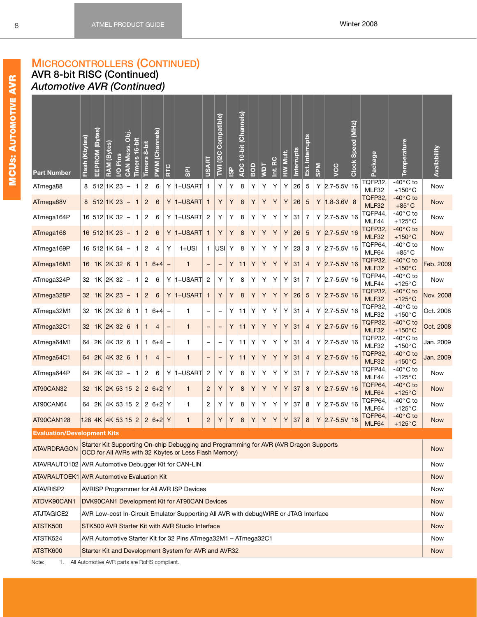### **AVR 8-bit RISC (Continued)** *Automotive AVR (Continued)*

| in the control of the control of the control of the control of the control of the control of the control of the control of the control of the control of the control of the control of the control of the control of the contr |
|--------------------------------------------------------------------------------------------------------------------------------------------------------------------------------------------------------------------------------|
|                                                                                                                                                                                                                                |
| l                                                                                                                                                                                                                              |
| l                                                                                                                                                                                                                              |
|                                                                                                                                                                                                                                |
|                                                                                                                                                                                                                                |
| Ī<br>ļ<br>I                                                                                                                                                                                                                    |
|                                                                                                                                                                                                                                |
|                                                                                                                                                                                                                                |
|                                                                                                                                                                                                                                |
|                                                                                                                                                                                                                                |
| l                                                                                                                                                                                                                              |
|                                                                                                                                                                                                                                |
|                                                                                                                                                                                                                                |
| I<br>I                                                                                                                                                                                                                         |
|                                                                                                                                                                                                                                |
|                                                                                                                                                                                                                                |
| ֘֒                                                                                                                                                                                                                             |
|                                                                                                                                                                                                                                |
| l                                                                                                                                                                                                                              |
|                                                                                                                                                                                                                                |
| j<br>İ                                                                                                                                                                                                                         |
| I                                                                                                                                                                                                                              |
| l<br>ׇ֘֒                                                                                                                                                                                                                       |
| l                                                                                                                                                                                                                              |
| I<br>I                                                                                                                                                                                                                         |
|                                                                                                                                                                                                                                |
|                                                                                                                                                                                                                                |
|                                                                                                                                                                                                                                |

 $\mathbf{r}$ 

| <b>Part Number</b>                                     | Flash (Kbytes)                                                                                                                                                                                                                                                                                                                                                                                                                                            | EEPROM (Bytes)                               | (Bytes)<br><b>RAM</b> | Pins<br>$\overline{Q}$ | <b>CAN Mess. Obj.</b> | 6-bit<br>Timers <sub>1</sub> | Timers 8-bit   | (Channels)<br><b>PWM</b> | RTC               | $\overline{5}$                                                                                                                                 | <b>USART</b>      | Compatible)<br>(12C)<br>$\overline{a}$ | <b>GP</b> | (Channels)<br>$10$ -bit<br>ADC- | BOD | <b>TAM</b>                              | Int. RC          | HW Mult. | Interrupts | Ext. Interrupts | <b>SPM</b> | SC                  | Speed (MHz)<br><b>Clock</b> | Package          | Temperature                             | Availability |
|--------------------------------------------------------|-----------------------------------------------------------------------------------------------------------------------------------------------------------------------------------------------------------------------------------------------------------------------------------------------------------------------------------------------------------------------------------------------------------------------------------------------------------|----------------------------------------------|-----------------------|------------------------|-----------------------|------------------------------|----------------|--------------------------|-------------------|------------------------------------------------------------------------------------------------------------------------------------------------|-------------------|----------------------------------------|-----------|---------------------------------|-----|-----------------------------------------|------------------|----------|------------|-----------------|------------|---------------------|-----------------------------|------------------|-----------------------------------------|--------------|
| ATmega88                                               | 8                                                                                                                                                                                                                                                                                                                                                                                                                                                         | 512 1K 23                                    |                       |                        |                       | 1                            | $\overline{c}$ | 6                        | Y                 | $ 1+USART $                                                                                                                                    | $\overline{1}$    | Y                                      | Υ         | 8                               | Υ   | Υ                                       | Υ                | Υ        | 26         | 5               |            | Y $ 2.7 - 5.5V $ 16 |                             | TQFP32<br>MLF32  | -40 $^{\circ}$ C to<br>$+150^{\circ}$ C | Now          |
| ATmega88V                                              | 8                                                                                                                                                                                                                                                                                                                                                                                                                                                         | 512 1K 23                                    |                       |                        |                       | $\mathbf{1}$                 | $\overline{c}$ | 6                        | Y                 | $ 1+USART $                                                                                                                                    | $\mathbf{1}$      | Y                                      | Υ         | 8                               | Υ   | Υ                                       | Υ                | Υ        | 26         | 5               | Y          | $ 1.8 - 3.6V $ 8    |                             | TQFP32<br>MLF32  | -40°C to<br>$+85^{\circ}$ C             | <b>Now</b>   |
| ATmega164P                                             |                                                                                                                                                                                                                                                                                                                                                                                                                                                           | 16 512 1K 32                                 |                       |                        |                       | 1                            | 2              | 6                        | Y                 | $ 1+USART $                                                                                                                                    | $\overline{c}$    | Υ                                      | Υ         | 8                               | Y   | Y                                       | Υ                | Υ        | 31         | $\overline{7}$  |            | $Y$ 2.7-5.5V 16     |                             | TQFP44.<br>MLF44 | $-40^\circ$ C to<br>+125 $\degree$ C    | Now          |
| ATmega168                                              |                                                                                                                                                                                                                                                                                                                                                                                                                                                           | 16 512 1K 23                                 |                       |                        |                       | 1                            | $\overline{c}$ | 6                        | Y                 | $ 1+USART $                                                                                                                                    | $\mathbf{1}$      | Υ                                      | Υ         | 8                               | Υ   | Υ                                       | Υ                | Y        | 26         | 5               |            | $Y$ 2.7-5.5V 16     |                             | TQFP32<br>MLF32  | $-40^\circ$ C to<br>$+150^{\circ}$ C    | <b>Now</b>   |
| ATmega169P                                             |                                                                                                                                                                                                                                                                                                                                                                                                                                                           | 16 512 1K 54                                 |                       |                        | $\qquad \qquad -$     | $\mathbf{1}$                 | 2              | 4                        | Υ                 | $1+USI$                                                                                                                                        | $\mathbf{1}$      | USI                                    | Υ         | 8                               | Υ   | Υ                                       | Υ                | Y        | 23         | 3               |            | Y $ 2.7 - 5.5V $ 16 |                             | TQFP64,<br>MLF64 | -40° C to<br>$+85^{\circ}$ C            | <b>Now</b>   |
| ATmega16M1                                             | TQFP32.<br>31<br>$1K$ 2K 32<br>Υ<br>Υ<br>Υ<br>Υ<br>Υ<br>$\overline{4}$<br>$Y$ 2.7-5.5V 16<br>16<br>6<br>$\mathbf{1}$<br>$\mathbf{1}$<br>$ 6+4 $<br>11<br>$\mathbf{1}$<br>$\overline{\phantom{a}}$<br>$\qquad \qquad -$<br>-<br>MLF32<br>TQFP44,<br>$ 1+USART $<br>Υ<br>Υ<br>31<br>$\overline{7}$<br>$Y$ 2.7-5.5V 16<br>$1K$   2K   32<br>2<br>Y<br>$\overline{c}$<br>Υ<br>8<br>Υ<br>Υ<br>Υ<br>32<br>1<br>6<br>MLF44<br>TQFP32<br>$\overline{\phantom{a}}$ |                                              |                       |                        |                       |                              |                |                          |                   |                                                                                                                                                |                   |                                        |           |                                 |     | $-40^\circ$ C to<br>+150 $\degree$ C    | Feb. 2009        |          |            |                 |            |                     |                             |                  |                                         |              |
| ATmega324P                                             | $1+USART$<br>Y<br>Υ<br>Y<br>Υ<br>Υ<br>Υ<br>26<br>$\sqrt{5}$<br>$Y$ 2.7-5.5V 16<br>$1K$ 2K 23<br>$\mathbf{1}$<br>$\overline{c}$<br>6<br>Y<br>8<br>32<br>$\mathbf{1}$<br>MLF32                                                                                                                                                                                                                                                                              |                                              |                       |                        |                       |                              |                |                          |                   |                                                                                                                                                |                   |                                        |           |                                 |     | -40 $^{\circ}$ C to<br>$+125^{\circ}$ C | Now              |          |            |                 |            |                     |                             |                  |                                         |              |
| ATmega328P                                             | TQFP32.<br>Υ<br>Υ<br>31<br>32<br>$1K$   2K   32<br>6<br>1<br>$ 6+4 $<br>Y<br>11<br>Y<br>Y<br>4<br>$Y$ 2.7-5.5V 16<br>1<br>1<br>$\qquad \qquad -$                                                                                                                                                                                                                                                                                                          |                                              |                       |                        |                       |                              |                |                          |                   |                                                                                                                                                |                   |                                        |           |                                 |     | -40°C to<br>$+125^{\circ}$ C            | <b>Nov. 2008</b> |          |            |                 |            |                     |                             |                  |                                         |              |
| ATmega32M1                                             | MLF32<br>TQFP32<br>Y<br>$\overline{4}$<br>$1K$ 2K 32<br>Υ<br>Υ<br>Υ<br>Υ<br>32<br>6<br>$\mathbf{1}$<br>$\overline{4}$<br>$\mathbf{1}$<br>11<br>$\mathbf{1}$<br>$\qquad \qquad -$<br>$\qquad \qquad -$<br>-                                                                                                                                                                                                                                                |                                              |                       |                        |                       |                              |                |                          |                   |                                                                                                                                                |                   |                                        |           |                                 |     | $-40^\circ$ C to<br>$+150^{\circ}$ C    | Oct. 2008        |          |            |                 |            |                     |                             |                  |                                         |              |
| ATmega32C1                                             | 31<br>$Y$ 2.7-5.5V 16<br>MLF32                                                                                                                                                                                                                                                                                                                                                                                                                            |                                              |                       |                        |                       |                              |                |                          |                   |                                                                                                                                                |                   |                                        |           |                                 |     | $-40^\circ$ C to<br>+150 $^{\circ}$ C   | Oct. 2008        |          |            |                 |            |                     |                             |                  |                                         |              |
| ATmega64M1                                             | 64                                                                                                                                                                                                                                                                                                                                                                                                                                                        | $2K$ 4K 32                                   |                       |                        | 6                     | $\mathbf{1}$                 | $\mathbf{1}$   | $ 6+4 $                  | -                 | 1                                                                                                                                              | -                 | -                                      | Υ         | 11                              | Υ   | Y                                       | Υ                | Υ        | 31         | 4               |            | $Y$ 2.7-5.5V 16     |                             | TQFP32.<br>MLF32 | -40° C to<br>$+150^{\circ}$ C           | Jan. 2009    |
| ATmega64C1                                             | 64                                                                                                                                                                                                                                                                                                                                                                                                                                                        | $2K$ 4K 32                                   |                       |                        | 6                     | $\mathbf{1}$                 | $\mathbf{1}$   | 4                        | $\qquad \qquad -$ | $\mathbf{1}$                                                                                                                                   | $\qquad \qquad -$ | -                                      | Υ         | 11                              | Υ   | Y                                       | Υ                | Υ        | 31         | $\overline{4}$  |            | $Y$ 2.7-5.5V 16     |                             | TQFP32.<br>MLF32 | -40°C to<br>$+150^{\circ}$ C            | Jan. 2009    |
| ATmega644P                                             | 64                                                                                                                                                                                                                                                                                                                                                                                                                                                        | $2K$ 4K 32                                   |                       |                        |                       | 1                            | 2              | 6                        | Y                 | $1+USART$                                                                                                                                      | $\overline{c}$    | Υ                                      | Υ         | 8                               | Υ   | Υ                                       | Υ                | Υ        | 31         | $\overline{7}$  |            | $Y$ 2.7-5.5V 16     |                             | TQFP44,<br>MLF44 | -40 $^{\circ}$ C to<br>$+125^{\circ}$ C | Now          |
| AT90CAN32                                              | 32                                                                                                                                                                                                                                                                                                                                                                                                                                                        | $1K$ 2K 53 15 2                              |                       |                        |                       |                              | $\overline{2}$ | $ 6+2 $                  | Y                 | $\mathbf{1}$                                                                                                                                   | $\overline{c}$    | Y                                      | Υ         | 8                               | Y   | Υ                                       | Υ                | Υ        | 37         | 8               |            | $Y$ 2.7-5.5V 16     |                             | TQFP64.<br>MLF64 | $-40^\circ$ C to<br>+125 $\degree$ C    | <b>Now</b>   |
| AT90CAN64                                              | 64                                                                                                                                                                                                                                                                                                                                                                                                                                                        | $2K$ 4K 53 15 2                              |                       |                        |                       |                              |                | 2 $ 6+2 $ Y              |                   | 1                                                                                                                                              | $\overline{c}$    | Υ                                      | Υ         | 8                               | Y   | Υ                                       | Υ                | Υ        | 37         | 8               |            | $Y$ 2.7-5.5V 16     |                             | TQFP64,<br>MLF64 | -40 $^{\circ}$ C to<br>+125 $\degree$ C | Now          |
| AT90CAN128                                             |                                                                                                                                                                                                                                                                                                                                                                                                                                                           | $128$ 4K 4K 53 15 2                          |                       |                        |                       |                              |                | 2 $ 6+2 $ Y              |                   | $\mathbf{1}$                                                                                                                                   | $\overline{c}$    | Υ                                      | Υ         | 8                               | Υ   | Υ                                       | Υ                | Υ        | 37         | 8               |            | $Y$ 2.7-5.5V 16     |                             | TQFP64,<br>MLF64 | $-40^\circ$ C to<br>$+125^{\circ}$ C    | <b>Now</b>   |
| <b>Evaluation/Development Kits</b>                     |                                                                                                                                                                                                                                                                                                                                                                                                                                                           |                                              |                       |                        |                       |                              |                |                          |                   |                                                                                                                                                |                   |                                        |           |                                 |     |                                         |                  |          |            |                 |            |                     |                             |                  |                                         |              |
| <b>ATAVRDRAGON</b>                                     |                                                                                                                                                                                                                                                                                                                                                                                                                                                           |                                              |                       |                        |                       |                              |                |                          |                   | Starter Kit Supporting On-chip Debugging and Programming for AVR (AVR Dragon Supports<br>OCD for All AVRs with 32 Kbytes or Less Flash Memory) |                   |                                        |           |                                 |     |                                         |                  |          |            |                 |            |                     |                             |                  |                                         | <b>Now</b>   |
| ATAVRAUTO102   AVR Automotive Debugger Kit for CAN-LIN |                                                                                                                                                                                                                                                                                                                                                                                                                                                           |                                              |                       |                        |                       |                              |                |                          |                   |                                                                                                                                                |                   |                                        |           |                                 |     |                                         |                  |          |            |                 |            |                     |                             |                  |                                         | Now          |
| ATAVRAUTOEK1 AVR Automotive Evaluation Kit             |                                                                                                                                                                                                                                                                                                                                                                                                                                                           |                                              |                       |                        |                       |                              |                |                          |                   |                                                                                                                                                |                   |                                        |           |                                 |     |                                         |                  |          |            |                 |            |                     |                             |                  |                                         | <b>Now</b>   |
| ATAVRISP2                                              |                                                                                                                                                                                                                                                                                                                                                                                                                                                           |                                              |                       |                        |                       |                              |                |                          |                   | AVRISP Programmer for All AVR ISP Devices                                                                                                      |                   |                                        |           |                                 |     |                                         |                  |          |            |                 |            |                     |                             |                  |                                         | Now          |
| ATDVK90CAN1                                            |                                                                                                                                                                                                                                                                                                                                                                                                                                                           |                                              |                       |                        |                       |                              |                |                          |                   | DVK90CAN1 Development Kit for AT90CAN Devices                                                                                                  |                   |                                        |           |                                 |     |                                         |                  |          |            |                 |            |                     |                             |                  |                                         | <b>Now</b>   |
| ATJTAGICE2                                             |                                                                                                                                                                                                                                                                                                                                                                                                                                                           |                                              |                       |                        |                       |                              |                |                          |                   | AVR Low-cost In-Circuit Emulator Supporting All AVR with debugWIRE or JTAG Interface                                                           |                   |                                        |           |                                 |     |                                         |                  |          |            |                 |            |                     |                             |                  |                                         | Now          |
| ATSTK500                                               |                                                                                                                                                                                                                                                                                                                                                                                                                                                           |                                              |                       |                        |                       |                              |                |                          |                   | STK500 AVR Starter Kit with AVR Studio Interface                                                                                               |                   |                                        |           |                                 |     |                                         |                  |          |            |                 |            |                     |                             |                  |                                         | <b>Now</b>   |
| ATSTK524                                               |                                                                                                                                                                                                                                                                                                                                                                                                                                                           |                                              |                       |                        |                       |                              |                |                          |                   | AVR Automotive Starter Kit for 32 Pins ATmega32M1 - ATmega32C1                                                                                 |                   |                                        |           |                                 |     |                                         |                  |          |            |                 |            |                     |                             |                  |                                         | Now          |
| ATSTK600                                               |                                                                                                                                                                                                                                                                                                                                                                                                                                                           |                                              |                       |                        |                       |                              |                |                          |                   | Starter Kit and Development System for AVR and AVR32                                                                                           |                   |                                        |           |                                 |     |                                         |                  |          |            |                 |            |                     |                             |                  |                                         | <b>Now</b>   |
| 1.<br>Note:                                            |                                                                                                                                                                                                                                                                                                                                                                                                                                                           | All Automotive AVR parts are RoHS compliant. |                       |                        |                       |                              |                |                          |                   |                                                                                                                                                |                   |                                        |           |                                 |     |                                         |                  |          |            |                 |            |                     |                             |                  |                                         |              |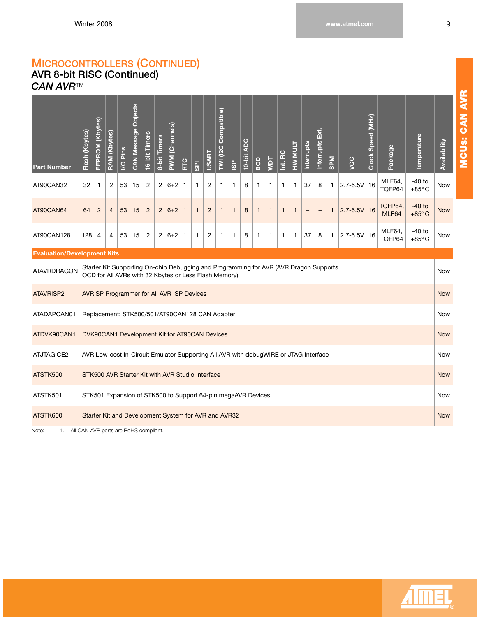## <span id="page-15-0"></span>**AVR 8-bit RISC (Continued)** *CAN AVR*TM

| <b>Part Number</b>                 | Flash (Kbytes) | EEPROM (Kbytes)                                                                                                                                                                                                                                                                                                                                                                                                                                                                                                                              | <b>RAM (Kbytes)</b> | I/O Pins                                                                                       | Objects<br><b>CAN Message</b> | 16-bit Timers  | 8-bit Timers   | (Channels)<br>PWM <sub>(</sub> | RTC | $\overline{\mathsf{SD}}$ | <b>USART</b> | <b>Compatible</b> )<br>TWI (I2C | <b>ISP</b> | <b>ADC</b><br>$10$ -bit | BOD | <b>TOM</b>   | Int. RC                     | HW MULT    | <b>Interrupts</b> | Б.<br>Interrupts | <b>SPM</b>   | you          | Clock Speed (MHz) | Package          | Temperature                 | <b>Availability</b> |
|------------------------------------|----------------|----------------------------------------------------------------------------------------------------------------------------------------------------------------------------------------------------------------------------------------------------------------------------------------------------------------------------------------------------------------------------------------------------------------------------------------------------------------------------------------------------------------------------------------------|---------------------|------------------------------------------------------------------------------------------------|-------------------------------|----------------|----------------|--------------------------------|-----|--------------------------|--------------|---------------------------------|------------|-------------------------|-----|--------------|-----------------------------|------------|-------------------|------------------|--------------|--------------|-------------------|------------------|-----------------------------|---------------------|
| AT90CAN32                          | 32             | $\mathbf{1}$                                                                                                                                                                                                                                                                                                                                                                                                                                                                                                                                 | 2                   | 53                                                                                             | 15                            | $\overline{2}$ | $\overline{c}$ | $ 6+2 $                        | -1  | 1                        | 2            | 1                               | 1          | 8                       | -1  | $\mathbf{1}$ | $\mathbf{1}$                | 1          | 37                | 8                | $\mathbf{1}$ | $2.7 - 5.5V$ | 16                | MLF64,<br>TQFP64 | $-40$ to<br>$+85^{\circ}$ C | Now                 |
| AT90CAN64                          | 64             | TQFP64,<br>$2.7 - 5.5V$<br>16<br>$\overline{2}$<br>$\overline{4}$<br>53<br>15<br>$\overline{2}$<br>2<br>$ 6+2 $<br>$\mathbf{1}$<br>$\mathbf{1}$<br>$\overline{2}$<br>8<br>$\mathbf{1}$<br>$\mathbf{1}$<br>1<br>$\mathbf{1}$<br>$\mathbf{1}$<br>$\mathbf{1}$<br>$\mathbf{1}$<br>-<br>MLF64<br>MLF64,<br>$\overline{2}$<br>37<br>$2.7 - 5.5V$ 16<br>4<br>53<br>15<br>$\overline{c}$<br>$ 6+2 $<br>$\overline{c}$<br>8<br>8<br>$\mathbf{1}$<br>4<br>1<br>1<br>$\mathbf{1}$<br>$\mathbf{1}$<br>$\mathbf{1}$<br>$\mathbf{1}$<br>-1<br>1<br>TQFP64 |                     |                                                                                                |                               |                |                |                                |     |                          |              |                                 |            |                         |     |              | $-40$ to<br>$+85^{\circ}$ C | <b>Now</b> |                   |                  |              |              |                   |                  |                             |                     |
| AT90CAN128                         | 128            |                                                                                                                                                                                                                                                                                                                                                                                                                                                                                                                                              |                     |                                                                                                |                               |                |                |                                |     |                          |              |                                 |            |                         |     |              | $-40$ to<br>$+85^{\circ}$ C | Now        |                   |                  |              |              |                   |                  |                             |                     |
| <b>Evaluation/Development Kits</b> |                |                                                                                                                                                                                                                                                                                                                                                                                                                                                                                                                                              |                     |                                                                                                |                               |                |                |                                |     |                          |              |                                 |            |                         |     |              |                             |            |                   |                  |              |              |                   |                  |                             |                     |
| <b>ATAVRDRAGON</b>                 |                | Starter Kit Supporting On-chip Debugging and Programming for AVR (AVR Dragon Supports<br>OCD for All AVRs with 32 Kbytes or Less Flash Memory)                                                                                                                                                                                                                                                                                                                                                                                               |                     |                                                                                                |                               |                |                |                                |     |                          |              |                                 |            |                         |     |              |                             | Now        |                   |                  |              |              |                   |                  |                             |                     |
| <b>ATAVRISP2</b>                   |                |                                                                                                                                                                                                                                                                                                                                                                                                                                                                                                                                              |                     | <b>AVRISP Programmer for All AVR ISP Devices</b>                                               |                               |                |                |                                |     |                          |              |                                 |            |                         |     |              |                             |            |                   |                  |              |              |                   |                  |                             | <b>Now</b>          |
| ATADAPCAN01                        |                |                                                                                                                                                                                                                                                                                                                                                                                                                                                                                                                                              |                     | Replacement: STK500/501/AT90CAN128 CAN Adapter                                                 |                               |                |                |                                |     |                          |              |                                 |            |                         |     |              |                             |            |                   |                  |              |              |                   |                  |                             | Now                 |
| ATDVK90CAN1                        |                |                                                                                                                                                                                                                                                                                                                                                                                                                                                                                                                                              |                     | DVK90CAN1 Development Kit for AT90CAN Devices                                                  |                               |                |                |                                |     |                          |              |                                 |            |                         |     |              |                             |            |                   |                  |              |              |                   |                  |                             | <b>Now</b>          |
| ATJTAGICE2                         |                |                                                                                                                                                                                                                                                                                                                                                                                                                                                                                                                                              |                     | AVR Low-cost In-Circuit Emulator Supporting All AVR with debugWIRE or JTAG Interface           |                               |                |                |                                |     |                          |              |                                 |            |                         |     |              |                             |            |                   |                  |              |              |                   |                  |                             | Now                 |
| ATSTK500                           |                |                                                                                                                                                                                                                                                                                                                                                                                                                                                                                                                                              |                     | STK500 AVR Starter Kit with AVR Studio Interface                                               |                               |                |                |                                |     |                          |              |                                 |            |                         |     |              |                             |            |                   |                  |              |              |                   |                  |                             | <b>Now</b>          |
| ATSTK501                           |                |                                                                                                                                                                                                                                                                                                                                                                                                                                                                                                                                              |                     | STK501 Expansion of STK500 to Support 64-pin megaAVR Devices                                   |                               |                |                |                                |     |                          |              |                                 |            |                         |     |              |                             |            |                   |                  |              |              |                   |                  |                             | Now                 |
| ATSTK600                           |                |                                                                                                                                                                                                                                                                                                                                                                                                                                                                                                                                              |                     | Starter Kit and Development System for AVR and AVR32<br>All CANLAMD parts are Dal IC compliant |                               |                |                |                                |     |                          |              |                                 |            |                         |     |              |                             |            |                   |                  |              |              |                   |                  |                             | <b>Now</b>          |

Note: 1. All CAN AVR parts are RoHS compliant.

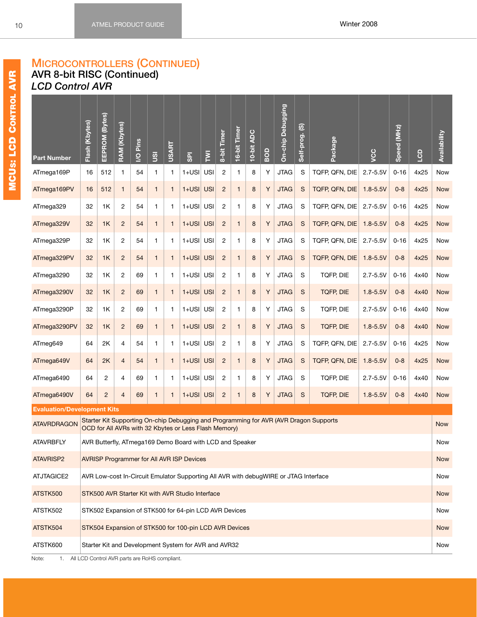### **MICROCONTROLLERS (CONTINUED) AVR 8-bit RISC (Continued)** *LCD Control AVR*

<span id="page-16-0"></span>

| <b>USI</b><br>$\overline{c}$<br>Y<br>TQFP, QFN, DIE<br>16<br>512<br>$\mathbf{1}$<br>$\mathbf{1}$<br>1<br>$1+USI$<br>8<br><b>JTAG</b><br>S<br>$2.7 - 5.5V$<br>4x25<br>ATmega169P<br>54<br>1<br>$0 - 16$<br>Now<br>Y<br>$\mathbf S$<br>512<br>$\mathbf{1}$<br>$\mathbf{1}$<br>$1+USI$<br><b>USI</b><br>$\overline{2}$<br>8<br><b>JTAG</b><br>TQFP, QFN, DIE<br>4x25<br><b>Now</b><br>ATmega169PV<br>16<br>54<br>$\mathbf{1}$<br>$\mathbf{1}$<br>$1.8 - 5.5V$<br>$0 - 8$<br>Y<br>$\overline{c}$<br>$\mathbf{1}$<br>$1+USI$<br>USI<br>$\overline{c}$<br>8<br><b>JTAG</b><br>S<br>TQFP, QFN, DIE<br>4x25<br>ATmega329<br>32<br>1K<br>54<br>1<br>$\mathbf{1}$<br>$2.7 - 5.5V$<br>$0 - 16$<br>Now<br>$1+USI$<br>$\overline{2}$<br>$\mathbf{1}$<br><b>USI</b><br>$\overline{2}$<br>8<br>Y<br><b>JTAG</b><br>S<br>TQFP, QFN, DIE<br>$0 - 8$<br>4x25<br>ATmega329V<br>32<br>1K<br>54<br>1<br>$1.8 - 5.5V$<br><b>Now</b><br>1<br>$\mathbb S$<br>$\overline{c}$<br>$1+USI$ USI<br>$\overline{2}$<br>Υ<br><b>JTAG</b><br>TQFP, QFN, DIE<br>$2.7 - 5.5V$<br>$0 - 16$<br>4x25<br>Now<br>ATmega329P<br>32<br>1K<br>54<br>$\mathbf{1}$<br>1<br>1<br>8<br>Y<br>$\mathsf{s}$<br>$\overline{c}$<br>$1+USI$<br><b>USI</b><br>$\overline{2}$<br>8<br><b>JTAG</b><br>TQFP, QFN, DIE<br>$0 - 8$<br>4x25<br>ATmega329PV<br>32<br>1K<br>54<br>$\mathbf{1}$<br>$\mathbf{1}$<br>$1.8 - 5.5V$<br><b>Now</b><br>$\mathbf{1}$<br>${\mathsf S}$<br>32<br>$\overline{c}$<br>1<br>$1+USI$<br><b>USI</b><br>$\overline{c}$<br>Y<br><b>JTAG</b><br>TQFP, DIE<br>$2.7 - 5.5V$<br>4x40<br>Now<br>ATmega3290<br>1K<br>69<br>1<br>8<br>$0 - 16$<br>1<br>Y<br>$\mathbf S$<br>32<br>1K<br>$\overline{2}$<br>$\mathbf{1}$<br>$1+USI$<br><b>USI</b><br>$\overline{2}$<br>8<br><b>JTAG</b><br><b>TQFP, DIE</b><br>$1.8 - 5.5V$<br>$0 - 8$<br>4x40<br>ATmega3290V<br>69<br>$\mathbf{1}$<br>$\mathbf{1}$<br><b>Now</b><br>Y<br>${\mathsf S}$<br>$\overline{c}$<br>$\mathbf{1}$<br>$1+USI$<br>USI<br>$\overline{c}$<br>8<br><b>JTAG</b><br>TQFP, DIE<br>$2.7 - 5.5V$<br>4x40<br>ATmega3290P<br>32<br>1K<br>69<br>1<br>$\mathbf{1}$<br>$0 - 16$<br>Now<br>$1+USI$<br>32<br>$\overline{2}$<br>$\mathbf{1}$<br><b>USI</b><br>$\overline{2}$<br>8<br>Y<br><b>JTAG</b><br>$\mathsf{S}$<br><b>TQFP, DIE</b><br>$1.8 - 5.5V$<br>$0 - 8$<br>4x40<br>ATmega3290PV<br>1K<br>69<br>1<br><b>Now</b><br>1<br>$\mathbb S$<br>4<br>$1+USI$ USI<br>$\overline{c}$<br>Υ<br><b>JTAG</b><br>TQFP, QFN, DIE<br>$2.7 - 5.5V$<br>$0 - 16$<br>4x25<br>Now<br>ATmeg649<br>64<br>2K<br>54<br>1<br>1<br>$\mathbf{1}$<br>8<br>Y<br>$\mathsf{s}$<br>$\overline{4}$<br>$1+USI$<br><b>USI</b><br>$\overline{2}$<br>8<br><b>JTAG</b><br>TQFP, QFN, DIE<br>$0 - 8$<br>4x25<br>ATmega649V<br>64<br>2K<br>54<br>$\mathbf{1}$<br>$\mathbf{1}$<br>$1.8 - 5.5V$<br><b>Now</b><br>$\mathbf{1}$<br>Y<br>${\mathsf S}$<br>64<br>2<br>4<br>1<br>1<br>$1+USI$<br><b>USI</b><br>$\overline{c}$<br>8<br><b>JTAG</b><br>TQFP, DIE<br>$2.7 - 5.5V$<br>4x40<br>Now<br>ATmega6490<br>69<br>1<br>$0 - 16$<br>$1+USI$<br>Y<br>$\mathbf S$<br>ATmega6490V<br>64<br>$\overline{2}$<br>$\overline{4}$<br>69<br>$\mathbf{1}$<br>$\mathbf{1}$<br><b>USI</b><br>$\overline{2}$<br>8<br><b>JTAG</b><br><b>TQFP, DIE</b><br>$1.8 - 5.5V$<br>$0 - 8$<br>4x40<br>$\mathbf{1}$<br><b>Now</b><br><b>Evaluation/Development Kits</b><br>Starter Kit Supporting On-chip Debugging and Programming for AVR (AVR Dragon Supports<br><b>ATAVRDRAGON</b><br><b>Now</b><br>OCD for All AVRs with 32 Kbytes or Less Flash Memory)<br><b>ATAVRBFLY</b><br>AVR Butterfly, ATmega169 Demo Board with LCD and Speaker<br>Now<br>ATAVRISP2<br><b>AVRISP Programmer for All AVR ISP Devices</b><br><b>Now</b><br>ATJTAGICE2<br>AVR Low-cost In-Circuit Emulator Supporting All AVR with debugWIRE or JTAG Interface<br>Now<br>ATSTK500<br>STK500 AVR Starter Kit with AVR Studio Interface<br><b>Now</b><br>ATSTK502<br>STK502 Expansion of STK500 for 64-pin LCD AVR Devices<br>Now<br>ATSTK504<br>STK504 Expansion of STK500 for 100-pin LCD AVR Devices<br><b>Now</b> | <b>Part Number</b> | Flash (Kbytes) | EEPROM (Bytes) | <b>RAM (Kbytes)</b> | Pins<br>$\overline{Q}$ | gu | <b>USART</b> | <b>GPI</b> | Σ | 8-bit Timer | 16-bit Timer | 10-bit ADC | BOD | On-chip Debugging | Self-prog. (S) | Package | ycc | Speed (MHz) | GD | Availability |
|----------------------------------------------------------------------------------------------------------------------------------------------------------------------------------------------------------------------------------------------------------------------------------------------------------------------------------------------------------------------------------------------------------------------------------------------------------------------------------------------------------------------------------------------------------------------------------------------------------------------------------------------------------------------------------------------------------------------------------------------------------------------------------------------------------------------------------------------------------------------------------------------------------------------------------------------------------------------------------------------------------------------------------------------------------------------------------------------------------------------------------------------------------------------------------------------------------------------------------------------------------------------------------------------------------------------------------------------------------------------------------------------------------------------------------------------------------------------------------------------------------------------------------------------------------------------------------------------------------------------------------------------------------------------------------------------------------------------------------------------------------------------------------------------------------------------------------------------------------------------------------------------------------------------------------------------------------------------------------------------------------------------------------------------------------------------------------------------------------------------------------------------------------------------------------------------------------------------------------------------------------------------------------------------------------------------------------------------------------------------------------------------------------------------------------------------------------------------------------------------------------------------------------------------------------------------------------------------------------------------------------------------------------------------------------------------------------------------------------------------------------------------------------------------------------------------------------------------------------------------------------------------------------------------------------------------------------------------------------------------------------------------------------------------------------------------------------------------------------------------------------------------------------------------------------------------------------------------------------------------------------------------------------------------------------------------------------------------------------------------------------------------------------------------------------------------------------------------------------------------------------------------------------------------------------------------------------------------------------------------------------------------------------------------------------------------------------------------------------------------------------------------------------------------------------------------------------------------------------------------------------------------------------------------------------------------------------------------------------------------------------------------------------------------|--------------------|----------------|----------------|---------------------|------------------------|----|--------------|------------|---|-------------|--------------|------------|-----|-------------------|----------------|---------|-----|-------------|----|--------------|
|                                                                                                                                                                                                                                                                                                                                                                                                                                                                                                                                                                                                                                                                                                                                                                                                                                                                                                                                                                                                                                                                                                                                                                                                                                                                                                                                                                                                                                                                                                                                                                                                                                                                                                                                                                                                                                                                                                                                                                                                                                                                                                                                                                                                                                                                                                                                                                                                                                                                                                                                                                                                                                                                                                                                                                                                                                                                                                                                                                                                                                                                                                                                                                                                                                                                                                                                                                                                                                                                                                                                                                                                                                                                                                                                                                                                                                                                                                                                                                                                                                              |                    |                |                |                     |                        |    |              |            |   |             |              |            |     |                   |                |         |     |             |    |              |
|                                                                                                                                                                                                                                                                                                                                                                                                                                                                                                                                                                                                                                                                                                                                                                                                                                                                                                                                                                                                                                                                                                                                                                                                                                                                                                                                                                                                                                                                                                                                                                                                                                                                                                                                                                                                                                                                                                                                                                                                                                                                                                                                                                                                                                                                                                                                                                                                                                                                                                                                                                                                                                                                                                                                                                                                                                                                                                                                                                                                                                                                                                                                                                                                                                                                                                                                                                                                                                                                                                                                                                                                                                                                                                                                                                                                                                                                                                                                                                                                                                              |                    |                |                |                     |                        |    |              |            |   |             |              |            |     |                   |                |         |     |             |    |              |
|                                                                                                                                                                                                                                                                                                                                                                                                                                                                                                                                                                                                                                                                                                                                                                                                                                                                                                                                                                                                                                                                                                                                                                                                                                                                                                                                                                                                                                                                                                                                                                                                                                                                                                                                                                                                                                                                                                                                                                                                                                                                                                                                                                                                                                                                                                                                                                                                                                                                                                                                                                                                                                                                                                                                                                                                                                                                                                                                                                                                                                                                                                                                                                                                                                                                                                                                                                                                                                                                                                                                                                                                                                                                                                                                                                                                                                                                                                                                                                                                                                              |                    |                |                |                     |                        |    |              |            |   |             |              |            |     |                   |                |         |     |             |    |              |
|                                                                                                                                                                                                                                                                                                                                                                                                                                                                                                                                                                                                                                                                                                                                                                                                                                                                                                                                                                                                                                                                                                                                                                                                                                                                                                                                                                                                                                                                                                                                                                                                                                                                                                                                                                                                                                                                                                                                                                                                                                                                                                                                                                                                                                                                                                                                                                                                                                                                                                                                                                                                                                                                                                                                                                                                                                                                                                                                                                                                                                                                                                                                                                                                                                                                                                                                                                                                                                                                                                                                                                                                                                                                                                                                                                                                                                                                                                                                                                                                                                              |                    |                |                |                     |                        |    |              |            |   |             |              |            |     |                   |                |         |     |             |    |              |
|                                                                                                                                                                                                                                                                                                                                                                                                                                                                                                                                                                                                                                                                                                                                                                                                                                                                                                                                                                                                                                                                                                                                                                                                                                                                                                                                                                                                                                                                                                                                                                                                                                                                                                                                                                                                                                                                                                                                                                                                                                                                                                                                                                                                                                                                                                                                                                                                                                                                                                                                                                                                                                                                                                                                                                                                                                                                                                                                                                                                                                                                                                                                                                                                                                                                                                                                                                                                                                                                                                                                                                                                                                                                                                                                                                                                                                                                                                                                                                                                                                              |                    |                |                |                     |                        |    |              |            |   |             |              |            |     |                   |                |         |     |             |    |              |
|                                                                                                                                                                                                                                                                                                                                                                                                                                                                                                                                                                                                                                                                                                                                                                                                                                                                                                                                                                                                                                                                                                                                                                                                                                                                                                                                                                                                                                                                                                                                                                                                                                                                                                                                                                                                                                                                                                                                                                                                                                                                                                                                                                                                                                                                                                                                                                                                                                                                                                                                                                                                                                                                                                                                                                                                                                                                                                                                                                                                                                                                                                                                                                                                                                                                                                                                                                                                                                                                                                                                                                                                                                                                                                                                                                                                                                                                                                                                                                                                                                              |                    |                |                |                     |                        |    |              |            |   |             |              |            |     |                   |                |         |     |             |    |              |
|                                                                                                                                                                                                                                                                                                                                                                                                                                                                                                                                                                                                                                                                                                                                                                                                                                                                                                                                                                                                                                                                                                                                                                                                                                                                                                                                                                                                                                                                                                                                                                                                                                                                                                                                                                                                                                                                                                                                                                                                                                                                                                                                                                                                                                                                                                                                                                                                                                                                                                                                                                                                                                                                                                                                                                                                                                                                                                                                                                                                                                                                                                                                                                                                                                                                                                                                                                                                                                                                                                                                                                                                                                                                                                                                                                                                                                                                                                                                                                                                                                              |                    |                |                |                     |                        |    |              |            |   |             |              |            |     |                   |                |         |     |             |    |              |
|                                                                                                                                                                                                                                                                                                                                                                                                                                                                                                                                                                                                                                                                                                                                                                                                                                                                                                                                                                                                                                                                                                                                                                                                                                                                                                                                                                                                                                                                                                                                                                                                                                                                                                                                                                                                                                                                                                                                                                                                                                                                                                                                                                                                                                                                                                                                                                                                                                                                                                                                                                                                                                                                                                                                                                                                                                                                                                                                                                                                                                                                                                                                                                                                                                                                                                                                                                                                                                                                                                                                                                                                                                                                                                                                                                                                                                                                                                                                                                                                                                              |                    |                |                |                     |                        |    |              |            |   |             |              |            |     |                   |                |         |     |             |    |              |
|                                                                                                                                                                                                                                                                                                                                                                                                                                                                                                                                                                                                                                                                                                                                                                                                                                                                                                                                                                                                                                                                                                                                                                                                                                                                                                                                                                                                                                                                                                                                                                                                                                                                                                                                                                                                                                                                                                                                                                                                                                                                                                                                                                                                                                                                                                                                                                                                                                                                                                                                                                                                                                                                                                                                                                                                                                                                                                                                                                                                                                                                                                                                                                                                                                                                                                                                                                                                                                                                                                                                                                                                                                                                                                                                                                                                                                                                                                                                                                                                                                              |                    |                |                |                     |                        |    |              |            |   |             |              |            |     |                   |                |         |     |             |    |              |
|                                                                                                                                                                                                                                                                                                                                                                                                                                                                                                                                                                                                                                                                                                                                                                                                                                                                                                                                                                                                                                                                                                                                                                                                                                                                                                                                                                                                                                                                                                                                                                                                                                                                                                                                                                                                                                                                                                                                                                                                                                                                                                                                                                                                                                                                                                                                                                                                                                                                                                                                                                                                                                                                                                                                                                                                                                                                                                                                                                                                                                                                                                                                                                                                                                                                                                                                                                                                                                                                                                                                                                                                                                                                                                                                                                                                                                                                                                                                                                                                                                              |                    |                |                |                     |                        |    |              |            |   |             |              |            |     |                   |                |         |     |             |    |              |
|                                                                                                                                                                                                                                                                                                                                                                                                                                                                                                                                                                                                                                                                                                                                                                                                                                                                                                                                                                                                                                                                                                                                                                                                                                                                                                                                                                                                                                                                                                                                                                                                                                                                                                                                                                                                                                                                                                                                                                                                                                                                                                                                                                                                                                                                                                                                                                                                                                                                                                                                                                                                                                                                                                                                                                                                                                                                                                                                                                                                                                                                                                                                                                                                                                                                                                                                                                                                                                                                                                                                                                                                                                                                                                                                                                                                                                                                                                                                                                                                                                              |                    |                |                |                     |                        |    |              |            |   |             |              |            |     |                   |                |         |     |             |    |              |
|                                                                                                                                                                                                                                                                                                                                                                                                                                                                                                                                                                                                                                                                                                                                                                                                                                                                                                                                                                                                                                                                                                                                                                                                                                                                                                                                                                                                                                                                                                                                                                                                                                                                                                                                                                                                                                                                                                                                                                                                                                                                                                                                                                                                                                                                                                                                                                                                                                                                                                                                                                                                                                                                                                                                                                                                                                                                                                                                                                                                                                                                                                                                                                                                                                                                                                                                                                                                                                                                                                                                                                                                                                                                                                                                                                                                                                                                                                                                                                                                                                              |                    |                |                |                     |                        |    |              |            |   |             |              |            |     |                   |                |         |     |             |    |              |
|                                                                                                                                                                                                                                                                                                                                                                                                                                                                                                                                                                                                                                                                                                                                                                                                                                                                                                                                                                                                                                                                                                                                                                                                                                                                                                                                                                                                                                                                                                                                                                                                                                                                                                                                                                                                                                                                                                                                                                                                                                                                                                                                                                                                                                                                                                                                                                                                                                                                                                                                                                                                                                                                                                                                                                                                                                                                                                                                                                                                                                                                                                                                                                                                                                                                                                                                                                                                                                                                                                                                                                                                                                                                                                                                                                                                                                                                                                                                                                                                                                              |                    |                |                |                     |                        |    |              |            |   |             |              |            |     |                   |                |         |     |             |    |              |
|                                                                                                                                                                                                                                                                                                                                                                                                                                                                                                                                                                                                                                                                                                                                                                                                                                                                                                                                                                                                                                                                                                                                                                                                                                                                                                                                                                                                                                                                                                                                                                                                                                                                                                                                                                                                                                                                                                                                                                                                                                                                                                                                                                                                                                                                                                                                                                                                                                                                                                                                                                                                                                                                                                                                                                                                                                                                                                                                                                                                                                                                                                                                                                                                                                                                                                                                                                                                                                                                                                                                                                                                                                                                                                                                                                                                                                                                                                                                                                                                                                              |                    |                |                |                     |                        |    |              |            |   |             |              |            |     |                   |                |         |     |             |    |              |
|                                                                                                                                                                                                                                                                                                                                                                                                                                                                                                                                                                                                                                                                                                                                                                                                                                                                                                                                                                                                                                                                                                                                                                                                                                                                                                                                                                                                                                                                                                                                                                                                                                                                                                                                                                                                                                                                                                                                                                                                                                                                                                                                                                                                                                                                                                                                                                                                                                                                                                                                                                                                                                                                                                                                                                                                                                                                                                                                                                                                                                                                                                                                                                                                                                                                                                                                                                                                                                                                                                                                                                                                                                                                                                                                                                                                                                                                                                                                                                                                                                              |                    |                |                |                     |                        |    |              |            |   |             |              |            |     |                   |                |         |     |             |    |              |
|                                                                                                                                                                                                                                                                                                                                                                                                                                                                                                                                                                                                                                                                                                                                                                                                                                                                                                                                                                                                                                                                                                                                                                                                                                                                                                                                                                                                                                                                                                                                                                                                                                                                                                                                                                                                                                                                                                                                                                                                                                                                                                                                                                                                                                                                                                                                                                                                                                                                                                                                                                                                                                                                                                                                                                                                                                                                                                                                                                                                                                                                                                                                                                                                                                                                                                                                                                                                                                                                                                                                                                                                                                                                                                                                                                                                                                                                                                                                                                                                                                              |                    |                |                |                     |                        |    |              |            |   |             |              |            |     |                   |                |         |     |             |    |              |
|                                                                                                                                                                                                                                                                                                                                                                                                                                                                                                                                                                                                                                                                                                                                                                                                                                                                                                                                                                                                                                                                                                                                                                                                                                                                                                                                                                                                                                                                                                                                                                                                                                                                                                                                                                                                                                                                                                                                                                                                                                                                                                                                                                                                                                                                                                                                                                                                                                                                                                                                                                                                                                                                                                                                                                                                                                                                                                                                                                                                                                                                                                                                                                                                                                                                                                                                                                                                                                                                                                                                                                                                                                                                                                                                                                                                                                                                                                                                                                                                                                              |                    |                |                |                     |                        |    |              |            |   |             |              |            |     |                   |                |         |     |             |    |              |
|                                                                                                                                                                                                                                                                                                                                                                                                                                                                                                                                                                                                                                                                                                                                                                                                                                                                                                                                                                                                                                                                                                                                                                                                                                                                                                                                                                                                                                                                                                                                                                                                                                                                                                                                                                                                                                                                                                                                                                                                                                                                                                                                                                                                                                                                                                                                                                                                                                                                                                                                                                                                                                                                                                                                                                                                                                                                                                                                                                                                                                                                                                                                                                                                                                                                                                                                                                                                                                                                                                                                                                                                                                                                                                                                                                                                                                                                                                                                                                                                                                              |                    |                |                |                     |                        |    |              |            |   |             |              |            |     |                   |                |         |     |             |    |              |
|                                                                                                                                                                                                                                                                                                                                                                                                                                                                                                                                                                                                                                                                                                                                                                                                                                                                                                                                                                                                                                                                                                                                                                                                                                                                                                                                                                                                                                                                                                                                                                                                                                                                                                                                                                                                                                                                                                                                                                                                                                                                                                                                                                                                                                                                                                                                                                                                                                                                                                                                                                                                                                                                                                                                                                                                                                                                                                                                                                                                                                                                                                                                                                                                                                                                                                                                                                                                                                                                                                                                                                                                                                                                                                                                                                                                                                                                                                                                                                                                                                              |                    |                |                |                     |                        |    |              |            |   |             |              |            |     |                   |                |         |     |             |    |              |
|                                                                                                                                                                                                                                                                                                                                                                                                                                                                                                                                                                                                                                                                                                                                                                                                                                                                                                                                                                                                                                                                                                                                                                                                                                                                                                                                                                                                                                                                                                                                                                                                                                                                                                                                                                                                                                                                                                                                                                                                                                                                                                                                                                                                                                                                                                                                                                                                                                                                                                                                                                                                                                                                                                                                                                                                                                                                                                                                                                                                                                                                                                                                                                                                                                                                                                                                                                                                                                                                                                                                                                                                                                                                                                                                                                                                                                                                                                                                                                                                                                              |                    |                |                |                     |                        |    |              |            |   |             |              |            |     |                   |                |         |     |             |    |              |
|                                                                                                                                                                                                                                                                                                                                                                                                                                                                                                                                                                                                                                                                                                                                                                                                                                                                                                                                                                                                                                                                                                                                                                                                                                                                                                                                                                                                                                                                                                                                                                                                                                                                                                                                                                                                                                                                                                                                                                                                                                                                                                                                                                                                                                                                                                                                                                                                                                                                                                                                                                                                                                                                                                                                                                                                                                                                                                                                                                                                                                                                                                                                                                                                                                                                                                                                                                                                                                                                                                                                                                                                                                                                                                                                                                                                                                                                                                                                                                                                                                              |                    |                |                |                     |                        |    |              |            |   |             |              |            |     |                   |                |         |     |             |    |              |
|                                                                                                                                                                                                                                                                                                                                                                                                                                                                                                                                                                                                                                                                                                                                                                                                                                                                                                                                                                                                                                                                                                                                                                                                                                                                                                                                                                                                                                                                                                                                                                                                                                                                                                                                                                                                                                                                                                                                                                                                                                                                                                                                                                                                                                                                                                                                                                                                                                                                                                                                                                                                                                                                                                                                                                                                                                                                                                                                                                                                                                                                                                                                                                                                                                                                                                                                                                                                                                                                                                                                                                                                                                                                                                                                                                                                                                                                                                                                                                                                                                              |                    |                |                |                     |                        |    |              |            |   |             |              |            |     |                   |                |         |     |             |    |              |
| ATSTK600<br>Starter Kit and Development System for AVR and AVR32<br>Now                                                                                                                                                                                                                                                                                                                                                                                                                                                                                                                                                                                                                                                                                                                                                                                                                                                                                                                                                                                                                                                                                                                                                                                                                                                                                                                                                                                                                                                                                                                                                                                                                                                                                                                                                                                                                                                                                                                                                                                                                                                                                                                                                                                                                                                                                                                                                                                                                                                                                                                                                                                                                                                                                                                                                                                                                                                                                                                                                                                                                                                                                                                                                                                                                                                                                                                                                                                                                                                                                                                                                                                                                                                                                                                                                                                                                                                                                                                                                                      |                    |                |                |                     |                        |    |              |            |   |             |              |            |     |                   |                |         |     |             |    |              |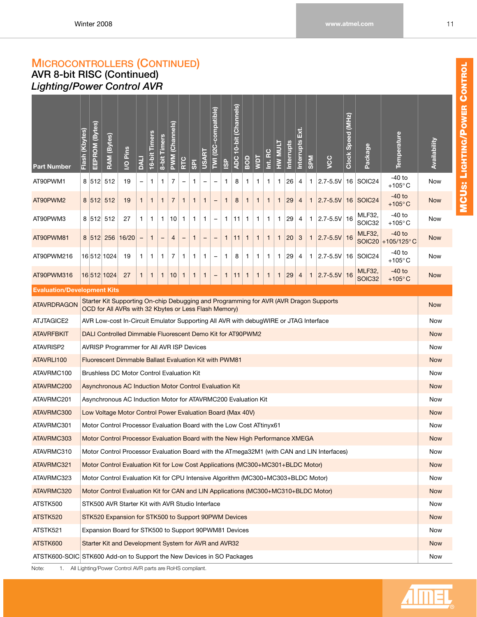### <span id="page-17-0"></span>**AVR 8-bit RISC (Continued)** *Lighting/Power Control AVR*

| <b>Part Number</b>                                                    | Flash (Kbytes)                                                                                                                                                                                                                                                                                                                                                                                                                                                | EEPROM (Bytes) | RAM (Bytes) | <b>I/O Pins</b>                                                                      | <b>LIKO</b>  | 16-bit Timers | 8-bit Timers | (Channels)<br><b>NWd</b> | RTC                      | <b>GPI</b>   | <b>USART</b> | TWI (I2C-compatible)     | <b>ISP</b> | (Channels)<br>ADC 10-bit | BOD          | <b>Taw</b> | Int. RC      | HW MULT      | Interrupts | кі<br>Ш<br>Interrupts | <b>MdS</b>   | ycc                                                                                        | Clock Speed (MHz) | Package                 | Temperature                  | Availability |
|-----------------------------------------------------------------------|---------------------------------------------------------------------------------------------------------------------------------------------------------------------------------------------------------------------------------------------------------------------------------------------------------------------------------------------------------------------------------------------------------------------------------------------------------------|----------------|-------------|--------------------------------------------------------------------------------------|--------------|---------------|--------------|--------------------------|--------------------------|--------------|--------------|--------------------------|------------|--------------------------|--------------|------------|--------------|--------------|------------|-----------------------|--------------|--------------------------------------------------------------------------------------------|-------------------|-------------------------|------------------------------|--------------|
| AT90PWM1                                                              |                                                                                                                                                                                                                                                                                                                                                                                                                                                               | 8 512          | 512         | 19                                                                                   |              | 1             | 1            | 7                        | $\overline{\phantom{0}}$ | 1            | -            | -                        | 1          | 8                        | 1            | 1          | 1            | 1            | 26         | 4                     | 1.           | $2.7 - 5.5V$                                                                               |                   | 16 SOIC24               | -40 to<br>$+105^{\circ}$ C   | Now          |
| AT90PWM2                                                              |                                                                                                                                                                                                                                                                                                                                                                                                                                                               | 8   512        | 512         | 19                                                                                   | $\mathbf{1}$ | 1             | 1            | $\overline{7}$           | $\mathbf{1}$             | $\mathbf{1}$ | 1            | -                        | 1          | 8                        | $\mathbf{1}$ | 1          | $\mathbf{1}$ | $\mathbf{1}$ | 29         | 4                     | $\mathbf{1}$ | $ 2.7 - 5.5V $                                                                             |                   | 16 SOIC24               | -40 to<br>+105 $\degree$ C   | <b>Now</b>   |
| AT90PWM3                                                              |                                                                                                                                                                                                                                                                                                                                                                                                                                                               |                | 8 512 512   | 27                                                                                   | 1            | 1             | 1            | 10                       | $\mathbf{1}$             | $\mathbf{1}$ | 1            | $\overline{\phantom{0}}$ | 1          | 11                       | 1            | 1          | 1            | 1            | 29         | 4                     | 1.           | $2.7 - 5.5V$ 16                                                                            |                   | <b>MLF32,</b><br>SOIC32 | $-40$ to<br>$+105^{\circ}$ C | Now          |
| AT90PWM81                                                             | <b>MLF32,</b><br>$-40$ to<br>16/20<br>20<br>$2.7 - 5.5V$<br>8   512  <br>256<br>1<br>$\mathbf{1}$<br>3<br>16<br>1<br>$\overline{4}$<br>$\mathbf{1}$<br>11<br>1<br>1<br>$\mathbf{1}$<br>1<br>$\qquad \qquad -$<br>-<br>-<br>-<br>SOIC <sub>20</sub><br>+105/125 $^{\circ}$ C<br>-40 to<br>16 SOIC24<br>16 512 1024<br>19<br>7<br>8<br>29<br>$2.7 - 5.5V$<br>1<br>1<br>1<br>$\mathbf{1}$<br>1<br>1<br>1<br>1<br>4<br>1<br>1<br>1<br>1.<br>-<br>$+105^{\circ}$ C |                |             |                                                                                      |              |               |              |                          |                          |              |              |                          |            |                          |              | <b>Now</b> |              |              |            |                       |              |                                                                                            |                   |                         |                              |              |
| AT90PWM216                                                            |                                                                                                                                                                                                                                                                                                                                                                                                                                                               |                |             |                                                                                      |              |               |              |                          |                          |              |              |                          |            |                          |              | Now        |              |              |            |                       |              |                                                                                            |                   |                         |                              |              |
| AT90PWM316                                                            |                                                                                                                                                                                                                                                                                                                                                                                                                                                               |                | 16 512 1024 | 27                                                                                   | $\mathbf{1}$ | 1             | 1            | 10                       | $\mathbf{1}$             | $\mathbf{1}$ | 1            | -                        | 1          | 11                       | 1            | 1          | $\mathbf{1}$ | $\mathbf{1}$ | 29         | $\overline{4}$        | $\mathbf{1}$ | $2.7 - 5.5V$                                                                               | 16                | <b>MLF32,</b><br>SOIC32 | $-40$ to<br>+105 $\degree$ C | <b>Now</b>   |
| <b>Evaluation/Development Kits</b>                                    |                                                                                                                                                                                                                                                                                                                                                                                                                                                               |                |             |                                                                                      |              |               |              |                          |                          |              |              |                          |            |                          |              |            |              |              |            |                       |              |                                                                                            |                   |                         |                              |              |
| <b>ATAVRDRAGON</b>                                                    |                                                                                                                                                                                                                                                                                                                                                                                                                                                               |                |             | OCD for All AVRs with 32 Kbytes or Less Flash Memory)                                |              |               |              |                          |                          |              |              |                          |            |                          |              |            |              |              |            |                       |              | Starter Kit Supporting On-chip Debugging and Programming for AVR (AVR Dragon Supports      |                   |                         |                              | <b>Now</b>   |
| <b>ATJTAGICE2</b>                                                     |                                                                                                                                                                                                                                                                                                                                                                                                                                                               |                |             | AVR Low-cost In-Circuit Emulator Supporting All AVR with debugWIRE or JTAG Interface |              |               |              |                          |                          |              |              |                          |            |                          |              |            |              |              |            |                       |              |                                                                                            |                   |                         |                              | Now          |
| <b>ATAVRFBKIT</b>                                                     |                                                                                                                                                                                                                                                                                                                                                                                                                                                               |                |             | DALI Controlled Dimmable Fluorescent Demo Kit for AT90PWM2                           |              |               |              |                          |                          |              |              |                          |            |                          |              |            |              |              |            |                       |              |                                                                                            |                   |                         |                              | <b>Now</b>   |
| ATAVRISP2                                                             |                                                                                                                                                                                                                                                                                                                                                                                                                                                               |                |             | AVRISP Programmer for All AVR ISP Devices                                            |              |               |              |                          |                          |              |              |                          |            |                          |              |            |              |              |            |                       |              |                                                                                            |                   |                         |                              | Now          |
| ATAVRLI100                                                            |                                                                                                                                                                                                                                                                                                                                                                                                                                                               |                |             | <b>Fluorescent Dimmable Ballast Evaluation Kit with PWM81</b>                        |              |               |              |                          |                          |              |              |                          |            |                          |              |            |              |              |            |                       |              |                                                                                            |                   |                         |                              | <b>Now</b>   |
| ATAVRMC100                                                            |                                                                                                                                                                                                                                                                                                                                                                                                                                                               |                |             | <b>Brushless DC Motor Control Evaluation Kit</b>                                     |              |               |              |                          |                          |              |              |                          |            |                          |              |            |              |              |            |                       |              |                                                                                            |                   |                         |                              | Now          |
| ATAVRMC200                                                            |                                                                                                                                                                                                                                                                                                                                                                                                                                                               |                |             | Asynchronous AC Induction Motor Control Evaluation Kit                               |              |               |              |                          |                          |              |              |                          |            |                          |              |            |              |              |            |                       |              |                                                                                            |                   |                         |                              | <b>Now</b>   |
| ATAVRMC201                                                            |                                                                                                                                                                                                                                                                                                                                                                                                                                                               |                |             | Asynchronous AC Induction Motor for ATAVRMC200 Evaluation Kit                        |              |               |              |                          |                          |              |              |                          |            |                          |              |            |              |              |            |                       |              |                                                                                            |                   |                         |                              | Now          |
| ATAVRMC300                                                            |                                                                                                                                                                                                                                                                                                                                                                                                                                                               |                |             | Low Voltage Motor Control Power Evaluation Board (Max 40V)                           |              |               |              |                          |                          |              |              |                          |            |                          |              |            |              |              |            |                       |              |                                                                                            |                   |                         |                              | <b>Now</b>   |
| ATAVRMC301                                                            |                                                                                                                                                                                                                                                                                                                                                                                                                                                               |                |             | Motor Control Processor Evaluation Board with the Low Cost ATtinyx61                 |              |               |              |                          |                          |              |              |                          |            |                          |              |            |              |              |            |                       |              |                                                                                            |                   |                         |                              | Now          |
| ATAVRMC303                                                            |                                                                                                                                                                                                                                                                                                                                                                                                                                                               |                |             | Motor Control Processor Evaluation Board with the New High Performance XMEGA         |              |               |              |                          |                          |              |              |                          |            |                          |              |            |              |              |            |                       |              |                                                                                            |                   |                         |                              | <b>Now</b>   |
| ATAVRMC310                                                            |                                                                                                                                                                                                                                                                                                                                                                                                                                                               |                |             |                                                                                      |              |               |              |                          |                          |              |              |                          |            |                          |              |            |              |              |            |                       |              | Motor Control Processor Evaluation Board with the ATmega32M1 (with CAN and LIN Interfaces) |                   |                         |                              | Now          |
| ATAVRMC321                                                            |                                                                                                                                                                                                                                                                                                                                                                                                                                                               |                |             | Motor Control Evaluation Kit for Low Cost Applications (MC300+MC301+BLDC Motor)      |              |               |              |                          |                          |              |              |                          |            |                          |              |            |              |              |            |                       |              |                                                                                            |                   |                         |                              | <b>Now</b>   |
| ATAVRMC323                                                            |                                                                                                                                                                                                                                                                                                                                                                                                                                                               |                |             | Motor Control Evaluation Kit for CPU Intensive Algorithm (MC300+MC303+BLDC Motor)    |              |               |              |                          |                          |              |              |                          |            |                          |              |            |              |              |            |                       |              |                                                                                            |                   |                         |                              | Now          |
| ATAVRMC320                                                            |                                                                                                                                                                                                                                                                                                                                                                                                                                                               |                |             | Motor Control Evaluation Kit for CAN and LIN Applications (MC300+MC310+BLDC Motor)   |              |               |              |                          |                          |              |              |                          |            |                          |              |            |              |              |            |                       |              |                                                                                            |                   |                         |                              | <b>Now</b>   |
| ATSTK500                                                              |                                                                                                                                                                                                                                                                                                                                                                                                                                                               |                |             | STK500 AVR Starter Kit with AVR Studio Interface                                     |              |               |              |                          |                          |              |              |                          |            |                          |              |            |              |              |            |                       |              |                                                                                            |                   |                         |                              | Now          |
| ATSTK520                                                              |                                                                                                                                                                                                                                                                                                                                                                                                                                                               |                |             | STK520 Expansion for STK500 to Support 90PWM Devices                                 |              |               |              |                          |                          |              |              |                          |            |                          |              |            |              |              |            |                       |              |                                                                                            |                   |                         |                              | <b>Now</b>   |
| ATSTK521                                                              |                                                                                                                                                                                                                                                                                                                                                                                                                                                               |                |             | Expansion Board for STK500 to Support 90PWM81 Devices                                |              |               |              |                          |                          |              |              |                          |            |                          |              |            |              |              |            |                       |              |                                                                                            |                   |                         |                              | Now          |
| ATSTK600                                                              |                                                                                                                                                                                                                                                                                                                                                                                                                                                               |                |             | Starter Kit and Development System for AVR and AVR32                                 |              |               |              |                          |                          |              |              |                          |            |                          |              |            |              |              |            |                       |              |                                                                                            |                   |                         |                              | <b>Now</b>   |
| ATSTK600-SOIC STK600 Add-on to Support the New Devices in SO Packages |                                                                                                                                                                                                                                                                                                                                                                                                                                                               |                |             |                                                                                      |              |               |              |                          |                          |              |              |                          |            |                          |              |            |              |              |            |                       |              |                                                                                            |                   |                         |                              | Now          |
|                                                                       |                                                                                                                                                                                                                                                                                                                                                                                                                                                               |                |             |                                                                                      |              |               |              |                          |                          |              |              |                          |            |                          |              |            |              |              |            |                       |              |                                                                                            |                   |                         |                              |              |

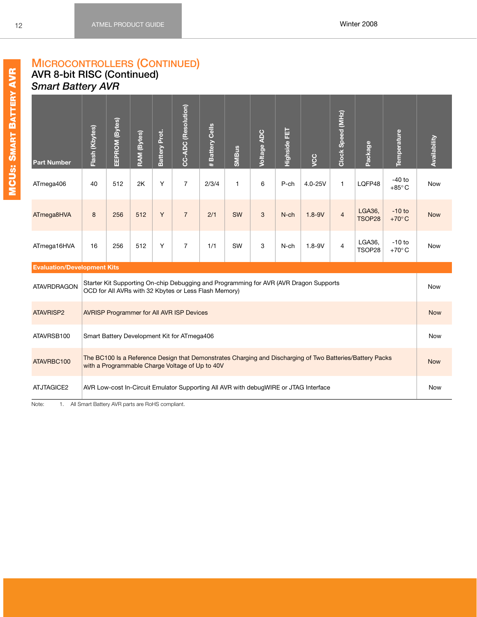### **MICROCONTROLLERS (CONTINUED) AVR 8-bit RISC (Continued)** *Smart Battery AVR*

<span id="page-18-0"></span>

| <b>Part Number</b>                 | Flash (Kbytes) | EEPROM (Bytes) | RAM (Bytes) | Battery Prot. | CC-ADC (Resolution)                                   | <b>Battery Cells</b><br>$\pm$ | <b>SMBus</b> | <b>Voltage ADC</b> | Highside FET | you                                                                                   | Clock Speed (MHz) | Package                                                                                                   | Temperature                 | <b>Availability</b> |
|------------------------------------|----------------|----------------|-------------|---------------|-------------------------------------------------------|-------------------------------|--------------|--------------------|--------------|---------------------------------------------------------------------------------------|-------------------|-----------------------------------------------------------------------------------------------------------|-----------------------------|---------------------|
| ATmega406                          | 40             | 512            | 2K          | Y             | $\overline{7}$                                        | 2/3/4                         | $\mathbf{1}$ | 6                  | $P$ -ch      | $4.0 - 25V$                                                                           | 1                 | LQFP48                                                                                                    | $-40$ to<br>$+85^{\circ}$ C | Now                 |
| ATmega8HVA                         | 8              | 256            | 512         | Y             | $\overline{7}$                                        | 2/1                           | SW           | 3                  | N-ch         | $1.8 - 9V$                                                                            | $\overline{4}$    | LGA36,<br>TSOP28                                                                                          | $-10$ to<br>$+70^{\circ}$ C | <b>Now</b>          |
| ATmega16HVA                        | 16             | 256            | 512         | Y             | $\overline{7}$                                        | 1/1                           | SW           | 3                  | N-ch         | $1.8 - 9V$                                                                            | $\overline{4}$    | LGA36,<br>TSOP28                                                                                          | $-10$ to<br>$+70^{\circ}$ C | <b>Now</b>          |
| <b>Evaluation/Development Kits</b> |                |                |             |               |                                                       |                               |              |                    |              |                                                                                       |                   |                                                                                                           |                             |                     |
| <b>ATAVRDRAGON</b>                 |                |                |             |               | OCD for All AVRs with 32 Kbytes or Less Flash Memory) |                               |              |                    |              | Starter Kit Supporting On-chip Debugging and Programming for AVR (AVR Dragon Supports |                   |                                                                                                           |                             | <b>Now</b>          |
| <b>ATAVRISP2</b>                   |                |                |             |               | <b>AVRISP Programmer for All AVR ISP Devices</b>      |                               |              |                    |              |                                                                                       |                   |                                                                                                           |                             | <b>Now</b>          |
| ATAVRSB100                         |                |                |             |               | Smart Battery Development Kit for ATmega406           |                               |              |                    |              |                                                                                       |                   |                                                                                                           |                             | <b>Now</b>          |
| ATAVRBC100                         |                |                |             |               | with a Programmable Charge Voltage of Up to 40V       |                               |              |                    |              |                                                                                       |                   | The BC100 Is a Reference Design that Demonstrates Charging and Discharging of Two Batteries/Battery Packs |                             | <b>Now</b>          |
| ATJTAGICE2                         |                |                |             |               |                                                       |                               |              |                    |              | AVR Low-cost In-Circuit Emulator Supporting All AVR with debugWIRE or JTAG Interface  |                   |                                                                                                           |                             | <b>Now</b>          |

Note: 1. All Smart Battery AVR parts are RoHS compliant.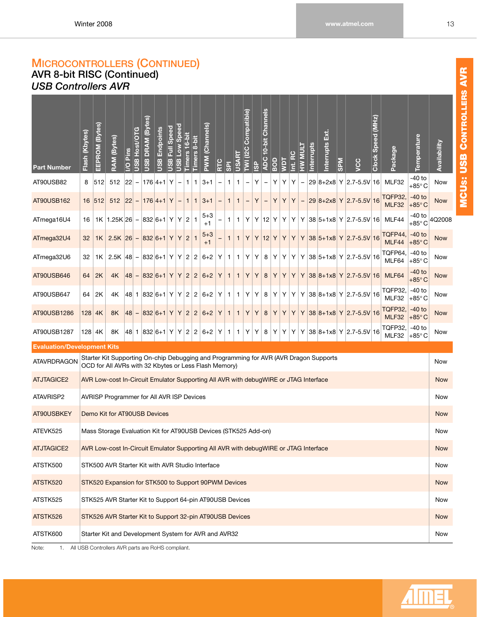## **MICROCONTROLLERS (CONTINUED) AVR 8-bit RISC (Continued)**

# <span id="page-19-0"></span>*USB Controllers AVR*

| -40 to<br>512<br>Y<br>$3 + 1$<br>Υ<br>Υ<br>Y<br>Υ<br>29 8+2x8 Y 2.7-5.5V 16<br>MLF32<br>AT90USB82<br>8<br>512<br> 22 <br>$176 4+1 $<br>1<br>1<br>1<br><b>Now</b><br>1<br>$\qquad \qquad -$<br>$\overline{\phantom{0}}$<br>-<br>$+85^{\circ}$ C<br><b>TQFP32,</b><br>$-40$ to<br>512<br>Y<br>$3 + 1$<br>Υ<br>Υ<br>29 8+2x8 Y 2.7-5.5V 16<br>AT90USB162<br>16 512<br> 22 <br>$ 176 4+1 $<br>$\mathbf{1}$<br>Υ<br>Υ<br><b>Now</b><br>1<br>$\overline{\phantom{a}}$<br>1<br>1<br>-<br>MLF32<br>$+85^{\circ}$ C<br>$-40$ to<br>$5 + 3$<br>$\overline{2}$<br>$Y$ 12<br>Y 38 5+1x8 Y 2.7-5.5V 16<br>MLF44<br>4Q2008<br>ATmega16U4<br>$1K$   1.25K   26   -<br>832 6+1 Y<br>Y<br>Υ<br>Y<br>Υ<br>Υ<br>1<br>16<br>1<br>1<br>$+85^\circ$ C<br>$+1$<br>TQFP44,<br>$-40$ to<br>$5 + 3$<br>$\overline{2}$<br>$Y$ 12<br>$ 832 6+1 $<br>Y<br>Υ<br>Y<br>Υ<br>Y 38 5+1x8 Y 2.7-5.5V 16<br>ATmega32U4<br>$2.5K$ $ 26 $ –<br>Y<br>Υ<br><b>Now</b><br>32<br>1K<br>1<br>1<br>1<br>MLF44<br>$+85^{\circ}$ C<br>$+1$<br>TQFP64,<br>$-40$ to<br>$ 832 6+1 $ Y<br>2 2<br>Y 38 5+1x8 Y 2.7-5.5V 16<br>ATmega32U6<br>$2.5K$ $ 48 $ –<br>$6 + 2$<br>Υ<br>Υ<br>8<br>Υ<br>Υ<br>32<br>Y<br>Y<br>Y<br>Now<br>1K<br>1<br>1<br>MLF64<br>$+85^{\circ}$ C<br>-40 to<br>$ 832 6+1 $<br>Y<br>$\overline{2}$<br>$\overline{2}$<br>$6 + 2$<br>Υ<br>Υ<br>Υ<br>Υ<br>Y 38 8+1x8 Y 2.7-5.5V 16<br>MLF64<br>AT90USB646<br>2K<br>4K<br> 48 <br>Y<br>8<br>Υ<br>Υ<br><b>Now</b><br>64<br>1<br>1<br>$\overline{\phantom{m}}$<br>$+85^{\circ}$ C<br><b>TQFP32,</b><br>$-40$ to<br>$\overline{c}$<br>$2 6+2 $<br>Y 38 8+1x8 Y 2.7-5.5V 16<br>AT90USB647<br>2K<br>48 1 832 6+1 Y<br>Y<br>Υ<br>Υ<br>8<br>Y<br>Υ<br>Υ<br>64<br>4Κ<br>Y<br>Now<br>1<br>1<br>MLF32<br>$+85^{\circ}$ C<br><b>TQFP32,</b><br>$-40$ to<br>$\sqrt{2}$<br>Υ<br>Y 38 8+1x8 Y 2.7-5.5V 16<br>$ 832 6+1 $<br>Y<br>Y<br>$\overline{2}$<br>$6+2$<br>Y<br>Υ<br>AT90USB1286<br>$128$ 4K<br>8K<br> 48 <br>Υ<br>8<br>Υ<br>Υ<br><b>Now</b><br>$\mathbf{1}$<br>1<br>$\overline{\phantom{m}}$<br>MLF32<br>$+85^{\circ}$ C<br>TQFP32,<br>$-40$ to<br>AT90USB1287<br>$ 48 $ 1 $ 832 6+1 $ Y<br>$\overline{c}$<br>$2 6+2 $<br>Y 38 8+1x8 Y 2.7-5.5V 16<br>128 4K<br>8K<br>Y<br>Υ<br>Υ<br>8<br>Υ<br>Y<br>Y<br>Y<br>Now<br>1<br>1<br>$+85^{\circ}$ C<br>MLF32<br><b>Evaluation/Development Kits</b><br>Starter Kit Supporting On-chip Debugging and Programming for AVR (AVR Dragon Supports<br><b>ATAVRDRAGON</b><br><b>Now</b><br>OCD for All AVRs with 32 Kbytes or Less Flash Memory)<br><b>ATJTAGICE2</b><br>AVR Low-cost In-Circuit Emulator Supporting All AVR with debugWIRE or JTAG Interface<br><b>Now</b><br>ATAVRISP2<br>AVRISP Programmer for All AVR ISP Devices<br>Now<br>AT90USBKEY<br>Demo Kit for AT90USB Devices<br><b>Now</b><br>ATEVK525<br>Mass Storage Evaluation Kit for AT90USB Devices (STK525 Add-on)<br>Now<br><b>ATJTAGICE2</b><br>AVR Low-cost In-Circuit Emulator Supporting All AVR with debugWIRE or JTAG Interface<br><b>Now</b><br>ATSTK500<br>STK500 AVR Starter Kit with AVR Studio Interface<br>Now<br>ATSTK520<br>STK520 Expansion for STK500 to Support 90PWM Devices<br><b>Now</b><br>ATSTK525<br>STK525 AVR Starter Kit to Support 64-pin AT90USB Devices<br>Now<br>ATSTK526<br>STK526 AVR Starter Kit to Support 32-pin AT90USB Devices<br><b>Now</b><br>ATSTK600<br>Starter Kit and Development System for AVR and AVR32<br>Now | <b>Part Number</b> | Flash (Kbytes) | EEPROM (Bytes) | (Bytes)<br><b>RAM</b> | Pins<br>$\overline{S}$ | USB Host/OTG | DRAM (Bytes)<br><b>USB</b> | Endpoints<br><b>USB</b> | Speed<br>Ē<br><b>USB</b> | <b>Deed</b> woll ago | Timers 16-bit | Timers 8-bit | PWM (Channels) | RTC | <b>IES</b> | <b>USART</b> | Compatible)<br>TWI (I2C | <b>GP</b> | <b>Channels</b><br>$10-bit$<br><b>ADC</b> | BOD | Taw | $\mathbf C$<br>Int. RC | <b>LINN MH</b> | nterrupts | й.<br>К<br>Interrupts | <b>NdS</b> | yo | (MHz)<br>Clock Speed | Package | Temperature | Availability |
|------------------------------------------------------------------------------------------------------------------------------------------------------------------------------------------------------------------------------------------------------------------------------------------------------------------------------------------------------------------------------------------------------------------------------------------------------------------------------------------------------------------------------------------------------------------------------------------------------------------------------------------------------------------------------------------------------------------------------------------------------------------------------------------------------------------------------------------------------------------------------------------------------------------------------------------------------------------------------------------------------------------------------------------------------------------------------------------------------------------------------------------------------------------------------------------------------------------------------------------------------------------------------------------------------------------------------------------------------------------------------------------------------------------------------------------------------------------------------------------------------------------------------------------------------------------------------------------------------------------------------------------------------------------------------------------------------------------------------------------------------------------------------------------------------------------------------------------------------------------------------------------------------------------------------------------------------------------------------------------------------------------------------------------------------------------------------------------------------------------------------------------------------------------------------------------------------------------------------------------------------------------------------------------------------------------------------------------------------------------------------------------------------------------------------------------------------------------------------------------------------------------------------------------------------------------------------------------------------------------------------------------------------------------------------------------------------------------------------------------------------------------------------------------------------------------------------------------------------------------------------------------------------------------------------------------------------------------------------------------------------------------------------------------------------------------------------------------------------------------------------------------------------------------------------------------------------------------------------------------------------------------------------------------------------------------------------------------------------------------------------|--------------------|----------------|----------------|-----------------------|------------------------|--------------|----------------------------|-------------------------|--------------------------|----------------------|---------------|--------------|----------------|-----|------------|--------------|-------------------------|-----------|-------------------------------------------|-----|-----|------------------------|----------------|-----------|-----------------------|------------|----|----------------------|---------|-------------|--------------|
|                                                                                                                                                                                                                                                                                                                                                                                                                                                                                                                                                                                                                                                                                                                                                                                                                                                                                                                                                                                                                                                                                                                                                                                                                                                                                                                                                                                                                                                                                                                                                                                                                                                                                                                                                                                                                                                                                                                                                                                                                                                                                                                                                                                                                                                                                                                                                                                                                                                                                                                                                                                                                                                                                                                                                                                                                                                                                                                                                                                                                                                                                                                                                                                                                                                                                                                                                                              |                    |                |                |                       |                        |              |                            |                         |                          |                      |               |              |                |     |            |              |                         |           |                                           |     |     |                        |                |           |                       |            |    |                      |         |             |              |
|                                                                                                                                                                                                                                                                                                                                                                                                                                                                                                                                                                                                                                                                                                                                                                                                                                                                                                                                                                                                                                                                                                                                                                                                                                                                                                                                                                                                                                                                                                                                                                                                                                                                                                                                                                                                                                                                                                                                                                                                                                                                                                                                                                                                                                                                                                                                                                                                                                                                                                                                                                                                                                                                                                                                                                                                                                                                                                                                                                                                                                                                                                                                                                                                                                                                                                                                                                              |                    |                |                |                       |                        |              |                            |                         |                          |                      |               |              |                |     |            |              |                         |           |                                           |     |     |                        |                |           |                       |            |    |                      |         |             |              |
|                                                                                                                                                                                                                                                                                                                                                                                                                                                                                                                                                                                                                                                                                                                                                                                                                                                                                                                                                                                                                                                                                                                                                                                                                                                                                                                                                                                                                                                                                                                                                                                                                                                                                                                                                                                                                                                                                                                                                                                                                                                                                                                                                                                                                                                                                                                                                                                                                                                                                                                                                                                                                                                                                                                                                                                                                                                                                                                                                                                                                                                                                                                                                                                                                                                                                                                                                                              |                    |                |                |                       |                        |              |                            |                         |                          |                      |               |              |                |     |            |              |                         |           |                                           |     |     |                        |                |           |                       |            |    |                      |         |             |              |
|                                                                                                                                                                                                                                                                                                                                                                                                                                                                                                                                                                                                                                                                                                                                                                                                                                                                                                                                                                                                                                                                                                                                                                                                                                                                                                                                                                                                                                                                                                                                                                                                                                                                                                                                                                                                                                                                                                                                                                                                                                                                                                                                                                                                                                                                                                                                                                                                                                                                                                                                                                                                                                                                                                                                                                                                                                                                                                                                                                                                                                                                                                                                                                                                                                                                                                                                                                              |                    |                |                |                       |                        |              |                            |                         |                          |                      |               |              |                |     |            |              |                         |           |                                           |     |     |                        |                |           |                       |            |    |                      |         |             |              |
|                                                                                                                                                                                                                                                                                                                                                                                                                                                                                                                                                                                                                                                                                                                                                                                                                                                                                                                                                                                                                                                                                                                                                                                                                                                                                                                                                                                                                                                                                                                                                                                                                                                                                                                                                                                                                                                                                                                                                                                                                                                                                                                                                                                                                                                                                                                                                                                                                                                                                                                                                                                                                                                                                                                                                                                                                                                                                                                                                                                                                                                                                                                                                                                                                                                                                                                                                                              |                    |                |                |                       |                        |              |                            |                         |                          |                      |               |              |                |     |            |              |                         |           |                                           |     |     |                        |                |           |                       |            |    |                      |         |             |              |
|                                                                                                                                                                                                                                                                                                                                                                                                                                                                                                                                                                                                                                                                                                                                                                                                                                                                                                                                                                                                                                                                                                                                                                                                                                                                                                                                                                                                                                                                                                                                                                                                                                                                                                                                                                                                                                                                                                                                                                                                                                                                                                                                                                                                                                                                                                                                                                                                                                                                                                                                                                                                                                                                                                                                                                                                                                                                                                                                                                                                                                                                                                                                                                                                                                                                                                                                                                              |                    |                |                |                       |                        |              |                            |                         |                          |                      |               |              |                |     |            |              |                         |           |                                           |     |     |                        |                |           |                       |            |    |                      |         |             |              |
|                                                                                                                                                                                                                                                                                                                                                                                                                                                                                                                                                                                                                                                                                                                                                                                                                                                                                                                                                                                                                                                                                                                                                                                                                                                                                                                                                                                                                                                                                                                                                                                                                                                                                                                                                                                                                                                                                                                                                                                                                                                                                                                                                                                                                                                                                                                                                                                                                                                                                                                                                                                                                                                                                                                                                                                                                                                                                                                                                                                                                                                                                                                                                                                                                                                                                                                                                                              |                    |                |                |                       |                        |              |                            |                         |                          |                      |               |              |                |     |            |              |                         |           |                                           |     |     |                        |                |           |                       |            |    |                      |         |             |              |
|                                                                                                                                                                                                                                                                                                                                                                                                                                                                                                                                                                                                                                                                                                                                                                                                                                                                                                                                                                                                                                                                                                                                                                                                                                                                                                                                                                                                                                                                                                                                                                                                                                                                                                                                                                                                                                                                                                                                                                                                                                                                                                                                                                                                                                                                                                                                                                                                                                                                                                                                                                                                                                                                                                                                                                                                                                                                                                                                                                                                                                                                                                                                                                                                                                                                                                                                                                              |                    |                |                |                       |                        |              |                            |                         |                          |                      |               |              |                |     |            |              |                         |           |                                           |     |     |                        |                |           |                       |            |    |                      |         |             |              |
|                                                                                                                                                                                                                                                                                                                                                                                                                                                                                                                                                                                                                                                                                                                                                                                                                                                                                                                                                                                                                                                                                                                                                                                                                                                                                                                                                                                                                                                                                                                                                                                                                                                                                                                                                                                                                                                                                                                                                                                                                                                                                                                                                                                                                                                                                                                                                                                                                                                                                                                                                                                                                                                                                                                                                                                                                                                                                                                                                                                                                                                                                                                                                                                                                                                                                                                                                                              |                    |                |                |                       |                        |              |                            |                         |                          |                      |               |              |                |     |            |              |                         |           |                                           |     |     |                        |                |           |                       |            |    |                      |         |             |              |
|                                                                                                                                                                                                                                                                                                                                                                                                                                                                                                                                                                                                                                                                                                                                                                                                                                                                                                                                                                                                                                                                                                                                                                                                                                                                                                                                                                                                                                                                                                                                                                                                                                                                                                                                                                                                                                                                                                                                                                                                                                                                                                                                                                                                                                                                                                                                                                                                                                                                                                                                                                                                                                                                                                                                                                                                                                                                                                                                                                                                                                                                                                                                                                                                                                                                                                                                                                              |                    |                |                |                       |                        |              |                            |                         |                          |                      |               |              |                |     |            |              |                         |           |                                           |     |     |                        |                |           |                       |            |    |                      |         |             |              |
|                                                                                                                                                                                                                                                                                                                                                                                                                                                                                                                                                                                                                                                                                                                                                                                                                                                                                                                                                                                                                                                                                                                                                                                                                                                                                                                                                                                                                                                                                                                                                                                                                                                                                                                                                                                                                                                                                                                                                                                                                                                                                                                                                                                                                                                                                                                                                                                                                                                                                                                                                                                                                                                                                                                                                                                                                                                                                                                                                                                                                                                                                                                                                                                                                                                                                                                                                                              |                    |                |                |                       |                        |              |                            |                         |                          |                      |               |              |                |     |            |              |                         |           |                                           |     |     |                        |                |           |                       |            |    |                      |         |             |              |
|                                                                                                                                                                                                                                                                                                                                                                                                                                                                                                                                                                                                                                                                                                                                                                                                                                                                                                                                                                                                                                                                                                                                                                                                                                                                                                                                                                                                                                                                                                                                                                                                                                                                                                                                                                                                                                                                                                                                                                                                                                                                                                                                                                                                                                                                                                                                                                                                                                                                                                                                                                                                                                                                                                                                                                                                                                                                                                                                                                                                                                                                                                                                                                                                                                                                                                                                                                              |                    |                |                |                       |                        |              |                            |                         |                          |                      |               |              |                |     |            |              |                         |           |                                           |     |     |                        |                |           |                       |            |    |                      |         |             |              |
|                                                                                                                                                                                                                                                                                                                                                                                                                                                                                                                                                                                                                                                                                                                                                                                                                                                                                                                                                                                                                                                                                                                                                                                                                                                                                                                                                                                                                                                                                                                                                                                                                                                                                                                                                                                                                                                                                                                                                                                                                                                                                                                                                                                                                                                                                                                                                                                                                                                                                                                                                                                                                                                                                                                                                                                                                                                                                                                                                                                                                                                                                                                                                                                                                                                                                                                                                                              |                    |                |                |                       |                        |              |                            |                         |                          |                      |               |              |                |     |            |              |                         |           |                                           |     |     |                        |                |           |                       |            |    |                      |         |             |              |
|                                                                                                                                                                                                                                                                                                                                                                                                                                                                                                                                                                                                                                                                                                                                                                                                                                                                                                                                                                                                                                                                                                                                                                                                                                                                                                                                                                                                                                                                                                                                                                                                                                                                                                                                                                                                                                                                                                                                                                                                                                                                                                                                                                                                                                                                                                                                                                                                                                                                                                                                                                                                                                                                                                                                                                                                                                                                                                                                                                                                                                                                                                                                                                                                                                                                                                                                                                              |                    |                |                |                       |                        |              |                            |                         |                          |                      |               |              |                |     |            |              |                         |           |                                           |     |     |                        |                |           |                       |            |    |                      |         |             |              |
|                                                                                                                                                                                                                                                                                                                                                                                                                                                                                                                                                                                                                                                                                                                                                                                                                                                                                                                                                                                                                                                                                                                                                                                                                                                                                                                                                                                                                                                                                                                                                                                                                                                                                                                                                                                                                                                                                                                                                                                                                                                                                                                                                                                                                                                                                                                                                                                                                                                                                                                                                                                                                                                                                                                                                                                                                                                                                                                                                                                                                                                                                                                                                                                                                                                                                                                                                                              |                    |                |                |                       |                        |              |                            |                         |                          |                      |               |              |                |     |            |              |                         |           |                                           |     |     |                        |                |           |                       |            |    |                      |         |             |              |
|                                                                                                                                                                                                                                                                                                                                                                                                                                                                                                                                                                                                                                                                                                                                                                                                                                                                                                                                                                                                                                                                                                                                                                                                                                                                                                                                                                                                                                                                                                                                                                                                                                                                                                                                                                                                                                                                                                                                                                                                                                                                                                                                                                                                                                                                                                                                                                                                                                                                                                                                                                                                                                                                                                                                                                                                                                                                                                                                                                                                                                                                                                                                                                                                                                                                                                                                                                              |                    |                |                |                       |                        |              |                            |                         |                          |                      |               |              |                |     |            |              |                         |           |                                           |     |     |                        |                |           |                       |            |    |                      |         |             |              |
|                                                                                                                                                                                                                                                                                                                                                                                                                                                                                                                                                                                                                                                                                                                                                                                                                                                                                                                                                                                                                                                                                                                                                                                                                                                                                                                                                                                                                                                                                                                                                                                                                                                                                                                                                                                                                                                                                                                                                                                                                                                                                                                                                                                                                                                                                                                                                                                                                                                                                                                                                                                                                                                                                                                                                                                                                                                                                                                                                                                                                                                                                                                                                                                                                                                                                                                                                                              |                    |                |                |                       |                        |              |                            |                         |                          |                      |               |              |                |     |            |              |                         |           |                                           |     |     |                        |                |           |                       |            |    |                      |         |             |              |
|                                                                                                                                                                                                                                                                                                                                                                                                                                                                                                                                                                                                                                                                                                                                                                                                                                                                                                                                                                                                                                                                                                                                                                                                                                                                                                                                                                                                                                                                                                                                                                                                                                                                                                                                                                                                                                                                                                                                                                                                                                                                                                                                                                                                                                                                                                                                                                                                                                                                                                                                                                                                                                                                                                                                                                                                                                                                                                                                                                                                                                                                                                                                                                                                                                                                                                                                                                              |                    |                |                |                       |                        |              |                            |                         |                          |                      |               |              |                |     |            |              |                         |           |                                           |     |     |                        |                |           |                       |            |    |                      |         |             |              |
|                                                                                                                                                                                                                                                                                                                                                                                                                                                                                                                                                                                                                                                                                                                                                                                                                                                                                                                                                                                                                                                                                                                                                                                                                                                                                                                                                                                                                                                                                                                                                                                                                                                                                                                                                                                                                                                                                                                                                                                                                                                                                                                                                                                                                                                                                                                                                                                                                                                                                                                                                                                                                                                                                                                                                                                                                                                                                                                                                                                                                                                                                                                                                                                                                                                                                                                                                                              |                    |                |                |                       |                        |              |                            |                         |                          |                      |               |              |                |     |            |              |                         |           |                                           |     |     |                        |                |           |                       |            |    |                      |         |             |              |
|                                                                                                                                                                                                                                                                                                                                                                                                                                                                                                                                                                                                                                                                                                                                                                                                                                                                                                                                                                                                                                                                                                                                                                                                                                                                                                                                                                                                                                                                                                                                                                                                                                                                                                                                                                                                                                                                                                                                                                                                                                                                                                                                                                                                                                                                                                                                                                                                                                                                                                                                                                                                                                                                                                                                                                                                                                                                                                                                                                                                                                                                                                                                                                                                                                                                                                                                                                              |                    |                |                |                       |                        |              |                            |                         |                          |                      |               |              |                |     |            |              |                         |           |                                           |     |     |                        |                |           |                       |            |    |                      |         |             |              |
|                                                                                                                                                                                                                                                                                                                                                                                                                                                                                                                                                                                                                                                                                                                                                                                                                                                                                                                                                                                                                                                                                                                                                                                                                                                                                                                                                                                                                                                                                                                                                                                                                                                                                                                                                                                                                                                                                                                                                                                                                                                                                                                                                                                                                                                                                                                                                                                                                                                                                                                                                                                                                                                                                                                                                                                                                                                                                                                                                                                                                                                                                                                                                                                                                                                                                                                                                                              |                    |                |                |                       |                        |              |                            |                         |                          |                      |               |              |                |     |            |              |                         |           |                                           |     |     |                        |                |           |                       |            |    |                      |         |             |              |

IME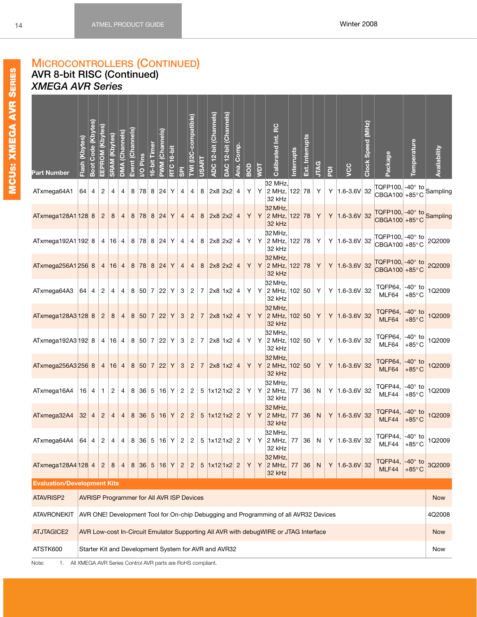1Q2009

Sampling

## <span id="page-20-0"></span>**MICROCONTROLLERS (CONTINUED) AVR 8-bit RISC (Continued)** *XMEGA AVR Series*

| MCUS: XMEGA AVR S | <b>Part Number</b>                 | Flash (Kbytes)<br>Boot Code (Kbytes) |                | EEPROM (Kbytes)                                  | <b>SRAM</b> (Kbytes) | DMA (Channels) | Event (Channels) | I/O Pins                        | 16-bit Timer   | <b>PWM (Channels)</b> | RTC 16-bit | $\overline{5}$ | TWI (I2C-compatible) | <b>USART</b>   | ADC 12-bit (Channels)                                       | DAC 12-bit (Channels) | Ana.           | BOD          | Taw | Calibrated Int. RC                                                                   | Interrupts | Ext. Interrupts | <b>JTAG</b>  | $\overline{P}$ | VCC                 | Clock Speed (MHz) | Package                                                        | Temperature                       | Availability |
|-------------------|------------------------------------|--------------------------------------|----------------|--------------------------------------------------|----------------------|----------------|------------------|---------------------------------|----------------|-----------------------|------------|----------------|----------------------|----------------|-------------------------------------------------------------|-----------------------|----------------|--------------|-----|--------------------------------------------------------------------------------------|------------|-----------------|--------------|----------------|---------------------|-------------------|----------------------------------------------------------------|-----------------------------------|--------------|
|                   | ATxmega64A1                        |                                      | $64 \mid 4$    | $\overline{2}$                                   | 4                    | $\overline{4}$ |                  | 8   78   8   24                 |                |                       | Y          | 4              | 4                    | 8              | $\vert 2x8 \vert 2x2 \vert 4$                               |                       |                | Y            | Y   | 32 MHz,<br>$2$ MHz, 122 78<br>32 kHz                                                 |            |                 | Y            |                | Y $ 1.6 - 3.6V $ 32 |                   | TQFP100, -40° to<br>CBGA100 +85°C                              |                                   | Sampling     |
|                   | ATxmega128A1 128 8                 |                                      |                | $\overline{2}$                                   | 8                    | $\overline{4}$ | 8                | 78 8 24                         |                |                       | Y          | $\overline{4}$ | $\overline{4}$       | 8              | $2x8$ 2x2                                                   |                       | $\overline{4}$ | Y            | Y   | 32 MHz,<br>2 MHz, 122 78<br>32 kHz                                                   |            |                 | Y            |                | Y $ 1.6 - 3.6V $ 32 |                   | TQFP100, -40° to Sampling<br>CBGA100 +85°C                     |                                   |              |
|                   | ATxmega192A1 192 8                 |                                      |                | $\overline{4}$                                   |                      | $16 \mid 4$    |                  | 8 78 8 24 Y                     |                |                       |            | 4              | 4                    | 8              | $\begin{vmatrix} 2 \times 8 & 2 \times 2 & 4 \end{vmatrix}$ |                       |                | Y            | Y   | 32 MHz,<br>$2$ MHz, 122 78<br>32 kHz                                                 |            |                 | Y            |                | Y $ 1.6 - 3.6V $ 32 |                   | TQFP100, -40° to<br>CBGA100 +85°C                              |                                   | 2Q2009       |
|                   | ATxmega256A1 256 8                 |                                      |                | $\overline{4}$                                   | 16                   | $\overline{4}$ | 8                | 78                              | $\bf8$         | 24                    | Y          | $\overline{4}$ | $\overline{4}$       | 8              | 2x8 2x2                                                     |                       | $\overline{4}$ | Y            | Y   | 32 MHz,<br>2 MHz, 122 78<br>32 kHz                                                   |            |                 | Y            |                | Y $ 1.6 - 3.6V $ 32 |                   | TQFP100, -40° to<br>CBGA100 +85°C                              |                                   | 2Q2009       |
|                   | ATxmega64A3                        | $64 \mid 4$                          |                | $\overline{2}$                                   | 4                    | 4              |                  | 8 50 7 22                       |                |                       | Υ          | 3              | $\overline{c}$       | $\overline{7}$ | 2x8 1x2 4                                                   |                       |                | Y            | Y   | 32 MHz,<br>$ 2 \text{ MHz},  102  50 $<br>32 kHz                                     |            |                 | Y            |                | Y $ 1.6 - 3.6V $ 32 |                   | TQFP64, $-40^\circ$ to<br>MLF64                                | $+85^{\circ}$ C                   | 1Q2009       |
|                   | ATxmega128A3 128 8                 |                                      |                | $\overline{2}$                                   | 8                    | $\overline{4}$ | 8                | 50                              |                | 7 22                  | Y          | 3              | $\overline{2}$       | $\overline{7}$ | $2x8$ 1x2                                                   |                       | $\overline{4}$ | Y            | Y   | 32 MHz,<br>$2 MHz, 102$ 50<br>32 kHz                                                 |            |                 | Y            |                | Y $ 1.6 - 3.6V $ 32 |                   | TQFP64,<br>MLF64                                               | $-40^\circ$ to<br>$+85^{\circ}$ C | 1Q2009       |
|                   | ATxmega192A3 192 8                 |                                      |                | 4 <sup>1</sup>                                   |                      | 16 4           |                  | 8 50 7 22 Y                     |                |                       |            | 3              | 2                    |                | $7$ 2x8 1x2 4                                               |                       |                | Y            | Y   | 32 MHz,<br>2 MHz, 102 50 Y<br>32 kHz                                                 |            |                 |              |                | Y $ 1.6 - 3.6V $ 32 |                   | TQFP64,<br>MLF64                                               | -40° to<br>$+85^{\circ}$ C        | 1Q2009       |
|                   | ATxmega256A3 256 8                 |                                      |                | $\overline{4}$                                   |                      | 16 4           |                  | 8 50 7 22                       |                |                       | Y          | 3              | $\overline{2}$       | $\overline{7}$ | 2x8 1x2 4                                                   |                       |                | Y            | Y   | 32 MHz,<br>$2$ MHz, 102 50<br>32 kHz                                                 |            |                 | Y            |                | Y $ 1.6 - 3.6V $ 32 |                   | TQFP64,<br>MLF64                                               | $-40^\circ$ to<br>$+85^{\circ}$ C | 1Q2009       |
|                   | ATxmega16A4                        | $16 \mid 4$                          |                | 1                                                | 2                    | 4              |                  | 8 36 5 16                       |                |                       | Y          | $\overline{c}$ | $\overline{2}$       | 5              | $ 1x12 1x2 $ 2                                              |                       |                | Y            | Y   | 32 MHz,<br>$ 2 \text{ MHz},  $<br>32 kHz                                             | 77         | 36              | N            |                | Y $ 1.6 - 3.6V $ 32 |                   | TQFP44,<br>MLF44                                               | $-40^\circ$ to<br>$+85^{\circ}$ C | 1Q2009       |
|                   | ATxmega32A4                        | 32                                   | $\overline{4}$ | $\overline{2}$                                   |                      | $\overline{4}$ | 8                | 36                              | $\overline{5}$ | 16                    | Y          | $\overline{c}$ | $\overline{c}$       |                | $5 \vert 1x12 \vert 1x2 \vert 2$                            |                       |                | Y            | Y   | 32 MHz,<br>2 MHz, 77<br>32 kHz                                                       |            | 36              | $\mathsf{N}$ |                | $Y$ 1.6-3.6V 32     |                   | TQFP44,<br>MLF44                                               | $-40^\circ$ to<br>$+85^{\circ}$ C | 1Q2009       |
|                   | ATxmega64A4                        |                                      | 64   4         | $\overline{2}$                                   |                      |                |                  | 4   4   8   36   5   16   Y   2 |                |                       |            |                |                      |                | 2 5 1x12 1x2 2                                              |                       |                | $\mathsf{Y}$ |     | 32 MHz,<br>32 kHz                                                                    |            |                 |              |                |                     |                   | Y 2 MHz, 77 36 N Y 1.6-3.6V 32 TOFP44, -40° to 1Q2009<br>MLF44 | $+85^{\circ}$ C                   |              |
|                   | ATxmega128A4 128 4                 |                                      |                | $\overline{2}$                                   | 8                    | $\overline{4}$ |                  | 8 36 5 16 Y                     |                |                       |            | $\overline{2}$ | $\overline{2}$       |                | $5 \vert 1x12 \vert 1x2 \vert 2$                            |                       |                | Y            | Y   | 32 MHz,<br>2 MHz, 77<br>32 kHz                                                       |            | 36              | ${\sf N}$    |                | $Y$ 1.6-3.6V 32     |                   | TQFP44,<br>MLF44                                               | $-40^\circ$ to<br>$+85^{\circ}$ C | 3Q2009       |
|                   | <b>Evaluation/Development Kits</b> |                                      |                |                                                  |                      |                |                  |                                 |                |                       |            |                |                      |                |                                                             |                       |                |              |     |                                                                                      |            |                 |              |                |                     |                   |                                                                |                                   |              |
|                   | ATAVRISP2                          |                                      |                | <b>AVRISP Programmer for All AVR ISP Devices</b> |                      |                |                  |                                 |                |                       |            |                |                      |                |                                                             |                       |                |              |     |                                                                                      |            |                 |              |                |                     |                   |                                                                |                                   | <b>Now</b>   |
|                   | <b>ATAVRONEKIT</b>                 |                                      |                |                                                  |                      |                |                  |                                 |                |                       |            |                |                      |                |                                                             |                       |                |              |     | AVR ONE! Development Tool for On-chip Debugging and Programming of all AVR32 Devices |            |                 |              |                |                     |                   |                                                                |                                   | 4Q2008       |
|                   | <b>ATJTAGICE2</b>                  |                                      |                |                                                  |                      |                |                  |                                 |                |                       |            |                |                      |                |                                                             |                       |                |              |     | AVR Low-cost In-Circuit Emulator Supporting All AVR with debugWIRE or JTAG Interface |            |                 |              |                |                     |                   |                                                                |                                   | <b>Now</b>   |
|                   | ATSTK600                           |                                      |                |                                                  |                      |                |                  |                                 |                |                       |            |                |                      |                | Starter Kit and Development System for AVR and AVR32        |                       |                |              |     |                                                                                      |            |                 |              |                |                     |                   |                                                                |                                   | Now          |

Note: 1. All XMEGA AVR Series Control AVR parts are RoHS compliant.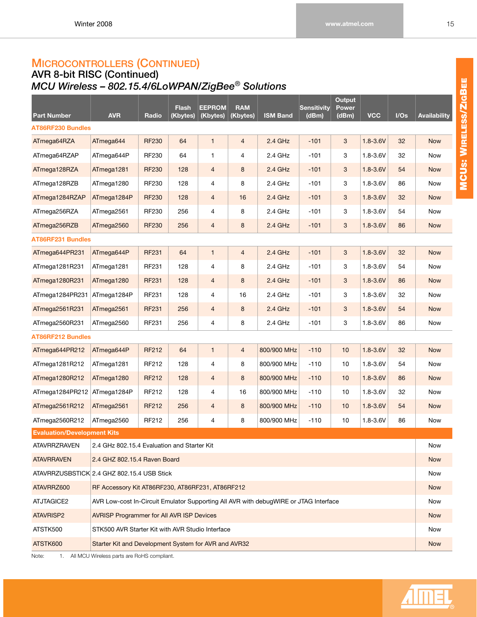### <span id="page-21-0"></span>**AVR 8-bit RISC (Continued)** *MCU Wireless – 802.15.4/6LoWPAN/ZigBee*® *Solutions*

| <b>Part Number</b>                         | <b>AVR</b>                                                                           | Radio        | <b>Flash</b><br>(Kbytes) | <b>EEPROM</b><br>(Kbytes) | <b>RAM</b><br>(Kbytes) | <b>ISM Band</b> | <b>Sensitivity</b><br>(dBm) | Output<br>Power<br>(dBm) | <b>VCC</b>   | I/Os | <b>Availability</b> |
|--------------------------------------------|--------------------------------------------------------------------------------------|--------------|--------------------------|---------------------------|------------------------|-----------------|-----------------------------|--------------------------|--------------|------|---------------------|
| <b>AT86RF230 Bundles</b>                   |                                                                                      |              |                          |                           |                        |                 |                             |                          |              |      |                     |
| ATmega64RZA                                | ATmega644                                                                            | <b>RF230</b> | 64                       | $\mathbf{1}$              | $\overline{4}$         | $2.4$ GHz       | $-101$                      | 3                        | $1.8 - 3.6V$ | 32   | <b>Now</b>          |
| ATmega64RZAP                               | ATmega644P                                                                           | RF230        | 64                       | 1                         | 4                      | 2.4 GHz         | $-101$                      | 3                        | $1.8 - 3.6V$ | 32   | Now                 |
| ATmega128RZA                               | ATmega1281                                                                           | <b>RF230</b> | 128                      | $\overline{4}$            | 8                      | $2.4$ GHz       | $-101$                      | 3                        | $1.8 - 3.6V$ | 54   | <b>Now</b>          |
| ATmega128RZB                               | ATmega1280                                                                           | RF230        | 128                      | 4                         | 8                      | 2.4 GHz         | $-101$                      | 3                        | $1.8 - 3.6V$ | 86   | Now                 |
| ATmega1284RZAP                             | ATmega1284P                                                                          | <b>RF230</b> | 128                      | $\overline{4}$            | 16                     | $2.4$ GHz       | $-101$                      | $\mathbf{3}$             | $1.8 - 3.6V$ | 32   | <b>Now</b>          |
| ATmega256RZA                               | ATmega2561                                                                           | RF230        | 256                      | 4                         | 8                      | 2.4 GHz         | $-101$                      | 3                        | $1.8 - 3.6V$ | 54   | Now                 |
| ATmega256RZB                               | ATmega2560                                                                           | <b>RF230</b> | 256                      | $\overline{4}$            | 8                      | $2.4$ GHz       | $-101$                      | 3                        | $1.8 - 3.6V$ | 86   | <b>Now</b>          |
| <b>AT86RF231 Bundles</b>                   |                                                                                      |              |                          |                           |                        |                 |                             |                          |              |      |                     |
| ATmega644PR231                             | ATmega644P                                                                           | <b>RF231</b> | 64                       | $\mathbf{1}$              | 4                      | $2.4$ GHz       | $-101$                      | 3                        | $1.8 - 3.6V$ | 32   | <b>Now</b>          |
| ATmega1281R231                             | ATmega1281                                                                           | RF231        | 128                      | 4                         | 8                      | 2.4 GHz         | $-101$                      | 3                        | $1.8 - 3.6V$ | 54   | Now                 |
| ATmega1280R231                             | ATmega1280                                                                           | <b>RF231</b> | 128                      | 4                         | 8                      | $2.4$ GHz       | $-101$                      | 3                        | $1.8 - 3.6V$ | 86   | <b>Now</b>          |
| ATmega1284PR231                            | ATmega1284P                                                                          | RF231        | 128                      | 4                         | 16                     | 2.4 GHz         | $-101$                      | 3                        | $1.8 - 3.6V$ | 32   | Now                 |
| ATmega2561R231                             | ATmega2561                                                                           | <b>RF231</b> | 256                      | $\overline{4}$            | 8                      | $2.4$ GHz       | $-101$                      | 3                        | $1.8 - 3.6V$ | 54   | <b>Now</b>          |
| ATmega2560R231                             | ATmega2560                                                                           | RF231        | 256                      | 4                         | 8                      | 2.4 GHz         | $-101$                      | 3                        | $1.8 - 3.6V$ | 86   | Now                 |
| <b>AT86RF212 Bundles</b>                   |                                                                                      |              |                          |                           |                        |                 |                             |                          |              |      |                     |
| ATmega644PR212                             | ATmega644P                                                                           | <b>RF212</b> | 64                       | $\mathbf{1}$              | $\overline{4}$         | 800/900 MHz     | $-110$                      | 10                       | $1.8 - 3.6V$ | 32   | <b>Now</b>          |
| ATmega1281R212                             | ATmega1281                                                                           | RF212        | 128                      | 4                         | 8                      | 800/900 MHz     | $-110$                      | 10                       | $1.8 - 3.6V$ | 54   | Now                 |
| ATmega1280R212                             | ATmega1280                                                                           | <b>RF212</b> | 128                      | $\overline{4}$            | 8                      | 800/900 MHz     | $-110$                      | 10                       | $1.8 - 3.6V$ | 86   | <b>Now</b>          |
| ATmega1284PR212                            | ATmega1284P                                                                          | RF212        | 128                      | 4                         | 16                     | 800/900 MHz     | $-110$                      | 10                       | $1.8 - 3.6V$ | 32   | Now                 |
| ATmega2561R212                             | ATmega2561                                                                           | <b>RF212</b> | 256                      | $\overline{4}$            | 8                      | 800/900 MHz     | $-110$                      | 10                       | $1.8 - 3.6V$ | 54   | <b>Now</b>          |
| ATmega2560R212                             | ATmega2560                                                                           | RF212        | 256                      | 4                         | 8                      | 800/900 MHz     | $-110$                      | 10                       | $1.8 - 3.6V$ | 86   | Now                 |
| <b>Evaluation/Development Kits</b>         |                                                                                      |              |                          |                           |                        |                 |                             |                          |              |      |                     |
| <b>ATAVRRZRAVEN</b>                        | 2.4 GHz 802.15.4 Evaluation and Starter Kit                                          |              |                          |                           |                        |                 |                             |                          |              |      | Now                 |
| <b>ATAVRRAVEN</b>                          | 2.4 GHZ 802.15.4 Raven Board                                                         |              |                          |                           |                        |                 |                             |                          |              |      | <b>Now</b>          |
| ATAVRRZUSBSTICK 2.4 GHZ 802.15.4 USB Stick |                                                                                      |              |                          |                           |                        |                 |                             |                          |              |      | Now                 |
| ATAVRRZ600                                 | RF Accessory Kit AT86RF230, AT86RF231, AT86RF212                                     |              |                          |                           |                        |                 |                             |                          |              |      | <b>Now</b>          |
| ATJTAGICE2                                 | AVR Low-cost In-Circuit Emulator Supporting All AVR with debugWIRE or JTAG Interface |              |                          |                           |                        |                 |                             |                          |              |      | Now                 |
| ATAVRISP2                                  | <b>AVRISP Programmer for All AVR ISP Devices</b>                                     |              |                          |                           |                        |                 |                             |                          |              |      | <b>Now</b>          |
| ATSTK500                                   | STK500 AVR Starter Kit with AVR Studio Interface                                     |              |                          |                           |                        |                 |                             |                          |              |      | Now                 |
| ATSTK600                                   | Starter Kit and Development System for AVR and AVR32                                 |              |                          |                           |                        |                 |                             |                          |              |      | <b>Now</b>          |
| Note:                                      | 1. All MCU Wireless parts are RoHS compliant.                                        |              |                          |                           |                        |                 |                             |                          |              |      |                     |

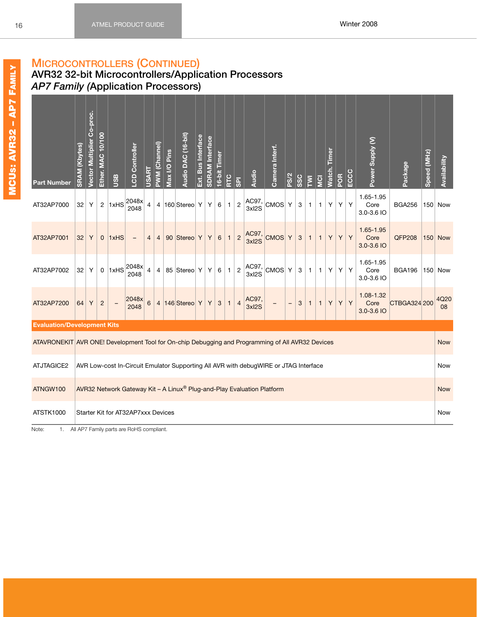### <span id="page-22-1"></span><span id="page-22-0"></span>**AVR32 32-bit Microcontrollers/Application Processors** *AP7 Family (***Application Processors)**

| <b>Part Number</b>                                                                               | <b>SRAM</b> (Kbytes) | Vector Multiplier Co-proc. | Ether. MAC 10/100 | <b>USB</b>        | <b>LCD Controller</b>              | <b>USART</b>   | PWM (Channel)  | Max I/O Pins | Audio DAC (16-bit) | Ext. Bus Interface | <b>SDRAM</b> Interface | 16-bit Timer | RTC          | <b>B</b>       | Audio                                                                                | Camera Interf. | PS/2              | SSC | $\overline{\Sigma}$ | <b>D</b>     | <u>equil</u><br>Watch. | POR | ECCC | Power Supply (V)                | Package       | Speed (MHz) | Availability   |
|--------------------------------------------------------------------------------------------------|----------------------|----------------------------|-------------------|-------------------|------------------------------------|----------------|----------------|--------------|--------------------|--------------------|------------------------|--------------|--------------|----------------|--------------------------------------------------------------------------------------|----------------|-------------------|-----|---------------------|--------------|------------------------|-----|------|---------------------------------|---------------|-------------|----------------|
| AT32AP7000                                                                                       | 32                   | Υ                          | $\overline{c}$    | 1xHS              | 2048x<br>2048                      | $\overline{4}$ | 4              |              | 160 Stereo Y       |                    | Y                      | 6            | $\mathbf{1}$ | $\overline{c}$ | AC97,<br>3xl2S                                                                       | CMOS           | $\mathsf Y$       | 3   | $\mathbf{1}$        | $\mathbf{1}$ | Y                      | Υ   | Υ    | 1.65-1.95<br>Core<br>3.0-3.6 IO | <b>BGA256</b> |             | $150$ Now      |
| AT32AP7001                                                                                       | 32                   | Υ                          | $\mathbf 0$       | 1xHS              | $\overline{\phantom{a}}$           | $\overline{4}$ | $\overline{4}$ |              | 90 Stereo Y        |                    | Y                      | 6            | $\mathbf{1}$ | $\overline{c}$ | AC97,<br>$3x$ <sub>2</sub> S                                                         | CMOS Y         |                   | 3   | $\mathbf{1}$        | $\mathbf{1}$ | Y                      | Y   | Y    | 1.65-1.95<br>Core<br>3.0-3.6 IO | <b>QFP208</b> |             | <b>150 Now</b> |
| AT32AP7002                                                                                       | 32                   | Y                          | $\mathsf{O}$      | 1xHS              | 2048x<br>2048                      | 4              | 4              |              | 85 Stereo Y        |                    | Y                      | 6            | $\mathbf{1}$ | $\overline{2}$ | AC97,<br>3xl2S                                                                       | ∣CMOS∣ Y       |                   | 3   | $\mathbf{1}$        | $\mathbf{1}$ | Y                      | Υ   | Υ    | 1.65-1.95<br>Core<br>3.0-3.6 IO | <b>BGA196</b> |             | 150 Now        |
| AT32AP7200                                                                                       | 64                   | Y                          | $\overline{c}$    | $\qquad \qquad -$ | 2048x<br>2048                      | 6              | $\overline{4}$ |              | $ 146 $ Stereo Y   |                    | Y                      | 3            | $\mathbf{T}$ | $\overline{4}$ | AC97,<br>3xl2S                                                                       |                | $\qquad \qquad -$ | 3   | $\mathbf{1}$        | $\mathbf{1}$ | Υ                      | Y   | Y    | 1.08-1.32<br>Core<br>3.0-3.6 IO | CTBGA324 200  |             | 4Q20<br>08     |
| <b>Evaluation/Development Kits</b>                                                               |                      |                            |                   |                   |                                    |                |                |              |                    |                    |                        |              |              |                |                                                                                      |                |                   |     |                     |              |                        |     |      |                                 |               |             |                |
| ATAVRONEKIT AVR ONE! Development Tool for On-chip Debugging and Programming of All AVR32 Devices |                      |                            |                   |                   |                                    |                |                |              |                    |                    |                        |              |              |                |                                                                                      |                |                   |     |                     |              |                        |     |      |                                 |               |             | <b>Now</b>     |
| ATJTAGICE2                                                                                       |                      |                            |                   |                   |                                    |                |                |              |                    |                    |                        |              |              |                | AVR Low-cost In-Circuit Emulator Supporting All AVR with debugWIRE or JTAG Interface |                |                   |     |                     |              |                        |     |      |                                 |               |             | Now            |
| ATNGW100                                                                                         |                      |                            |                   |                   |                                    |                |                |              |                    |                    |                        |              |              |                | AVR32 Network Gateway Kit - A Linux® Plug-and-Play Evaluation Platform               |                |                   |     |                     |              |                        |     |      |                                 |               |             | <b>Now</b>     |
| ATSTK1000                                                                                        |                      |                            |                   |                   | Starter Kit for AT32AP7xxx Devices |                |                |              |                    |                    |                        |              |              |                |                                                                                      |                |                   |     |                     |              |                        |     |      |                                 |               |             | <b>Now</b>     |

Note: 1. All AP7 Family parts are RoHS compliant.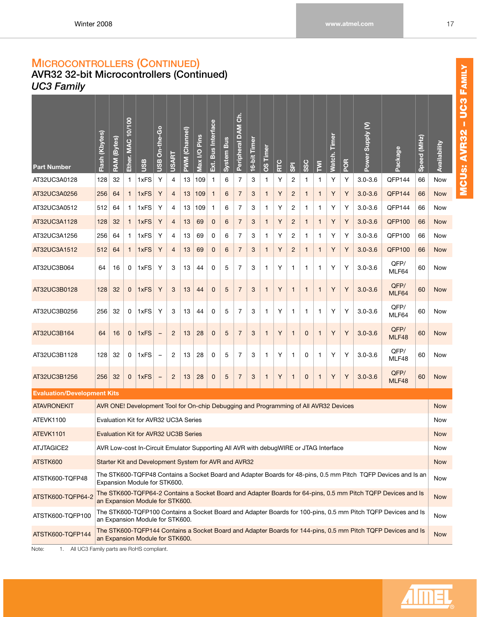## **AVR32 32-bit Microcontrollers (Continued)** *UC3 Family*

| <b>Part Number</b>                 | Flash (Kbytes)                                                                                                                                                                                                                                                                                                                                                    | RAM (Bytes) | Ether. MAC 10/100 | <b>USB</b>                                                                           | On-the-Go<br><b>USB</b> | USART          | PWM (Channel) | Max I/O Pins | Ext. Bus Interface | <b>Bus</b><br>System | ຣ໌<br>Peripheral DAM | 16-bit Timer | Timer<br><b>SO</b> | RTC | $\overline{\mathbf{s}}$ | <b>SSC</b>   | $\overline{\Sigma}$ | Timer<br>Watch. | POR | Power Supply (V) | Package                                                                                                       | Speed (MHz) | Availability |
|------------------------------------|-------------------------------------------------------------------------------------------------------------------------------------------------------------------------------------------------------------------------------------------------------------------------------------------------------------------------------------------------------------------|-------------|-------------------|--------------------------------------------------------------------------------------|-------------------------|----------------|---------------|--------------|--------------------|----------------------|----------------------|--------------|--------------------|-----|-------------------------|--------------|---------------------|-----------------|-----|------------------|---------------------------------------------------------------------------------------------------------------|-------------|--------------|
| AT32UC3A0128                       | 128                                                                                                                                                                                                                                                                                                                                                               | 32          | 1                 | 1xFS                                                                                 | Υ                       | 4              | 13            | 109          | $\mathbf 1$        | 6                    | 7                    | 3            | -1                 | Υ   | 2                       | 1            | 1                   | Υ               | Υ   | $3.0 - 3.6$      | QFP144                                                                                                        | 66          | Now          |
| AT32UC3A0256                       | 256                                                                                                                                                                                                                                                                                                                                                               | 64          | $\mathbf{1}$      | 1xFS                                                                                 | Υ                       | $\overline{4}$ | 13            | 109          | $\mathbf{1}$       | 6                    | $\overline{7}$       | 3            | $\mathbf{1}$       | Υ   | $\overline{2}$          | $\mathbf{1}$ | $\mathbf{1}$        | Υ               | Υ   | $3.0 - 3.6$      | QFP144                                                                                                        | 66          | <b>Now</b>   |
| AT32UC3A0512                       | 512                                                                                                                                                                                                                                                                                                                                                               | 64          | 1                 | 1xFS                                                                                 | Υ                       | 4              | 13            | 109          | $\mathbf 1$        | 6                    | 7                    | 3            | 1                  | Υ   | 2                       | 1            | 1                   | Υ               | Υ   | $3.0 - 3.6$      | QFP144                                                                                                        | 66          | Now          |
| AT32UC3A1128                       | 128                                                                                                                                                                                                                                                                                                                                                               | 32          | 1                 | 1xFS                                                                                 | Υ                       | $\overline{4}$ | 13            | 69           | 0                  | 6                    | $\overline{7}$       | 3            | $\mathbf{1}$       | Υ   | $\overline{2}$          | $\mathbf{1}$ | $\mathbf{1}$        | Υ               | Υ   | $3.0 - 3.6$      | <b>QFP100</b>                                                                                                 | 66          | <b>Now</b>   |
| AT32UC3A1256                       | Υ<br>Υ<br>Υ<br>QFP100<br>1xFS<br>Υ<br>6<br>7<br>2<br>1<br>$3.0 - 3.6$<br>66<br>256<br>64<br>1<br>4<br>13<br>69<br>0<br>3<br>1<br>1<br>Y<br>Υ<br>1xFS<br>Υ<br>$\overline{7}$<br>$\mathbf{1}$<br>$\mathbf{1}$<br>Υ<br>$3.0 - 3.6$<br><b>QFP100</b><br>512<br>$\overline{4}$<br>13<br>69<br>$\mathbf 0$<br>6<br>3<br>$\overline{2}$<br>$\mathbf{1}$<br>66<br>64<br>1 |             |                   |                                                                                      |                         |                |               |              |                    |                      |                      |              |                    |     |                         | Now          |                     |                 |     |                  |                                                                                                               |             |              |
| AT32UC3A1512                       |                                                                                                                                                                                                                                                                                                                                                                   |             |                   |                                                                                      |                         |                |               |              |                    |                      |                      |              |                    |     |                         |              |                     |                 |     |                  |                                                                                                               |             | <b>Now</b>   |
| AT32UC3B064                        | 64                                                                                                                                                                                                                                                                                                                                                                | 16          | 0                 | 1xFS                                                                                 | Υ                       | 3              | 13            | 44           | 0                  | 5                    | $\overline{7}$       | 3            | $\mathbf{1}$       | Υ   | $\mathbf{1}$            | 1            | 1                   | Υ               | Υ   | $3.0 - 3.6$      | QFP/<br>MLF64                                                                                                 | 60          | Now          |
| AT32UC3B0128                       | 128                                                                                                                                                                                                                                                                                                                                                               | 32          | $\mathbf 0$       | 1xFS                                                                                 | Y                       | 3              | 13            | 44           | $\mathbf 0$        | 5                    | $\overline{7}$       | 3            | $\mathbf{1}$       | Y   | $\mathbf{1}$            | $\mathbf{1}$ | $\mathbf{1}$        | Y               | Υ   | $3.0 - 3.6$      | QFP/<br>MLF64                                                                                                 | 60          | <b>Now</b>   |
| AT32UC3B0256                       | 256                                                                                                                                                                                                                                                                                                                                                               | 32          | 0                 | 1xFS                                                                                 | Υ                       | 3              | 13            | 44           | 0                  | 5                    | $\overline{7}$       | 3            | $\mathbf{1}$       | Y   | $\mathbf{1}$            | $\mathbf{1}$ | $\mathbf{1}$        | Υ               | Υ   | $3.0 - 3.6$      | QFP/<br>MLF64                                                                                                 | 60          | <b>Now</b>   |
| AT32UC3B164                        | 64                                                                                                                                                                                                                                                                                                                                                                | 16          | $\mathbf 0$       | 1xFS                                                                                 |                         | $\overline{2}$ | 13            | 28           | $\mathbf 0$        | 5                    | $\overline{7}$       | 3            | $\mathbf{1}$       | Υ   | 1                       | $\bf 0$      | $\mathbf{1}$        | Y               | Υ   | $3.0 - 3.6$      | QFP/<br>MLF48                                                                                                 | 60          | <b>Now</b>   |
| AT32UC3B1128                       | 128                                                                                                                                                                                                                                                                                                                                                               | 32          | 0                 | 1xFS                                                                                 | $\qquad \qquad -$       | 2              | 13            | 28           | 0                  | 5                    | $\overline{7}$       | 3            | -1                 | Y   | 1                       | 0            | 1                   | Y               | Υ   | $3.0 - 3.6$      | QFP/<br>MLF48                                                                                                 | 60          | <b>Now</b>   |
| AT32UC3B1256                       | 256                                                                                                                                                                                                                                                                                                                                                               | 32          | 0                 | 1xFS                                                                                 | $\qquad \qquad -$       | $\overline{c}$ | 13            | 28           | $\overline{0}$     | 5                    | $\overline{7}$       | 3            | $\mathbf{1}$       | Υ   | 1                       | 0            | $\mathbf{1}$        | Y               | Υ   | $3.0 - 3.6$      | QFP/<br>MLF48                                                                                                 | 60          | <b>Now</b>   |
| <b>Evaluation/Development Kits</b> |                                                                                                                                                                                                                                                                                                                                                                   |             |                   |                                                                                      |                         |                |               |              |                    |                      |                      |              |                    |     |                         |              |                     |                 |     |                  |                                                                                                               |             |              |
| <b>ATAVRONEKIT</b>                 |                                                                                                                                                                                                                                                                                                                                                                   |             |                   | AVR ONE! Development Tool for On-chip Debugging and Programming of All AVR32 Devices |                         |                |               |              |                    |                      |                      |              |                    |     |                         |              |                     |                 |     |                  |                                                                                                               |             | <b>Now</b>   |
| ATEVK1100                          |                                                                                                                                                                                                                                                                                                                                                                   |             |                   | Evaluation Kit for AVR32 UC3A Series                                                 |                         |                |               |              |                    |                      |                      |              |                    |     |                         |              |                     |                 |     |                  |                                                                                                               |             | Now          |
| ATEVK1101                          |                                                                                                                                                                                                                                                                                                                                                                   |             |                   | <b>Evaluation Kit for AVR32 UC3B Series</b>                                          |                         |                |               |              |                    |                      |                      |              |                    |     |                         |              |                     |                 |     |                  |                                                                                                               |             | <b>Now</b>   |
| ATJTAGICE2                         |                                                                                                                                                                                                                                                                                                                                                                   |             |                   | AVR Low-cost In-Circuit Emulator Supporting All AVR with debugWIRE or JTAG Interface |                         |                |               |              |                    |                      |                      |              |                    |     |                         |              |                     |                 |     |                  |                                                                                                               |             | Now          |
| ATSTK600                           |                                                                                                                                                                                                                                                                                                                                                                   |             |                   | Starter Kit and Development System for AVR and AVR32                                 |                         |                |               |              |                    |                      |                      |              |                    |     |                         |              |                     |                 |     |                  |                                                                                                               |             | <b>Now</b>   |
| ATSTK600-TQFP48                    |                                                                                                                                                                                                                                                                                                                                                                   |             |                   | Expansion Module for STK600.                                                         |                         |                |               |              |                    |                      |                      |              |                    |     |                         |              |                     |                 |     |                  | The STK600-TQFP48 Contains a Socket Board and Adapter Boards for 48-pins, 0.5 mm Pitch TQFP Devices and Is an |             | Now          |
| ATSTK600-TQFP64-2                  |                                                                                                                                                                                                                                                                                                                                                                   |             |                   | an Expansion Module for STK600.                                                      |                         |                |               |              |                    |                      |                      |              |                    |     |                         |              |                     |                 |     |                  | The STK600-TQFP64-2 Contains a Socket Board and Adapter Boards for 64-pins, 0.5 mm Pitch TQFP Devices and Is  |             | <b>Now</b>   |
| ATSTK600-TQFP100                   |                                                                                                                                                                                                                                                                                                                                                                   |             |                   | an Expansion Module for STK600.                                                      |                         |                |               |              |                    |                      |                      |              |                    |     |                         |              |                     |                 |     |                  | The STK600-TQFP100 Contains a Socket Board and Adapter Boards for 100-pins, 0.5 mm Pitch TQFP Devices and Is  |             | Now          |
| ATSTK600-TQFP144                   |                                                                                                                                                                                                                                                                                                                                                                   |             |                   | an Expansion Module for STK600.                                                      |                         |                |               |              |                    |                      |                      |              |                    |     |                         |              |                     |                 |     |                  | The STK600-TQFP144 Contains a Socket Board and Adapter Boards for 144-pins, 0.5 mm Pitch TQFP Devices and Is  |             | Now          |

Note: 1. All UC3 Family parts are RoHS compliant.

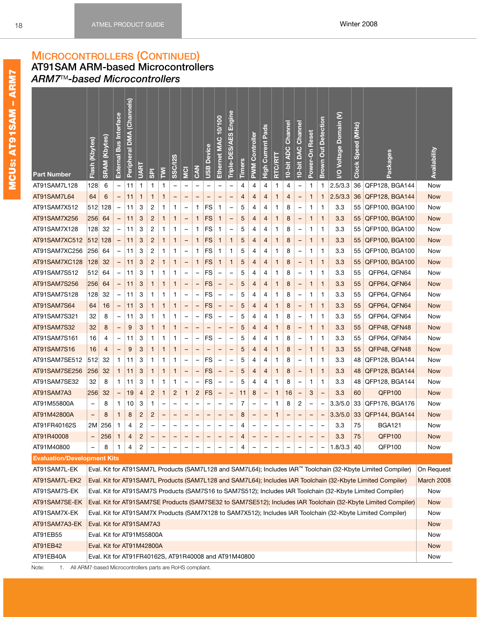<span id="page-24-1"></span><span id="page-24-0"></span>**AT91SAM ARM-based Microcontrollers** *ARM7*TM*-based Microcontrollers*

| 2.5/3.3<br>AT91SAM7L128<br>128<br>6<br>4<br>36<br>QFP128, BGA144<br><b>Now</b><br>11<br>$\mathbf 1$<br>1<br>1<br>4<br>4<br>1<br>4<br>1<br>1<br>$\overline{\phantom{0}}$<br>$\qquad \qquad -$<br>AT91SAM7L64<br>2.5/3.3<br>36<br>QFP128, BGA144<br>64<br>6<br>11<br>1<br>1<br><b>Now</b><br>1<br>4<br>4<br>4<br>1<br>4<br>1<br>$\qquad \qquad -$<br>$\qquad \qquad -$<br>1<br>$\overline{\phantom{0}}$<br>$\qquad \qquad -$<br>$\qquad \qquad -$<br>۳<br>3.3<br>AT91SAM7X512<br>2<br>FS<br>55<br>QFP100, BGA100<br>Now<br>512<br>128<br>11<br>3<br>1<br>1<br>1<br>1<br>5<br>4<br>4<br>1<br>8<br>1<br>1<br>$\overline{\phantom{0}}$<br>$\overline{\phantom{0}}$<br>$\qquad \qquad -$<br>$\overline{\phantom{0}}$<br>AT91SAM7X256<br>$\overline{2}$<br>FS<br>8<br>3.3<br>QFP100, BGA100<br>256<br>64<br>3<br>$\mathbf{1}$<br>5<br>4<br>1<br>55<br><b>Now</b><br>11<br>1<br>1<br>$\mathbf{1}$<br>4<br>1<br>1<br>-<br>$\overline{\phantom{0}}$<br>$\qquad \qquad -$<br>-<br><b>FS</b><br>3.3<br>AT91SAM7X128<br>128<br>32<br>3<br>2<br>5<br>55<br>QFP100, BGA100<br>11<br>1<br>1<br>1<br>1<br>4<br>4<br>1<br>8<br>1<br>Now<br>1<br>$\overline{\phantom{0}}$<br>$\qquad \qquad -$<br>$\overline{\phantom{0}}$<br>$\overline{\phantom{0}}$<br>AT91SAM7XC512<br>$\overline{2}$<br>3.3<br>QFP100, BGA100<br> 512 <br>128<br>11<br>3<br>$\mathbf{1}$<br>$\mathbf{1}$<br>$\mathbf{1}$<br>FS<br>$\mathbf{1}$<br>$\mathbf{1}$<br>5<br>4<br>1<br>8<br>$\mathbf{1}$<br>55<br><b>Now</b><br>4<br>$\qquad \qquad -$<br>1<br>$\qquad \qquad -$<br>$\overline{\phantom{0}}$<br>QFP100, BGA100<br>AT91SAM7XC256<br>64<br>3<br>2<br>FS<br>5<br>8<br>3.3<br>55<br>Now<br>256<br>11<br>1<br>1<br>1<br>$\mathbf 1$<br>1<br>4<br>4<br>1<br>1<br>1<br>$\overline{\phantom{0}}$<br>$\overline{\phantom{0}}$<br>$\overline{\phantom{0}}$<br><b>FS</b><br>AT91SAM7XC128<br>128<br>32<br>3<br>$\overline{c}$<br>3.3<br>55<br>QFP100, BGA100<br>11<br>1<br>1<br>$\mathbf{1}$<br>5<br>8<br>1<br><b>Now</b><br>$\overline{a}$<br>1<br>1<br>4<br>4<br>1<br>-<br>1<br>$\overline{\phantom{0}}$<br>3.3<br>AT91SAM7S512<br>FS<br>55<br>QFP64, QFN64<br>Now<br>512<br>64<br>11<br>3<br>1<br>1<br>1<br>5<br>4<br>4<br>8<br>1<br>1<br>1<br>$\qquad \qquad -$<br>$\qquad \qquad -$<br>$\overline{\phantom{0}}$<br>-<br>$\overline{\phantom{0}}$<br>AT91SAM7S256<br>3.3<br>55<br>QFP64, QFN64<br>256<br>64<br>3<br>FS<br>5<br>8<br>1<br><b>Now</b><br>11<br>1<br>1<br>1<br>4<br>4<br>1<br>1<br>-<br>$\overline{\phantom{0}}$<br>$\qquad \qquad -$<br>-<br>$\qquad \qquad -$<br>$\overline{\phantom{0}}$<br>32<br><b>FS</b><br>3.3<br>55<br>AT91SAM7S128<br>128<br>3<br>5<br>QFP64, QFN64<br>11<br>1<br>1<br>1<br>4<br>4<br>1<br>8<br>1<br>Now<br>1<br>$\overline{\phantom{0}}$<br>$\qquad \qquad -$<br>$\overline{\phantom{0}}$<br>$\overline{\phantom{0}}$<br>$\overline{\phantom{0}}$<br>-<br>AT91SAM7S64<br>FS<br>3.3<br>QFP64, QFN64<br>64<br>16<br>11<br>3<br>$\mathbf{1}$<br>$\mathbf{1}$<br>$\mathbf{1}$<br>5<br>4<br>1<br>8<br>$\mathbf{1}$<br>55<br><b>Now</b><br>4<br>1<br>$\qquad \qquad -$<br>$\overline{\phantom{0}}$<br>$\qquad \qquad -$<br>QFP64, QFN64<br>AT91SAM7S321<br>32<br>3<br>FS<br>5<br>8<br>3.3<br>55<br>Now<br>8<br>11<br>1<br>1<br>1<br>4<br>4<br>1<br>1<br>1<br>$\overline{\phantom{0}}$<br>$\overline{\phantom{0}}$<br>$\qquad \qquad -$<br>$\overline{\phantom{0}}$<br>$\qquad \qquad -$<br>$\qquad \qquad -$<br>AT91SAM7S32<br>32<br>3.3<br>55<br>QFP48, QFN48<br>8<br>9<br>3<br>1<br>1<br>5<br>8<br>1<br><b>Now</b><br>1<br>4<br>4<br>1<br>$\qquad \qquad -$<br>1<br><sup>-</sup><br><sup>-</sup><br>-<br>Ξ<br>3.3<br>AT91SAM7S161<br>FS<br>55<br>QFP64, QFN64<br>Now<br>16<br>3<br>1<br>1<br>1<br>5<br>4<br>4<br>8<br>1<br>4<br>11<br>1<br>1<br>$\overline{\phantom{0}}$<br>-<br>$\overline{\phantom{0}}$<br>-<br>AT91SAM7S16<br>9<br>3.3<br>QFP48, QFN48<br>16<br>3<br>5<br>8<br>1<br>55<br><b>Now</b><br>4<br>1<br>1<br>1<br>4<br>4<br>1<br>1<br>-<br>$\overline{\phantom{0}}$<br>-<br>$\qquad \qquad -$<br>$\qquad \qquad$<br>$\overline{\phantom{0}}$<br><b>FS</b><br>3.3<br>AT91SAM7SE512<br>512<br>32<br>3<br>5<br>48<br>QFP128, BGA144<br>1<br>11<br>1<br>1<br>1<br>4<br>4<br>1<br>8<br>1<br>Now<br>1<br>$\overline{\phantom{0}}$<br>$\overline{\phantom{0}}$<br>$\overline{\phantom{0}}$<br>$\overline{\phantom{a}}$<br>$\overline{\phantom{0}}$<br>AT91SAM7SE256<br>3<br>FS<br>3.3<br>QFP128, BGA144<br>256<br>32<br>$\mathbf{1}$<br>11<br>$\mathbf{1}$<br>$\mathbf{1}$<br>$\mathbf{1}$<br>5<br>4<br>1<br>8<br>$\mathbf{1}$<br>48<br><b>Now</b><br>4<br>1<br>$\qquad \qquad -$<br>$\qquad \qquad -$<br>QFP128, BGA144<br>AT91SAM7SE32<br>32<br>8<br>3<br>FS<br>5<br>8<br>3.3<br>48<br>1<br>11<br>1<br>1<br>1<br>4<br>4<br>1<br>1<br>Now<br>1<br>$\qquad \qquad -$<br>$\qquad \qquad -$<br>$\overline{\phantom{0}}$<br>-<br><b>QFP100</b><br>AT91SAM7A3<br>$\overline{c}$<br>$\overline{c}$<br>$\overline{c}$<br>FS<br>3.3<br>60<br>256<br>32<br>19<br>1<br>1<br>8<br>16<br>3<br><b>Now</b><br>4<br>11<br>1<br>$\qquad \qquad -$<br>$\overline{\phantom{0}}$<br>$\overline{\phantom{0}}$<br>$\qquad \qquad -$<br>$\overline{\phantom{a}}$<br>-<br>AT91M55800A<br>7<br>2<br>3.3/5.0<br>33<br>QFP176, BGA176<br>8<br>1<br>10<br>3<br>1<br>8<br>Now<br>-<br>1<br>-<br>-<br>-<br>$\overline{\phantom{0}}$<br>-<br>$\overline{\phantom{0}}$<br>-<br>-<br>AT91M42800A<br>$\overline{c}$<br>$\overline{c}$<br>3.3/5.0<br>33<br>QFP144, BGA144<br>8<br>8<br>8<br>1<br><b>Now</b><br>$\overline{\phantom{0}}$<br>$\mathbf{1}$<br>-<br>-<br>-<br>-<br>3.3<br>75<br>AT91FR40162S<br>256<br>2<br><b>BGA121</b><br>2M<br>1<br>4<br>4<br>Now<br>$\overline{\phantom{0}}$<br>$\overline{\phantom{0}}$<br>-<br>$\overline{\phantom{0}}$<br>$\overline{\phantom{0}}$<br>$\overline{c}$<br>256<br>75<br>QFP100<br>$\mathbf{1}$<br>3.3<br>AT91R40008<br>$\overline{4}$<br><b>Now</b><br>QFP100<br>AT91M40800<br>8<br>2<br>$1.8/3.3$ 40<br>Now<br>1.<br>4<br>4<br><b>Evaluation/Development Kits</b><br>Eval. Kit for AT91SAM7L Products (SAM7L128 and SAM7L64); Includes IAR™ Toolchain (32-Kbyte Limited Compiler)<br>AT91SAM7L-EK<br>Eval. Kit for AT91SAM7L Products (SAM7L128 and SAM7L64); Includes IAR Toolchain (32-Kbyte Limited Compiler)<br>AT91SAM7L-EK2<br>March 2008<br>AT91SAM7S-EK<br>Eval. Kit for AT91SAM7S Products (SAM7S16 to SAM7S512); Includes IAR Toolchain (32-Kbyte Limited Compiler)<br>Now<br>AT91SAM7SE-EK<br>Eval. Kit for AT91SAM7SE Products (SAM7SE32 to SAM7SE512); Includes IAR Toolchain (32-Kbyte Limited Compiler)<br><b>Now</b><br>Eval. Kit for AT91SAM7X Products (SAM7X128 to SAM7X512); Includes IAR Toolchain (32-Kbyte Limited Compiler)<br>AT91SAM7X-EK<br>Now<br>Eval. Kit for AT91SAM7A3<br>AT91SAM7A3-EK<br><b>Now</b><br>AT91EB55<br>Eval. Kit for AT91M55800A<br>Now<br>AT91EB42<br>Eval. Kit for AT91M42800A<br><b>Now</b><br>Eval. Kit for AT91FR40162S, AT91R40008 and AT91M40800 | <b>Part Number</b> | (Kbytes)<br>Flash ( | <b>SRAM (Kbytes)</b> | <b>Bus Interface</b><br><b>External</b> | <b>Channels</b><br><b>DMA</b><br>Peripheral | <b>UART</b> | $\overline{\mathsf{S}}$ | Σ | SSC/I2S | $\overline{Q}$ | <b>NAC</b> | <b>Device</b><br><b>USB</b> | Ethernet MAC 10/100 | Engine<br>$\mathbb{E}$<br>ES/AI<br>Triple-D | <b>Timers</b> | Controller<br><b>PWM</b> | <b>Pads</b><br><b>Trie</b><br><b>Curr</b><br>tigh | E<br><b>RTC/</b> | Channel<br>$\overline{c}$<br>10-bit AD | Channel<br>$\overline{O}$<br>Š<br>$10-bit$ | Reset<br>Power-On | <b>Out Detection</b><br><b>Brown</b> | Voltage Domain (V)<br>$\overline{Q}$ | Clock Speed (MHz) | Packages | Availability |
|----------------------------------------------------------------------------------------------------------------------------------------------------------------------------------------------------------------------------------------------------------------------------------------------------------------------------------------------------------------------------------------------------------------------------------------------------------------------------------------------------------------------------------------------------------------------------------------------------------------------------------------------------------------------------------------------------------------------------------------------------------------------------------------------------------------------------------------------------------------------------------------------------------------------------------------------------------------------------------------------------------------------------------------------------------------------------------------------------------------------------------------------------------------------------------------------------------------------------------------------------------------------------------------------------------------------------------------------------------------------------------------------------------------------------------------------------------------------------------------------------------------------------------------------------------------------------------------------------------------------------------------------------------------------------------------------------------------------------------------------------------------------------------------------------------------------------------------------------------------------------------------------------------------------------------------------------------------------------------------------------------------------------------------------------------------------------------------------------------------------------------------------------------------------------------------------------------------------------------------------------------------------------------------------------------------------------------------------------------------------------------------------------------------------------------------------------------------------------------------------------------------------------------------------------------------------------------------------------------------------------------------------------------------------------------------------------------------------------------------------------------------------------------------------------------------------------------------------------------------------------------------------------------------------------------------------------------------------------------------------------------------------------------------------------------------------------------------------------------------------------------------------------------------------------------------------------------------------------------------------------------------------------------------------------------------------------------------------------------------------------------------------------------------------------------------------------------------------------------------------------------------------------------------------------------------------------------------------------------------------------------------------------------------------------------------------------------------------------------------------------------------------------------------------------------------------------------------------------------------------------------------------------------------------------------------------------------------------------------------------------------------------------------------------------------------------------------------------------------------------------------------------------------------------------------------------------------------------------------------------------------------------------------------------------------------------------------------------------------------------------------------------------------------------------------------------------------------------------------------------------------------------------------------------------------------------------------------------------------------------------------------------------------------------------------------------------------------------------------------------------------------------------------------------------------------------------------------------------------------------------------------------------------------------------------------------------------------------------------------------------------------------------------------------------------------------------------------------------------------------------------------------------------------------------------------------------------------------------------------------------------------------------------------------------------------------------------------------------------------------------------------------------------------------------------------------------------------------------------------------------------------------------------------------------------------------------------------------------------------------------------------------------------------------------------------------------------------------------------------------------------------------------------------------------------------------------------------------------------------------------------------------------------------------------------------------------------------------------------------------------------------------------------------------------------------------------------------------------------------------------------------------------------------------------------------------------------------------------------------------------------------------------------------------------------------------------------------------------------------------------------------------------------------------------------------------------------------------------------------------------------------------------------------------------------------------------------------------------------------------------------------------------------------------------------------------------------------------------------------------------------------------------------------------------------------------------------------------------------------------------------------------------------------------|--------------------|---------------------|----------------------|-----------------------------------------|---------------------------------------------|-------------|-------------------------|---|---------|----------------|------------|-----------------------------|---------------------|---------------------------------------------|---------------|--------------------------|---------------------------------------------------|------------------|----------------------------------------|--------------------------------------------|-------------------|--------------------------------------|--------------------------------------|-------------------|----------|--------------|
|                                                                                                                                                                                                                                                                                                                                                                                                                                                                                                                                                                                                                                                                                                                                                                                                                                                                                                                                                                                                                                                                                                                                                                                                                                                                                                                                                                                                                                                                                                                                                                                                                                                                                                                                                                                                                                                                                                                                                                                                                                                                                                                                                                                                                                                                                                                                                                                                                                                                                                                                                                                                                                                                                                                                                                                                                                                                                                                                                                                                                                                                                                                                                                                                                                                                                                                                                                                                                                                                                                                                                                                                                                                                                                                                                                                                                                                                                                                                                                                                                                                                                                                                                                                                                                                                                                                                                                                                                                                                                                                                                                                                                                                                                                                                                                                                                                                                                                                                                                                                                                                                                                                                                                                                                                                                                                                                                                                                                                                                                                                                                                                                                                                                                                                                                                                                                                                                                                                                                                                                                                                                                                                                                                                                                                                                                                                                                                                                                                                                                                                                                                                                                                                                                                                                                                                                                                                                                                                      |                    |                     |                      |                                         |                                             |             |                         |   |         |                |            |                             |                     |                                             |               |                          |                                                   |                  |                                        |                                            |                   |                                      |                                      |                   |          |              |
|                                                                                                                                                                                                                                                                                                                                                                                                                                                                                                                                                                                                                                                                                                                                                                                                                                                                                                                                                                                                                                                                                                                                                                                                                                                                                                                                                                                                                                                                                                                                                                                                                                                                                                                                                                                                                                                                                                                                                                                                                                                                                                                                                                                                                                                                                                                                                                                                                                                                                                                                                                                                                                                                                                                                                                                                                                                                                                                                                                                                                                                                                                                                                                                                                                                                                                                                                                                                                                                                                                                                                                                                                                                                                                                                                                                                                                                                                                                                                                                                                                                                                                                                                                                                                                                                                                                                                                                                                                                                                                                                                                                                                                                                                                                                                                                                                                                                                                                                                                                                                                                                                                                                                                                                                                                                                                                                                                                                                                                                                                                                                                                                                                                                                                                                                                                                                                                                                                                                                                                                                                                                                                                                                                                                                                                                                                                                                                                                                                                                                                                                                                                                                                                                                                                                                                                                                                                                                                                      |                    |                     |                      |                                         |                                             |             |                         |   |         |                |            |                             |                     |                                             |               |                          |                                                   |                  |                                        |                                            |                   |                                      |                                      |                   |          |              |
|                                                                                                                                                                                                                                                                                                                                                                                                                                                                                                                                                                                                                                                                                                                                                                                                                                                                                                                                                                                                                                                                                                                                                                                                                                                                                                                                                                                                                                                                                                                                                                                                                                                                                                                                                                                                                                                                                                                                                                                                                                                                                                                                                                                                                                                                                                                                                                                                                                                                                                                                                                                                                                                                                                                                                                                                                                                                                                                                                                                                                                                                                                                                                                                                                                                                                                                                                                                                                                                                                                                                                                                                                                                                                                                                                                                                                                                                                                                                                                                                                                                                                                                                                                                                                                                                                                                                                                                                                                                                                                                                                                                                                                                                                                                                                                                                                                                                                                                                                                                                                                                                                                                                                                                                                                                                                                                                                                                                                                                                                                                                                                                                                                                                                                                                                                                                                                                                                                                                                                                                                                                                                                                                                                                                                                                                                                                                                                                                                                                                                                                                                                                                                                                                                                                                                                                                                                                                                                                      |                    |                     |                      |                                         |                                             |             |                         |   |         |                |            |                             |                     |                                             |               |                          |                                                   |                  |                                        |                                            |                   |                                      |                                      |                   |          |              |
|                                                                                                                                                                                                                                                                                                                                                                                                                                                                                                                                                                                                                                                                                                                                                                                                                                                                                                                                                                                                                                                                                                                                                                                                                                                                                                                                                                                                                                                                                                                                                                                                                                                                                                                                                                                                                                                                                                                                                                                                                                                                                                                                                                                                                                                                                                                                                                                                                                                                                                                                                                                                                                                                                                                                                                                                                                                                                                                                                                                                                                                                                                                                                                                                                                                                                                                                                                                                                                                                                                                                                                                                                                                                                                                                                                                                                                                                                                                                                                                                                                                                                                                                                                                                                                                                                                                                                                                                                                                                                                                                                                                                                                                                                                                                                                                                                                                                                                                                                                                                                                                                                                                                                                                                                                                                                                                                                                                                                                                                                                                                                                                                                                                                                                                                                                                                                                                                                                                                                                                                                                                                                                                                                                                                                                                                                                                                                                                                                                                                                                                                                                                                                                                                                                                                                                                                                                                                                                                      |                    |                     |                      |                                         |                                             |             |                         |   |         |                |            |                             |                     |                                             |               |                          |                                                   |                  |                                        |                                            |                   |                                      |                                      |                   |          |              |
|                                                                                                                                                                                                                                                                                                                                                                                                                                                                                                                                                                                                                                                                                                                                                                                                                                                                                                                                                                                                                                                                                                                                                                                                                                                                                                                                                                                                                                                                                                                                                                                                                                                                                                                                                                                                                                                                                                                                                                                                                                                                                                                                                                                                                                                                                                                                                                                                                                                                                                                                                                                                                                                                                                                                                                                                                                                                                                                                                                                                                                                                                                                                                                                                                                                                                                                                                                                                                                                                                                                                                                                                                                                                                                                                                                                                                                                                                                                                                                                                                                                                                                                                                                                                                                                                                                                                                                                                                                                                                                                                                                                                                                                                                                                                                                                                                                                                                                                                                                                                                                                                                                                                                                                                                                                                                                                                                                                                                                                                                                                                                                                                                                                                                                                                                                                                                                                                                                                                                                                                                                                                                                                                                                                                                                                                                                                                                                                                                                                                                                                                                                                                                                                                                                                                                                                                                                                                                                                      |                    |                     |                      |                                         |                                             |             |                         |   |         |                |            |                             |                     |                                             |               |                          |                                                   |                  |                                        |                                            |                   |                                      |                                      |                   |          |              |
|                                                                                                                                                                                                                                                                                                                                                                                                                                                                                                                                                                                                                                                                                                                                                                                                                                                                                                                                                                                                                                                                                                                                                                                                                                                                                                                                                                                                                                                                                                                                                                                                                                                                                                                                                                                                                                                                                                                                                                                                                                                                                                                                                                                                                                                                                                                                                                                                                                                                                                                                                                                                                                                                                                                                                                                                                                                                                                                                                                                                                                                                                                                                                                                                                                                                                                                                                                                                                                                                                                                                                                                                                                                                                                                                                                                                                                                                                                                                                                                                                                                                                                                                                                                                                                                                                                                                                                                                                                                                                                                                                                                                                                                                                                                                                                                                                                                                                                                                                                                                                                                                                                                                                                                                                                                                                                                                                                                                                                                                                                                                                                                                                                                                                                                                                                                                                                                                                                                                                                                                                                                                                                                                                                                                                                                                                                                                                                                                                                                                                                                                                                                                                                                                                                                                                                                                                                                                                                                      |                    |                     |                      |                                         |                                             |             |                         |   |         |                |            |                             |                     |                                             |               |                          |                                                   |                  |                                        |                                            |                   |                                      |                                      |                   |          |              |
|                                                                                                                                                                                                                                                                                                                                                                                                                                                                                                                                                                                                                                                                                                                                                                                                                                                                                                                                                                                                                                                                                                                                                                                                                                                                                                                                                                                                                                                                                                                                                                                                                                                                                                                                                                                                                                                                                                                                                                                                                                                                                                                                                                                                                                                                                                                                                                                                                                                                                                                                                                                                                                                                                                                                                                                                                                                                                                                                                                                                                                                                                                                                                                                                                                                                                                                                                                                                                                                                                                                                                                                                                                                                                                                                                                                                                                                                                                                                                                                                                                                                                                                                                                                                                                                                                                                                                                                                                                                                                                                                                                                                                                                                                                                                                                                                                                                                                                                                                                                                                                                                                                                                                                                                                                                                                                                                                                                                                                                                                                                                                                                                                                                                                                                                                                                                                                                                                                                                                                                                                                                                                                                                                                                                                                                                                                                                                                                                                                                                                                                                                                                                                                                                                                                                                                                                                                                                                                                      |                    |                     |                      |                                         |                                             |             |                         |   |         |                |            |                             |                     |                                             |               |                          |                                                   |                  |                                        |                                            |                   |                                      |                                      |                   |          |              |
|                                                                                                                                                                                                                                                                                                                                                                                                                                                                                                                                                                                                                                                                                                                                                                                                                                                                                                                                                                                                                                                                                                                                                                                                                                                                                                                                                                                                                                                                                                                                                                                                                                                                                                                                                                                                                                                                                                                                                                                                                                                                                                                                                                                                                                                                                                                                                                                                                                                                                                                                                                                                                                                                                                                                                                                                                                                                                                                                                                                                                                                                                                                                                                                                                                                                                                                                                                                                                                                                                                                                                                                                                                                                                                                                                                                                                                                                                                                                                                                                                                                                                                                                                                                                                                                                                                                                                                                                                                                                                                                                                                                                                                                                                                                                                                                                                                                                                                                                                                                                                                                                                                                                                                                                                                                                                                                                                                                                                                                                                                                                                                                                                                                                                                                                                                                                                                                                                                                                                                                                                                                                                                                                                                                                                                                                                                                                                                                                                                                                                                                                                                                                                                                                                                                                                                                                                                                                                                                      |                    |                     |                      |                                         |                                             |             |                         |   |         |                |            |                             |                     |                                             |               |                          |                                                   |                  |                                        |                                            |                   |                                      |                                      |                   |          |              |
|                                                                                                                                                                                                                                                                                                                                                                                                                                                                                                                                                                                                                                                                                                                                                                                                                                                                                                                                                                                                                                                                                                                                                                                                                                                                                                                                                                                                                                                                                                                                                                                                                                                                                                                                                                                                                                                                                                                                                                                                                                                                                                                                                                                                                                                                                                                                                                                                                                                                                                                                                                                                                                                                                                                                                                                                                                                                                                                                                                                                                                                                                                                                                                                                                                                                                                                                                                                                                                                                                                                                                                                                                                                                                                                                                                                                                                                                                                                                                                                                                                                                                                                                                                                                                                                                                                                                                                                                                                                                                                                                                                                                                                                                                                                                                                                                                                                                                                                                                                                                                                                                                                                                                                                                                                                                                                                                                                                                                                                                                                                                                                                                                                                                                                                                                                                                                                                                                                                                                                                                                                                                                                                                                                                                                                                                                                                                                                                                                                                                                                                                                                                                                                                                                                                                                                                                                                                                                                                      |                    |                     |                      |                                         |                                             |             |                         |   |         |                |            |                             |                     |                                             |               |                          |                                                   |                  |                                        |                                            |                   |                                      |                                      |                   |          |              |
|                                                                                                                                                                                                                                                                                                                                                                                                                                                                                                                                                                                                                                                                                                                                                                                                                                                                                                                                                                                                                                                                                                                                                                                                                                                                                                                                                                                                                                                                                                                                                                                                                                                                                                                                                                                                                                                                                                                                                                                                                                                                                                                                                                                                                                                                                                                                                                                                                                                                                                                                                                                                                                                                                                                                                                                                                                                                                                                                                                                                                                                                                                                                                                                                                                                                                                                                                                                                                                                                                                                                                                                                                                                                                                                                                                                                                                                                                                                                                                                                                                                                                                                                                                                                                                                                                                                                                                                                                                                                                                                                                                                                                                                                                                                                                                                                                                                                                                                                                                                                                                                                                                                                                                                                                                                                                                                                                                                                                                                                                                                                                                                                                                                                                                                                                                                                                                                                                                                                                                                                                                                                                                                                                                                                                                                                                                                                                                                                                                                                                                                                                                                                                                                                                                                                                                                                                                                                                                                      |                    |                     |                      |                                         |                                             |             |                         |   |         |                |            |                             |                     |                                             |               |                          |                                                   |                  |                                        |                                            |                   |                                      |                                      |                   |          |              |
| On Request                                                                                                                                                                                                                                                                                                                                                                                                                                                                                                                                                                                                                                                                                                                                                                                                                                                                                                                                                                                                                                                                                                                                                                                                                                                                                                                                                                                                                                                                                                                                                                                                                                                                                                                                                                                                                                                                                                                                                                                                                                                                                                                                                                                                                                                                                                                                                                                                                                                                                                                                                                                                                                                                                                                                                                                                                                                                                                                                                                                                                                                                                                                                                                                                                                                                                                                                                                                                                                                                                                                                                                                                                                                                                                                                                                                                                                                                                                                                                                                                                                                                                                                                                                                                                                                                                                                                                                                                                                                                                                                                                                                                                                                                                                                                                                                                                                                                                                                                                                                                                                                                                                                                                                                                                                                                                                                                                                                                                                                                                                                                                                                                                                                                                                                                                                                                                                                                                                                                                                                                                                                                                                                                                                                                                                                                                                                                                                                                                                                                                                                                                                                                                                                                                                                                                                                                                                                                                                           |                    |                     |                      |                                         |                                             |             |                         |   |         |                |            |                             |                     |                                             |               |                          |                                                   |                  |                                        |                                            |                   |                                      |                                      |                   |          |              |
|                                                                                                                                                                                                                                                                                                                                                                                                                                                                                                                                                                                                                                                                                                                                                                                                                                                                                                                                                                                                                                                                                                                                                                                                                                                                                                                                                                                                                                                                                                                                                                                                                                                                                                                                                                                                                                                                                                                                                                                                                                                                                                                                                                                                                                                                                                                                                                                                                                                                                                                                                                                                                                                                                                                                                                                                                                                                                                                                                                                                                                                                                                                                                                                                                                                                                                                                                                                                                                                                                                                                                                                                                                                                                                                                                                                                                                                                                                                                                                                                                                                                                                                                                                                                                                                                                                                                                                                                                                                                                                                                                                                                                                                                                                                                                                                                                                                                                                                                                                                                                                                                                                                                                                                                                                                                                                                                                                                                                                                                                                                                                                                                                                                                                                                                                                                                                                                                                                                                                                                                                                                                                                                                                                                                                                                                                                                                                                                                                                                                                                                                                                                                                                                                                                                                                                                                                                                                                                                      |                    |                     |                      |                                         |                                             |             |                         |   |         |                |            |                             |                     |                                             |               |                          |                                                   |                  |                                        |                                            |                   |                                      |                                      |                   |          |              |
|                                                                                                                                                                                                                                                                                                                                                                                                                                                                                                                                                                                                                                                                                                                                                                                                                                                                                                                                                                                                                                                                                                                                                                                                                                                                                                                                                                                                                                                                                                                                                                                                                                                                                                                                                                                                                                                                                                                                                                                                                                                                                                                                                                                                                                                                                                                                                                                                                                                                                                                                                                                                                                                                                                                                                                                                                                                                                                                                                                                                                                                                                                                                                                                                                                                                                                                                                                                                                                                                                                                                                                                                                                                                                                                                                                                                                                                                                                                                                                                                                                                                                                                                                                                                                                                                                                                                                                                                                                                                                                                                                                                                                                                                                                                                                                                                                                                                                                                                                                                                                                                                                                                                                                                                                                                                                                                                                                                                                                                                                                                                                                                                                                                                                                                                                                                                                                                                                                                                                                                                                                                                                                                                                                                                                                                                                                                                                                                                                                                                                                                                                                                                                                                                                                                                                                                                                                                                                                                      |                    |                     |                      |                                         |                                             |             |                         |   |         |                |            |                             |                     |                                             |               |                          |                                                   |                  |                                        |                                            |                   |                                      |                                      |                   |          |              |
|                                                                                                                                                                                                                                                                                                                                                                                                                                                                                                                                                                                                                                                                                                                                                                                                                                                                                                                                                                                                                                                                                                                                                                                                                                                                                                                                                                                                                                                                                                                                                                                                                                                                                                                                                                                                                                                                                                                                                                                                                                                                                                                                                                                                                                                                                                                                                                                                                                                                                                                                                                                                                                                                                                                                                                                                                                                                                                                                                                                                                                                                                                                                                                                                                                                                                                                                                                                                                                                                                                                                                                                                                                                                                                                                                                                                                                                                                                                                                                                                                                                                                                                                                                                                                                                                                                                                                                                                                                                                                                                                                                                                                                                                                                                                                                                                                                                                                                                                                                                                                                                                                                                                                                                                                                                                                                                                                                                                                                                                                                                                                                                                                                                                                                                                                                                                                                                                                                                                                                                                                                                                                                                                                                                                                                                                                                                                                                                                                                                                                                                                                                                                                                                                                                                                                                                                                                                                                                                      |                    |                     |                      |                                         |                                             |             |                         |   |         |                |            |                             |                     |                                             |               |                          |                                                   |                  |                                        |                                            |                   |                                      |                                      |                   |          |              |
|                                                                                                                                                                                                                                                                                                                                                                                                                                                                                                                                                                                                                                                                                                                                                                                                                                                                                                                                                                                                                                                                                                                                                                                                                                                                                                                                                                                                                                                                                                                                                                                                                                                                                                                                                                                                                                                                                                                                                                                                                                                                                                                                                                                                                                                                                                                                                                                                                                                                                                                                                                                                                                                                                                                                                                                                                                                                                                                                                                                                                                                                                                                                                                                                                                                                                                                                                                                                                                                                                                                                                                                                                                                                                                                                                                                                                                                                                                                                                                                                                                                                                                                                                                                                                                                                                                                                                                                                                                                                                                                                                                                                                                                                                                                                                                                                                                                                                                                                                                                                                                                                                                                                                                                                                                                                                                                                                                                                                                                                                                                                                                                                                                                                                                                                                                                                                                                                                                                                                                                                                                                                                                                                                                                                                                                                                                                                                                                                                                                                                                                                                                                                                                                                                                                                                                                                                                                                                                                      |                    |                     |                      |                                         |                                             |             |                         |   |         |                |            |                             |                     |                                             |               |                          |                                                   |                  |                                        |                                            |                   |                                      |                                      |                   |          |              |
|                                                                                                                                                                                                                                                                                                                                                                                                                                                                                                                                                                                                                                                                                                                                                                                                                                                                                                                                                                                                                                                                                                                                                                                                                                                                                                                                                                                                                                                                                                                                                                                                                                                                                                                                                                                                                                                                                                                                                                                                                                                                                                                                                                                                                                                                                                                                                                                                                                                                                                                                                                                                                                                                                                                                                                                                                                                                                                                                                                                                                                                                                                                                                                                                                                                                                                                                                                                                                                                                                                                                                                                                                                                                                                                                                                                                                                                                                                                                                                                                                                                                                                                                                                                                                                                                                                                                                                                                                                                                                                                                                                                                                                                                                                                                                                                                                                                                                                                                                                                                                                                                                                                                                                                                                                                                                                                                                                                                                                                                                                                                                                                                                                                                                                                                                                                                                                                                                                                                                                                                                                                                                                                                                                                                                                                                                                                                                                                                                                                                                                                                                                                                                                                                                                                                                                                                                                                                                                                      |                    |                     |                      |                                         |                                             |             |                         |   |         |                |            |                             |                     |                                             |               |                          |                                                   |                  |                                        |                                            |                   |                                      |                                      |                   |          |              |
|                                                                                                                                                                                                                                                                                                                                                                                                                                                                                                                                                                                                                                                                                                                                                                                                                                                                                                                                                                                                                                                                                                                                                                                                                                                                                                                                                                                                                                                                                                                                                                                                                                                                                                                                                                                                                                                                                                                                                                                                                                                                                                                                                                                                                                                                                                                                                                                                                                                                                                                                                                                                                                                                                                                                                                                                                                                                                                                                                                                                                                                                                                                                                                                                                                                                                                                                                                                                                                                                                                                                                                                                                                                                                                                                                                                                                                                                                                                                                                                                                                                                                                                                                                                                                                                                                                                                                                                                                                                                                                                                                                                                                                                                                                                                                                                                                                                                                                                                                                                                                                                                                                                                                                                                                                                                                                                                                                                                                                                                                                                                                                                                                                                                                                                                                                                                                                                                                                                                                                                                                                                                                                                                                                                                                                                                                                                                                                                                                                                                                                                                                                                                                                                                                                                                                                                                                                                                                                                      |                    |                     |                      |                                         |                                             |             |                         |   |         |                |            |                             |                     |                                             |               |                          |                                                   |                  |                                        |                                            |                   |                                      |                                      |                   |          |              |
|                                                                                                                                                                                                                                                                                                                                                                                                                                                                                                                                                                                                                                                                                                                                                                                                                                                                                                                                                                                                                                                                                                                                                                                                                                                                                                                                                                                                                                                                                                                                                                                                                                                                                                                                                                                                                                                                                                                                                                                                                                                                                                                                                                                                                                                                                                                                                                                                                                                                                                                                                                                                                                                                                                                                                                                                                                                                                                                                                                                                                                                                                                                                                                                                                                                                                                                                                                                                                                                                                                                                                                                                                                                                                                                                                                                                                                                                                                                                                                                                                                                                                                                                                                                                                                                                                                                                                                                                                                                                                                                                                                                                                                                                                                                                                                                                                                                                                                                                                                                                                                                                                                                                                                                                                                                                                                                                                                                                                                                                                                                                                                                                                                                                                                                                                                                                                                                                                                                                                                                                                                                                                                                                                                                                                                                                                                                                                                                                                                                                                                                                                                                                                                                                                                                                                                                                                                                                                                                      |                    |                     |                      |                                         |                                             |             |                         |   |         |                |            |                             |                     |                                             |               |                          |                                                   |                  |                                        |                                            |                   |                                      |                                      |                   |          |              |
|                                                                                                                                                                                                                                                                                                                                                                                                                                                                                                                                                                                                                                                                                                                                                                                                                                                                                                                                                                                                                                                                                                                                                                                                                                                                                                                                                                                                                                                                                                                                                                                                                                                                                                                                                                                                                                                                                                                                                                                                                                                                                                                                                                                                                                                                                                                                                                                                                                                                                                                                                                                                                                                                                                                                                                                                                                                                                                                                                                                                                                                                                                                                                                                                                                                                                                                                                                                                                                                                                                                                                                                                                                                                                                                                                                                                                                                                                                                                                                                                                                                                                                                                                                                                                                                                                                                                                                                                                                                                                                                                                                                                                                                                                                                                                                                                                                                                                                                                                                                                                                                                                                                                                                                                                                                                                                                                                                                                                                                                                                                                                                                                                                                                                                                                                                                                                                                                                                                                                                                                                                                                                                                                                                                                                                                                                                                                                                                                                                                                                                                                                                                                                                                                                                                                                                                                                                                                                                                      |                    |                     |                      |                                         |                                             |             |                         |   |         |                |            |                             |                     |                                             |               |                          |                                                   |                  |                                        |                                            |                   |                                      |                                      |                   |          |              |
|                                                                                                                                                                                                                                                                                                                                                                                                                                                                                                                                                                                                                                                                                                                                                                                                                                                                                                                                                                                                                                                                                                                                                                                                                                                                                                                                                                                                                                                                                                                                                                                                                                                                                                                                                                                                                                                                                                                                                                                                                                                                                                                                                                                                                                                                                                                                                                                                                                                                                                                                                                                                                                                                                                                                                                                                                                                                                                                                                                                                                                                                                                                                                                                                                                                                                                                                                                                                                                                                                                                                                                                                                                                                                                                                                                                                                                                                                                                                                                                                                                                                                                                                                                                                                                                                                                                                                                                                                                                                                                                                                                                                                                                                                                                                                                                                                                                                                                                                                                                                                                                                                                                                                                                                                                                                                                                                                                                                                                                                                                                                                                                                                                                                                                                                                                                                                                                                                                                                                                                                                                                                                                                                                                                                                                                                                                                                                                                                                                                                                                                                                                                                                                                                                                                                                                                                                                                                                                                      |                    |                     |                      |                                         |                                             |             |                         |   |         |                |            |                             |                     |                                             |               |                          |                                                   |                  |                                        |                                            |                   |                                      |                                      |                   |          |              |
|                                                                                                                                                                                                                                                                                                                                                                                                                                                                                                                                                                                                                                                                                                                                                                                                                                                                                                                                                                                                                                                                                                                                                                                                                                                                                                                                                                                                                                                                                                                                                                                                                                                                                                                                                                                                                                                                                                                                                                                                                                                                                                                                                                                                                                                                                                                                                                                                                                                                                                                                                                                                                                                                                                                                                                                                                                                                                                                                                                                                                                                                                                                                                                                                                                                                                                                                                                                                                                                                                                                                                                                                                                                                                                                                                                                                                                                                                                                                                                                                                                                                                                                                                                                                                                                                                                                                                                                                                                                                                                                                                                                                                                                                                                                                                                                                                                                                                                                                                                                                                                                                                                                                                                                                                                                                                                                                                                                                                                                                                                                                                                                                                                                                                                                                                                                                                                                                                                                                                                                                                                                                                                                                                                                                                                                                                                                                                                                                                                                                                                                                                                                                                                                                                                                                                                                                                                                                                                                      |                    |                     |                      |                                         |                                             |             |                         |   |         |                |            |                             |                     |                                             |               |                          |                                                   |                  |                                        |                                            |                   |                                      |                                      |                   |          |              |
|                                                                                                                                                                                                                                                                                                                                                                                                                                                                                                                                                                                                                                                                                                                                                                                                                                                                                                                                                                                                                                                                                                                                                                                                                                                                                                                                                                                                                                                                                                                                                                                                                                                                                                                                                                                                                                                                                                                                                                                                                                                                                                                                                                                                                                                                                                                                                                                                                                                                                                                                                                                                                                                                                                                                                                                                                                                                                                                                                                                                                                                                                                                                                                                                                                                                                                                                                                                                                                                                                                                                                                                                                                                                                                                                                                                                                                                                                                                                                                                                                                                                                                                                                                                                                                                                                                                                                                                                                                                                                                                                                                                                                                                                                                                                                                                                                                                                                                                                                                                                                                                                                                                                                                                                                                                                                                                                                                                                                                                                                                                                                                                                                                                                                                                                                                                                                                                                                                                                                                                                                                                                                                                                                                                                                                                                                                                                                                                                                                                                                                                                                                                                                                                                                                                                                                                                                                                                                                                      |                    |                     |                      |                                         |                                             |             |                         |   |         |                |            |                             |                     |                                             |               |                          |                                                   |                  |                                        |                                            |                   |                                      |                                      |                   |          |              |
|                                                                                                                                                                                                                                                                                                                                                                                                                                                                                                                                                                                                                                                                                                                                                                                                                                                                                                                                                                                                                                                                                                                                                                                                                                                                                                                                                                                                                                                                                                                                                                                                                                                                                                                                                                                                                                                                                                                                                                                                                                                                                                                                                                                                                                                                                                                                                                                                                                                                                                                                                                                                                                                                                                                                                                                                                                                                                                                                                                                                                                                                                                                                                                                                                                                                                                                                                                                                                                                                                                                                                                                                                                                                                                                                                                                                                                                                                                                                                                                                                                                                                                                                                                                                                                                                                                                                                                                                                                                                                                                                                                                                                                                                                                                                                                                                                                                                                                                                                                                                                                                                                                                                                                                                                                                                                                                                                                                                                                                                                                                                                                                                                                                                                                                                                                                                                                                                                                                                                                                                                                                                                                                                                                                                                                                                                                                                                                                                                                                                                                                                                                                                                                                                                                                                                                                                                                                                                                                      |                    |                     |                      |                                         |                                             |             |                         |   |         |                |            |                             |                     |                                             |               |                          |                                                   |                  |                                        |                                            |                   |                                      |                                      |                   |          |              |
|                                                                                                                                                                                                                                                                                                                                                                                                                                                                                                                                                                                                                                                                                                                                                                                                                                                                                                                                                                                                                                                                                                                                                                                                                                                                                                                                                                                                                                                                                                                                                                                                                                                                                                                                                                                                                                                                                                                                                                                                                                                                                                                                                                                                                                                                                                                                                                                                                                                                                                                                                                                                                                                                                                                                                                                                                                                                                                                                                                                                                                                                                                                                                                                                                                                                                                                                                                                                                                                                                                                                                                                                                                                                                                                                                                                                                                                                                                                                                                                                                                                                                                                                                                                                                                                                                                                                                                                                                                                                                                                                                                                                                                                                                                                                                                                                                                                                                                                                                                                                                                                                                                                                                                                                                                                                                                                                                                                                                                                                                                                                                                                                                                                                                                                                                                                                                                                                                                                                                                                                                                                                                                                                                                                                                                                                                                                                                                                                                                                                                                                                                                                                                                                                                                                                                                                                                                                                                                                      |                    |                     |                      |                                         |                                             |             |                         |   |         |                |            |                             |                     |                                             |               |                          |                                                   |                  |                                        |                                            |                   |                                      |                                      |                   |          |              |
|                                                                                                                                                                                                                                                                                                                                                                                                                                                                                                                                                                                                                                                                                                                                                                                                                                                                                                                                                                                                                                                                                                                                                                                                                                                                                                                                                                                                                                                                                                                                                                                                                                                                                                                                                                                                                                                                                                                                                                                                                                                                                                                                                                                                                                                                                                                                                                                                                                                                                                                                                                                                                                                                                                                                                                                                                                                                                                                                                                                                                                                                                                                                                                                                                                                                                                                                                                                                                                                                                                                                                                                                                                                                                                                                                                                                                                                                                                                                                                                                                                                                                                                                                                                                                                                                                                                                                                                                                                                                                                                                                                                                                                                                                                                                                                                                                                                                                                                                                                                                                                                                                                                                                                                                                                                                                                                                                                                                                                                                                                                                                                                                                                                                                                                                                                                                                                                                                                                                                                                                                                                                                                                                                                                                                                                                                                                                                                                                                                                                                                                                                                                                                                                                                                                                                                                                                                                                                                                      |                    |                     |                      |                                         |                                             |             |                         |   |         |                |            |                             |                     |                                             |               |                          |                                                   |                  |                                        |                                            |                   |                                      |                                      |                   |          |              |
|                                                                                                                                                                                                                                                                                                                                                                                                                                                                                                                                                                                                                                                                                                                                                                                                                                                                                                                                                                                                                                                                                                                                                                                                                                                                                                                                                                                                                                                                                                                                                                                                                                                                                                                                                                                                                                                                                                                                                                                                                                                                                                                                                                                                                                                                                                                                                                                                                                                                                                                                                                                                                                                                                                                                                                                                                                                                                                                                                                                                                                                                                                                                                                                                                                                                                                                                                                                                                                                                                                                                                                                                                                                                                                                                                                                                                                                                                                                                                                                                                                                                                                                                                                                                                                                                                                                                                                                                                                                                                                                                                                                                                                                                                                                                                                                                                                                                                                                                                                                                                                                                                                                                                                                                                                                                                                                                                                                                                                                                                                                                                                                                                                                                                                                                                                                                                                                                                                                                                                                                                                                                                                                                                                                                                                                                                                                                                                                                                                                                                                                                                                                                                                                                                                                                                                                                                                                                                                                      |                    |                     |                      |                                         |                                             |             |                         |   |         |                |            |                             |                     |                                             |               |                          |                                                   |                  |                                        |                                            |                   |                                      |                                      |                   |          |              |
|                                                                                                                                                                                                                                                                                                                                                                                                                                                                                                                                                                                                                                                                                                                                                                                                                                                                                                                                                                                                                                                                                                                                                                                                                                                                                                                                                                                                                                                                                                                                                                                                                                                                                                                                                                                                                                                                                                                                                                                                                                                                                                                                                                                                                                                                                                                                                                                                                                                                                                                                                                                                                                                                                                                                                                                                                                                                                                                                                                                                                                                                                                                                                                                                                                                                                                                                                                                                                                                                                                                                                                                                                                                                                                                                                                                                                                                                                                                                                                                                                                                                                                                                                                                                                                                                                                                                                                                                                                                                                                                                                                                                                                                                                                                                                                                                                                                                                                                                                                                                                                                                                                                                                                                                                                                                                                                                                                                                                                                                                                                                                                                                                                                                                                                                                                                                                                                                                                                                                                                                                                                                                                                                                                                                                                                                                                                                                                                                                                                                                                                                                                                                                                                                                                                                                                                                                                                                                                                      |                    |                     |                      |                                         |                                             |             |                         |   |         |                |            |                             |                     |                                             |               |                          |                                                   |                  |                                        |                                            |                   |                                      |                                      |                   |          |              |
|                                                                                                                                                                                                                                                                                                                                                                                                                                                                                                                                                                                                                                                                                                                                                                                                                                                                                                                                                                                                                                                                                                                                                                                                                                                                                                                                                                                                                                                                                                                                                                                                                                                                                                                                                                                                                                                                                                                                                                                                                                                                                                                                                                                                                                                                                                                                                                                                                                                                                                                                                                                                                                                                                                                                                                                                                                                                                                                                                                                                                                                                                                                                                                                                                                                                                                                                                                                                                                                                                                                                                                                                                                                                                                                                                                                                                                                                                                                                                                                                                                                                                                                                                                                                                                                                                                                                                                                                                                                                                                                                                                                                                                                                                                                                                                                                                                                                                                                                                                                                                                                                                                                                                                                                                                                                                                                                                                                                                                                                                                                                                                                                                                                                                                                                                                                                                                                                                                                                                                                                                                                                                                                                                                                                                                                                                                                                                                                                                                                                                                                                                                                                                                                                                                                                                                                                                                                                                                                      |                    |                     |                      |                                         |                                             |             |                         |   |         |                |            |                             |                     |                                             |               |                          |                                                   |                  |                                        |                                            |                   |                                      |                                      |                   |          |              |
|                                                                                                                                                                                                                                                                                                                                                                                                                                                                                                                                                                                                                                                                                                                                                                                                                                                                                                                                                                                                                                                                                                                                                                                                                                                                                                                                                                                                                                                                                                                                                                                                                                                                                                                                                                                                                                                                                                                                                                                                                                                                                                                                                                                                                                                                                                                                                                                                                                                                                                                                                                                                                                                                                                                                                                                                                                                                                                                                                                                                                                                                                                                                                                                                                                                                                                                                                                                                                                                                                                                                                                                                                                                                                                                                                                                                                                                                                                                                                                                                                                                                                                                                                                                                                                                                                                                                                                                                                                                                                                                                                                                                                                                                                                                                                                                                                                                                                                                                                                                                                                                                                                                                                                                                                                                                                                                                                                                                                                                                                                                                                                                                                                                                                                                                                                                                                                                                                                                                                                                                                                                                                                                                                                                                                                                                                                                                                                                                                                                                                                                                                                                                                                                                                                                                                                                                                                                                                                                      |                    |                     |                      |                                         |                                             |             |                         |   |         |                |            |                             |                     |                                             |               |                          |                                                   |                  |                                        |                                            |                   |                                      |                                      |                   |          |              |
|                                                                                                                                                                                                                                                                                                                                                                                                                                                                                                                                                                                                                                                                                                                                                                                                                                                                                                                                                                                                                                                                                                                                                                                                                                                                                                                                                                                                                                                                                                                                                                                                                                                                                                                                                                                                                                                                                                                                                                                                                                                                                                                                                                                                                                                                                                                                                                                                                                                                                                                                                                                                                                                                                                                                                                                                                                                                                                                                                                                                                                                                                                                                                                                                                                                                                                                                                                                                                                                                                                                                                                                                                                                                                                                                                                                                                                                                                                                                                                                                                                                                                                                                                                                                                                                                                                                                                                                                                                                                                                                                                                                                                                                                                                                                                                                                                                                                                                                                                                                                                                                                                                                                                                                                                                                                                                                                                                                                                                                                                                                                                                                                                                                                                                                                                                                                                                                                                                                                                                                                                                                                                                                                                                                                                                                                                                                                                                                                                                                                                                                                                                                                                                                                                                                                                                                                                                                                                                                      |                    |                     |                      |                                         |                                             |             |                         |   |         |                |            |                             |                     |                                             |               |                          |                                                   |                  |                                        |                                            |                   |                                      |                                      |                   |          |              |
|                                                                                                                                                                                                                                                                                                                                                                                                                                                                                                                                                                                                                                                                                                                                                                                                                                                                                                                                                                                                                                                                                                                                                                                                                                                                                                                                                                                                                                                                                                                                                                                                                                                                                                                                                                                                                                                                                                                                                                                                                                                                                                                                                                                                                                                                                                                                                                                                                                                                                                                                                                                                                                                                                                                                                                                                                                                                                                                                                                                                                                                                                                                                                                                                                                                                                                                                                                                                                                                                                                                                                                                                                                                                                                                                                                                                                                                                                                                                                                                                                                                                                                                                                                                                                                                                                                                                                                                                                                                                                                                                                                                                                                                                                                                                                                                                                                                                                                                                                                                                                                                                                                                                                                                                                                                                                                                                                                                                                                                                                                                                                                                                                                                                                                                                                                                                                                                                                                                                                                                                                                                                                                                                                                                                                                                                                                                                                                                                                                                                                                                                                                                                                                                                                                                                                                                                                                                                                                                      |                    |                     |                      |                                         |                                             |             |                         |   |         |                |            |                             |                     |                                             |               |                          |                                                   |                  |                                        |                                            |                   |                                      |                                      |                   |          |              |
|                                                                                                                                                                                                                                                                                                                                                                                                                                                                                                                                                                                                                                                                                                                                                                                                                                                                                                                                                                                                                                                                                                                                                                                                                                                                                                                                                                                                                                                                                                                                                                                                                                                                                                                                                                                                                                                                                                                                                                                                                                                                                                                                                                                                                                                                                                                                                                                                                                                                                                                                                                                                                                                                                                                                                                                                                                                                                                                                                                                                                                                                                                                                                                                                                                                                                                                                                                                                                                                                                                                                                                                                                                                                                                                                                                                                                                                                                                                                                                                                                                                                                                                                                                                                                                                                                                                                                                                                                                                                                                                                                                                                                                                                                                                                                                                                                                                                                                                                                                                                                                                                                                                                                                                                                                                                                                                                                                                                                                                                                                                                                                                                                                                                                                                                                                                                                                                                                                                                                                                                                                                                                                                                                                                                                                                                                                                                                                                                                                                                                                                                                                                                                                                                                                                                                                                                                                                                                                                      |                    |                     |                      |                                         |                                             |             |                         |   |         |                |            |                             |                     |                                             |               |                          |                                                   |                  |                                        |                                            |                   |                                      |                                      |                   |          |              |
|                                                                                                                                                                                                                                                                                                                                                                                                                                                                                                                                                                                                                                                                                                                                                                                                                                                                                                                                                                                                                                                                                                                                                                                                                                                                                                                                                                                                                                                                                                                                                                                                                                                                                                                                                                                                                                                                                                                                                                                                                                                                                                                                                                                                                                                                                                                                                                                                                                                                                                                                                                                                                                                                                                                                                                                                                                                                                                                                                                                                                                                                                                                                                                                                                                                                                                                                                                                                                                                                                                                                                                                                                                                                                                                                                                                                                                                                                                                                                                                                                                                                                                                                                                                                                                                                                                                                                                                                                                                                                                                                                                                                                                                                                                                                                                                                                                                                                                                                                                                                                                                                                                                                                                                                                                                                                                                                                                                                                                                                                                                                                                                                                                                                                                                                                                                                                                                                                                                                                                                                                                                                                                                                                                                                                                                                                                                                                                                                                                                                                                                                                                                                                                                                                                                                                                                                                                                                                                                      |                    |                     |                      |                                         |                                             |             |                         |   |         |                |            |                             |                     |                                             |               |                          |                                                   |                  |                                        |                                            |                   |                                      |                                      |                   |          |              |
|                                                                                                                                                                                                                                                                                                                                                                                                                                                                                                                                                                                                                                                                                                                                                                                                                                                                                                                                                                                                                                                                                                                                                                                                                                                                                                                                                                                                                                                                                                                                                                                                                                                                                                                                                                                                                                                                                                                                                                                                                                                                                                                                                                                                                                                                                                                                                                                                                                                                                                                                                                                                                                                                                                                                                                                                                                                                                                                                                                                                                                                                                                                                                                                                                                                                                                                                                                                                                                                                                                                                                                                                                                                                                                                                                                                                                                                                                                                                                                                                                                                                                                                                                                                                                                                                                                                                                                                                                                                                                                                                                                                                                                                                                                                                                                                                                                                                                                                                                                                                                                                                                                                                                                                                                                                                                                                                                                                                                                                                                                                                                                                                                                                                                                                                                                                                                                                                                                                                                                                                                                                                                                                                                                                                                                                                                                                                                                                                                                                                                                                                                                                                                                                                                                                                                                                                                                                                                                                      |                    |                     |                      |                                         |                                             |             |                         |   |         |                |            |                             |                     |                                             |               |                          |                                                   |                  |                                        |                                            |                   |                                      |                                      |                   |          |              |
|                                                                                                                                                                                                                                                                                                                                                                                                                                                                                                                                                                                                                                                                                                                                                                                                                                                                                                                                                                                                                                                                                                                                                                                                                                                                                                                                                                                                                                                                                                                                                                                                                                                                                                                                                                                                                                                                                                                                                                                                                                                                                                                                                                                                                                                                                                                                                                                                                                                                                                                                                                                                                                                                                                                                                                                                                                                                                                                                                                                                                                                                                                                                                                                                                                                                                                                                                                                                                                                                                                                                                                                                                                                                                                                                                                                                                                                                                                                                                                                                                                                                                                                                                                                                                                                                                                                                                                                                                                                                                                                                                                                                                                                                                                                                                                                                                                                                                                                                                                                                                                                                                                                                                                                                                                                                                                                                                                                                                                                                                                                                                                                                                                                                                                                                                                                                                                                                                                                                                                                                                                                                                                                                                                                                                                                                                                                                                                                                                                                                                                                                                                                                                                                                                                                                                                                                                                                                                                                      | AT91EB40A          |                     |                      |                                         |                                             |             |                         |   |         |                |            |                             |                     |                                             |               |                          |                                                   |                  |                                        |                                            |                   |                                      |                                      |                   |          | Now          |

Note: 1. All ARM7-based Microcontrollers parts are RoHS compliant.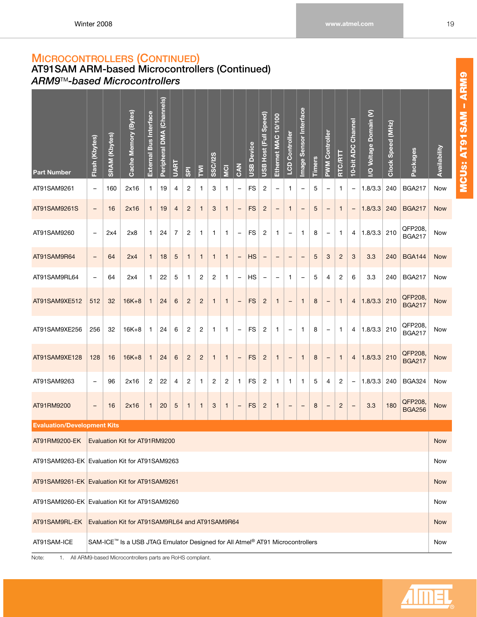## <span id="page-25-0"></span>**AT91SAM ARM-based Microcontrollers (Continued)** *ARM9*TM*-based Microcontrollers*

| <b>Part Number</b><br>AT91SAM9261             | Flash (Kbytes)<br>$\qquad \qquad -$                                                                                                                                                                                                                                                                                                                                                                                                                                                                                                                                         | <b>SRAM (Kbytes)</b><br>160 | Cache Memory (Bytes)<br>2x16                                                  | External Bus Interface<br>1 | Peripheral DMA (Channels)<br>19 | <b>UART</b><br>4 | $\overline{\mathsf{SD}}$<br>2 | Σ<br>1         | SSC/I2S<br>3   | <b>SI</b><br>1 | 5 <sup>2</sup><br>$\overline{\phantom{0}}$ | <b>USB Device</b><br>FS | USB Host (Full Speed)<br>$\overline{c}$ | 10/100<br>Ethernet MAC<br>$\qquad \qquad -$ | <b>LCD Controller</b><br>1 | <b>Image Sensor Interface</b><br>$\qquad \qquad -$ | <b>Timers</b><br>5 | <b>PWM Controller</b><br>$\qquad \qquad -$ | <b>RTC/RTT</b><br>1 | Channel<br>10-bit ADC<br>$\qquad \qquad -$ | I/O Voltage Domain (V)<br>1.8/3.3 | Clock Speed (MHz)<br>240 | Packages<br><b>BGA217</b> | Availability<br>Now |
|-----------------------------------------------|-----------------------------------------------------------------------------------------------------------------------------------------------------------------------------------------------------------------------------------------------------------------------------------------------------------------------------------------------------------------------------------------------------------------------------------------------------------------------------------------------------------------------------------------------------------------------------|-----------------------------|-------------------------------------------------------------------------------|-----------------------------|---------------------------------|------------------|-------------------------------|----------------|----------------|----------------|--------------------------------------------|-------------------------|-----------------------------------------|---------------------------------------------|----------------------------|----------------------------------------------------|--------------------|--------------------------------------------|---------------------|--------------------------------------------|-----------------------------------|--------------------------|---------------------------|---------------------|
| AT91SAM9261S                                  | $\qquad \qquad =$                                                                                                                                                                                                                                                                                                                                                                                                                                                                                                                                                           | 16                          | 2x16                                                                          | $\mathbf{1}$                | 19                              | $\overline{4}$   | $\overline{c}$                | $\mathbf{1}$   | 3              | $\mathbf{1}$   | $\overline{\phantom{0}}$                   | <b>FS</b>               | $\overline{c}$                          | $\qquad \qquad =$                           | $\mathbf{1}$               | $\qquad \qquad -$                                  | 5                  | $\qquad \qquad -$                          | $\mathbf{1}$        | $\qquad \qquad -$                          | 1.8/3.3                           | 240                      | <b>BGA217</b>             | <b>Now</b>          |
| AT91SAM9260                                   | QFP208,<br>$\overline{7}$<br>2<br>FS<br>1.8/3.3<br>2x4<br>2x8<br>1<br>24<br>1<br>2<br>1<br>8<br>1<br>210<br>1<br>1<br>$\mathbf{1}$<br>4<br>$\qquad \qquad -$<br>$\qquad \qquad -$<br>$\overline{\phantom{0}}$<br>$\overline{\phantom{0}}$<br><b>BGA217</b><br>$\overline{c}$<br>3.3<br>64<br>$\mathbf{1}$<br>18<br>5<br>$\mathbf{1}$<br>$\mathbf{1}$<br><b>HS</b><br>5<br>3<br>3<br>240<br><b>BGA144</b><br>2x4<br>$\mathbf{1}$<br>$\mathbf{1}$<br>$\qquad \qquad -$<br>$\overline{\phantom{a}}$<br>$\qquad \qquad -$<br>$\overline{\phantom{0}}$<br>$\qquad \qquad -$<br>- |                             |                                                                               |                             |                                 |                  |                               |                |                |                |                                            |                         |                                         |                                             |                            | Now                                                |                    |                                            |                     |                                            |                                   |                          |                           |                     |
| AT91SAM9R64                                   |                                                                                                                                                                                                                                                                                                                                                                                                                                                                                                                                                                             |                             |                                                                               |                             |                                 |                  |                               |                |                |                |                                            |                         |                                         |                                             | <b>Now</b>                 |                                                    |                    |                                            |                     |                                            |                                   |                          |                           |                     |
| AT91SAM9RL64                                  | $\qquad \qquad -$                                                                                                                                                                                                                                                                                                                                                                                                                                                                                                                                                           | 64                          | 2x4                                                                           | 1                           | 22                              | 5                | 1                             | 2              | $\overline{c}$ | 1              | $\overline{\phantom{0}}$                   | HS                      | $\qquad \qquad -$                       | $\overline{\phantom{0}}$                    | 1                          | $\qquad \qquad -$                                  | 5                  | 4                                          | $\overline{c}$      | 6                                          | 3.3                               | 240                      | <b>BGA217</b>             | Now                 |
| AT91SAM9XE512                                 | 512                                                                                                                                                                                                                                                                                                                                                                                                                                                                                                                                                                         | 32                          | $16K+8$                                                                       | $\mathbf{1}$                | 24                              | 6                | $\overline{2}$                | $\overline{2}$ | $\mathbf{1}$   | 1              | $\qquad \qquad -$                          | <b>FS</b>               | $\overline{c}$                          | $\mathbf{1}$                                | $\qquad \qquad -$          | $\mathbf{1}$                                       | 8                  | $\qquad \qquad -$                          | $\mathbf{1}$        | $\overline{4}$                             | 1.8/3.3                           | 210                      | QFP208,<br><b>BGA217</b>  | <b>Now</b>          |
| AT91SAM9XE256                                 | 256                                                                                                                                                                                                                                                                                                                                                                                                                                                                                                                                                                         | 32                          | $16K+8$                                                                       | 1                           | 24                              | 6                | 2                             | $\overline{2}$ | 1              | 1              | $\qquad \qquad -$                          | <b>FS</b>               | $\overline{c}$                          | 1                                           | -                          | 1                                                  | 8                  | $\qquad \qquad -$                          | 1                   | $\overline{4}$                             | 1.8/3.3                           | 210                      | QFP208,<br><b>BGA217</b>  | Now                 |
| AT91SAM9XE128                                 | 128                                                                                                                                                                                                                                                                                                                                                                                                                                                                                                                                                                         | 16                          | $16K+8$                                                                       | $\mathbf{1}$                | 24                              | 6                | $\overline{c}$                | $\overline{c}$ | $\mathbf{1}$   | $\mathbf{1}$   | $\qquad \qquad -$                          | <b>FS</b>               | $\overline{c}$                          | $\mathbf{1}$                                | $\qquad \qquad -$          | $\mathbf{1}$                                       | 8                  | $\qquad \qquad -$                          | $\mathbf{1}$        | $\overline{4}$                             | 1.8/3.3                           | 210                      | QFP208,<br><b>BGA217</b>  | <b>Now</b>          |
| AT91SAM9263                                   | $\qquad \qquad -$                                                                                                                                                                                                                                                                                                                                                                                                                                                                                                                                                           | 96                          | 2x16                                                                          | 2                           | 22                              | 4                | 2                             | 1              | 2              | 2              | 1                                          | FS                      | 2                                       | $\mathbf{1}$                                | 1                          | $\mathbf{1}$                                       | 5                  | 4                                          | 2                   | $\overline{\phantom{0}}$                   | 1.8/3.3                           | 240                      | <b>BGA324</b>             | Now                 |
| AT91RM9200                                    | $\qquad \qquad -$                                                                                                                                                                                                                                                                                                                                                                                                                                                                                                                                                           | 16                          | 2x16                                                                          | $\mathbf{1}$                | 20                              | $\sqrt{5}$       | $\mathbf{1}$                  | $\mathbf{1}$   | 3              | 1              | $\qquad \qquad -$                          | <b>FS</b>               | $\overline{c}$                          | $\mathbf{1}$                                | $\qquad \qquad -$          | -                                                  | 8                  | $\qquad \qquad$                            | $\overline{c}$      | $\qquad \qquad -$                          | 3.3                               | 180                      | QFP208,<br><b>BGA256</b>  | <b>Now</b>          |
| <b>Evaluation/Development Kits</b>            |                                                                                                                                                                                                                                                                                                                                                                                                                                                                                                                                                                             |                             |                                                                               |                             |                                 |                  |                               |                |                |                |                                            |                         |                                         |                                             |                            |                                                    |                    |                                            |                     |                                            |                                   |                          |                           |                     |
| AT91RM9200-EK   Evaluation Kit for AT91RM9200 |                                                                                                                                                                                                                                                                                                                                                                                                                                                                                                                                                                             |                             |                                                                               |                             |                                 |                  |                               |                |                |                |                                            |                         |                                         |                                             |                            |                                                    |                    |                                            |                     |                                            |                                   |                          |                           | <b>Now</b>          |
| AT91SAM9263-EK Evaluation Kit for AT91SAM9263 |                                                                                                                                                                                                                                                                                                                                                                                                                                                                                                                                                                             |                             |                                                                               |                             |                                 |                  |                               |                |                |                |                                            |                         |                                         |                                             |                            |                                                    |                    |                                            |                     |                                            |                                   |                          |                           | <b>Now</b>          |
| AT91SAM9261-EK Evaluation Kit for AT91SAM9261 |                                                                                                                                                                                                                                                                                                                                                                                                                                                                                                                                                                             |                             |                                                                               |                             |                                 |                  |                               |                |                |                |                                            |                         |                                         |                                             |                            |                                                    |                    |                                            |                     |                                            |                                   |                          |                           | <b>Now</b>          |
| AT91SAM9260-EK Evaluation Kit for AT91SAM9260 |                                                                                                                                                                                                                                                                                                                                                                                                                                                                                                                                                                             |                             |                                                                               |                             |                                 |                  |                               |                |                |                |                                            |                         |                                         |                                             |                            |                                                    |                    |                                            |                     |                                            |                                   |                          |                           | Now                 |
| AT91SAM9RL-EK                                 |                                                                                                                                                                                                                                                                                                                                                                                                                                                                                                                                                                             |                             | Evaluation Kit for AT91SAM9RL64 and AT91SAM9R64                               |                             |                                 |                  |                               |                |                |                |                                            |                         |                                         |                                             |                            |                                                    |                    |                                            |                     |                                            |                                   |                          |                           | <b>Now</b>          |
| AT91SAM-ICE                                   |                                                                                                                                                                                                                                                                                                                                                                                                                                                                                                                                                                             |                             | SAM-ICE™ Is a USB JTAG Emulator Designed for All Atmel® AT91 Microcontrollers |                             |                                 |                  |                               |                |                |                |                                            |                         |                                         |                                             |                            |                                                    |                    |                                            |                     |                                            |                                   |                          |                           | Now                 |



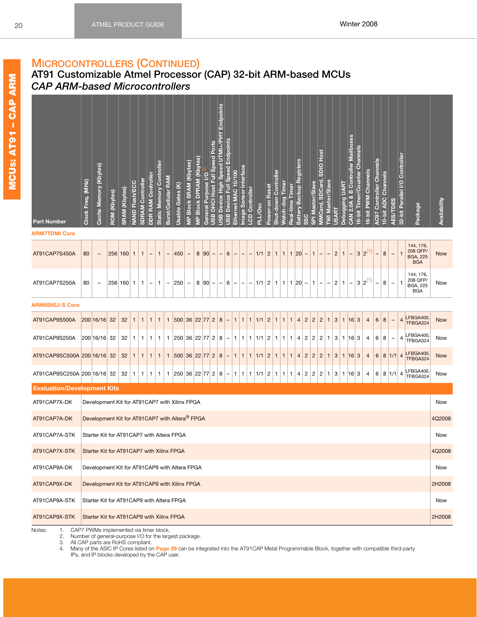### <span id="page-26-1"></span><span id="page-26-0"></span>**AT91 Customizable Atmel Processor (CAP) 32-bit ARM-based MCUs** *CAP ARM-based Microcontrollers*

| <b>Part Number</b>                 | Clock Freq. (MHz) | Cache Memory (Kbytes)                          | <b>ROM</b> (Kbytes) | <b>SRAM (Kbytes)</b> | <b>NAND Flash/ECC</b> | <b>SDRAM Controller</b> | DDR RAM Controller | <b>Static Memory Controller</b> | Burst/Cellular RAM       | Usable Gates (K) | MP Block SRAM (Kbytes)   | <b>MP Block DPRAM (Kbytes)</b> | General Purpose I/O | JSB OHCI Host Full Speed Ports | Endpoints<br>USB Device High Speed UTMI+/PHY | <b>JSB Device Full Speed Endpoints</b><br>Ethernet MAC 10/100 | mage Sensor Interface | CD Controller | <b>PLL/Osc</b> | Power-on Reset | Shut-down Controller | <u> Match-dog Timer</u> | Real-time<br>Time | <b>Battery Backup Registers</b><br>SSC | SPI Master/Slave | MMCard, SDCard, SDIO Host | WI Master/Slave          | Debugging UART<br><b>JSART</b> | CAN 2.0A & B Controller Mailboxes | 6-bit Timer/Counter Channels | 6-bit PWM Channels | <b>AC97 Controller Channels</b> | 10-bit ADC Channels | AES/TDES                 | 32-bit Parallel I/O Controller | Package                                                | Availability |
|------------------------------------|-------------------|------------------------------------------------|---------------------|----------------------|-----------------------|-------------------------|--------------------|---------------------------------|--------------------------|------------------|--------------------------|--------------------------------|---------------------|--------------------------------|----------------------------------------------|---------------------------------------------------------------|-----------------------|---------------|----------------|----------------|----------------------|-------------------------|-------------------|----------------------------------------|------------------|---------------------------|--------------------------|--------------------------------|-----------------------------------|------------------------------|--------------------|---------------------------------|---------------------|--------------------------|--------------------------------|--------------------------------------------------------|--------------|
| <b>ARM7TDMI Core</b>               |                   |                                                |                     |                      |                       |                         |                    |                                 |                          |                  |                          |                                |                     |                                |                                              |                                                               |                       |               |                |                |                      |                         |                   |                                        |                  |                           |                          |                                |                                   |                              |                    |                                 |                     |                          |                                |                                                        |              |
| AT91CAP7S450A                      | 80                |                                                | 256                 | 160                  | $\mathbf{1}$          | $\mathbf{1}$            |                    | $\mathbf{1}$                    |                          | 450              | $\qquad \qquad -$        | 8                              | 90                  |                                |                                              | $\,6$                                                         |                       |               | 1/1            | $\overline{c}$ |                      | $\mathbf{1}$            | 1                 | 20                                     | $\mathbf{1}$     |                           |                          | $\overline{c}$                 |                                   | $\mathbf{3}$                 | $2^{(}$            |                                 | $\bf8$              | $\overline{\phantom{0}}$ | $\mathbf{1}$                   | 144, 176,<br>208 QFP/<br><b>BGA, 225</b><br><b>BGA</b> | <b>Now</b>   |
| AT91CAP7S250A                      | 80                | $\overline{\phantom{a}}$                       |                     | 256 160              | $\mathbf{1}$          | 1                       | $\qquad \qquad -$  | 1                               | $\overline{\phantom{a}}$ | 250              | $\overline{\phantom{a}}$ | 8                              | 90                  | -                              | 6<br>$\qquad \qquad -$                       | $\overline{\phantom{a}}$                                      | -                     | -             | 1/1            | $\overline{c}$ | 1                    | 1                       | 1 20              | -                                      | $\mathbf{1}$     | $\overline{\phantom{0}}$  | $\overline{\phantom{a}}$ | $\overline{c}$<br>1            | -                                 | 3                            | 2 <sup>0</sup>     | $\overline{\phantom{a}}$        | 8                   | $\qquad \qquad -$        | $\mathbf{1}$                   | 144, 176,<br>208 QFP/<br><b>BGA, 225</b><br><b>BGA</b> | Now          |
| <b>ARM926EJ-S Core</b>             |                   |                                                |                     |                      |                       |                         |                    |                                 |                          |                  |                          |                                |                     |                                |                                              |                                                               |                       |               |                |                |                      |                         |                   |                                        |                  |                           |                          |                                |                                   |                              |                    |                                 |                     |                          |                                |                                                        |              |
| AT91CAP9S500A                      |                   | 200 16/16                                      | 32                  | 32                   | $\mathbf{1}$          | $\mathbf{1}$            | $\mathbf 1$        | $\mathbf{1}$                    | $\mathbf{1}$             | 500              | 36                       | 22 77                          |                     | $\overline{c}$                 | 8                                            | $\mathbf{1}$                                                  | $\mathbf{1}$          | 1             | 1/1            | $\overline{c}$ | $\mathbf{1}$         | $\mathbf{1}$            | $\mathbf{1}$      | $\overline{c}$<br>$\overline{4}$       | $\overline{c}$   | $\overline{c}$            | $\mathbf{1}$             | 3<br>1                         | 16                                | 3                            | $\overline{4}$     | $6\phantom{1}6$                 | 8                   | $\overline{\phantom{a}}$ | $\overline{4}$                 | LFBGA400,<br>TFBGA324                                  | <b>Now</b>   |
| AT91CAP9S250A                      |                   | 200 16/16                                      | 32                  | 32                   | 1                     | 1                       | 1                  | 1                               | 1                        | 250 36 22 77     |                          |                                |                     | $\vert$ 2                      | 8                                            | 1.                                                            | 1                     | 1.            | 1/1            | $\overline{c}$ | 1                    | 1                       | 1                 | $\overline{c}$<br>4                    | $\overline{c}$   | $\overline{c}$            | 1                        | 3<br>1                         | 16                                | 3                            | 4                  | 6                               | 8                   | $\qquad \qquad -$        | 4                              | FBGA400<br>TFBGA324                                    | Now          |
| AT91CAP9SC500A 200 16/16           |                   |                                                | 32                  | 32                   | $\mathbf{1}$          | $\mathbf{1}$            | $\mathbf{1}$       | $\mathbf{1}$                    | $\mathbf{1}$             | 500              | 36                       | 22 77                          |                     | $\vert$ 2                      | 8                                            | $\mathbf{1}$<br>-                                             | $\mathbf{1}$          | $\mathbf{1}$  | 1/1            | $\overline{c}$ | 1                    | $\mathbf{1}$            | $\mathbf{1}$      | $\sqrt{2}$<br>$\overline{4}$           | $\overline{c}$   | $\overline{c}$            | $\mathbf{1}$             | $\mathbf{3}$<br>$\mathbf{1}$   | 16                                | $\mathbf{3}$                 | $\overline{4}$     | $\,6$                           | $\bf8$              | 1/1                      | $\overline{4}$                 | LFBGA400,<br>TFBGA324                                  | <b>Now</b>   |
| AT91CAP9SC250A 200 16/16 32        |                   |                                                |                     | 32                   | 1                     | 1                       | 1                  | 1                               | $\mathbf{1}$             | 250              | 36                       | 22 77                          |                     | 2                              | 8                                            | $\mathbf{1}$                                                  | 1                     | 1             | 1/1            | $\overline{c}$ | 1                    | 1                       | $\mathbf{1}$      | $\overline{\mathbf{c}}$<br>4           | $\overline{c}$   | 2                         | $\mathbf{1}$             | 3<br>1                         | 16                                | 3                            | 4                  | 6                               | 8 1/1               |                          | $\overline{a}$                 | LFBGA400,<br>TFBGA324                                  | Now          |
| <b>Evaluation/Development Kits</b> |                   |                                                |                     |                      |                       |                         |                    |                                 |                          |                  |                          |                                |                     |                                |                                              |                                                               |                       |               |                |                |                      |                         |                   |                                        |                  |                           |                          |                                |                                   |                              |                    |                                 |                     |                          |                                |                                                        |              |
| AT91CAP7X-DK                       |                   | Development Kit for AT91CAP7 with Xilinx FPGA  |                     |                      |                       |                         |                    |                                 |                          |                  |                          |                                |                     |                                |                                              |                                                               |                       |               |                |                |                      |                         |                   |                                        |                  |                           |                          |                                |                                   |                              |                    |                                 |                     |                          |                                |                                                        | Now          |
| AT91CAP7A-DK                       |                   | Development Kit for AT91CAP7 with Altera® FPGA |                     |                      |                       |                         |                    |                                 |                          |                  |                          |                                |                     |                                |                                              |                                                               |                       |               |                |                |                      |                         |                   |                                        |                  |                           |                          |                                |                                   |                              |                    |                                 |                     |                          |                                |                                                        | 4Q2008       |
| AT91CAP7A-STK                      |                   | Starter Kit for AT91CAP7 with Altera FPGA      |                     |                      |                       |                         |                    |                                 |                          |                  |                          |                                |                     |                                |                                              |                                                               |                       |               |                |                |                      |                         |                   |                                        |                  |                           |                          |                                |                                   |                              |                    |                                 |                     |                          |                                |                                                        | Now          |
| AT91CAP7X-STK                      |                   | Starter Kit for AT91CAP7 with Xilinx FPGA      |                     |                      |                       |                         |                    |                                 |                          |                  |                          |                                |                     |                                |                                              |                                                               |                       |               |                |                |                      |                         |                   |                                        |                  |                           |                          |                                |                                   |                              |                    |                                 |                     |                          |                                |                                                        | 4Q2008       |
| AT91CAP9A-DK                       |                   | Development Kit for AT91CAP9 with Altera FPGA  |                     |                      |                       |                         |                    |                                 |                          |                  |                          |                                |                     |                                |                                              |                                                               |                       |               |                |                |                      |                         |                   |                                        |                  |                           |                          |                                |                                   |                              |                    |                                 |                     |                          |                                |                                                        | Now          |
| AT91CAP9X-DK                       |                   | Development Kit for AT91CAP9 with Xilinx FPGA  |                     |                      |                       |                         |                    |                                 |                          |                  |                          |                                |                     |                                |                                              |                                                               |                       |               |                |                |                      |                         |                   |                                        |                  |                           |                          |                                |                                   |                              |                    |                                 |                     |                          |                                |                                                        | 2H2008       |
| AT91CAP9A-STK                      |                   | Starter Kit for AT91CAP9 with Altera FPGA      |                     |                      |                       |                         |                    |                                 |                          |                  |                          |                                |                     |                                |                                              |                                                               |                       |               |                |                |                      |                         |                   |                                        |                  |                           |                          |                                |                                   |                              |                    |                                 |                     |                          |                                |                                                        | Now          |
| AT91CAP9X-STK                      |                   | Starter Kit for AT91CAP9 with Xilinx FPGA      |                     |                      |                       |                         |                    |                                 |                          |                  |                          |                                |                     |                                |                                              |                                                               |                       |               |                |                |                      |                         |                   |                                        |                  |                           |                          |                                |                                   |                              |                    |                                 |                     |                          |                                |                                                        | 2H2008       |
|                                    |                   |                                                |                     |                      |                       |                         |                    |                                 |                          |                  |                          |                                |                     |                                |                                              |                                                               |                       |               |                |                |                      |                         |                   |                                        |                  |                           |                          |                                |                                   |                              |                    |                                 |                     |                          |                                |                                                        |              |

<span id="page-26-2"></span>Notes: 1. CAP7 PWMs implemented via timer block.

2. Number of general-purpose I/O for the largest package.<br>3. All CAP parts are RoHS compliant.

All CAP parts are RoHS compliant.

4. Many of the ASIC IP Cores listed on **Page [29](#page-35-0)** can be integrated into the AT91CAP Metal Programmable Block, together with compatible third-party IPs, and IP blocks developed by the CAP user.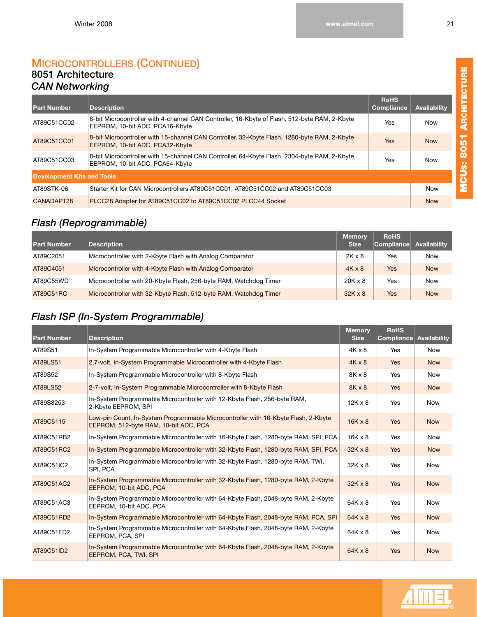### <span id="page-27-0"></span>**MICROCONTROLLERS (CONTINUED) 8051 Architecture** *CAN Networking*

<span id="page-27-1"></span>

| <b>Part Number</b>                | <b>Description</b>                                                                                                               | <b>RoHS</b><br>Compliance | <b>Availability</b> |
|-----------------------------------|----------------------------------------------------------------------------------------------------------------------------------|---------------------------|---------------------|
| AT89C51CC02                       | 8-bit Microcontroller with 4-channel CAN Controller, 16-Kbyte of Flash, 512-byte RAM, 2-Kbyte<br>EEPROM, 10-bit ADC, PCA16-Kbyte | Yes                       | <b>Now</b>          |
| AT89C51CC01                       | 8-bit Microcontroller with 15-channel CAN Controller, 32-Kbyte Flash, 1280-byte RAM, 2-Kbyte<br>EEPROM, 10-bit ADC, PCA32-Kbyte  | <b>Yes</b>                | <b>Now</b>          |
| AT89C51CC03                       | 8-bit Microcontroller with 15-channel CAN Controller, 64-Kbyte Flash, 2304-byte RAM, 2-Kbyte<br>EEPROM, 10-bit ADC, PCA64-Kbyte  | Yes                       | <b>Now</b>          |
| <b>Development Kits and Tools</b> |                                                                                                                                  |                           |                     |
| AT89STK-06                        | Starter Kit for CAN Microcontrollers AT89C51CC01, AT89C51CC02 and AT89C51CC03                                                    |                           | <b>Now</b>          |
| CANADAPT28                        | PLCC28 Adapter for AT89C51CC02 to AT89C51CC02 PLCC44 Socket                                                                      |                           | <b>Now</b>          |

# <span id="page-27-2"></span>*Flash (Reprogrammable)*

| <b>Part Number</b> | <b>Description</b>                                                | <b>Memory</b><br><b>Size</b> | <b>RoHS</b><br>Compliance Availability |            |
|--------------------|-------------------------------------------------------------------|------------------------------|----------------------------------------|------------|
| AT89C2051          | Microcontroller with 2-Kbyte Flash with Analog Comparator         | $2K \times 8$                | Yes                                    | <b>Now</b> |
| AT89C4051          | Microcontroller with 4-Kbyte Flash with Analog Comparator         | $4K \times 8$                | Yes                                    | <b>Now</b> |
| AT89C55WD          | Microcontroller with 20-Kbyte Flash, 256-byte RAM, Watchdog Timer | $20K \times 8$               | Yes                                    | <b>Now</b> |
| AT89C51RC          | Microcontroller with 32-Kbyte Flash, 512-byte RAM, Watchdog Timer | $32K \times 8$               | Yes                                    | <b>Now</b> |

## <span id="page-27-3"></span>*Flash ISP (In-System Programmable)*

| <b>Part Number</b> | <b>Description</b>                                                                                                          | <b>Memory</b><br><b>Size</b> | <b>RoHS</b><br><b>Compliance</b> | <b>Availability</b> |
|--------------------|-----------------------------------------------------------------------------------------------------------------------------|------------------------------|----------------------------------|---------------------|
| AT89S51            | In-System Programmable Microcontroller with 4-Kbyte Flash                                                                   | $4K \times 8$                | Yes                              | <b>Now</b>          |
| AT89LS51           | 2.7-volt, In-System Programmable Microcontroller with 4-Kbyte Flash                                                         | $4K \times 8$                | Yes                              | <b>Now</b>          |
| AT89S52            | In-System Programmable Microcontroller with 8-Kbyte Flash                                                                   | 8K x 8                       | Yes                              | <b>Now</b>          |
| AT89LS52           | 2-7-volt, In-System Programmable Microcontroller with 8-Kbyte Flash                                                         | 8K x 8                       | Yes                              | <b>Now</b>          |
| AT89S8253          | In-System Programmable Microcontroller with 12-Kbyte Flash, 256-byte RAM,<br>2-Kbyte EEPROM, SPI                            | $12K \times 8$               | Yes                              | <b>Now</b>          |
| AT89C5115          | Low-pin Count, In-System Programmable Microcontroller with 16-Kbyte Flash, 2-Kbyte<br>EEPROM, 512-byte RAM, 10-bit ADC, PCA | $16K \times 8$               | Yes                              | <b>Now</b>          |
| AT89C51RB2         | In-System Programmable Microcontroller with 16-Kbyte Flash, 1280-byte RAM, SPI, PCA                                         | $16K \times 8$               | Yes                              | <b>Now</b>          |
| AT89C51RC2         | In-System Programmable Microcontroller with 32-Kbyte Flash, 1280-byte RAM, SPI, PCA                                         | $32K \times 8$               | Yes                              | <b>Now</b>          |
| AT89C51IC2         | In-System Programmable Microcontroller with 32-Kbyte Flash, 1280-byte RAM, TWI,<br>SPI, PCA                                 | $32K \times 8$               | Yes                              | <b>Now</b>          |
| AT89C51AC2         | In-System Programmable Microcontroller with 32-Kbyte Flash, 1280-byte RAM, 2-Kbyte<br>EEPROM, 10-bit ADC, PCA               | $32K \times 8$               | Yes                              | <b>Now</b>          |
| AT89C51AC3         | In-System Programmable Microcontroller with 64-Kbyte Flash, 2048-byte RAM, 2-Kbyte<br>EEPROM, 10-bit ADC, PCA               | 64K x 8                      | Yes                              | <b>Now</b>          |
| AT89C51RD2         | In-System Programmable Microcontroller with 64-Kbyte Flash, 2048-byte RAM, PCA, SPI                                         | $64K \times 8$               | Yes                              | <b>Now</b>          |
| AT89C51ED2         | In-System Programmable Microcontroller with 64-Kbyte Flash, 2048-byte RAM, 2-Kbyte<br>EEPROM, PCA, SPI                      | $64K \times 8$               | Yes                              | <b>Now</b>          |
| AT89C51ID2         | In-System Programmable Microcontroller with 64-Kbyte Flash, 2048-byte RAM, 2-Kbyte<br>EEPROM, PCA, TWI, SPI                 | $64K \times 8$               | Yes                              | <b>Now</b>          |



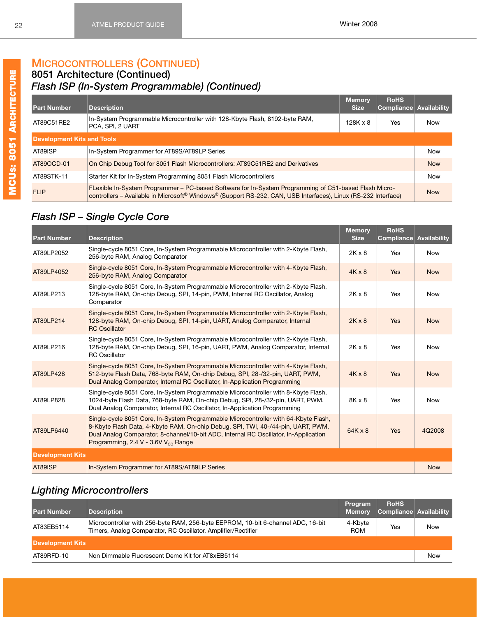### **8051 Architecture (Continued)** *Flash ISP (In-System Programmable) (Continued)*

| <b>Part Number</b>                | <b>Description</b>                                                                                                                                                                                                                              | <b>Memory</b><br><b>Size</b> | <b>RoHS</b><br>Compliance Availability |            |  |  |  |  |  |  |  |
|-----------------------------------|-------------------------------------------------------------------------------------------------------------------------------------------------------------------------------------------------------------------------------------------------|------------------------------|----------------------------------------|------------|--|--|--|--|--|--|--|
| AT89C51RE2                        | In-System Programmable Microcontroller with 128-Kbyte Flash, 8192-byte RAM,<br>PCA, SPI, 2 UART                                                                                                                                                 | $128K \times 8$<br>Yes       |                                        |            |  |  |  |  |  |  |  |
| <b>Development Kits and Tools</b> |                                                                                                                                                                                                                                                 |                              |                                        |            |  |  |  |  |  |  |  |
| AT89ISP                           | In-System Programmer for AT89S/AT89LP Series                                                                                                                                                                                                    |                              |                                        |            |  |  |  |  |  |  |  |
| AT89OCD-01                        | On Chip Debug Tool for 8051 Flash Microcontrollers: AT89C51RE2 and Derivatives                                                                                                                                                                  |                              |                                        | <b>Now</b> |  |  |  |  |  |  |  |
| AT89STK-11                        | Starter Kit for In-System Programming 8051 Flash Microcontrollers                                                                                                                                                                               |                              |                                        |            |  |  |  |  |  |  |  |
| <b>FLIP</b>                       | FLexible In-System Programmer – PC-based Software for In-System Programming of C51-based Flash Micro-<br>controllers – Available in Microsoft <sup>®</sup> Windows <sup>®</sup> (Support RS-232, CAN, USB Interfaces), Linux (RS-232 Interface) |                              |                                        |            |  |  |  |  |  |  |  |

# <span id="page-28-0"></span>*Flash ISP – Single Cycle Core*

| <b>Part Number</b>      | <b>Description</b>                                                                                                                                                                                                                                                                                                 | <b>Memory</b><br><b>Size</b> | <b>RoHS</b><br>Compliance | Availability |
|-------------------------|--------------------------------------------------------------------------------------------------------------------------------------------------------------------------------------------------------------------------------------------------------------------------------------------------------------------|------------------------------|---------------------------|--------------|
| AT89LP2052              | Single-cycle 8051 Core, In-System Programmable Microcontroller with 2-Kbyte Flash,<br>256-byte RAM, Analog Comparator                                                                                                                                                                                              | $2K \times 8$                | Yes                       | <b>Now</b>   |
| AT89LP4052              | Single-cycle 8051 Core, In-System Programmable Microcontroller with 4-Kbyte Flash,<br>256-byte RAM, Analog Comparator                                                                                                                                                                                              | $4K \times 8$                | <b>Yes</b>                | <b>Now</b>   |
| AT89LP213               | Single-cycle 8051 Core, In-System Programmable Microcontroller with 2-Kbyte Flash,<br>128-byte RAM, On-chip Debug, SPI, 14-pin, PWM, Internal RC Oscillator, Analog<br>Comparator                                                                                                                                  | $2K \times 8$                | Yes                       | <b>Now</b>   |
| AT89LP214               | Single-cycle 8051 Core, In-System Programmable Microcontroller with 2-Kbyte Flash,<br>128-byte RAM, On-chip Debug, SPI, 14-pin, UART, Analog Comparator, Internal<br><b>RC</b> Oscillator                                                                                                                          | $2K \times 8$                | Yes                       | <b>Now</b>   |
| AT89LP216               | Single-cycle 8051 Core, In-System Programmable Microcontroller with 2-Kbyte Flash,<br>128-byte RAM, On-chip Debug, SPI, 16-pin, UART, PWM, Analog Comparator, Internal<br><b>RC</b> Oscillator                                                                                                                     | $2K \times 8$                | Yes                       | <b>Now</b>   |
| AT89LP428               | Single-cycle 8051 Core, In-System Programmable Microcontroller with 4-Kbyte Flash,<br>512-byte Flash Data, 768-byte RAM, On-chip Debug, SPI, 28-/32-pin, UART, PWM,<br>Dual Analog Comparator, Internal RC Oscillator, In-Application Programming                                                                  | $4K \times 8$                | Yes                       | <b>Now</b>   |
| AT89LP828               | Single-cycle 8051 Core, In-System Programmable Microcontroller with 8-Kbyte Flash,<br>1024-byte Flash Data, 768-byte RAM, On-chip Debug, SPI, 28-/32-pin, UART, PWM,<br>Dual Analog Comparator, Internal RC Oscillator, In-Application Programming                                                                 | 8K x 8                       | Yes                       | <b>Now</b>   |
| AT89LP6440              | Single-cycle 8051 Core, In-System Programmable Microcontroller with 64-Kbyte Flash,<br>8-Kbyte Flash Data, 4-Kbyte RAM, On-chip Debug, SPI, TWI, 40-/44-pin, UART, PWM,<br>Dual Analog Comparator, 8-channel/10-bit ADC, Internal RC Oscillator, In-Application<br>Programming, 2.4 V - 3.6V V <sub>cc</sub> Range | $64K \times 8$               | Yes                       | 4Q2008       |
| <b>Development Kits</b> |                                                                                                                                                                                                                                                                                                                    |                              |                           |              |
| AT89ISP                 | In-System Programmer for AT89S/AT89LP Series                                                                                                                                                                                                                                                                       |                              |                           | <b>Now</b>   |

# <span id="page-28-1"></span>*Lighting Microcontrollers*

| <b>Part Number</b>      | <b>Description</b>                                                                                                                                | Program<br><b>Memory</b> | <b>RoHS</b><br>Compliance Availability |            |
|-------------------------|---------------------------------------------------------------------------------------------------------------------------------------------------|--------------------------|----------------------------------------|------------|
| AT83EB5114              | Microcontroller with 256-byte RAM, 256-byte EEPROM, 10-bit 6-channel ADC, 16-bit<br>Timers, Analog Comparator, RC Oscillator, Amplifier/Rectifier | 4-Kbyte<br><b>ROM</b>    | Yes                                    | Now        |
| <b>Development Kits</b> |                                                                                                                                                   |                          |                                        |            |
| AT89RFD-10              | Non Dimmable Fluorescent Demo Kit for AT8xEB5114                                                                                                  |                          |                                        | <b>Now</b> |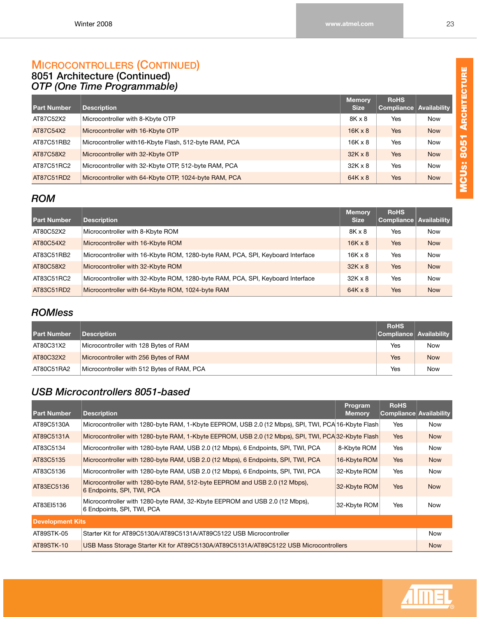#### <span id="page-29-0"></span>**8051 Architecture (Continued)** *OTP (One Time Programmable)*

| <b>Part Number</b> | <b>Description</b>                                     | <b>Memory</b><br><b>Size</b> | <b>RoHS</b><br><b>Compliance</b> | Availability |
|--------------------|--------------------------------------------------------|------------------------------|----------------------------------|--------------|
|                    |                                                        |                              |                                  |              |
| AT87C52X2          | Microcontroller with 8-Kbyte OTP                       | 8K x 8                       | Yes                              | <b>Now</b>   |
| AT87C54X2          | Microcontroller with 16-Kbyte OTP                      | $16K \times 8$               | <b>Yes</b>                       | <b>Now</b>   |
| AT87C51RB2         | Microcontroller with 16-Kbyte Flash, 512-byte RAM, PCA | $16K \times 8$               | Yes                              | <b>Now</b>   |
| AT87C58X2          | Microcontroller with 32-Kbyte OTP                      | $32K \times 8$               | <b>Yes</b>                       | <b>Now</b>   |
| AT87C51RC2         | Microcontroller with 32-Kbyte OTP, 512-byte RAM, PCA   | $32K \times 8$               | Yes                              | <b>Now</b>   |
| AT87C51RD2         | Microcontroller with 64-Kbyte OTP, 1024-byte RAM, PCA  | $64K \times 8$               | <b>Yes</b>                       | <b>Now</b>   |

# <span id="page-29-1"></span>*ROM*

| <b>Part Number</b> | <b>Description</b>                                                             | <b>Memory</b><br><b>Size</b> | <b>RoHS</b><br><b>Compliance Availability</b> |            |
|--------------------|--------------------------------------------------------------------------------|------------------------------|-----------------------------------------------|------------|
| AT80C52X2          | Microcontroller with 8-Kbyte ROM                                               | 8K x 8                       | <b>Yes</b>                                    | <b>Now</b> |
| AT80C54X2          | Microcontroller with 16-Kbyte ROM                                              | $16K \times 8$               | <b>Yes</b>                                    | <b>Now</b> |
| AT83C51RB2         | Microcontroller with 16-Kbyte ROM, 1280-byte RAM, PCA, SPI, Keyboard Interface | 16K x 8                      | Yes                                           | <b>Now</b> |
| AT80C58X2          | Microcontroller with 32-Kbyte ROM                                              | $32K \times 8$               | <b>Yes</b>                                    | <b>Now</b> |
| AT83C51RC2         | Microcontroller with 32-Kbyte ROM, 1280-byte RAM, PCA, SPI, Keyboard Interface | $32K \times 8$               | <b>Yes</b>                                    | <b>Now</b> |
| AT83C51RD2         | Microcontroller with 64-Kbyte ROM, 1024-byte RAM                               | $64K \times 8$               | <b>Yes</b>                                    | <b>Now</b> |

## <span id="page-29-2"></span>*ROMless*

| <b>Part Number</b> | <b>Description</b>                         | <b>RoHS</b><br>Compliance Availability |            |
|--------------------|--------------------------------------------|----------------------------------------|------------|
| AT80C31X2          | Microcontroller with 128 Bytes of RAM      | Yes                                    | Now        |
| AT80C32X2          | Microcontroller with 256 Bytes of RAM      | Yes                                    | <b>Now</b> |
| AT80C51RA2         | Microcontroller with 512 Bytes of RAM, PCA | Yes                                    | Now        |

## <span id="page-29-3"></span>*USB Microcontrollers 8051-based*

| <b>Part Number</b>      | <b>Description</b>                                                                                       | Program<br><b>Memory</b> | <b>RoHS</b><br>Compliance Availability |            |
|-------------------------|----------------------------------------------------------------------------------------------------------|--------------------------|----------------------------------------|------------|
| AT89C5130A              | Microcontroller with 1280-byte RAM, 1-Kbyte EEPROM, USB 2.0 (12 Mbps), SPI, TWI, PCA 16-Kbyte Flash      |                          | Yes                                    | Now        |
| AT89C5131A              | Microcontroller with 1280-byte RAM, 1-Kbyte EEPROM, USB 2.0 (12 Mbps), SPI, TWI, PCA 32-Kbyte Flash      |                          | <b>Yes</b>                             | <b>Now</b> |
| AT83C5134               | Microcontroller with 1280-byte RAM, USB 2.0 (12 Mbps), 6 Endpoints, SPI, TWI, PCA                        | 8-Kbyte ROM              | <b>Yes</b>                             | <b>Now</b> |
| AT83C5135               | Microcontroller with 1280-byte RAM, USB 2.0 (12 Mbps), 6 Endpoints, SPI, TWI, PCA                        | 16-Kbyte ROM             | <b>Yes</b>                             | <b>Now</b> |
| AT83C5136               | Microcontroller with 1280-byte RAM, USB 2.0 (12 Mbps), 6 Endpoints, SPI, TWI, PCA                        | 32-Kbyte ROM             | Yes                                    | <b>Now</b> |
| AT83EC5136              | Microcontroller with 1280-byte RAM, 512-byte EEPROM and USB 2.0 (12 Mbps),<br>6 Endpoints, SPI, TWI, PCA | 32-Kbyte ROM             | <b>Yes</b>                             | <b>Now</b> |
| AT83EI5136              | Microcontroller with 1280-byte RAM, 32-Kbyte EEPROM and USB 2.0 (12 Mbps),<br>6 Endpoints, SPI, TWI, PCA | 32-Kbyte ROM             | Yes                                    | Now        |
| <b>Development Kits</b> |                                                                                                          |                          |                                        |            |
| AT89STK-05              | Starter Kit for AT89C5130A/AT89C5131A/AT89C5122 USB Microcontroller                                      |                          |                                        | <b>Now</b> |
| AT89STK-10              | USB Mass Storage Starter Kit for AT89C5130A/AT89C5131A/AT89C5122 USB Microcontrollers                    |                          |                                        | <b>Now</b> |



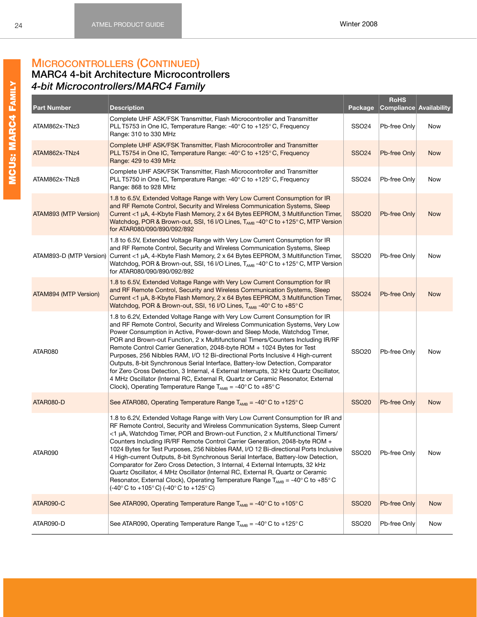## <span id="page-30-1"></span><span id="page-30-0"></span>**MARC4 4-bit Architecture Microcontrollers**  *4-bit Microcontrollers/MARC4 Family*

| <b>Part Number</b>    | <b>Description</b>                                                                                                                                                                                                                                                                                                                                                                                                                                                                                                                                                                                                                                                                                                                                                                                                                                                                                                     | Package           | <b>RoHS</b><br>Compliance Availability |            |
|-----------------------|------------------------------------------------------------------------------------------------------------------------------------------------------------------------------------------------------------------------------------------------------------------------------------------------------------------------------------------------------------------------------------------------------------------------------------------------------------------------------------------------------------------------------------------------------------------------------------------------------------------------------------------------------------------------------------------------------------------------------------------------------------------------------------------------------------------------------------------------------------------------------------------------------------------------|-------------------|----------------------------------------|------------|
| ATAM862x-TNz3         | Complete UHF ASK/FSK Transmitter, Flash Microcontroller and Transmitter<br>PLL T5753 in One IC, Temperature Range: -40°C to +125°C, Frequency<br>Range: 310 to 330 MHz                                                                                                                                                                                                                                                                                                                                                                                                                                                                                                                                                                                                                                                                                                                                                 | SSO <sub>24</sub> | Pb-free Only                           | Now        |
| ATAM862x-TNz4         | Complete UHF ASK/FSK Transmitter, Flash Microcontroller and Transmitter<br>PLL T5754 in One IC, Temperature Range: -40°C to +125°C, Frequency<br>Range: 429 to 439 MHz                                                                                                                                                                                                                                                                                                                                                                                                                                                                                                                                                                                                                                                                                                                                                 | <b>SSO24</b>      | Pb-free Only                           | <b>Now</b> |
| ATAM862x-TNz8         | Complete UHF ASK/FSK Transmitter, Flash Microcontroller and Transmitter<br>PLL T5750 in One IC, Temperature Range: -40°C to +125°C, Frequency<br>Range: 868 to 928 MHz                                                                                                                                                                                                                                                                                                                                                                                                                                                                                                                                                                                                                                                                                                                                                 | <b>SSO24</b>      | Pb-free Only                           | Now        |
| ATAM893 (MTP Version) | 1.8 to 6.5V, Extended Voltage Range with Very Low Current Consumption for IR<br>and RF Remote Control, Security and Wireless Communication Systems, Sleep<br>Current <1 µA, 4-Kbyte Flash Memory, 2 x 64 Bytes EEPROM, 3 Multifunction Timer,<br>Watchdog, POR & Brown-out, SSI, 16 I/O Lines, $T_{AMB}$ -40°C to +125°C, MTP Version<br>for ATAR080/090/890/092/892                                                                                                                                                                                                                                                                                                                                                                                                                                                                                                                                                   | <b>SSO20</b>      | Pb-free Only                           | <b>Now</b> |
|                       | 1.8 to 6.5V, Extended Voltage Range with Very Low Current Consumption for IR<br>and RF Remote Control, Security and Wireless Communication Systems, Sleep<br>ATAM893-D (MTP Version) Current <1 µA, 4-Kbyte Flash Memory, 2 x 64 Bytes EEPROM, 3 Multifunction Timer,<br>Watchdog, POR & Brown-out, SSI, 16 I/O Lines, $T_{AMB}$ -40°C to +125°C, MTP Version<br>for ATAR080/090/890/092/892                                                                                                                                                                                                                                                                                                                                                                                                                                                                                                                           | <b>SSO20</b>      | Pb-free Only                           | Now        |
| ATAM894 (MTP Version) | 1.8 to 6.5V, Extended Voltage Range with Very Low Current Consumption for IR<br>and RF Remote Control, Security and Wireless Communication Systems, Sleep<br>Current <1 µA, 8-Kbyte Flash Memory, 2 x 64 Bytes EEPROM, 3 Multifunction Timer,<br>Watchdog, POR & Brown-out, SSI, 16 I/O Lines, $T_{AMB}$ -40° C to +85° C                                                                                                                                                                                                                                                                                                                                                                                                                                                                                                                                                                                              | <b>SSO24</b>      | Pb-free Only                           | <b>Now</b> |
| ATAR080               | 1.8 to 6.2V, Extended Voltage Range with Very Low Current Consumption for IR<br>and RF Remote Control, Security and Wireless Communication Systems, Very Low<br>Power Consumption in Active, Power-down and Sleep Mode, Watchdog Timer,<br>POR and Brown-out Function, 2 x Multifunctional Timers/Counters Including IR/RF<br>Remote Control Carrier Generation, 2048-byte ROM + 1024 Bytes for Test<br>Purposes, 256 Nibbles RAM, I/O 12 Bi-directional Ports Inclusive 4 High-current<br>Outputs, 8-bit Synchronous Serial Interface, Battery-low Detection, Comparator<br>for Zero Cross Detection, 3 Internal, 4 External Interrupts, 32 kHz Quartz Oscillator,<br>4 MHz Oscillator (Internal RC, External R, Quartz or Ceramic Resonator, External<br>Clock), Operating Temperature Range $T_{AMB} = -40^{\circ}$ C to $+85^{\circ}$ C                                                                            | <b>SSO20</b>      | Pb-free Only                           | Now        |
| ATAR080-D             | See ATAR080, Operating Temperature Range $T_{AMB} = -40^{\circ}$ C to +125° C                                                                                                                                                                                                                                                                                                                                                                                                                                                                                                                                                                                                                                                                                                                                                                                                                                          | <b>SSO20</b>      | Pb-free Only                           | <b>Now</b> |
| ATAR090               | 1.8 to 6.2V, Extended Voltage Range with Very Low Current Consumption for IR and<br>RF Remote Control, Security and Wireless Communication Systems, Sleep Current<br><1 µA, Watchdog Timer, POR and Brown-out Function, 2 x Multifunctional Timers/<br>Counters Including IR/RF Remote Control Carrier Generation, 2048-byte ROM +<br>1024 Bytes for Test Purposes, 256 Nibbles RAM, I/O 12 Bi-directional Ports Inclusive<br>4 High-current Outputs, 8-bit Synchronous Serial Interface, Battery-low Detection,<br>Comparator for Zero Cross Detection, 3 Internal, 4 External Interrupts, 32 kHz<br>Quartz Oscillator, 4 MHz Oscillator (Internal RC, External R, Quartz or Ceramic<br>Resonator, External Clock), Operating Temperature Range $T_{AMB} = -40^{\circ}$ C to $+85^{\circ}$ C<br>$(-40^{\circ} \text{C} \text{ to } +105^{\circ} \text{C})$ $(-40^{\circ} \text{C} \text{ to } +125^{\circ} \text{C})$ | <b>SSO20</b>      | Pb-free Only                           | Now        |
| ATAR090-C             | See ATAR090, Operating Temperature Range $T_{AMB} = -40^{\circ}$ C to +105° C                                                                                                                                                                                                                                                                                                                                                                                                                                                                                                                                                                                                                                                                                                                                                                                                                                          | <b>SSO20</b>      | Pb-free Only                           | <b>Now</b> |
| ATAR090-D             | See ATAR090, Operating Temperature Range $T_{AMB} = -40^{\circ} C$ to $+125^{\circ} C$                                                                                                                                                                                                                                                                                                                                                                                                                                                                                                                                                                                                                                                                                                                                                                                                                                 | <b>SSO20</b>      | Pb-free Only                           | Now        |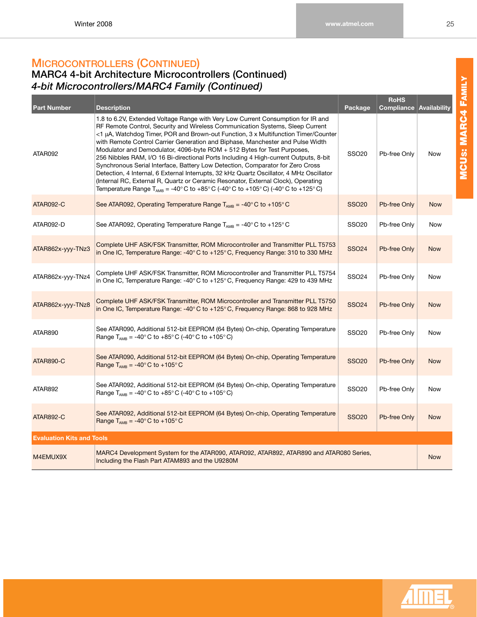### **MARC4 4-bit Architecture Microcontrollers (Continued)**  *4-bit Microcontrollers/MARC4 Family (Continued)*

| <b>Part Number</b>               | <b>Description</b>                                                                                                                                                                                                                                                                                                                                                                                                                                                                                                                                                                                                                                                                                                                                                                                                                                                         | Package      | <b>RoHS</b><br><b>Compliance</b> | Availability |
|----------------------------------|----------------------------------------------------------------------------------------------------------------------------------------------------------------------------------------------------------------------------------------------------------------------------------------------------------------------------------------------------------------------------------------------------------------------------------------------------------------------------------------------------------------------------------------------------------------------------------------------------------------------------------------------------------------------------------------------------------------------------------------------------------------------------------------------------------------------------------------------------------------------------|--------------|----------------------------------|--------------|
| ATAR092                          | 1.8 to 6.2V, Extended Voltage Range with Very Low Current Consumption for IR and<br>RF Remote Control, Security and Wireless Communication Systems, Sleep Current<br><1 μA, Watchdog Timer, POR and Brown-out Function, 3 x Multifunction Timer/Counter<br>with Remote Control Carrier Generation and Biphase, Manchester and Pulse Width<br>Modulator and Demodulator, 4096-byte ROM + 512 Bytes for Test Purposes,<br>256 Nibbles RAM, I/O 16 Bi-directional Ports Including 4 High-current Outputs, 8-bit<br>Synchronous Serial Interface, Battery Low Detection, Comparator for Zero Cross<br>Detection, 4 Internal, 6 External Interrupts, 32 kHz Quartz Oscillator, 4 MHz Oscillator<br>(Internal RC, External R, Quartz or Ceramic Resonator, External Clock), Operating<br>Temperature Range T <sub>AMB</sub> = -40°C to +85°C (-40°C to +105°C) (-40°C to +125°C) | <b>SSO20</b> | Pb-free Only                     | Now          |
| ATAR092-C                        | See ATAR092, Operating Temperature Range $T_{AMB} = -40^{\circ}$ C to +105° C                                                                                                                                                                                                                                                                                                                                                                                                                                                                                                                                                                                                                                                                                                                                                                                              | <b>SSO20</b> | Pb-free Only                     | <b>Now</b>   |
| ATAR092-D                        | See ATAR092, Operating Temperature Range $T_{AMB} = -40^{\circ}$ C to +125° C                                                                                                                                                                                                                                                                                                                                                                                                                                                                                                                                                                                                                                                                                                                                                                                              | <b>SSO20</b> | Pb-free Only                     | Now          |
| ATAR862x-yyy-TNz3                | Complete UHF ASK/FSK Transmitter, ROM Microcontroller and Transmitter PLL T5753<br>in One IC, Temperature Range: -40°C to +125°C, Frequency Range: 310 to 330 MHz                                                                                                                                                                                                                                                                                                                                                                                                                                                                                                                                                                                                                                                                                                          | <b>SSO24</b> | Pb-free Only                     | <b>Now</b>   |
| ATAR862x-yyy-TNz4                | Complete UHF ASK/FSK Transmitter, ROM Microcontroller and Transmitter PLL T5754<br>in One IC, Temperature Range: -40°C to +125°C, Frequency Range: 429 to 439 MHz                                                                                                                                                                                                                                                                                                                                                                                                                                                                                                                                                                                                                                                                                                          | <b>SSO24</b> | Pb-free Only                     | Now          |
| ATAR862x-yyy-TNz8                | Complete UHF ASK/FSK Transmitter, ROM Microcontroller and Transmitter PLL T5750<br>in One IC, Temperature Range: -40°C to +125°C, Frequency Range: 868 to 928 MHz                                                                                                                                                                                                                                                                                                                                                                                                                                                                                                                                                                                                                                                                                                          | <b>SSO24</b> | Pb-free Only                     | <b>Now</b>   |
| ATAR890                          | See ATAR090, Additional 512-bit EEPROM (64 Bytes) On-chip, Operating Temperature<br>Range $T_{AMB} = -40^{\circ} C$ to $+85^{\circ} C$ (-40°C to +105°C)                                                                                                                                                                                                                                                                                                                                                                                                                                                                                                                                                                                                                                                                                                                   | <b>SSO20</b> | Pb-free Only                     | Now          |
| <b>ATAR890-C</b>                 | See ATAR090, Additional 512-bit EEPROM (64 Bytes) On-chip, Operating Temperature<br>Range $T_{AMB} = -40^{\circ}$ C to $+105^{\circ}$ C                                                                                                                                                                                                                                                                                                                                                                                                                                                                                                                                                                                                                                                                                                                                    | <b>SSO20</b> | Pb-free Only                     | <b>Now</b>   |
| ATAR892                          | See ATAR092, Additional 512-bit EEPROM (64 Bytes) On-chip, Operating Temperature<br>Range $T_{AMB} = -40^{\circ} C$ to $+85^{\circ} C$ (-40° C to +105° C)                                                                                                                                                                                                                                                                                                                                                                                                                                                                                                                                                                                                                                                                                                                 | <b>SSO20</b> | Pb-free Only                     | Now          |
| <b>ATAR892-C</b>                 | See ATAR092, Additional 512-bit EEPROM (64 Bytes) On-chip, Operating Temperature<br>Range $T_{AMB} = -40^{\circ}$ C to $+105^{\circ}$ C                                                                                                                                                                                                                                                                                                                                                                                                                                                                                                                                                                                                                                                                                                                                    | <b>SSO20</b> | Pb-free Only                     | <b>Now</b>   |
| <b>Evaluation Kits and Tools</b> |                                                                                                                                                                                                                                                                                                                                                                                                                                                                                                                                                                                                                                                                                                                                                                                                                                                                            |              |                                  |              |
| M4EMUX9X                         | MARC4 Development System for the ATAR090, ATAR092, ATAR892, ATAR890 and ATAR080 Series,<br>Including the Flash Part ATAM893 and the U9280M                                                                                                                                                                                                                                                                                                                                                                                                                                                                                                                                                                                                                                                                                                                                 |              |                                  | <b>Now</b>   |

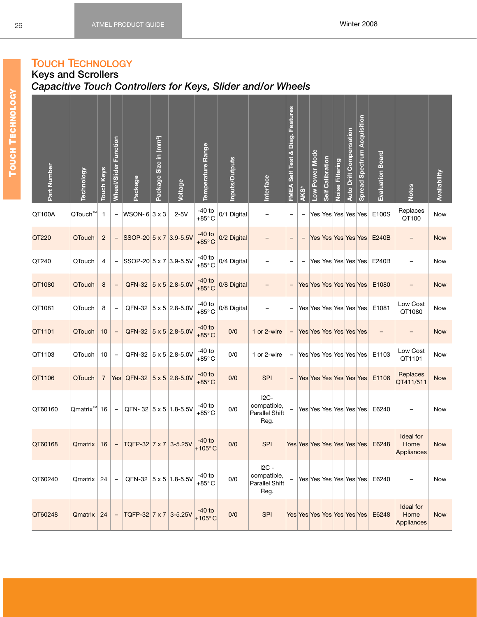# <span id="page-32-0"></span>**TOUCH TECHNOLOGY**

### <span id="page-32-1"></span>**Keys and Scrollers** *Capacitive Touch Controllers for Keys, Slider and/or Wheels*

| Part Number | <b>Technology</b>       | Touch Keys     | Wheel/Slider Function    | Package                            | Package Size in (mm <sup>2</sup> ) | Voltage                        | Temperature Range            | nputs/Outputs | Interface                                              | FMEA Self Test & Diag. Features | AKS*              | Low Power Mode | <b>Self Calibration</b> | Noise Filtering | Auto Drift Compensation | <b>Spread Spectrum Acquisition</b> | Evaluation Board                  | <b>Notes</b>                           | Availability |
|-------------|-------------------------|----------------|--------------------------|------------------------------------|------------------------------------|--------------------------------|------------------------------|---------------|--------------------------------------------------------|---------------------------------|-------------------|----------------|-------------------------|-----------------|-------------------------|------------------------------------|-----------------------------------|----------------------------------------|--------------|
| QT100A      | QTouch™                 | $\mathbf{1}$   | $\qquad \qquad -$        | $WSON-6 3x3$                       |                                    | $2-5V$                         | $-40$ to<br>$+85^{\circ}$ C  | 0/1 Digital   |                                                        | $\qquad \qquad -$               | $\qquad \qquad -$ |                |                         |                 |                         | Yes Yes Yes Yes Yes                | E100S                             | Replaces<br>QT100                      | Now          |
| QT220       | QTouch                  | $\overline{2}$ |                          | SSOP-20 5 x 7 3.9-5.5V             |                                    |                                | $-40$ to<br>$+85^{\circ}$ C  | 0/2 Digital   |                                                        | $\overline{\phantom{0}}$        | $\qquad \qquad -$ |                |                         |                 |                         | Yes Yes Yes Yes Yes                | E240B                             | $\qquad \qquad -$                      | <b>Now</b>   |
| QT240       | QTouch                  | 4              |                          | $ $ SSOP-20 5 x 7 3.9-5.5V         |                                    |                                | $-40$ to<br>$+85^{\circ}$ C  | 0/4 Digital   |                                                        | -                               |                   |                |                         |                 |                         | Yes Yes Yes Yes Yes                | E240B                             |                                        | Now          |
| QT1080      | QTouch                  | 8              | $\qquad \qquad -$        |                                    |                                    | QFN-32 $ 5 \times 5 $ 2.8-5.0V | $-40$ to<br>$+85^{\circ}$ C  | 0/8 Digital   |                                                        | $\qquad \qquad -$               |                   |                |                         |                 |                         | Yes Yes Yes Yes Yes Yes            | E1080                             | $\qquad \qquad -$                      | <b>Now</b>   |
| QT1081      | QTouch                  | 8              | $\overline{\phantom{0}}$ |                                    |                                    | QFN-32 $ 5 \times 5 $ 2.8-5.0V | -40 to<br>+85 $^{\circ}$ C   | 0/8 Digital   |                                                        | $\qquad \qquad -$               |                   |                |                         |                 |                         | Yes Yes Yes Yes Yes Yes            | E1081                             | Low Cost<br>QT1080                     | Now          |
| QT1101      | QTouch                  | 10             |                          |                                    |                                    | QFN-32 $ 5 \times 5 $ 2.8-5.0V | $-40$ to<br>$+85^{\circ}$ C  | 0/0           | 1 or 2-wire                                            | $\qquad \qquad -$               |                   |                | Yes Yes Yes Yes Yes Yes |                 |                         |                                    |                                   | $\qquad \qquad -$                      | <b>Now</b>   |
| QT1103      | QTouch                  | 10             | $\overline{\phantom{0}}$ |                                    |                                    | QFN-32 $ 5 \times 5 $ 2.8-5.0V | $-40$ to<br>$+85^{\circ}$ C  | 0/0           | 1 or 2-wire                                            | $\qquad \qquad -$               |                   |                |                         |                 |                         | Yes Yes Yes Yes Yes Yes            | E1103                             | Low Cost<br>QT1101                     | Now          |
| QT1106      | QTouch                  | $\overline{7}$ |                          | Yes QFN-32 $ 5 \times 5 $ 2.8-5.0V |                                    |                                | $-40$ to<br>$+85^{\circ}$ C  | 0/0           | SPI                                                    | $\overline{\phantom{a}}$        |                   |                |                         |                 |                         | Yes Yes Yes Yes Yes Yes            | E1106                             | Replaces<br>QT411/511                  | <b>Now</b>   |
| QT60160     | Qmatrix <sup>™</sup> 16 |                | $\equiv$                 | QFN-32 5 x 5 1.8-5.5V              |                                    |                                | -40 to<br>$+85^{\circ}$ C    | 0/0           | $I2C-$<br>compatible,<br>Parallel Shift<br>Reg.        | $\qquad \qquad -$               |                   |                |                         |                 |                         |                                    | Yes Yes Yes Yes Yes Yes E6240     |                                        | Now          |
| QT60168     | Qmatrix   16            |                | $\overline{\phantom{m}}$ | TQFP-32 7 x 7 3-5.25V              |                                    |                                | $-40$ to<br>$+105^{\circ}$ C | 0/0           | <b>SPI</b>                                             |                                 |                   |                |                         |                 |                         |                                    | Yes Yes Yes Yes Yes Yes Yes E6248 | Ideal for<br>Home<br><b>Appliances</b> | <b>Now</b>   |
| QT60240     | Qmatrix                 | 24             | $\qquad \qquad -$        |                                    |                                    | QFN-32 5 x 5 1.8-5.5V          | $-40$ to<br>$+85^{\circ}$ C  | 0/0           | $IC -$<br>compatible,<br><b>Parallel Shift</b><br>Reg. | -                               |                   |                |                         |                 |                         | Yes Yes Yes Yes Yes Yes            | E6240                             |                                        | Now          |
| QT60248     | Qmatrix                 | 24             | $\qquad \qquad -$        | TQFP-32 7 x 7 3-5.25V              |                                    |                                | $-40$ to<br>$+105^{\circ}$ C | 0/0           | <b>SPI</b>                                             |                                 |                   |                |                         |                 |                         | Yes Yes Yes Yes Yes Yes Yes        | E6248                             | Ideal for<br>Home<br><b>Appliances</b> | <b>Now</b>   |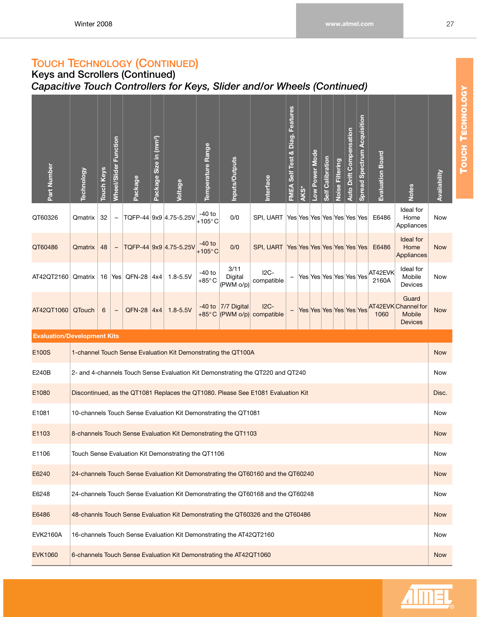## **TOUCH TECHNOLOGY (CONTINUED)**

### **Keys and Scrollers (Continued)** *Capacitive Touch Controllers for Keys, Slider and/or Wheels (Continued)*

| Part Number                        | <b>Technology</b> | <b>Touch Keys</b> | <b>Wheel/Slider Function</b> | Package          | Package Size in (mm <sup>2</sup> ) | Voltage                                                             | Temperature Range            | Inputs/Outputs               | Interface                                                                        | FMEA Self Test & Diag. Features | AKS*                        | Low Power Mode          | <b>Self Calibration</b> | Noise Filtering | <b>Auto Drift Compensation</b> | <b>Spread Spectrum Acquisition</b> | Evaluation Board | <b>Notes</b>                                                    | Availability |
|------------------------------------|-------------------|-------------------|------------------------------|------------------|------------------------------------|---------------------------------------------------------------------|------------------------------|------------------------------|----------------------------------------------------------------------------------|---------------------------------|-----------------------------|-------------------------|-------------------------|-----------------|--------------------------------|------------------------------------|------------------|-----------------------------------------------------------------|--------------|
| QT60326                            | Qmatrix           | 32                | $\overline{\phantom{m}}$     |                  |                                    | TQFP-44 9x9 4.75-5.25V                                              | -40 to<br>$+105^{\circ}$ C   | 0/0                          | SPI, UART                                                                        |                                 | Yes Yes Yes Yes Yes Yes Yes |                         |                         |                 |                                |                                    | E6486            | Ideal for<br>Home<br>Appliances                                 | Now          |
| QT60486                            | Qmatrix           | 48                | $\overline{\phantom{a}}$     |                  |                                    | TQFP-44 9x9 4.75-5.25V                                              | $-40$ to<br>$+105^{\circ}$ C | 0/0                          | SPI, UART                                                                        |                                 | Yes Yes Yes Yes Yes Yes Yes |                         |                         |                 |                                |                                    | E6486            | Ideal for<br>Home<br>Appliances                                 | <b>Now</b>   |
| AT42QT2160                         | Qmatrix   16      |                   |                              | Yes $QFN-28$ 4x4 |                                    | $1.8 - 5.5V$                                                        | $-40$ to<br>$+85^{\circ}$ C  | 3/11<br>Digital<br>(PWM o/p) | $I2C-$<br>compatible                                                             | $\qquad \qquad -$               |                             | Yes Yes Yes Yes Yes Yes |                         |                 |                                |                                    | AT42EVK<br>2160A | Ideal for<br>Mobile<br>Devices                                  | Now          |
| AT42QT1060                         | QTouch            | 6                 | $\qquad \qquad -$            | <b>QFN-28</b>    | 4x4                                | $1.8 - 5.5V$                                                        | $+85^{\circ}$ C              | -40 to $ 7/7$ Digital        | $I2C-$<br>(PWM o/p) compatible                                                   | $\qquad \qquad -$               |                             | Yes Yes Yes Yes Yes Yes |                         |                 |                                |                                    | 1060             | Guard<br>AT42EVK Channel for<br><b>Mobile</b><br><b>Devices</b> | <b>Now</b>   |
| <b>Evaluation/Development Kits</b> |                   |                   |                              |                  |                                    |                                                                     |                              |                              |                                                                                  |                                 |                             |                         |                         |                 |                                |                                    |                  |                                                                 |              |
| E100S                              |                   |                   |                              |                  |                                    | 1-channel Touch Sense Evaluation Kit Demonstrating the QT100A       |                              |                              |                                                                                  |                                 |                             |                         |                         |                 |                                |                                    |                  |                                                                 | <b>Now</b>   |
| E240B                              |                   |                   |                              |                  |                                    |                                                                     |                              |                              | 2- and 4-channels Touch Sense Evaluation Kit Demonstrating the QT220 and QT240   |                                 |                             |                         |                         |                 |                                |                                    |                  |                                                                 | Now          |
| E1080                              |                   |                   |                              |                  |                                    |                                                                     |                              |                              | Discontinued, as the QT1081 Replaces the QT1080. Please See E1081 Evaluation Kit |                                 |                             |                         |                         |                 |                                |                                    |                  |                                                                 | Disc.        |
| E1081                              |                   |                   |                              |                  |                                    | 10-channels Touch Sense Evaluation Kit Demonstrating the QT1081     |                              |                              |                                                                                  |                                 |                             |                         |                         |                 |                                |                                    |                  |                                                                 | <b>Now</b>   |
| E1103                              |                   |                   |                              |                  |                                    | 8-channels Touch Sense Evaluation Kit Demonstrating the QT1103      |                              |                              |                                                                                  |                                 |                             |                         |                         |                 |                                |                                    |                  |                                                                 | <b>Now</b>   |
| E1106                              |                   |                   |                              |                  |                                    | Touch Sense Evaluation Kit Demonstrating the QT1106                 |                              |                              |                                                                                  |                                 |                             |                         |                         |                 |                                |                                    |                  |                                                                 | Now          |
| E6240                              |                   |                   |                              |                  |                                    |                                                                     |                              |                              | 24-channels Touch Sense Evaluation Kit Demonstrating the QT60160 and the QT60240 |                                 |                             |                         |                         |                 |                                |                                    |                  |                                                                 | <b>Now</b>   |
| E6248                              |                   |                   |                              |                  |                                    |                                                                     |                              |                              | 24-channels Touch Sense Evaluation Kit Demonstrating the QT60168 and the QT60248 |                                 |                             |                         |                         |                 |                                |                                    |                  |                                                                 | Now          |
| E6486                              |                   |                   |                              |                  |                                    |                                                                     |                              |                              | 48-channls Touch Sense Evaluation Kit Demonstrating the QT60326 and the QT60486  |                                 |                             |                         |                         |                 |                                |                                    |                  |                                                                 | <b>Now</b>   |
| <b>EVK2160A</b>                    |                   |                   |                              |                  |                                    | 16-channels Touch Sense Evaluation Kit Demonstrating the AT42QT2160 |                              |                              |                                                                                  |                                 |                             |                         |                         |                 |                                |                                    |                  |                                                                 | Now          |
| <b>EVK1060</b>                     |                   |                   |                              |                  |                                    | 6-channels Touch Sense Evaluation Kit Demonstrating the AT42QT1060  |                              |                              |                                                                                  |                                 |                             |                         |                         |                 |                                |                                    |                  |                                                                 | <b>Now</b>   |



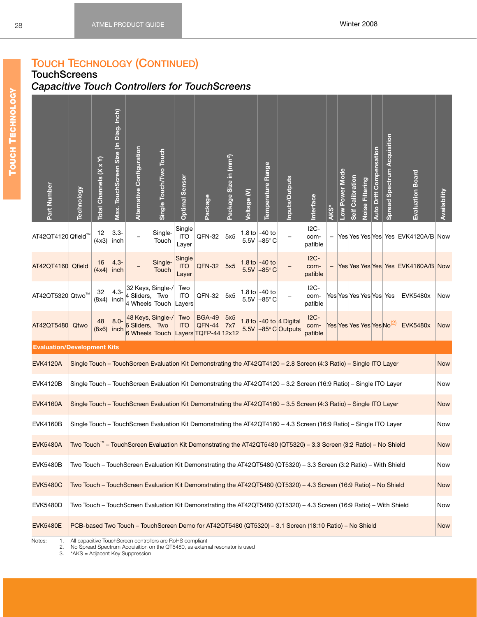## **TOUCH TECHNOLOGY (CONTINUED)**

<span id="page-34-0"></span>**TouchScreens**

# <span id="page-34-1"></span>*Capacitive Touch Controllers for TouchScreens*

| Part Number                                                                                                                           | <b>Technology</b>                                                                                                    | Total Channels (X x Y) | Max. TouchScreen Size (In Diag. Inch) | Alternative Configuration                                                                                           | Single Touch/Two Touch | <b>Optimal Sensor</b>         | Package                 | Package Size in (mm <sup>2</sup> ) | Voltage (V) | Temperature Range                       | Inputs/Outputs                                        | Interface                  | AKS* | Low Power Mode | Self Calibration | Noise Filtering | <b>Auto Drift Compensation</b> | Spread Spectrum Acquisition | <b>Evaluation Board</b>            | Availability |
|---------------------------------------------------------------------------------------------------------------------------------------|----------------------------------------------------------------------------------------------------------------------|------------------------|---------------------------------------|---------------------------------------------------------------------------------------------------------------------|------------------------|-------------------------------|-------------------------|------------------------------------|-------------|-----------------------------------------|-------------------------------------------------------|----------------------------|------|----------------|------------------|-----------------|--------------------------------|-----------------------------|------------------------------------|--------------|
| AT42QT4120 Qfield™                                                                                                                    |                                                                                                                      | 12<br>(4x3)            | $3.3 -$<br>inch                       |                                                                                                                     | Single-<br>Touch       | Single<br><b>ITO</b><br>Layer | QFN-32                  | 5x5                                | 5.5V        | 1.8 to $-40$ to<br>$+85^\circ$ C        |                                                       | $12C -$<br>com-<br>patible |      |                |                  |                 |                                |                             | Yes Yes Yes Yes Yes EVK4120A/B Now |              |
| AT42QT4160 Qfield                                                                                                                     |                                                                                                                      | 16<br>(4x4)            | $4.3 -$<br>inch                       |                                                                                                                     | Single-<br>Touch       | Single<br><b>ITO</b><br>Layer | <b>QFN-32</b>           | 5x5                                |             | 1.8 to $-40$ to<br>$5.5V$ +85°C         |                                                       | $I2C-$<br>com-<br>patible  |      |                |                  |                 |                                |                             | Yes Yes Yes Yes Yes EVK4160A/B Now |              |
| AT42QT5320 Qtwo™                                                                                                                      |                                                                                                                      | 32<br>(8x4)            | $4.3 -$<br>inch                       | 32 Keys, Single-/<br>4 Sliders,<br>4 Wheels Touch                                                                   | Two                    | Two<br><b>ITO</b><br>Layers   | QFN-32                  | 5x5                                |             | 1.8 to $-40$ to<br>5.5V +85 $\degree$ C |                                                       | $I2C-$<br>com-<br>patible  |      |                |                  |                 |                                | Yes Yes Yes Yes Yes  Yes    | <b>EVK5480x</b>                    | Now          |
| AT42QT5480                                                                                                                            | Qtwo                                                                                                                 | 48<br>(8x6)            | $8.0 -$<br>inch                       | 48 Keys, Single-/<br>6 Sliders,<br>6 Wheels Touch Layers TQFP-44 12x12                                              | Two                    | Two<br><b>ITO</b>             | <b>BGA-49</b><br>QFN-44 | 5x5<br>7x7                         | 5.5V        |                                         | 1.8 to $-40$ to $ 4$ Digital<br>$+85^\circ$ C Outputs | $IC -$<br>com-<br>patible  |      |                |                  |                 | Yes Yes Yes Yes Yes No         |                             | <b>EVK5480x</b>                    | <b>Now</b>   |
| <b>Evaluation/Development Kits</b>                                                                                                    |                                                                                                                      |                        |                                       |                                                                                                                     |                        |                               |                         |                                    |             |                                         |                                                       |                            |      |                |                  |                 |                                |                             |                                    |              |
| <b>EVK4120A</b><br>Single Touch - TouchScreen Evaluation Kit Demonstrating the AT42QT4120 - 2.8 Screen (4:3 Ratio) - Single ITO Layer |                                                                                                                      |                        |                                       |                                                                                                                     |                        |                               |                         |                                    |             |                                         | <b>Now</b>                                            |                            |      |                |                  |                 |                                |                             |                                    |              |
| <b>EVK4120B</b>                                                                                                                       | Single Touch – TouchScreen Evaluation Kit Demonstrating the AT42QT4120 – 3.2 Screen (16:9 Ratio) – Single ITO Layer  |                        |                                       |                                                                                                                     |                        |                               |                         |                                    |             |                                         |                                                       | Now                        |      |                |                  |                 |                                |                             |                                    |              |
| <b>EVK4160A</b><br>Single Touch - TouchScreen Evaluation Kit Demonstrating the AT42QT4160 - 3.5 Screen (4:3 Ratio) - Single ITO Layer |                                                                                                                      |                        |                                       |                                                                                                                     |                        |                               |                         |                                    |             |                                         | <b>Now</b>                                            |                            |      |                |                  |                 |                                |                             |                                    |              |
| <b>EVK4160B</b>                                                                                                                       |                                                                                                                      |                        |                                       | Single Touch - TouchScreen Evaluation Kit Demonstrating the AT42QT4160 - 4.3 Screen (16:9 Ratio) - Single ITO Layer |                        |                               |                         |                                    |             |                                         |                                                       |                            |      |                |                  |                 |                                |                             |                                    | Now          |
| <b>EVK5480A</b>                                                                                                                       | Two Touch™ – TouchScreen Evaluation Kit Demonstrating the AT42QT5480 (QT5320) – 3.3 Screen (3:2 Ratio) – No Shield   |                        |                                       |                                                                                                                     |                        |                               |                         |                                    |             |                                         |                                                       | Now                        |      |                |                  |                 |                                |                             |                                    |              |
| <b>EVK5480B</b>                                                                                                                       |                                                                                                                      |                        |                                       | Two Touch - TouchScreen Evaluation Kit Demonstrating the AT42QT5480 (QT5320) - 3.3 Screen (3:2 Ratio) - With Shield |                        |                               |                         |                                    |             |                                         |                                                       |                            |      |                |                  |                 |                                |                             |                                    | Now          |
| <b>EVK5480C</b>                                                                                                                       | Two Touch - TouchScreen Evaluation Kit Demonstrating the AT42QT5480 (QT5320) - 4.3 Screen (16:9 Ratio) - No Shield   |                        |                                       |                                                                                                                     |                        |                               |                         |                                    |             |                                         |                                                       | <b>Now</b>                 |      |                |                  |                 |                                |                             |                                    |              |
| <b>EVK5480D</b>                                                                                                                       | Two Touch – TouchScreen Evaluation Kit Demonstrating the AT42QT5480 (QT5320) – 4.3 Screen (16:9 Ratio) – With Shield |                        |                                       |                                                                                                                     |                        |                               |                         |                                    |             |                                         |                                                       | Now                        |      |                |                  |                 |                                |                             |                                    |              |
| <b>EVK5480E</b>                                                                                                                       | PCB-based Two Touch - TouchScreen Demo for AT42QT5480 (QT5320) - 3.1 Screen (18:10 Ratio) - No Shield                |                        |                                       |                                                                                                                     |                        |                               |                         |                                    |             |                                         |                                                       | <b>Now</b>                 |      |                |                  |                 |                                |                             |                                    |              |
| Notes:<br>1.                                                                                                                          |                                                                                                                      |                        |                                       | All capacitive TouchScreen controllers are RoHS compliant                                                           |                        |                               |                         |                                    |             |                                         |                                                       |                            |      |                |                  |                 |                                |                             |                                    |              |

<span id="page-34-2"></span>2. No Spread Spectrum Acquisition on the QT5480, as external resonator is used 3. \*AKS = Adjacent Key Suppression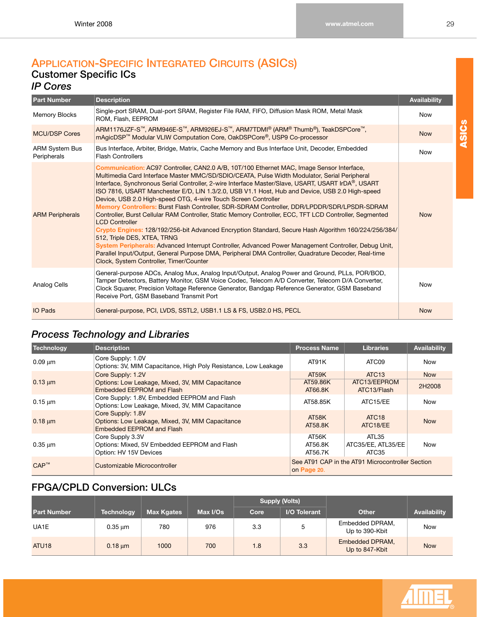## <span id="page-35-1"></span><span id="page-35-0"></span>**APPLICATION-SPECIFIC INTEGRATED CIRCUITS (ASICS) Customer Specific ICs**

### <span id="page-35-2"></span>*IP Cores*

| <b>Part Number</b>                   | <b>Description</b>                                                                                                                                                                                                                                                                                                                                                                                                                                                                                                                                                                                                                                                                                                                                                                                                                                                                                                                                                                                                                                                                                       | <b>Availability</b> |
|--------------------------------------|----------------------------------------------------------------------------------------------------------------------------------------------------------------------------------------------------------------------------------------------------------------------------------------------------------------------------------------------------------------------------------------------------------------------------------------------------------------------------------------------------------------------------------------------------------------------------------------------------------------------------------------------------------------------------------------------------------------------------------------------------------------------------------------------------------------------------------------------------------------------------------------------------------------------------------------------------------------------------------------------------------------------------------------------------------------------------------------------------------|---------------------|
| <b>Memory Blocks</b>                 | Single-port SRAM, Dual-port SRAM, Register File RAM, FIFO, Diffusion Mask ROM, Metal Mask<br>ROM, Flash, EEPROM                                                                                                                                                                                                                                                                                                                                                                                                                                                                                                                                                                                                                                                                                                                                                                                                                                                                                                                                                                                          | Now                 |
| <b>MCU/DSP Cores</b>                 | ARM1176JZF-S™, ARM946E-S™, ARM926EJ-S™, ARM7TDMI® (ARM® Thumb®), TeakDSPCore™,<br>mAgicDSP <sup>™</sup> Modular VLIW Computation Core, OakDSPCore <sup>®</sup> , USP9 Co-processor                                                                                                                                                                                                                                                                                                                                                                                                                                                                                                                                                                                                                                                                                                                                                                                                                                                                                                                       | <b>Now</b>          |
| <b>ARM System Bus</b><br>Peripherals | Bus Interface, Arbiter, Bridge, Matrix, Cache Memory and Bus Interface Unit, Decoder, Embedded<br><b>Flash Controllers</b>                                                                                                                                                                                                                                                                                                                                                                                                                                                                                                                                                                                                                                                                                                                                                                                                                                                                                                                                                                               | <b>Now</b>          |
| <b>ARM Peripherals</b>               | Communication: AC97 Controller, CAN2.0 A/B, 10T/100 Ethernet MAC, Image Sensor Interface,<br>Multimedia Card Interface Master MMC/SD/SDIO/CEATA, Pulse Width Modulator, Serial Peripheral<br>Interface, Synchronous Serial Controller, 2-wire Interface Master/Slave, USART, USART IrDA®, USART<br>ISO 7816, USART Manchester E/D, LIN 1.3/2.0, USB V1.1 Host, Hub and Device, USB 2.0 High-speed<br>Device, USB 2.0 High-speed OTG, 4-wire Touch Screen Controller<br>Memory Controllers: Burst Flash Controller, SDR-SDRAM Controller, DDR/LPDDR/SDR/LPSDR-SDRAM<br>Controller, Burst Cellular RAM Controller, Static Memory Controller, ECC, TFT LCD Controller, Segmented<br><b>LCD Controller</b><br>Crypto Engines: 128/192/256-bit Advanced Encryption Standard, Secure Hash Algorithm 160/224/256/384/<br>512, Triple DES, XTEA, TRNG<br>System Peripherals: Advanced Interrupt Controller, Advanced Power Management Controller, Debug Unit,<br>Parallel Input/Output, General Purpose DMA, Peripheral DMA Controller, Quadrature Decoder, Real-time<br>Clock, System Controller, Timer/Counter | <b>Now</b>          |
| Analog Cells                         | General-purpose ADCs, Analog Mux, Analog Input/Output, Analog Power and Ground, PLLs, POR/BOD,<br>Tamper Detectors, Battery Monitor, GSM Voice Codec, Telecom A/D Converter, Telecom D/A Converter,<br>Clock Squarer, Precision Voltage Reference Generator, Bandgap Reference Generator, GSM Baseband<br>Receive Port, GSM Baseband Transmit Port                                                                                                                                                                                                                                                                                                                                                                                                                                                                                                                                                                                                                                                                                                                                                       | <b>Now</b>          |
| <b>IO Pads</b>                       | General-purpose, PCI, LVDS, SSTL2, USB1.1 LS & FS, USB2.0 HS, PECL                                                                                                                                                                                                                                                                                                                                                                                                                                                                                                                                                                                                                                                                                                                                                                                                                                                                                                                                                                                                                                       | <b>Now</b>          |

# <span id="page-35-3"></span>*Process Technology and Libraries*

| Technology   | <b>Description</b>                                                                                 | <b>Process Name</b>         | <b>Libraries</b>                                 | Availability |  |  |  |
|--------------|----------------------------------------------------------------------------------------------------|-----------------------------|--------------------------------------------------|--------------|--|--|--|
| $0.09 \mu m$ | Core Supply: 1.0V<br>Options: 3V, MIM Capacitance, High Poly Resistance, Low Leakage               | AT91K                       | ATC09                                            | <b>Now</b>   |  |  |  |
|              | Core Supply: 1.2V                                                                                  | AT59K                       | ATC <sub>13</sub>                                | <b>Now</b>   |  |  |  |
| $0.13 \mu m$ | Options: Low Leakage, Mixed, 3V, MIM Capacitance<br><b>Embedded EEPROM and Flash</b>               | AT59.86K<br>AT66.8K         | ATC13/EEPROM<br>ATC13/Flash                      | 2H2008       |  |  |  |
| $0.15 \mu m$ | Core Supply: 1.8V, Embedded EEPROM and Flash<br>Options: Low Leakage, Mixed, 3V, MIM Capacitance   | AT58.85K                    | ATC15/EE                                         | <b>Now</b>   |  |  |  |
| $0.18 \mu m$ | Core Supply: 1.8V<br>Options: Low Leakage, Mixed, 3V, MIM Capacitance<br>Embedded EEPROM and Flash | AT58K<br>AT58.8K            | ATC <sub>18</sub><br>ATC18/EE                    | <b>Now</b>   |  |  |  |
| $0.35 \mu m$ | Core Supply 3.3V<br>Options: Mixed, 5V Embedded EEPROM and Flash<br>Option: HV 15V Devices         | AT56K<br>AT56.8K<br>AT56.7K | ATL35<br>ATC35/EE, ATL35/EE<br>ATC35             | <b>Now</b>   |  |  |  |
| $CAP^m$      | Customizable Microcontroller                                                                       | on Page 20.                 | See AT91 CAP in the AT91 Microcontroller Section |              |  |  |  |

# <span id="page-35-4"></span>**FPGA/CPLD Conversion: ULCs**

|                    |                   |                   |          |      | <b>Supply (Volts)</b> |                                   |              |  |
|--------------------|-------------------|-------------------|----------|------|-----------------------|-----------------------------------|--------------|--|
| <b>Part Number</b> | <b>Technology</b> | <b>Max Kgates</b> | Max I/Os | Core | I/O Tolerant          | <b>Other</b>                      | Availability |  |
| UA1E               | $0.35 \mu m$      | 780               | 976      | 3.3  | 5                     | Embedded DPRAM,<br>Up to 390-Kbit | <b>Now</b>   |  |
| ATU <sub>18</sub>  | $0.18 \mu m$      | 1000              | 700      | 1.8  | 3.3                   | Embedded DPRAM,<br>Up to 847-Kbit | <b>Now</b>   |  |

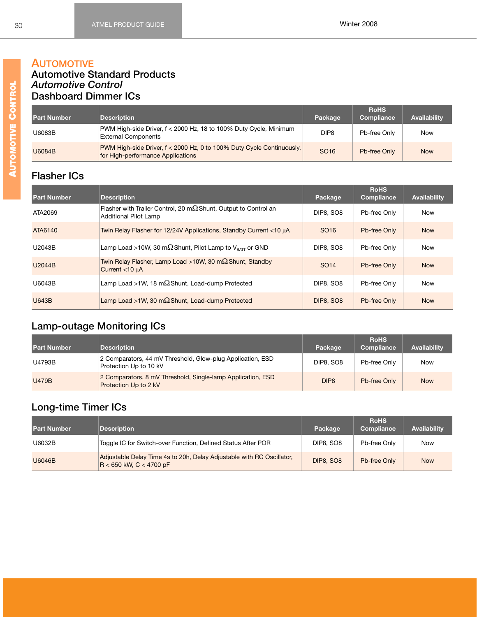#### **AUTOMOTIVE Automotive Standard Products** *Automotive Control* **Dashboard Dimmer ICs**

| <b>Part Number</b> | <b>Description</b>                                                                                         | Package          | <b>RoHS</b><br>Compliance | <b>Availability</b> |
|--------------------|------------------------------------------------------------------------------------------------------------|------------------|---------------------------|---------------------|
| U6083B             | PWM High-side Driver, f < 2000 Hz, 18 to 100% Duty Cycle, Minimum<br><b>External Components</b>            | DIP <sub>8</sub> | Pb-free Only              | Now                 |
| U6084B             | PWM High-side Driver, f < 2000 Hz, 0 to 100% Duty Cycle Continuously,<br>for High-performance Applications | SO <sub>16</sub> | Pb-free Only              | <b>Now</b>          |

# **Flasher ICs**

| <b>Part Number</b> | <b>Description</b>                                                                                      | Package          | <b>RoHS</b><br><b>Compliance</b> | Availability |
|--------------------|---------------------------------------------------------------------------------------------------------|------------------|----------------------------------|--------------|
| ATA2069            | Flasher with Trailer Control, 20 m $\Omega$ Shunt, Output to Control an<br><b>Additional Pilot Lamp</b> | <b>DIP8, SO8</b> | Pb-free Only                     | <b>Now</b>   |
| ATA6140            | Twin Relay Flasher for 12/24V Applications, Standby Current <10 µA                                      | SO <sub>16</sub> | Pb-free Only                     | <b>Now</b>   |
| U2043B             | Lamp Load >10W, 30 m $\Omega$ Shunt, Pilot Lamp to V <sub>BATT</sub> or GND                             | <b>DIP8, SO8</b> | Pb-free Only                     | <b>Now</b>   |
| U2044B             | Twin Relay Flasher, Lamp Load >10W, 30 m $\Omega$ Shunt, Standby<br>Current <10 µA                      | SO <sub>14</sub> | Pb-free Only                     | <b>Now</b>   |
| U6043B             | Lamp Load >1W, 18 m $\Omega$ Shunt, Load-dump Protected                                                 | <b>DIP8, SO8</b> | Pb-free Only                     | <b>Now</b>   |
| <b>U643B</b>       | Lamp Load >1W, 30 m $\Omega$ Shunt, Load-dump Protected                                                 | <b>DIP8, SO8</b> | Pb-free Only                     | <b>Now</b>   |

# **Lamp-outage Monitoring ICs**

| <b>Part Number</b> | <b>Description</b>                                                                   | Package          | <b>RoHS</b><br>Compliance | <b>Availability</b> |
|--------------------|--------------------------------------------------------------------------------------|------------------|---------------------------|---------------------|
| U4793B             | 2 Comparators, 44 mV Threshold, Glow-plug Application, ESD<br>Protection Up to 10 kV | DIP8, SO8        | Pb-free Only              | Now                 |
| <b>U479B</b>       | 2 Comparators, 8 mV Threshold, Single-lamp Application, ESD<br>Protection Up to 2 kV | DIP <sub>8</sub> | Pb-free Only              | <b>Now</b>          |

# **Long-time Timer ICs**

| <b>Part Number</b> | <b>Description</b>                                                                                   | Package          | <b>RoHS</b><br><b>Compliance</b> | <b>Availability</b> |
|--------------------|------------------------------------------------------------------------------------------------------|------------------|----------------------------------|---------------------|
| U6032B             | Toggle IC for Switch-over Function, Defined Status After POR                                         | <b>DIP8, SO8</b> | Pb-free Only                     | Now                 |
| U6046B             | Adjustable Delay Time 4s to 20h, Delay Adjustable with RC Oscillator,<br>$R < 650$ kW, $C < 4700$ pF | <b>DIP8, SO8</b> | Pb-free Only                     | <b>Now</b>          |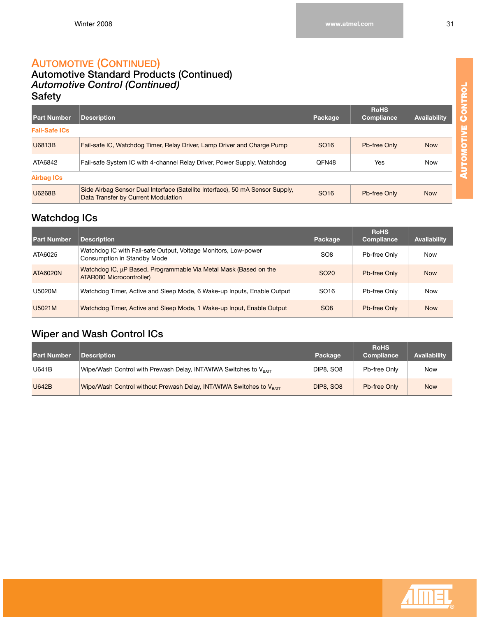#### **AUTOMOTIVE (CONTINUED) Automotive Standard Products (Continued)**

# *Automotive Control (Continued)* **Safety**

| <b>Part Number</b>   | <b>Description</b>                                                                                                   | Package          | <b>RoHS</b><br>Compliance | <b>Availability</b> |
|----------------------|----------------------------------------------------------------------------------------------------------------------|------------------|---------------------------|---------------------|
| <b>Fail-Safe ICs</b> |                                                                                                                      |                  |                           |                     |
| U6813B               | Fail-safe IC, Watchdog Timer, Relay Driver, Lamp Driver and Charge Pump                                              | SO <sub>16</sub> | Pb-free Only              | <b>Now</b>          |
| ATA6842              | Fail-safe System IC with 4-channel Relay Driver, Power Supply, Watchdog                                              | QFN48            | Yes                       | <b>Now</b>          |
| <b>Airbag ICs</b>    |                                                                                                                      |                  |                           |                     |
| <b>U6268B</b>        | Side Airbag Sensor Dual Interface (Satellite Interface), 50 mA Sensor Supply,<br>Data Transfer by Current Modulation | SO <sub>16</sub> | Pb-free Only              | <b>Now</b>          |

### **Watchdog ICs**

| <b>Part Number</b> | <b>Description</b>                                                                            | Package          | <b>RoHS</b><br><b>Compliance</b> | <b>Availability</b> |
|--------------------|-----------------------------------------------------------------------------------------------|------------------|----------------------------------|---------------------|
| ATA6025            | Watchdog IC with Fail-safe Output, Voltage Monitors, Low-power<br>Consumption in Standby Mode | SO <sub>8</sub>  | Pb-free Only                     | Now                 |
| ATA6020N           | Watchdog IC, µP Based, Programmable Via Metal Mask (Based on the<br>ATAR080 Microcontroller)  | SO <sub>20</sub> | Pb-free Only                     | <b>Now</b>          |
| U5020M             | Watchdog Timer, Active and Sleep Mode, 6 Wake-up Inputs, Enable Output                        | SO <sub>16</sub> | Pb-free Only                     | Now                 |
| U5021M             | Watchdog Timer, Active and Sleep Mode, 1 Wake-up Input, Enable Output                         | SO <sub>8</sub>  | Pb-free Only                     | <b>Now</b>          |

# **Wiper and Wash Control ICs**

| <b>Part Number</b> | <b>Description</b>                                                              | Package          | <b>RoHS</b><br>Compliance | <b>Availability</b> |
|--------------------|---------------------------------------------------------------------------------|------------------|---------------------------|---------------------|
| U641B              | Wipe/Wash Control with Prewash Delay, INT/WIWA Switches to V <sub>BATT</sub>    | DIP8, SO8        | Pb-free Only              | <b>Now</b>          |
| <b>U642B</b>       | Wipe/Wash Control without Prewash Delay, INT/WIWA Switches to V <sub>BATT</sub> | <b>DIP8, SO8</b> | Pb-free Only              | <b>Now</b>          |

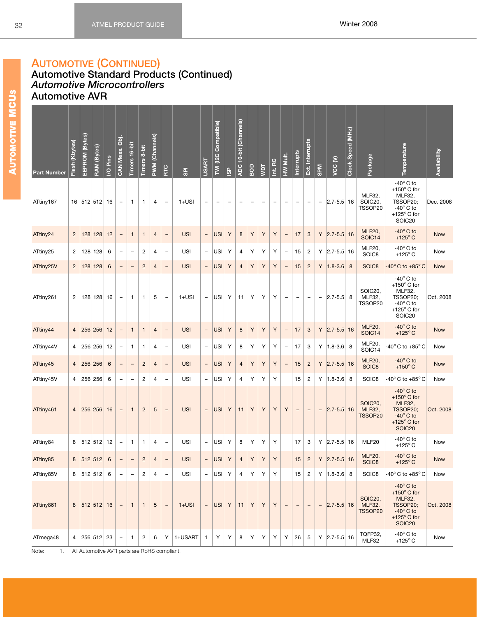#### **AUTOMOTIVE (CONTINUED)**

#### **Automotive Standard Products (Continued)** *Automotive Microcontrollers* **Automotive AVR**

| <b>Part Number</b> | Flash (Kbytes) | EEPROM (Bytes) | RAM (Bytes) | I/O Pins | CAN Mess. Obj.           | Timers 16-bit            | $8-bit$<br><b>Timers</b> | (Channels)<br><b>PWM</b> | RTC                      | <u>es</u>  | <b>USART</b>             | Compatible)<br>TWI (I2C | $\frac{8}{2}$ | ADC 10-bit (Channels) | BOD                      | yрт         | Int. RC                  | HW Mult.                 | Interrupts               | Ext. Interrupts          | <b>SPM</b>               | VCC <sub>(V)</sub> | Clock Speed (MHz) | Package                                 | Temperature                                                                                                                             | Availability |
|--------------------|----------------|----------------|-------------|----------|--------------------------|--------------------------|--------------------------|--------------------------|--------------------------|------------|--------------------------|-------------------------|---------------|-----------------------|--------------------------|-------------|--------------------------|--------------------------|--------------------------|--------------------------|--------------------------|--------------------|-------------------|-----------------------------------------|-----------------------------------------------------------------------------------------------------------------------------------------|--------------|
| ATtiny167          |                |                | 16 512 512  | 16       |                          | 1                        | 1                        | 4                        | $\overline{\phantom{a}}$ | $1+USI$    | -                        |                         |               |                       | $\overline{\phantom{0}}$ |             | $\overline{\phantom{0}}$ |                          | ÷                        |                          | $\qquad \qquad -$        | $ 2.7 - 5.5 $ 16   |                   | <b>MLF32,</b><br>SOIC20,<br>TSSOP20     | -40 $^{\circ}$ C to<br>+150 $\degree$ C for<br>MLF32,<br>TSSOP20;<br>$-40^\circ$ C to<br>+125 $\degree$ C for<br>SOIC <sub>20</sub>     | Dec. 2008    |
| ATtiny24           | $\overline{2}$ |                | 128 128     | 12       | -                        | $\mathbf{1}$             | $\mathbf{1}$             | $\overline{4}$           | $\overline{\phantom{a}}$ | <b>USI</b> | $\overline{\phantom{a}}$ | USI                     | Υ             | $\bf 8$               | Υ                        | Υ           | Y                        | $\overline{\phantom{0}}$ | 17                       | $\mathbf{3}$             | Υ                        | $ 2.7 - 5.5 $ 16   |                   | <b>MLF20,</b><br>SOIC14                 | $-40^\circ$ C to<br>$+125^{\circ}$ C                                                                                                    | <b>Now</b>   |
| ATtiny25           | $\overline{c}$ |                | 128 128     | 6        | ۳                        | $\overline{\phantom{0}}$ | 2                        | 4                        | $\overline{\phantom{a}}$ | USI        | $\overline{\phantom{a}}$ | USI <sup> </sup>        | Υ             | 4                     | Υ                        | Υ           | Υ                        | $\overline{\phantom{0}}$ | 15                       | $\overline{c}$           | Υ                        | $ 2.7 - 5.5 $ 16   |                   | <b>MLF20,</b><br>SOIC8                  | $-40^\circ$ C to<br>$+125^{\circ}$ C                                                                                                    | Now          |
| ATtiny25V          | $\overline{2}$ |                | 128 128     | 6        | -                        | $\overline{\phantom{0}}$ | $\overline{c}$           | $\overline{4}$           | $\overline{\phantom{a}}$ | <b>USI</b> | $\overline{\phantom{a}}$ | USI                     | Y             | $\overline{4}$        | Y                        | Y           | Y                        | $\qquad \qquad -$        | 15                       | $\overline{c}$           | Υ                        | $1.8 - 3.6$        | 8                 | SOIC8                                   | $-40^{\circ}$ C to $+85^{\circ}$ C                                                                                                      | <b>Now</b>   |
| ATtiny261          | 2              |                | 128 128     | 16       | $\qquad \qquad -$        | 1                        | 1                        | 5                        | $\overline{\phantom{a}}$ | $1+USI$    | $\qquad \qquad -$        | USI                     | Υ             | 11                    | Υ                        | Υ           | Υ                        | $\overline{\phantom{a}}$ | $\overline{\phantom{0}}$ | $\overline{\phantom{0}}$ | $\overline{\phantom{a}}$ | $ 2.7 - 5.5 $      | 8                 | SOIC20,<br>MLF32,<br>TSSOP20            | -40 $^{\circ}$ C to<br>+150 $\degree$ C for<br>MLF32,<br>TSSOP20:<br>$-40^\circ$ C to<br>+125 $\degree$ C for<br>SOIC <sub>20</sub>     | Oct. 2008    |
| ATtiny44           | $\overline{4}$ |                | 256 256     | 12       | $\overline{a}$           | $\mathbf{1}$             | $\mathbf{1}$             | $\overline{4}$           | $\overline{\phantom{a}}$ | <b>USI</b> | $\overline{\phantom{a}}$ | <b>USI</b>              | Υ             | 8                     | Y                        | Y           | Y                        | $\overline{a}$           | 17                       | $\mathbf{3}$             | Υ                        | $ 2.7 - 5.5 $ 16   |                   | <b>MLF20,</b><br>SOIC14                 | $-40^\circ$ C to<br>+125 $\degree$ C                                                                                                    | <b>Now</b>   |
| ATtiny44V          | 4              |                | 256 256     | 12       | $\qquad \qquad -$        | 1                        | 1                        | 4                        | $\overline{\phantom{a}}$ | <b>USI</b> | $\overline{\phantom{a}}$ | USI <sup> </sup>        | Υ             | 8                     | Υ                        | Υ           | Υ                        | $\overline{\phantom{0}}$ | 17                       | 3                        | Υ                        | $ 1.8 - 3.6 $ 8    |                   | <b>MLF20,</b><br>SOIC14                 | $-40^{\circ}$ C to $+85^{\circ}$ C                                                                                                      | Now          |
| ATtiny45           | $\overline{4}$ |                | 256 256     | 6        | $\overline{\phantom{0}}$ | $\qquad \qquad -$        | $\overline{c}$           | $\overline{4}$           | $\overline{\phantom{a}}$ | <b>USI</b> | $\overline{\phantom{a}}$ | USI                     | Υ             | $\overline{4}$        | Υ                        | Υ           | Y                        | $\qquad \qquad -$        | 15                       | $\overline{2}$           | Υ                        | $ 2.7 - 5.5 $ 16   |                   | <b>MLF20,</b><br>SOIC8                  | $-40^\circ$ C to<br>$+150^{\circ}$ C                                                                                                    | <b>Now</b>   |
| ATtiny45V          | 4              |                | 256 256     | 6        |                          |                          | 2                        | 4                        | $\overline{\phantom{a}}$ | USI        | $\overline{\phantom{a}}$ | <b>USI</b>              | Υ             | $\overline{4}$        | Υ                        | Υ           | Y                        |                          | 15                       | $\overline{2}$           | Υ                        | $1.8 - 3.6$        | 8                 | SOIC8                                   | $-40^{\circ}$ C to $+85^{\circ}$ C                                                                                                      | Now          |
| ATtiny461          | $\overline{4}$ |                | 256 256     | 16       | $\overline{\phantom{0}}$ | $\mathbf{1}$             | $\overline{2}$           | 5                        | $\overline{\phantom{a}}$ | <b>USI</b> | $\overline{\phantom{a}}$ | USI <sup>I</sup>        | Y             | 11                    | Y                        | Y           | Y                        | Y                        | $\overline{\phantom{a}}$ | $\qquad \qquad -$        | $\qquad \qquad -$        | $ 2.7 - 5.5 $ 16   |                   | SOIC20,<br><b>MLF32,</b><br>TSSOP20     | $-40^\circ$ C to<br>+150 $\degree$ C for<br><b>MLF32,</b><br>TSSOP20;<br>$-40^\circ$ C to<br>+125 $\degree$ C for<br>SOIC <sub>20</sub> | Oct. 2008    |
| ATtiny84           | 8              |                | 512 512     | 12       | $\qquad \qquad -$        | $\mathbf{1}$             | $\mathbf{1}$             | 4                        | $\qquad \qquad -$        | USI        | $\overline{\phantom{a}}$ | USI                     | Υ             | 8                     | Υ                        | Υ           | Υ                        |                          | 17                       | 3                        | Υ                        | $ 2.7 - 5.5 $ 16   |                   | MLF20                                   | $-40^\circ$ C to<br>$+125^{\circ}$ C                                                                                                    | Now          |
| ATtiny85           | $\bf 8$        |                | 512 512     | 6        | $\overline{\phantom{a}}$ | $\qquad \qquad -$        | $\overline{c}$           | 4                        | $\overline{\phantom{a}}$ | USI        | $\overline{\phantom{a}}$ | USI                     | Υ             | $\overline{4}$        | $\mathsf Y$              | $\mathsf Y$ | $\mathsf Y$              |                          | 15                       | $\sqrt{2}$               |                          | $Y$ 2.7-5.5 16     |                   | <b>MLF20,</b><br>SOIC8                  | $-40^\circ$ C to<br>+125 $\degree$ C                                                                                                    | <b>Now</b>   |
| ATtiny85V          |                |                | 8  512 512  | 6        |                          | $\overline{\phantom{0}}$ | 2                        | 4                        | $\overline{\phantom{a}}$ | <b>USI</b> | $-$                      | USI                     | Υ             | $\overline{4}$        | Υ                        | Υ           | Υ                        |                          | 15                       | $\overline{c}$           |                          | $Y$ 1.8-3.6 8      |                   | SOIC8                                   | -40 $^{\circ}$ C to +85 $^{\circ}$ C                                                                                                    | Now          |
| ATtiny861          | 8              |                | 512 512 16  |          |                          | $\mathbf{1}$             | $\mathbf{1}$             | 5                        | $\overline{\phantom{a}}$ | $1+USI$    | $\overline{\phantom{a}}$ | USI Y                   |               | 11                    | Y                        | Y           | Y                        | $\overline{\phantom{0}}$ | $\qquad \qquad -$        | $\overline{\phantom{0}}$ | $\qquad \qquad -$        | $ 2.7 - 5.5 $ 16   |                   | SOIC <sub>20</sub><br>MLF32,<br>TSSOP20 | $-40^\circ$ C to<br>+150 $\degree$ C for<br><b>MLF32,</b><br>TSSOP20;<br>$-40^\circ$ C to<br>+125 $\degree$ C for<br>SOIC <sub>20</sub> | Oct. 2008    |
| ATmega48           | 4              |                | 256 512     | 23       | $\qquad \qquad -$        | 1                        | $\overline{c}$           | 6                        | Y                        | 1+USART    | $\mathbf{1}$             | Υ                       | Υ             | 8                     | Υ                        | Υ           | Υ                        | Υ                        | 26                       | 5                        |                          | $Y$ 2.7-5.5 16     |                   | TQFP32,<br>MLF32                        | $-40^\circ$ C to<br>$+125^{\circ}$ C                                                                                                    | Now          |

Note: 1. All Automotive AVR parts are RoHS compliant.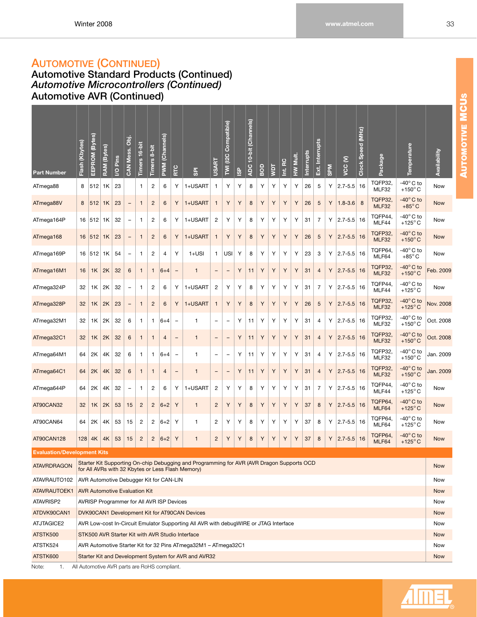# **AUTOMOTIVE (CONTINUED)**

**Automotive Standard Products (Continued)** *Automotive Microcontrollers (Continued)* **Automotive AVR (Continued)**

| <b>Part Number</b>                 | Flash (Kbytes) | EEPROM (Bytes) | <b>RAM</b> (Bytes) | Pins<br>$\overline{S}$               | CAN Mess. Obj.    | Timers 16-bit  | $8-bit$<br><b>Timers</b> | (Channels)<br><b>PWW</b>                     | RTC                      | <b>GPI</b>                                                                                                                                     | <b>USART</b>             | Compatible)<br>12C<br>M  | <u>ର</u> | (Channels)<br>$10$ -bit<br><b>ADC</b> | qos | jα | RC<br>Ë | Mult.<br>$\geq$ | Interrupts | Interrupts<br>ri<br>BX | <b>NdS</b> | ε<br>VCC    | (MHz)<br>Clock Speed | Package                | Temperature                              | Availability      |
|------------------------------------|----------------|----------------|--------------------|--------------------------------------|-------------------|----------------|--------------------------|----------------------------------------------|--------------------------|------------------------------------------------------------------------------------------------------------------------------------------------|--------------------------|--------------------------|----------|---------------------------------------|-----|----|---------|-----------------|------------|------------------------|------------|-------------|----------------------|------------------------|------------------------------------------|-------------------|
| ATmega88                           | 8              | 512            | 1K                 | 23                                   |                   | 1              | 2                        | 6                                            | Υ                        | 1+USART                                                                                                                                        | 1                        | Υ                        | Y        | 8                                     | Υ   | Υ  | Υ       | Υ               | 26         | 5                      | Υ          | $2.7 - 5.5$ | 16                   | TQFP32,<br>MLF32       | -40 $^{\circ}$ C to<br>$+150^{\circ}$ C  | Now               |
| ATmega88V                          | 8              | 512            | 1K                 | 23                                   | $\overline{a}$    | $\mathbf{1}$   | $\overline{2}$           | 6                                            | Υ                        | 1+USART                                                                                                                                        | 1                        | Υ                        | Υ        | 8                                     | Υ   | Υ  | Υ       | Υ               | 26         | 5                      | Υ          | $1.8 - 3.6$ | 8                    | TQFP32,<br>MLF32       | $-40^\circ$ C to<br>$+85^{\circ}$ C      | <b>Now</b>        |
| ATmega164P                         |                | 16 512         | 1K                 | 32                                   | ÷                 | 1              | $\overline{c}$           | 6                                            | Υ                        | 1+USART                                                                                                                                        | $\overline{2}$           | Υ                        | Υ        | 8                                     | Υ   | Υ  | Υ       | Υ               | 31         | 7                      | Υ          | $2.7 - 5.5$ | 16                   | TQFP44,<br>MLF44       | -40 $^{\circ}$ C to<br>+125 $^{\circ}$ C | Now               |
| ATmega168                          | 16             | 512            | 1K                 | 23                                   | -                 | $\mathbf{1}$   | $\overline{c}$           | 6                                            | Y                        | 1+USART                                                                                                                                        | 1                        | Υ                        | Υ        | 8                                     | Y   | Υ  | Υ       | Υ               | 26         | 5                      | Y          | $2.7 - 5.5$ | 16                   | TQFP32.<br>MLF32       | $-40^\circ$ C to<br>$+150^{\circ}$ C     | <b>Now</b>        |
| ATmega169P                         |                | 16   512       | 1K                 | 54                                   | ÷                 | 1              | $\overline{c}$           | 4                                            | Υ                        | $1+USI$                                                                                                                                        | 1                        | USI                      | Υ        | 8                                     | Υ   | Υ  | Υ       | Y               | 23         | 3                      | Υ          | $2.7 - 5.5$ | 16                   | TQFP64,<br>MLF64       | -40 $^{\circ}$ C to<br>$+85^{\circ}$ C   | Now               |
| ATmega16M1                         | 16             | 1K             | 2K                 | 32                                   | 6                 | $\mathbf{1}$   | 1                        | $6 + 4$                                      | $\overline{\phantom{0}}$ | 1                                                                                                                                              | $\qquad \qquad -$        | $\qquad \qquad -$        | Y        | 11                                    | Υ   | Υ  | Υ       | Υ               | 31         | 4                      | Υ          | $2.7 - 5.5$ | 16                   | TQFP32,<br>MLF32       | $-40^\circ$ C to<br>$+150^{\circ}$ C     | Feb. 2009         |
| ATmega324P                         | 32             | 1K             | 2K                 | 32                                   | ۳                 | 1              | 2                        | 6                                            | Υ                        | 1+USART                                                                                                                                        | 2                        | Υ                        | Υ        | 8                                     | Υ   | Υ  | Υ       | Y               | 31         | 7                      | Υ          | $2.7 - 5.5$ | 16                   | TQFP44,<br>MLF44       | $-40^\circ$ C to<br>$+125^{\circ}$ C     | Now               |
| ATmega328P                         | 32             | 1K             | 2K                 | 23                                   | $\qquad \qquad -$ | $\mathbf{1}$   | $\overline{c}$           | 6                                            | Υ                        | 1+USART                                                                                                                                        | 1                        | Υ                        | Υ        | $\bf8$                                | Υ   | Υ  | Υ       | Υ               | 26         | 5                      | Y          | $2.7 - 5.5$ | 16                   | TQFP32<br><b>MLF32</b> | $-40^\circ$ C to<br>$+125^{\circ}$ C     | Nov. 2008         |
| ATmega32M1                         | 32             | 1K             | 2K                 | 32                                   | 6                 | 1              | 1                        | $6 + 4$                                      | ÷                        | 1                                                                                                                                              | $\overline{\phantom{0}}$ | $\overline{\phantom{m}}$ | Υ        | 11                                    | Υ   | Υ  | Υ       | Υ               | 31         | 4                      | Y          | $2.7 - 5.5$ | 16                   | TQFP32,<br>MLF32       | $-40^\circ$ C to<br>$+150^{\circ}$ C     | Oct. 2008         |
| ATmega32C1                         | 32             | 1K             | 2K                 | 32                                   | 6                 | $\mathbf{1}$   | $\mathbf{1}$             | 4                                            | $\qquad \qquad -$        | 1                                                                                                                                              | $\qquad \qquad -$        | -                        | Υ        | 11                                    | Υ   | Υ  | Υ       | Υ               | 31         | 4                      | Υ          | $2.7 - 5.5$ | 16                   | TQFP32,<br>MLF32       | $-40^\circ$ C to<br>+150 $^{\circ}$ C    | Oct. 2008         |
| ATmega64M1                         | 64             | 2K             | 4K                 | 32                                   | 6                 | 1              | 1                        | $ 6+4 $                                      | $\overline{\phantom{0}}$ | 1                                                                                                                                              | $\overline{\phantom{0}}$ | $\overline{\phantom{0}}$ | Y        | 11                                    | Υ   | Υ  | Υ       | Υ               | 31         | 4                      | Y          | $2.7 - 5.5$ | 16                   | TQFP32.<br>MLF32       | $-40^\circ$ C to<br>$+150^{\circ}$ C     | Jan. 2009         |
| ATmega64C1                         | 64             | 2K             | 4K                 | 32                                   | 6                 | $\mathbf{1}$   | $\mathbf{1}$             | 4                                            | $\qquad \qquad -$        | 1                                                                                                                                              | $\qquad \qquad -$        | -                        | Υ        | 11                                    | Υ   | Υ  | Υ       | Υ               | 31         | $\overline{4}$         | Υ          | $2.7 - 5.5$ | 16                   | TQFP32,<br>MLF32       | $-40^\circ$ C to<br>+150 $^{\circ}$ C    | Jan. 2009         |
| ATmega644P                         | 64             | 2K             | 4K                 | 32                                   | ÷                 | 1              | $\overline{c}$           | 6                                            | Υ                        | 1+USART                                                                                                                                        | 2                        | Υ                        | Υ        | 8                                     | Υ   | Υ  | Υ       | Υ               | 31         | 7                      | Υ          | $2.7 - 5.5$ | 16                   | TQFP44,<br>MLF44       | -40 $^{\circ}$ C to<br>$+125^{\circ}$ C  | Now               |
| AT90CAN32                          | 32             | 1K             | 2K                 | 53                                   | 15                | $\overline{c}$ | $\overline{2}$           | $6 + 2$                                      | Υ                        | $\mathbf{1}$                                                                                                                                   | $\overline{c}$           | Υ                        | Υ        | 8                                     | Y   | Υ  | Υ       | Υ               | 37         | 8                      | Y          | $2.7 - 5.5$ | 16                   | TQFP64,<br>MLF64       | $-40^\circ$ C to<br>$+125^{\circ}$ C     | <b>Now</b>        |
| AT90CAN64                          | 64             | 2K             | 4K                 | 53                                   | 15                | $\overline{c}$ | 2                        | $6 + 2$                                      | Υ                        | 1                                                                                                                                              | 2                        | Y                        | Υ        | 8                                     | Υ   | Υ  | Υ       | Y               | 37         | 8                      | Υ          | $2.7 - 5.5$ | 16                   | TQFP64,<br>MLF64       | -40 $^{\circ}$ C to<br>$+125^{\circ}$ C  | Now               |
| AT90CAN128                         | 128            | 4K             | 4K                 | 53                                   | 15                | $\overline{c}$ | $\overline{c}$           | $ 6+2 $                                      | Υ                        | $\mathbf{1}$                                                                                                                                   | $\overline{c}$           | Υ                        | Υ        | $\bf 8$                               | Υ   | Υ  | Υ       | Υ               | 37         | 8                      | Υ          | $2.7 - 5.5$ | 16                   | TQFP64,<br>MLF64       | $-40^\circ$ C to<br>$+125^{\circ}$ C     | <b>Now</b>        |
| <b>Evaluation/Development Kits</b> |                |                |                    |                                      |                   |                |                          |                                              |                          |                                                                                                                                                |                          |                          |          |                                       |     |    |         |                 |            |                        |            |             |                      |                        |                                          |                   |
| <b>ATAVRDRAGON</b>                 |                |                |                    |                                      |                   |                |                          |                                              |                          | Starter Kit Supporting On-chip Debugging and Programming for AVR (AVR Dragon Supports OCD<br>for All AVRs with 32 Kbytes or Less Flash Memory) |                          |                          |          |                                       |     |    |         |                 |            |                        |            |             |                      |                        |                                          | <b>Now</b>        |
| ATAVRAUTO102                       |                |                |                    |                                      |                   |                |                          | AVR Automotive Debugger Kit for CAN-LIN      |                          |                                                                                                                                                |                          |                          |          |                                       |     |    |         |                 |            |                        |            |             |                      |                        |                                          | Now               |
| ATAVRAUTOEK1                       |                |                |                    | <b>AVR Automotive Evaluation Kit</b> |                   |                |                          |                                              |                          |                                                                                                                                                |                          |                          |          |                                       |     |    |         |                 |            |                        |            |             |                      |                        |                                          | <b>Now</b>        |
| ATAVRISP2                          |                |                |                    |                                      |                   |                |                          | AVRISP Programmer for All AVR ISP Devices    |                          |                                                                                                                                                |                          |                          |          |                                       |     |    |         |                 |            |                        |            |             |                      |                        |                                          | Now               |
| ATDVK90CAN1                        |                |                |                    |                                      |                   |                |                          |                                              |                          | DVK90CAN1 Development Kit for AT90CAN Devices                                                                                                  |                          |                          |          |                                       |     |    |         |                 |            |                        |            |             |                      |                        |                                          | <b>Now</b>        |
| ATJTAGICE2                         |                |                |                    |                                      |                   |                |                          |                                              |                          | AVR Low-cost In-Circuit Emulator Supporting All AVR with debugWIRE or JTAG Interface                                                           |                          |                          |          |                                       |     |    |         |                 |            |                        |            |             |                      |                        |                                          | Now               |
| ATSTK500                           |                |                |                    |                                      |                   |                |                          |                                              |                          | STK500 AVR Starter Kit with AVR Studio Interface                                                                                               |                          |                          |          |                                       |     |    |         |                 |            |                        |            |             |                      |                        |                                          | <b>Now</b>        |
| ATSTK524<br>ATSTK600               |                |                |                    |                                      |                   |                |                          |                                              |                          | AVR Automotive Starter Kit for 32 Pins ATmega32M1 - ATmega32C1                                                                                 |                          |                          |          |                                       |     |    |         |                 |            |                        |            |             |                      |                        |                                          | Now<br><b>Now</b> |
| 1.<br>Note:                        |                |                |                    |                                      |                   |                |                          | All Automotive AVR parts are RoHS compliant. |                          | Starter Kit and Development System for AVR and AVR32                                                                                           |                          |                          |          |                                       |     |    |         |                 |            |                        |            |             |                      |                        |                                          |                   |

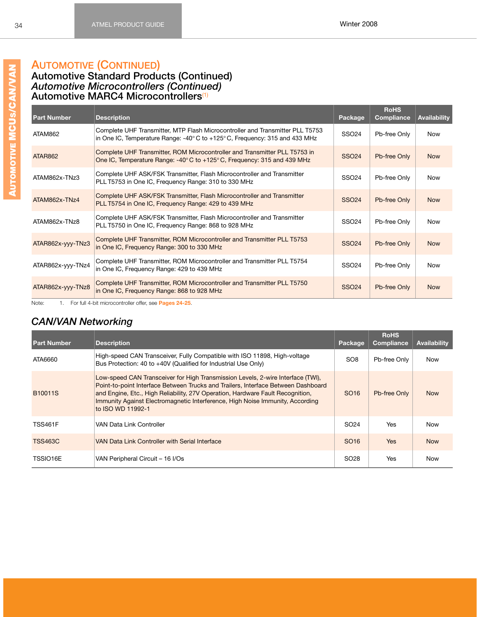#### **Automotive Standard Products (Continued)** *Automotive Microcontrollers (Continued)*

<span id="page-40-1"></span>**Automotive MARC4 Microcontrollers**[\(1\)](#page-40-0)

| <b>Part Number</b> | <b>Description</b>                                                                                                                                                             | Package      | <b>RoHS</b><br>Compliance | <b>Availability</b> |
|--------------------|--------------------------------------------------------------------------------------------------------------------------------------------------------------------------------|--------------|---------------------------|---------------------|
| ATAM862            | Complete UHF Transmitter, MTP Flash Microcontroller and Transmitter PLL T5753<br>in One IC, Temperature Range: $-40^{\circ}$ C to $+125^{\circ}$ C, Frequency: 315 and 433 MHz | <b>SSO24</b> | Pb-free Only              | <b>Now</b>          |
| <b>ATAR862</b>     | Complete UHF Transmitter, ROM Microcontroller and Transmitter PLL T5753 in<br>One IC, Temperature Range: -40°C to +125°C, Frequency: 315 and 439 MHz                           | <b>SSO24</b> | Pb-free Only              | <b>Now</b>          |
| ATAM862x-TNz3      | Complete UHF ASK/FSK Transmitter, Flash Microcontroller and Transmitter<br>PLL T5753 in One IC, Frequency Range: 310 to 330 MHz                                                | <b>SSO24</b> | Pb-free Only              | <b>Now</b>          |
| ATAM862x-TNz4      | Complete UHF ASK/FSK Transmitter, Flash Microcontroller and Transmitter<br>PLL T5754 in One IC, Frequency Range: 429 to 439 MHz                                                | <b>SSO24</b> | Pb-free Only              | <b>Now</b>          |
| ATAM862x-TNz8      | Complete UHF ASK/FSK Transmitter, Flash Microcontroller and Transmitter<br>PLL T5750 in One IC, Frequency Range: 868 to 928 MHz                                                | <b>SSO24</b> | Pb-free Only              | <b>Now</b>          |
| ATAR862x-yyy-TNz3  | Complete UHF Transmitter, ROM Microcontroller and Transmitter PLL T5753<br>in One IC, Frequency Range: 300 to 330 MHz                                                          | <b>SSO24</b> | Pb-free Only              | <b>Now</b>          |
| ATAR862x-yyy-TNz4  | Complete UHF Transmitter, ROM Microcontroller and Transmitter PLL T5754<br>in One IC, Frequency Range: 429 to 439 MHz                                                          | <b>SSO24</b> | Pb-free Only              | <b>Now</b>          |
| ATAR862x-yyy-TNz8  | Complete UHF Transmitter, ROM Microcontroller and Transmitter PLL T5750<br>in One IC, Frequency Range: 868 to 928 MHz                                                          | <b>SSO24</b> | Pb-free Only              | <b>Now</b>          |

<span id="page-40-0"></span>Note: 1. For full 4-bit microcontroller offer, see **Pages [24](#page-30-0)[-25](#page-31-0)**.

# *CAN/VAN Networking*

| <b>Part Number</b>   | <b>Description</b>                                                                                                                                                                                                                                                                                                                                           | Package          | <b>RoHS</b><br>Compliance | Availability |
|----------------------|--------------------------------------------------------------------------------------------------------------------------------------------------------------------------------------------------------------------------------------------------------------------------------------------------------------------------------------------------------------|------------------|---------------------------|--------------|
| ATA6660              | High-speed CAN Transceiver, Fully Compatible with ISO 11898, High-voltage<br>Bus Protection: 40 to +40V (Qualified for Industrial Use Only)                                                                                                                                                                                                                  | SO <sub>8</sub>  | Pb-free Only              | <b>Now</b>   |
| B <sub>10011</sub> S | Low-speed CAN Transceiver for High Transmission Levels, 2-wire Interface (TWI),<br>Point-to-point Interface Between Trucks and Trailers, Interface Between Dashboard<br>and Engine, Etc., High Reliability, 27V Operation, Hardware Fault Recognition,<br>Immunity Against Electromagnetic Interference, High Noise Immunity, According<br>to ISO WD 11992-1 | SO <sub>16</sub> | Pb-free Only              | <b>Now</b>   |
| <b>TSS461F</b>       | VAN Data Link Controller                                                                                                                                                                                                                                                                                                                                     | SO <sub>24</sub> | Yes                       | <b>Now</b>   |
| <b>TSS463C</b>       | VAN Data Link Controller with Serial Interface                                                                                                                                                                                                                                                                                                               | SO <sub>16</sub> | <b>Yes</b>                | <b>Now</b>   |
| TSSIO16E             | VAN Peripheral Circuit – 16 I/Os                                                                                                                                                                                                                                                                                                                             | SO <sub>28</sub> | <b>Yes</b>                | Now          |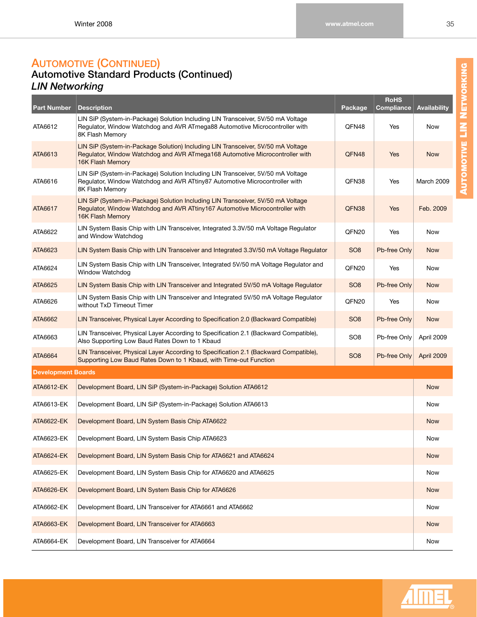### **AUTOMOTIVE (CONTINUED) Automotive Standard Products (Continued)** *LIN Networking*

| <b>Part Number</b>        | <b>Description</b>                                                                                                                                                                          | Package         | <b>RoHS</b><br><b>Compliance</b> | <b>Availability</b> |
|---------------------------|---------------------------------------------------------------------------------------------------------------------------------------------------------------------------------------------|-----------------|----------------------------------|---------------------|
| ATA6612                   | LIN SiP (System-in-Package) Solution Including LIN Transceiver, 5V/50 mA Voltage<br>Regulator, Window Watchdog and AVR ATmega88 Automotive Microcontroller with<br>8K Flash Memory          | QFN48           | Yes                              | Now                 |
| ATA6613                   | LIN SiP (System-in-Package Solution) Including LIN Transceiver, 5V/50 mA Voltage<br>Regulator, Window Watchdog and AVR ATmega168 Automotive Microcontroller with<br>16K Flash Memory        | QFN48           | Yes                              | <b>Now</b>          |
| ATA6616                   | LIN SiP (System-in-Package) Solution Including LIN Transceiver, 5V/50 mA Voltage<br>Regulator, Window Watchdog and AVR ATtiny87 Automotive Microcontroller with<br>8K Flash Memory          | QFN38           | Yes                              | <b>March 2009</b>   |
| ATA6617                   | LIN SiP (System-in-Package) Solution Including LIN Transceiver, 5V/50 mA Voltage<br>Regulator, Window Watchdog and AVR ATtiny167 Automotive Microcontroller with<br><b>16K Flash Memory</b> | QFN38           | Yes                              | Feb. 2009           |
| ATA6622                   | LIN System Basis Chip with LIN Transceiver, Integrated 3.3V/50 mA Voltage Regulator<br>and Window Watchdog                                                                                  | QFN20           | Yes                              | Now                 |
| ATA6623                   | LIN System Basis Chip with LIN Transceiver and Integrated 3.3V/50 mA Voltage Regulator                                                                                                      | SO <sub>8</sub> | Pb-free Only                     | <b>Now</b>          |
| ATA6624                   | LIN System Basis Chip with LIN Transceiver, Integrated 5V/50 mA Voltage Regulator and<br><b>Window Watchdog</b>                                                                             | QFN20           | Yes                              | Now                 |
| ATA6625                   | LIN System Basis Chip with LIN Transceiver and Integrated 5V/50 mA Voltage Regulator                                                                                                        | SO <sub>8</sub> | Pb-free Only                     | <b>Now</b>          |
| ATA6626                   | LIN System Basis Chip with LIN Transceiver and Integrated 5V/50 mA Voltage Regulator<br>without TxD Timeout Timer                                                                           | QFN20           | Yes                              | Now                 |
| ATA6662                   | LIN Transceiver, Physical Layer According to Specification 2.0 (Backward Compatible)                                                                                                        | SO <sub>8</sub> | Pb-free Only                     | <b>Now</b>          |
| ATA6663                   | LIN Transceiver, Physical Layer According to Specification 2.1 (Backward Compatible),<br>Also Supporting Low Baud Rates Down to 1 Kbaud                                                     | SO <sub>8</sub> | Pb-free Only                     | April 2009          |
| ATA6664                   | LIN Transceiver, Physical Layer According to Specification 2.1 (Backward Compatible),<br>Supporting Low Baud Rates Down to 1 Kbaud, with Time-out Function                                  | SO <sub>8</sub> | Pb-free Only                     | April 2009          |
| <b>Development Boards</b> |                                                                                                                                                                                             |                 |                                  |                     |
| ATA6612-EK                | Development Board, LIN SiP (System-in-Package) Solution ATA6612                                                                                                                             |                 |                                  | <b>Now</b>          |
| ATA6613-EK                | Development Board, LIN SiP (System-in-Package) Solution ATA6613                                                                                                                             |                 |                                  | Now                 |
| ATA6622-EK                | Development Board, LIN System Basis Chip ATA6622                                                                                                                                            |                 |                                  | <b>Now</b>          |
| ATA6623-EK                | Development Board, LIN System Basis Chip ATA6623                                                                                                                                            |                 |                                  | Now                 |
| ATA6624-EK                | Development Board, LIN System Basis Chip for ATA6621 and ATA6624                                                                                                                            |                 |                                  | <b>Now</b>          |
| ATA6625-EK                | Development Board, LIN System Basis Chip for ATA6620 and ATA6625                                                                                                                            |                 |                                  | Now                 |
| <b>ATA6626-EK</b>         | Development Board, LIN System Basis Chip for ATA6626                                                                                                                                        |                 |                                  | <b>Now</b>          |
| ATA6662-EK                | Development Board, LIN Transceiver for ATA6661 and ATA6662                                                                                                                                  |                 |                                  | Now                 |
| ATA6663-EK                | Development Board, LIN Transceiver for ATA6663                                                                                                                                              |                 |                                  | <b>Now</b>          |
| ATA6664-EK                | Development Board, LIN Transceiver for ATA6664                                                                                                                                              |                 |                                  | Now                 |

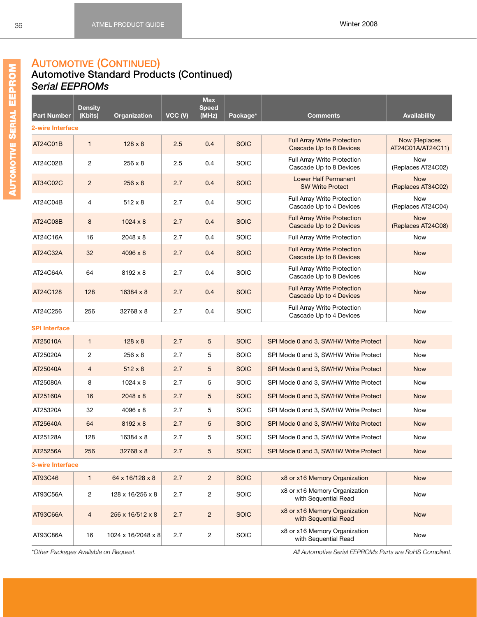### **AUTOMOTIVE (CONTINUED)**

#### **Automotive Standard Products (Continued)** *Serial EEPROMs*

|                         | <b>Density</b> |                    |         | <b>Max</b><br><b>Speed</b> |             |                                                               |                                    |
|-------------------------|----------------|--------------------|---------|----------------------------|-------------|---------------------------------------------------------------|------------------------------------|
| <b>Part Number</b>      | (Kbits)        | Organization       | VCC (V) | (MHz)                      | Package*    | <b>Comments</b>                                               | <b>Availability</b>                |
| 2-wire Interface        |                |                    |         |                            |             |                                                               |                                    |
| AT24C01B                | $\mathbf{1}$   | $128 \times 8$     | 2.5     | 0.4                        | <b>SOIC</b> | <b>Full Array Write Protection</b><br>Cascade Up to 8 Devices | Now (Replaces<br>AT24C01A/AT24C11) |
| AT24C02B                | $\overline{2}$ | $256 \times 8$     | 2.5     | 0.4                        | <b>SOIC</b> | Full Array Write Protection<br>Cascade Up to 8 Devices        | <b>Now</b><br>(Replaces AT24C02)   |
| AT34C02C                | $\overline{2}$ | $256 \times 8$     | 2.7     | 0.4                        | <b>SOIC</b> | Lower Half Permanent<br><b>SW Write Protect</b>               | <b>Now</b><br>(Replaces AT34C02)   |
| AT24C04B                | 4              | $512 \times 8$     | 2.7     | 0.4                        | <b>SOIC</b> | Full Array Write Protection<br>Cascade Up to 4 Devices        | <b>Now</b><br>(Replaces AT24C04)   |
| AT24C08B                | 8              | $1024 \times 8$    | 2.7     | 0.4                        | <b>SOIC</b> | <b>Full Array Write Protection</b><br>Cascade Up to 2 Devices | <b>Now</b><br>(Replaces AT24C08)   |
| AT24C16A                | 16             | 2048 x 8           | 2.7     | 0.4                        | SOIC        | Full Array Write Protection                                   | <b>Now</b>                         |
| AT24C32A                | 32             | $4096 \times 8$    | 2.7     | 0.4                        | <b>SOIC</b> | <b>Full Array Write Protection</b><br>Cascade Up to 8 Devices | <b>Now</b>                         |
| AT24C64A                | 64             | 8192 x 8           | 2.7     | 0.4                        | SOIC        | Full Array Write Protection<br>Cascade Up to 8 Devices        | <b>Now</b>                         |
| AT24C128                | 128            | 16384 x 8          | 2.7     | 0.4                        | <b>SOIC</b> | <b>Full Array Write Protection</b><br>Cascade Up to 4 Devices | <b>Now</b>                         |
| AT24C256                | 256            | 32768 x 8          | 2.7     | 0.4                        | <b>SOIC</b> | Full Array Write Protection<br>Cascade Up to 4 Devices        | Now                                |
| <b>SPI Interface</b>    |                |                    |         |                            |             |                                                               |                                    |
| AT25010A                | $\mathbf{1}$   | $128 \times 8$     | 2.7     | 5                          | <b>SOIC</b> | SPI Mode 0 and 3, SW/HW Write Protect                         | <b>Now</b>                         |
| AT25020A                | $\overline{2}$ | $256 \times 8$     | 2.7     | 5                          | <b>SOIC</b> | SPI Mode 0 and 3, SW/HW Write Protect                         | <b>Now</b>                         |
| AT25040A                | $\overline{4}$ | $512 \times 8$     | 2.7     | 5                          | <b>SOIC</b> | SPI Mode 0 and 3, SW/HW Write Protect                         | <b>Now</b>                         |
| AT25080A                | 8              | $1024 \times 8$    | 2.7     | 5                          | <b>SOIC</b> | SPI Mode 0 and 3, SW/HW Write Protect                         | Now                                |
| AT25160A                | 16             | $2048 \times 8$    | 2.7     | 5                          | <b>SOIC</b> | SPI Mode 0 and 3, SW/HW Write Protect                         | <b>Now</b>                         |
| AT25320A                | 32             | 4096 x 8           | 2.7     | 5                          | <b>SOIC</b> | SPI Mode 0 and 3, SW/HW Write Protect                         | <b>Now</b>                         |
| AT25640A                | 64             | $8192 \times 8$    | 2.7     | 5                          | <b>SOIC</b> | SPI Mode 0 and 3, SW/HW Write Protect                         | <b>Now</b>                         |
| AT25128A                | 128            | 16384 x 8          | 2.7     | 5                          | <b>SOIC</b> | SPI Mode 0 and 3, SW/HW Write Protect                         | Now                                |
| AT25256A                | 256            | 32768 x 8          | 2.7     | 5                          | <b>SOIC</b> | SPI Mode 0 and 3, SW/HW Write Protect                         | <b>Now</b>                         |
| <b>3-wire Interface</b> |                |                    |         |                            |             |                                                               |                                    |
| AT93C46                 | $\mathbf{1}$   | 64 x 16/128 x 8    | 2.7     | $\overline{2}$             | <b>SOIC</b> | x8 or x16 Memory Organization                                 | <b>Now</b>                         |
| AT93C56A                | $\overline{c}$ | 128 x 16/256 x 8   | 2.7     | 2                          | SOIC        | x8 or x16 Memory Organization<br>with Sequential Read         | Now                                |
| AT93C66A                | $\overline{4}$ | 256 x 16/512 x 8   | 2.7     | $\overline{2}$             | <b>SOIC</b> | x8 or x16 Memory Organization<br>with Sequential Read         | <b>Now</b>                         |
| AT93C86A                | 16             | 1024 x 16/2048 x 8 | 2.7     | $\overline{c}$             | SOIC        | x8 or x16 Memory Organization<br>with Sequential Read         | Now                                |

*\*Other Packages Available on Request. All Automotive Serial EEPROMs Parts are RoHS Compliant.*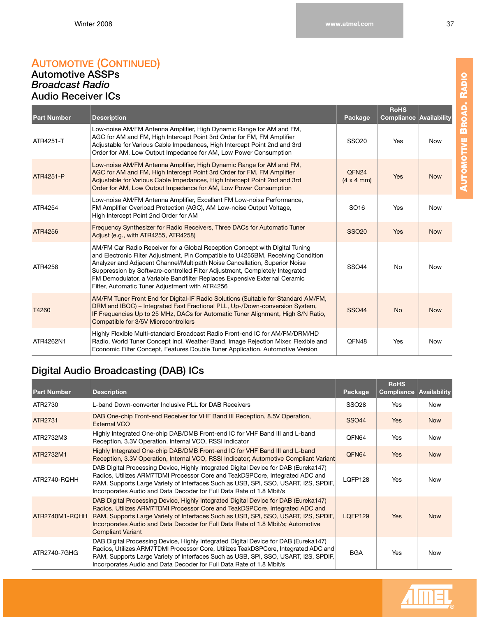#### **AUTOMOTIVE (CONTINUED) Automotive ASSPs** *Broadcast Radio* **Audio Receiver ICs**

| <b>Part Number</b> | <b>Description</b>                                                                                                                                                                                                                                                                                                                                                                                                                                           | Package                                        | <b>RoHS</b><br><b>Compliance</b> | Availability |
|--------------------|--------------------------------------------------------------------------------------------------------------------------------------------------------------------------------------------------------------------------------------------------------------------------------------------------------------------------------------------------------------------------------------------------------------------------------------------------------------|------------------------------------------------|----------------------------------|--------------|
| ATR4251-T          | Low-noise AM/FM Antenna Amplifier, High Dynamic Range for AM and FM,<br>AGC for AM and FM, High Intercept Point 3rd Order for FM, FM Amplifier<br>Adjustable for Various Cable Impedances, High Intercept Point 2nd and 3rd<br>Order for AM, Low Output Impedance for AM, Low Power Consumption                                                                                                                                                              | <b>SSO20</b>                                   | Yes                              | <b>Now</b>   |
| ATR4251-P          | Low-noise AM/FM Antenna Amplifier, High Dynamic Range for AM and FM,<br>AGC for AM and FM, High Intercept Point 3rd Order for FM, FM Amplifier<br>Adjustable for Various Cable Impedances, High Intercept Point 2nd and 3rd<br>Order for AM, Low Output Impedance for AM, Low Power Consumption                                                                                                                                                              | QFN <sub>24</sub><br>$(4 \times 4 \text{ mm})$ | Yes                              | <b>Now</b>   |
| ATR4254            | Low-noise AM/FM Antenna Amplifier, Excellent FM Low-noise Performance,<br>FM Amplifier Overload Protection (AGC), AM Low-noise Output Voltage,<br>High Intercept Point 2nd Order for AM                                                                                                                                                                                                                                                                      | SO <sub>16</sub>                               | Yes                              | <b>Now</b>   |
| ATR4256            | Frequency Synthesizer for Radio Receivers, Three DACs for Automatic Tuner<br>Adjust (e.g., with ATR4255, ATR4258)                                                                                                                                                                                                                                                                                                                                            | <b>SSO20</b>                                   | <b>Yes</b>                       | <b>Now</b>   |
| ATR4258            | AM/FM Car Radio Receiver for a Global Reception Concept with Digital Tuning<br>and Electronic Filter Adjustment, Pin Compatible to U4255BM, Receiving Condition<br>Analyzer and Adjacent Channel/Multipath Noise Cancellation, Superior Noise<br>Suppression by Software-controlled Filter Adjustment, Completely Integrated<br>FM Demodulator, a Variable Bandfilter Replaces Expensive External Ceramic<br>Filter, Automatic Tuner Adjustment with ATR4256 | <b>SSO44</b>                                   | <b>No</b>                        | <b>Now</b>   |
| T4260              | AM/FM Tuner Front End for Digital-IF Radio Solutions (Suitable for Standard AM/FM,<br>DRM and IBOC) - Integrated Fast Fractional PLL, Up-/Down-conversion System,<br>IF Frequencies Up to 25 MHz, DACs for Automatic Tuner Alignment, High S/N Ratio,<br>Compatible for 3/5V Microcontrollers                                                                                                                                                                | <b>SSO44</b>                                   | <b>No</b>                        | <b>Now</b>   |
| ATR4262N1          | Highly Flexible Multi-standard Broadcast Radio Front-end IC for AM/FM/DRM/HD<br>Radio, World Tuner Concept Incl. Weather Band, Image Rejection Mixer, Flexible and<br>Economic Filter Concept, Features Double Tuner Application, Automotive Version                                                                                                                                                                                                         | QFN48                                          | Yes                              | <b>Now</b>   |

# **Digital Audio Broadcasting (DAB) ICs**

| <b>Part Number</b> | <b>Description</b>                                                                                                                                                                                                                                                                                                                                                         | Package      | <b>RoHS</b><br>Compliance | Availability |
|--------------------|----------------------------------------------------------------------------------------------------------------------------------------------------------------------------------------------------------------------------------------------------------------------------------------------------------------------------------------------------------------------------|--------------|---------------------------|--------------|
| ATR2730            | L-band Down-converter Inclusive PLL for DAB Receivers                                                                                                                                                                                                                                                                                                                      | <b>SSO28</b> | <b>Yes</b>                | <b>Now</b>   |
| ATR2731            | DAB One-chip Front-end Receiver for VHF Band III Reception, 8.5V Operation,<br><b>External VCO</b>                                                                                                                                                                                                                                                                         | <b>SSO44</b> | <b>Yes</b>                | <b>Now</b>   |
| ATR2732M3          | Highly Integrated One-chip DAB/DMB Front-end IC for VHF Band III and L-band<br>Reception, 3.3V Operation, Internal VCO, RSSI Indicator                                                                                                                                                                                                                                     | QFN64        | Yes                       | <b>Now</b>   |
| ATR2732M1          | Highly Integrated One-chip DAB/DMB Front-end IC for VHF Band III and L-band<br>Reception, 3.3V Operation, Internal VCO, RSSI Indicator; Automotive Compliant Variant                                                                                                                                                                                                       | QFN64        | <b>Yes</b>                | <b>Now</b>   |
| ATR2740-RQHH       | DAB Digital Processing Device, Highly Integrated Digital Device for DAB (Eureka147)<br>Radios, Utilizes ARM7TDMI Processor Core and TeakDSPCore, Integrated ADC and<br>RAM, Supports Large Variety of Interfaces Such as USB, SPI, SSO, USART, I2S, SPDIF,<br>Incorporates Audio and Data Decoder for Full Data Rate of 1.8 Mbit/s                                         | LQFP128      | Yes                       | <b>Now</b>   |
| ATR2740M1-RQHH     | DAB Digital Processing Device, Highly Integrated Digital Device for DAB (Eureka147)<br>Radios, Utilizes ARM7TDMI Processor Core and TeakDSPCore, Integrated ADC and<br>RAM, Supports Large Variety of Interfaces Such as USB, SPI, SSO, USART, I2S, SPDIF,<br>Incorporates Audio and Data Decoder for Full Data Rate of 1.8 Mbit/s; Automotive<br><b>Compliant Variant</b> | LQFP129      | Yes                       | <b>Now</b>   |
| ATR2740-7GHG       | DAB Digital Processing Device, Highly Integrated Digital Device for DAB (Eureka147)<br>Radios, Utilizes ARM7TDMI Processor Core, Utilizes TeakDSPCore, Integrated ADC and<br>RAM, Supports Large Variety of Interfaces Such as USB, SPI, SSO, USART, I2S, SPDIF,<br>Incorporates Audio and Data Decoder for Full Data Rate of 1.8 Mbit/s                                   | <b>BGA</b>   | Yes                       | <b>Now</b>   |



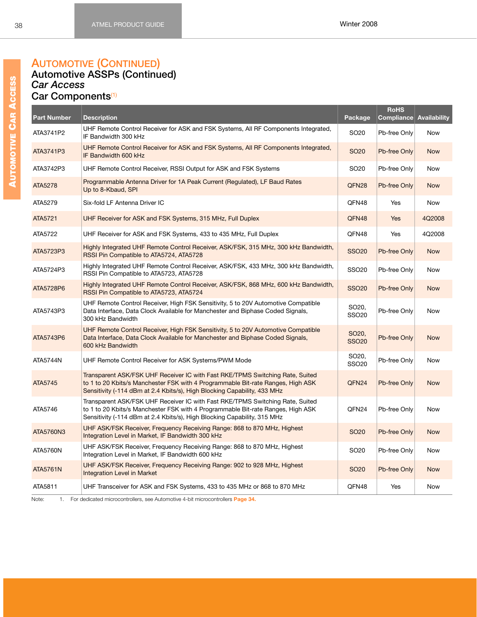#### **AUTOMOTIVE (CONTINUED) Automotive ASSPs (Continued)** *Car Access*

#### **Car Components**[\(1\)](#page-40-0)

| <b>Part Number</b> | <b>Description</b>                                                                                                                                                                                                                           | Package                          | <b>RoHS</b><br>Compliance | <b>Availability</b> |
|--------------------|----------------------------------------------------------------------------------------------------------------------------------------------------------------------------------------------------------------------------------------------|----------------------------------|---------------------------|---------------------|
| ATA3741P2          | UHF Remote Control Receiver for ASK and FSK Systems, All RF Components Integrated,<br>IF Bandwidth 300 kHz                                                                                                                                   | SO <sub>20</sub>                 | Pb-free Only              | <b>Now</b>          |
| ATA3741P3          | UHF Remote Control Receiver for ASK and FSK Systems, All RF Components Integrated,<br>IF Bandwidth 600 kHz                                                                                                                                   | <b>SO20</b>                      | Pb-free Only              | <b>Now</b>          |
| ATA3742P3          | UHF Remote Control Receiver, RSSI Output for ASK and FSK Systems                                                                                                                                                                             | SO <sub>20</sub>                 | Pb-free Only              | <b>Now</b>          |
| ATA5278            | Programmable Antenna Driver for 1A Peak Current (Regulated), LF Baud Rates<br>Up to 8-Kbaud, SPI                                                                                                                                             | QFN <sub>28</sub>                | Pb-free Only              | <b>Now</b>          |
| ATA5279            | Six-fold LF Antenna Driver IC                                                                                                                                                                                                                | QFN48                            | Yes                       | <b>Now</b>          |
| ATA5721            | UHF Receiver for ASK and FSK Systems, 315 MHz, Full Duplex                                                                                                                                                                                   | QFN48                            | Yes                       | 4Q2008              |
| ATA5722            | UHF Receiver for ASK and FSK Systems, 433 to 435 MHz, Full Duplex                                                                                                                                                                            | QFN48                            | Yes                       | 4Q2008              |
| ATA5723P3          | Highly Integrated UHF Remote Control Receiver, ASK/FSK, 315 MHz, 300 kHz Bandwidth,<br>RSSI Pin Compatible to ATA5724, ATA5728                                                                                                               | <b>SSO20</b>                     | Pb-free Only              | <b>Now</b>          |
| ATA5724P3          | Highly Integrated UHF Remote Control Receiver, ASK/FSK, 433 MHz, 300 kHz Bandwidth,<br>RSSI Pin Compatible to ATA5723, ATA5728                                                                                                               | <b>SSO20</b>                     | Pb-free Only              | <b>Now</b>          |
| ATA5728P6          | Highly Integrated UHF Remote Control Receiver, ASK/FSK, 868 MHz, 600 kHz Bandwidth,<br>RSSI Pin Compatible to ATA5723, ATA5724                                                                                                               | <b>SSO20</b>                     | Pb-free Only              | <b>Now</b>          |
| ATA5743P3          | UHF Remote Control Receiver, High FSK Sensitivity, 5 to 20V Automotive Compatible<br>Data Interface, Data Clock Available for Manchester and Biphase Coded Signals,<br>300 kHz Bandwidth                                                     | SO20,<br><b>SSO20</b>            | Pb-free Only              | <b>Now</b>          |
| ATA5743P6          | UHF Remote Control Receiver, High FSK Sensitivity, 5 to 20V Automotive Compatible<br>Data Interface, Data Clock Available for Manchester and Biphase Coded Signals,<br>600 kHz Bandwidth                                                     | SO <sub>20</sub><br><b>SSO20</b> | Pb-free Only              | <b>Now</b>          |
| ATA5744N           | UHF Remote Control Receiver for ASK Systems/PWM Mode                                                                                                                                                                                         | SO <sub>20</sub><br><b>SSO20</b> | Pb-free Only              | <b>Now</b>          |
| ATA5745            | Transparent ASK/FSK UHF Receiver IC with Fast RKE/TPMS Switching Rate, Suited<br>to 1 to 20 Kbits/s Manchester FSK with 4 Programmable Bit-rate Ranges, High ASK<br>Sensitivity (-114 dBm at 2.4 Kbits/s), High Blocking Capability, 433 MHz | QFN24                            | Pb-free Only              | <b>Now</b>          |
| ATA5746            | Transparent ASK/FSK UHF Receiver IC with Fast RKE/TPMS Switching Rate, Suited<br>to 1 to 20 Kbits/s Manchester FSK with 4 Programmable Bit-rate Ranges, High ASK<br>Sensitivity (-114 dBm at 2.4 Kbits/s), High Blocking Capability, 315 MHz | QFN24                            | Pb-free Only              | Now                 |
| ATA5760N3          | UHF ASK/FSK Receiver, Frequency Receiving Range: 868 to 870 MHz, Highest<br>Integration Level in Market, IF Bandwidth 300 kHz                                                                                                                | <b>SO20</b>                      | Pb-free Only              | <b>Now</b>          |
| <b>ATA5760N</b>    | UHF ASK/FSK Receiver, Frequency Receiving Range: 868 to 870 MHz, Highest<br>Integration Level in Market, IF Bandwidth 600 kHz                                                                                                                | SO <sub>20</sub>                 | Pb-free Only              | <b>Now</b>          |
| <b>ATA5761N</b>    | UHF ASK/FSK Receiver, Frequency Receiving Range: 902 to 928 MHz, Highest<br><b>Integration Level in Market</b>                                                                                                                               | SO <sub>20</sub>                 | Pb-free Only              | <b>Now</b>          |
| ATA5811            | UHF Transceiver for ASK and FSK Systems, 433 to 435 MHz or 868 to 870 MHz                                                                                                                                                                    | QFN48                            | Yes                       | <b>Now</b>          |

Note: 1. For dedicated microcontrollers, see Automotive 4-bit microcontrollers **Page [34.](#page-40-1)**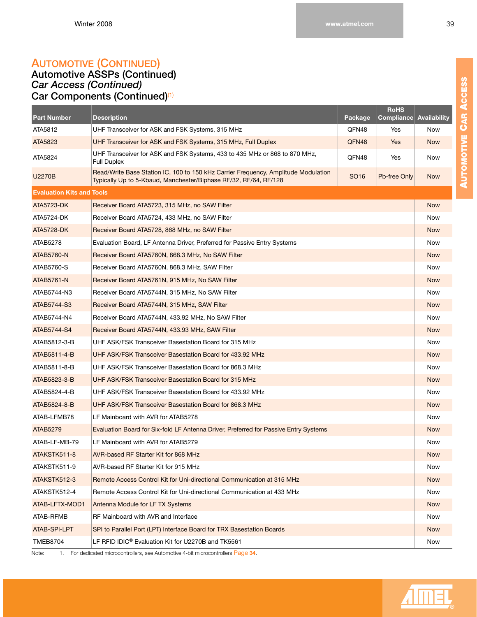### **AUTOMOTIVE (CONTINUED) Automotive ASSPs (Continued)**

*Car Access (Continued)* **Car Components (Continued)**[\(1\)](#page-40-0)

| <b>Part Number</b>               | <b>Description</b>                                                                                                                                     | Package          | <b>RoHS</b><br>Compliance | <b>Availability</b> |
|----------------------------------|--------------------------------------------------------------------------------------------------------------------------------------------------------|------------------|---------------------------|---------------------|
| ATA5812                          | UHF Transceiver for ASK and FSK Systems, 315 MHz                                                                                                       | QFN48            | Yes                       | Now                 |
| ATA5823                          | UHF Transceiver for ASK and FSK Systems, 315 MHz, Full Duplex                                                                                          | QFN48            | Yes                       | <b>Now</b>          |
| ATA5824                          | UHF Transceiver for ASK and FSK Systems, 433 to 435 MHz or 868 to 870 MHz,<br>Full Duplex                                                              | QFN48            | Yes                       | Now                 |
| U2270B                           | Read/Write Base Station IC, 100 to 150 kHz Carrier Frequency, Amplitude Modulation<br>Typically Up to 5-Kbaud, Manchester/Biphase RF/32, RF/64, RF/128 | SO <sub>16</sub> | Pb-free Only              | <b>Now</b>          |
| <b>Evaluation Kits and Tools</b> |                                                                                                                                                        |                  |                           |                     |
| ATA5723-DK                       | Receiver Board ATA5723, 315 MHz, no SAW Filter                                                                                                         |                  |                           | <b>Now</b>          |
| ATA5724-DK                       | Receiver Board ATA5724, 433 MHz, no SAW Filter                                                                                                         |                  |                           | Now                 |
| <b>ATA5728-DK</b>                | Receiver Board ATA5728, 868 MHz, no SAW Filter                                                                                                         |                  |                           | <b>Now</b>          |
| ATAB5278                         | Evaluation Board, LF Antenna Driver, Preferred for Passive Entry Systems                                                                               |                  |                           | Now                 |
| ATAB5760-N                       | Receiver Board ATA5760N, 868.3 MHz, No SAW Filter                                                                                                      |                  |                           | <b>Now</b>          |
| ATAB5760-S                       | Receiver Board ATA5760N, 868.3 MHz, SAW Filter                                                                                                         |                  |                           | Now                 |
| ATAB5761-N                       | Receiver Board ATA5761N, 915 MHz, No SAW Filter                                                                                                        |                  |                           | <b>Now</b>          |
| ATAB5744-N3                      | Receiver Board ATA5744N, 315 MHz, No SAW Filter                                                                                                        |                  |                           | Now                 |
| ATAB5744-S3                      | Receiver Board ATA5744N, 315 MHz, SAW Filter                                                                                                           |                  |                           | <b>Now</b>          |
| ATAB5744-N4                      | Receiver Board ATA5744N, 433.92 MHz, No SAW Filter                                                                                                     |                  |                           | Now                 |
| ATAB5744-S4                      | Receiver Board ATA5744N, 433.93 MHz, SAW Filter                                                                                                        |                  |                           | <b>Now</b>          |
| ATAB5812-3-B                     | UHF ASK/FSK Transceiver Basestation Board for 315 MHz                                                                                                  |                  |                           | Now                 |
| ATAB5811-4-B                     | UHF ASK/FSK Transceiver Basestation Board for 433.92 MHz                                                                                               |                  |                           | <b>Now</b>          |
| ATAB5811-8-B                     | UHF ASK/FSK Transceiver Basestation Board for 868.3 MHz                                                                                                |                  |                           | Now                 |
| ATAB5823-3-B                     | UHF ASK/FSK Transceiver Basestation Board for 315 MHz                                                                                                  |                  |                           | <b>Now</b>          |
| ATAB5824-4-B                     | UHF ASK/FSK Transceiver Basestation Board for 433.92 MHz                                                                                               |                  |                           | Now                 |
| ATAB5824-8-B                     | UHF ASK/FSK Transceiver Basestation Board for 868.3 MHz                                                                                                |                  |                           | <b>Now</b>          |
| ATAB-LFMB78                      | LF Mainboard with AVR for ATAB5278                                                                                                                     |                  |                           | Now                 |
| <b>ATAB5279</b>                  | Evaluation Board for Six-fold LF Antenna Driver, Preferred for Passive Entry Systems                                                                   |                  |                           | <b>Now</b>          |
| ATAB-LF-MB-79                    | LF Mainboard with AVR for ATAB5279                                                                                                                     |                  |                           | Now                 |
| ATAKSTK511-8                     | AVR-based RF Starter Kit for 868 MHz                                                                                                                   |                  |                           | <b>Now</b>          |
| ATAKSTK511-9                     | AVR-based RF Starter Kit for 915 MHz                                                                                                                   |                  |                           | Now                 |
| ATAKSTK512-3                     | Remote Access Control Kit for Uni-directional Communication at 315 MHz                                                                                 |                  |                           | <b>Now</b>          |
| ATAKSTK512-4                     | Remote Access Control Kit for Uni-directional Communication at 433 MHz                                                                                 |                  |                           | Now                 |
| ATAB-LFTX-MOD1                   | Antenna Module for LF TX Systems                                                                                                                       |                  |                           | <b>Now</b>          |
| ATAB-RFMB                        | RF Mainboard with AVR and Interface                                                                                                                    |                  |                           | Now                 |
| ATAB-SPI-LPT                     | SPI to Parallel Port (LPT) Interface Board for TRX Basestation Boards                                                                                  |                  |                           | <b>Now</b>          |
| <b>TMEB8704</b>                  | LF RFID IDIC <sup>®</sup> Evaluation Kit for U2270B and TK5561                                                                                         |                  |                           | Now                 |
|                                  |                                                                                                                                                        |                  |                           |                     |

Note: 1. For dedicated microcontrollers, see Automotive 4-bit microcontrollers Page **[34](#page-40-1)**.

**AUTOMOTIVE CAR ACCESS**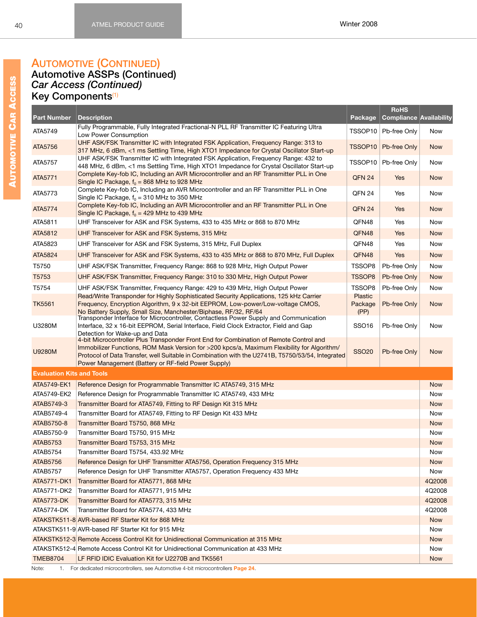#### **AUTOMOTIVE (CONTINUED) Automotive ASSPs (Continued)** *Car Access (Continued)* **Key Components**[\(1\)](#page-40-0)

| <b>Part Number</b>               | <b>Description</b>                                                                                                                                                                                                                                                                                                                               | Package             | <b>RoHS</b><br><b>Compliance Availability</b> |            |
|----------------------------------|--------------------------------------------------------------------------------------------------------------------------------------------------------------------------------------------------------------------------------------------------------------------------------------------------------------------------------------------------|---------------------|-----------------------------------------------|------------|
| ATA5749                          | Fully Programmable, Fully Integrated Fractional-N PLL RF Transmitter IC Featuring Ultra<br>Low Power Consumption                                                                                                                                                                                                                                 | TSSOP10             | Pb-free Only                                  | Now        |
| ATA5756                          | UHF ASK/FSK Transmitter IC with Integrated FSK Application, Frequency Range: 313 to<br>317 MHz, 6 dBm, <1 ms Settling Time, High XTO1 Impedance for Crystal Oscillator Start-up                                                                                                                                                                  | TSSOP <sub>10</sub> | Pb-free Only                                  | <b>Now</b> |
| ATA5757                          | UHF ASK/FSK Transmitter IC with Integrated FSK Application, Frequency Range: 432 to<br>448 MHz, 6 dBm, <1 ms Settling Time, High XTO1 Impedance for Crystal Oscillator Start-up                                                                                                                                                                  | TSSOP10             | Pb-free Only                                  | Now        |
| ATA5771                          | Complete Key-fob IC, Including an AVR Microcontroller and an RF Transmitter PLL in One<br>Single IC Package, $f_0 = 868$ MHz to 928 MHz                                                                                                                                                                                                          | QFN 24              | Yes                                           | <b>Now</b> |
| ATA5773                          | Complete Key-fob IC, Including an AVR Microcontroller and an RF Transmitter PLL in One<br>Single IC Package, $f_0 = 310$ MHz to 350 MHz                                                                                                                                                                                                          | QFN 24              | Yes                                           | Now        |
| ATA5774                          | Complete Key-fob IC, Including an AVR Microcontroller and an RF Transmitter PLL in One<br>Single IC Package, $f_0 = 429$ MHz to 439 MHz                                                                                                                                                                                                          | QFN 24              | Yes                                           | <b>Now</b> |
| ATA5811                          | UHF Transceiver for ASK and FSK Systems, 433 to 435 MHz or 868 to 870 MHz                                                                                                                                                                                                                                                                        | QFN48               | Yes                                           | Now        |
| ATA5812                          | UHF Transceiver for ASK and FSK Systems, 315 MHz                                                                                                                                                                                                                                                                                                 | QFN48               | Yes                                           | <b>Now</b> |
| ATA5823                          | UHF Transceiver for ASK and FSK Systems, 315 MHz, Full Duplex                                                                                                                                                                                                                                                                                    | QFN48               | Yes                                           | Now        |
| ATA5824                          | UHF Transceiver for ASK and FSK Systems, 433 to 435 MHz or 868 to 870 MHz, Full Duplex                                                                                                                                                                                                                                                           | QFN48               | Yes                                           | <b>Now</b> |
| T5750                            | UHF ASK/FSK Transmitter, Frequency Range: 868 to 928 MHz, High Output Power                                                                                                                                                                                                                                                                      | TSSOP8              | Pb-free Only                                  | Now        |
| T5753                            | UHF ASK/FSK Transmitter, Frequency Range: 310 to 330 MHz, High Output Power                                                                                                                                                                                                                                                                      | <b>TSSOP8</b>       | Pb-free Only                                  | <b>Now</b> |
| T5754                            | UHF ASK/FSK Transmitter, Frequency Range: 429 to 439 MHz, High Output Power                                                                                                                                                                                                                                                                      | TSSOP8              | Pb-free Only                                  | Now        |
|                                  | Read/Write Transponder for Highly Sophisticated Security Applications, 125 kHz Carrier                                                                                                                                                                                                                                                           | <b>Plastic</b>      |                                               |            |
| <b>TK5561</b>                    | Frequency, Encryption Algorithm, 9 x 32-bit EEPROM, Low-power/Low-voltage CMOS,<br>No Battery Supply, Small Size, Manchester/Biphase, RF/32, RF/64                                                                                                                                                                                               | Package<br>(PP)     | Pb-free Only                                  | <b>Now</b> |
| U3280M                           | Transponder Interface for Microcontroller, Contactless Power Supply and Communication<br>Interface, 32 x 16-bit EEPROM, Serial Interface, Field Clock Extractor, Field and Gap<br>Detection for Wake-up and Data                                                                                                                                 | SSO <sub>16</sub>   | Pb-free Only                                  | <b>Now</b> |
| <b>U9280M</b>                    | 4-bit Microcontroller Plus Transponder Front End for Combination of Remote Control and<br>Immobilizer Functions, ROM Mask Version for >200 kpcs/a, Maximum Flexibility for Algorithm/<br>Protocol of Data Transfer, well Suitable in Combination with the U2741B, T5750/53/54, Integrated<br>Power Management (Battery or RF-field Power Supply) | <b>SSO20</b>        | Pb-free Only                                  | <b>Now</b> |
| <b>Evaluation Kits and Tools</b> |                                                                                                                                                                                                                                                                                                                                                  |                     |                                               |            |
| ATA5749-EK1                      | Reference Design for Programmable Transmitter IC ATA5749, 315 MHz                                                                                                                                                                                                                                                                                |                     |                                               | <b>Now</b> |
| ATA5749-EK2                      | Reference Design for Programmable Transmitter IC ATA5749, 433 MHz                                                                                                                                                                                                                                                                                |                     |                                               | Now        |
| ATAB5749-3                       | Transmitter Board for ATA5749, Fitting to RF Design Kit 315 MHz                                                                                                                                                                                                                                                                                  |                     |                                               | <b>Now</b> |
| ATAB5749-4                       | Transmitter Board for ATA5749, Fitting to RF Design Kit 433 MHz                                                                                                                                                                                                                                                                                  |                     |                                               | Now        |
| ATAB5750-8                       | Transmitter Board T5750, 868 MHz                                                                                                                                                                                                                                                                                                                 |                     |                                               | <b>Now</b> |
| ATAB5750-9                       | Transmitter Board T5750, 915 MHz                                                                                                                                                                                                                                                                                                                 |                     |                                               | Now        |
| <b>ATAB5753</b>                  | Transmitter Board T5753, 315 MHz                                                                                                                                                                                                                                                                                                                 |                     |                                               | <b>Now</b> |
| ATAB5754                         | Transmitter Board T5754, 433.92 MHz                                                                                                                                                                                                                                                                                                              |                     |                                               | Now        |
| ATAB5756                         | Reference Design for UHF Transmitter ATA5756, Operation Frequency 315 MHz                                                                                                                                                                                                                                                                        |                     |                                               | <b>Now</b> |
| <b>ATAB5757</b>                  | Reference Design for UHF Transmitter ATA5757, Operation Frequency 433 MHz                                                                                                                                                                                                                                                                        |                     |                                               | Now        |
| ATA5771-DK1                      | Transmitter Board for ATA5771, 868 MHz                                                                                                                                                                                                                                                                                                           |                     |                                               | 4Q2008     |
| ATA5771-DK2                      | Transmitter Board for ATA5771, 915 MHz                                                                                                                                                                                                                                                                                                           |                     |                                               | 4Q2008     |
| ATA5773-DK                       | Transmitter Board for ATA5773, 315 MHz                                                                                                                                                                                                                                                                                                           |                     |                                               | 4Q2008     |
| ATA5774-DK                       | Transmitter Board for ATA5774, 433 MHz                                                                                                                                                                                                                                                                                                           |                     |                                               | 4Q2008     |
|                                  | ATAKSTK511-8 AVR-based RF Starter Kit for 868 MHz                                                                                                                                                                                                                                                                                                |                     |                                               | <b>Now</b> |
|                                  | ATAKSTK511-9 AVR-based RF Starter Kit for 915 MHz                                                                                                                                                                                                                                                                                                |                     |                                               | Now        |
|                                  | ATAKSTK512-3 Remote Access Control Kit for Unidirectional Communication at 315 MHz                                                                                                                                                                                                                                                               |                     |                                               | <b>Now</b> |
|                                  | ATAKSTK512-4 Remote Access Control Kit for Unidirectional Communication at 433 MHz                                                                                                                                                                                                                                                               |                     |                                               | Now        |
| <b>TMEB8704</b>                  | LF RFID IDIC Evaluation Kit for U2270B and TK5561                                                                                                                                                                                                                                                                                                |                     |                                               | <b>Now</b> |
| Note:                            | 1. For dedicated microcontrollers, see Automotive 4-bit microcontrollers Page 24.                                                                                                                                                                                                                                                                |                     |                                               |            |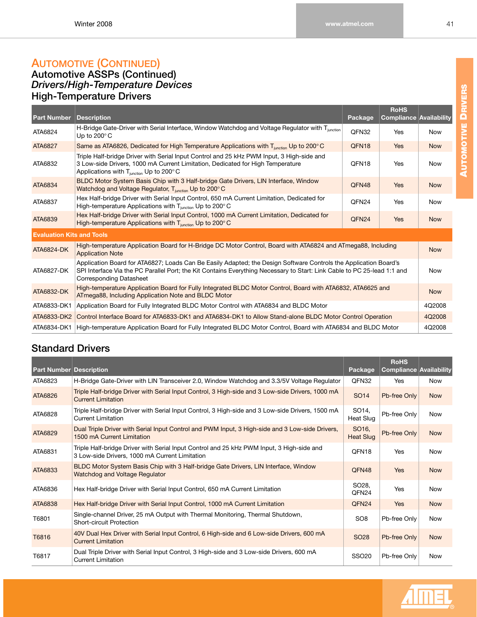# **AUTOMOTIVE (CONTINUED)**

#### **Automotive ASSPs (Continued)** *Drivers/High-Temperature Devices* **High-Temperature Drivers**

| <b>Part Number</b>               | Description                                                                                                                                                                                                                                                                    | Package           | <b>RoHS</b><br><b>Compliance Availability</b> |            |
|----------------------------------|--------------------------------------------------------------------------------------------------------------------------------------------------------------------------------------------------------------------------------------------------------------------------------|-------------------|-----------------------------------------------|------------|
| ATA6824                          | H-Bridge Gate-Driver with Serial Interface, Window Watchdog and Voltage Regulator with Tiunction<br>Up to 200 $^{\circ}$ C                                                                                                                                                     | QFN32             | Yes                                           | <b>Now</b> |
| ATA6827                          | Same as ATA6826, Dedicated for High Temperature Applications with $T_{\text{iunction}}$ Up to 200 $^{\circ}$ C                                                                                                                                                                 | OFN <sub>18</sub> | Yes                                           | <b>Now</b> |
| ATA6832                          | Triple Half-bridge Driver with Serial Input Control and 25 kHz PWM Input, 3 High-side and<br>3 Low-side Drivers, 1000 mA Current Limitation, Dedicated for High Temperature<br>Applications with $T_{\text{function}}$ Up to 200 $^{\circ}$ C                                  | OFN <sub>18</sub> | Yes                                           | <b>Now</b> |
| ATA6834                          | BLDC Motor System Basis Chip with 3 Half-bridge Gate Drivers, LIN Interface, Window<br>Watchdog and Voltage Regulator, T <sub>iunction</sub> Up to 200°C                                                                                                                       | QFN48             | Yes                                           | <b>Now</b> |
| ATA6837                          | Hex Half-bridge Driver with Serial Input Control, 650 mA Current Limitation, Dedicated for<br>High-temperature Applications with $T_{\text{junction}}$ Up to 200 $^{\circ}$ C                                                                                                  | OFN <sub>24</sub> | Yes                                           | <b>Now</b> |
| ATA6839                          | Hex Half-bridge Driver with Serial Input Control, 1000 mA Current Limitation, Dedicated for<br>High-temperature Applications with T <sub>junction</sub> Up to 200°C                                                                                                            | OFN <sub>24</sub> | <b>Yes</b>                                    | <b>Now</b> |
| <b>Evaluation Kits and Tools</b> |                                                                                                                                                                                                                                                                                |                   |                                               |            |
| <b>ATA6824-DK</b>                | High-temperature Application Board for H-Bridge DC Motor Control, Board with ATA6824 and ATmega88, Including<br><b>Application Note</b>                                                                                                                                        |                   |                                               | <b>Now</b> |
| ATA6827-DK                       | Application Board for ATA6827; Loads Can Be Easily Adapted; the Design Software Controls the Application Board's<br>SPI Interface Via the PC Parallel Port; the Kit Contains Everything Necessary to Start: Link Cable to PC 25-lead 1:1 and<br><b>Corresponding Datasheet</b> |                   |                                               |            |
| ATA6832-DK                       | High-temperature Application Board for Fully Integrated BLDC Motor Control, Board with ATA6832, ATA6625 and<br>ATmega88, Including Application Note and BLDC Motor                                                                                                             |                   |                                               |            |
| ATA6833-DK1                      | Application Board for Fully Integrated BLDC Motor Control with ATA6834 and BLDC Motor                                                                                                                                                                                          |                   |                                               |            |
| ATA6833-DK2                      | Control Interface Board for ATA6833-DK1 and ATA6834-DK1 to Allow Stand-alone BLDC Motor Control Operation                                                                                                                                                                      |                   |                                               | 4Q2008     |
| ATA6834-DK1                      | High-temperature Application Board for Fully Integrated BLDC Motor Control, Board with ATA6834 and BLDC Motor                                                                                                                                                                  |                   |                                               | 4Q2008     |

### **Standard Drivers**

| <b>Part Number Description</b> |                                                                                                                                             | Package                                | <b>RoHS</b><br><b>Compliance Availability</b> |            |
|--------------------------------|---------------------------------------------------------------------------------------------------------------------------------------------|----------------------------------------|-----------------------------------------------|------------|
| ATA6823                        | H-Bridge Gate-Driver with LIN Transceiver 2.0, Window Watchdog and 3.3/5V Voltage Regulator                                                 | OFN32                                  | Yes                                           | Now        |
| ATA6826                        | Triple Half-bridge Driver with Serial Input Control, 3 High-side and 3 Low-side Drivers, 1000 mA<br><b>Current Limitation</b>               | SO <sub>14</sub>                       | Pb-free Only                                  | <b>Now</b> |
| ATA6828                        | Triple Half-bridge Driver with Serial Input Control, 3 High-side and 3 Low-side Drivers, 1500 mA<br><b>Current Limitation</b>               | SO <sub>14</sub> ,<br>Heat Slug        | Pb-free Only                                  | <b>Now</b> |
| ATA6829                        | Dual Triple Driver with Serial Input Control and PWM Input, 3 High-side and 3 Low-side Drivers,<br>1500 mA Current Limitation               | SO <sub>16</sub> ,<br><b>Heat Slug</b> | Pb-free Only                                  | <b>Now</b> |
| ATA6831                        | Triple Half-bridge Driver with Serial Input Control and 25 kHz PWM Input, 3 High-side and<br>3 Low-side Drivers, 1000 mA Current Limitation | OFN <sub>18</sub>                      | <b>Yes</b>                                    | Now        |
| ATA6833                        | BLDC Motor System Basis Chip with 3 Half-bridge Gate Drivers, LIN Interface, Window<br>Watchdog and Voltage Regulator                       | QFN48                                  | <b>Yes</b>                                    | <b>Now</b> |
| ATA6836                        | Hex Half-bridge Driver with Serial Input Control, 650 mA Current Limitation                                                                 | SO <sub>28</sub><br>OFN <sub>24</sub>  | <b>Yes</b>                                    | <b>Now</b> |
| ATA6838                        | Hex Half-bridge Driver with Serial Input Control, 1000 mA Current Limitation                                                                | QFN <sub>24</sub>                      | <b>Yes</b>                                    | <b>Now</b> |
| T6801                          | Single-channel Driver, 25 mA Output with Thermal Monitoring, Thermal Shutdown,<br>Short-circuit Protection                                  | SO <sub>8</sub>                        | Pb-free Only                                  | Now        |
| T6816                          | 40V Dual Hex Driver with Serial Input Control, 6 High-side and 6 Low-side Drivers, 600 mA<br><b>Current Limitation</b>                      | SO <sub>28</sub>                       | Pb-free Only                                  | <b>Now</b> |
| T6817                          | Dual Triple Driver with Serial Input Control, 3 High-side and 3 Low-side Drivers, 600 mA<br><b>Current Limitation</b>                       | <b>SSO20</b>                           | Pb-free Only                                  | Now        |

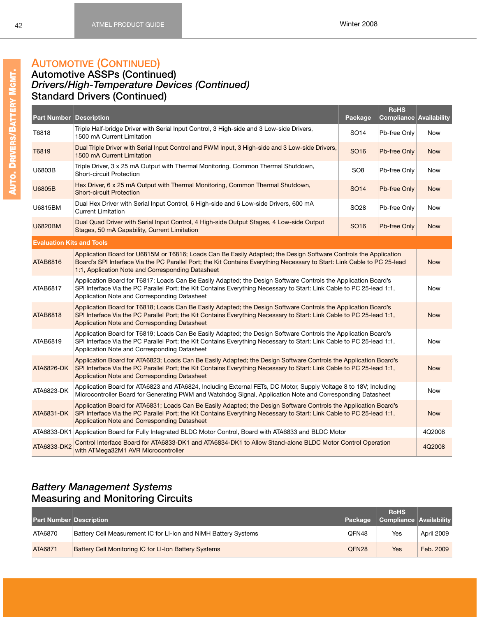# **AUTOMOTIVE (CONTINUED)**

#### **Automotive ASSPs (Continued)** *Drivers/High-Temperature Devices (Continued)* **Standard Drivers (Continued)**

| <b>Part Number Description</b>   |                                                                                                                                                                                                                                                                                                   | Package          | <b>RoHS</b><br><b>Compliance Availability</b> |            |  |
|----------------------------------|---------------------------------------------------------------------------------------------------------------------------------------------------------------------------------------------------------------------------------------------------------------------------------------------------|------------------|-----------------------------------------------|------------|--|
| T6818                            | Triple Half-bridge Driver with Serial Input Control, 3 High-side and 3 Low-side Drivers,<br>1500 mA Current Limitation                                                                                                                                                                            | SO <sub>14</sub> | Pb-free Only                                  | <b>Now</b> |  |
| T6819                            | Dual Triple Driver with Serial Input Control and PWM Input, 3 High-side and 3 Low-side Drivers,<br>1500 mA Current Limitation                                                                                                                                                                     | SO <sub>16</sub> | Pb-free Only                                  | <b>Now</b> |  |
| U6803B                           | Triple Driver, 3 x 25 mA Output with Thermal Monitoring, Common Thermal Shutdown,<br><b>Short-circuit Protection</b>                                                                                                                                                                              | SO <sub>8</sub>  | Pb-free Only                                  | Now        |  |
| U6805B                           | Hex Driver, 6 x 25 mA Output with Thermal Monitoring, Common Thermal Shutdown,<br><b>Short-circuit Protection</b>                                                                                                                                                                                 | SO <sub>14</sub> | Pb-free Only                                  | <b>Now</b> |  |
| U6815BM                          | Dual Hex Driver with Serial Input Control, 6 High-side and 6 Low-side Drivers, 600 mA<br><b>Current Limitation</b>                                                                                                                                                                                | SO <sub>28</sub> | Pb-free Only                                  | Now        |  |
| <b>U6820BM</b>                   | Dual Quad Driver with Serial Input Control, 4 High-side Output Stages, 4 Low-side Output<br>Stages, 50 mA Capability, Current Limitation                                                                                                                                                          | SO <sub>16</sub> | Pb-free Only                                  | <b>Now</b> |  |
| <b>Evaluation Kits and Tools</b> |                                                                                                                                                                                                                                                                                                   |                  |                                               |            |  |
| ATAB6816                         | Application Board for U6815M or T6816; Loads Can Be Easily Adapted; the Design Software Controls the Application<br>Board's SPI Interface Via the PC Parallel Port; the Kit Contains Everything Necessary to Start: Link Cable to PC 25-lead<br>1:1, Application Note and Corresponding Datasheet |                  |                                               |            |  |
| ATAB6817                         | Application Board for T6817; Loads Can Be Easily Adapted; the Design Software Controls the Application Board's<br>SPI Interface Via the PC Parallel Port; the Kit Contains Everything Necessary to Start: Link Cable to PC 25-lead 1:1,<br>Application Note and Corresponding Datasheet           |                  |                                               |            |  |
| <b>ATAB6818</b>                  | Application Board for T6818; Loads Can Be Easily Adapted; the Design Software Controls the Application Board's<br>SPI Interface Via the PC Parallel Port; the Kit Contains Everything Necessary to Start: Link Cable to PC 25-lead 1:1,<br>Application Note and Corresponding Datasheet           |                  |                                               | <b>Now</b> |  |
| ATAB6819                         | Application Board for T6819; Loads Can Be Easily Adapted; the Design Software Controls the Application Board's<br>SPI Interface Via the PC Parallel Port; the Kit Contains Everything Necessary to Start: Link Cable to PC 25-lead 1:1,<br>Application Note and Corresponding Datasheet           |                  |                                               | Now        |  |
| ATA6826-DK                       | Application Board for ATA6823; Loads Can Be Easily Adapted; the Design Software Controls the Application Board's<br>SPI Interface Via the PC Parallel Port; the Kit Contains Everything Necessary to Start: Link Cable to PC 25-lead 1:1,<br>Application Note and Corresponding Datasheet         |                  |                                               |            |  |
| ATA6823-DK                       | Application Board for ATA6823 and ATA6824, Including External FETs, DC Motor, Supply Voltage 8 to 18V; Including<br>Microcontroller Board for Generating PWM and Watchdog Signal, Application Note and Corresponding Datasheet                                                                    |                  |                                               | <b>Now</b> |  |
| ATA6831-DK                       | Application Board for ATA6831; Loads Can Be Easily Adapted; the Design Software Controls the Application Board's<br>SPI Interface Via the PC Parallel Port; the Kit Contains Everything Necessary to Start: Link Cable to PC 25-lead 1:1,<br>Application Note and Corresponding Datasheet         |                  |                                               |            |  |
|                                  | ATA6833-DK1 Application Board for Fully Integrated BLDC Motor Control, Board with ATA6833 and BLDC Motor                                                                                                                                                                                          |                  |                                               | 4Q2008     |  |
| ATA6833-DK2                      | Control Interface Board for ATA6833-DK1 and ATA6834-DK1 to Allow Stand-alone BLDC Motor Control Operation<br>with ATMega32M1 AVR Microcontroller                                                                                                                                                  |                  |                                               | 4Q2008     |  |

# *Battery Management Systems* **Measuring and Monitoring Circuits**

| <b>Part Number Description</b> |                                                                 | Package           | <b>RoHS</b><br><b>Compliance Availability</b> |            |
|--------------------------------|-----------------------------------------------------------------|-------------------|-----------------------------------------------|------------|
| ATA6870                        | Battery Cell Measurement IC for LI-Ion and NiMH Battery Systems | QFN48             | Yes                                           | April 2009 |
| ATA6871                        | <b>Battery Cell Monitoring IC for LI-Ion Battery Systems</b>    | QFN <sub>28</sub> | Yes                                           | Feb. 2009  |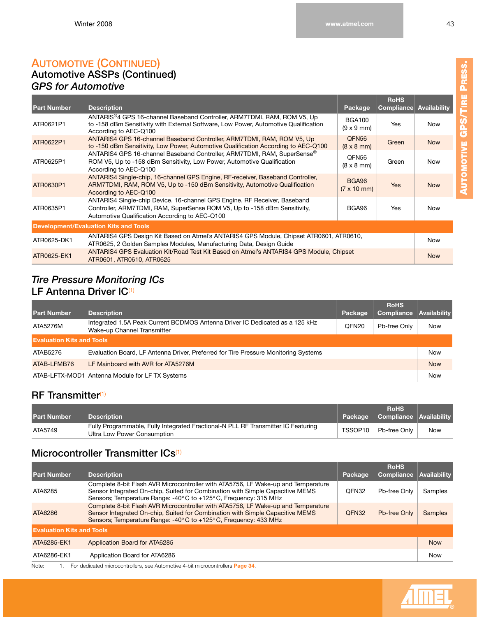#### **AUTOMOTIVE (CONTINUED) Automotive ASSPs (Continued)** *GPS for Automotive*

| <b>Part Number</b>                           | <b>Description</b>                                                                                                                                                                                       | Package                                        | <b>RoHS</b><br>Compliance | <b>Availability</b> |  |  |
|----------------------------------------------|----------------------------------------------------------------------------------------------------------------------------------------------------------------------------------------------------------|------------------------------------------------|---------------------------|---------------------|--|--|
| ATR0621P1                                    | ANTARIS®4 GPS 16-channel Baseband Controller, ARM7TDMI, RAM, ROM V5, Up<br>to -158 dBm Sensitivity with External Software, Low Power, Automotive Qualification<br>According to AEC-Q100                  | <b>BGA100</b><br>$(9 \times 9 \text{ mm})$     | Yes                       | Now                 |  |  |
| ATR0622P1                                    | ANTARIS4 GPS 16-channel Baseband Controller, ARM7TDMI, RAM, ROM V5, Up<br>to -150 dBm Sensitivity, Low Power, Automotive Qualification According to AEC-Q100                                             | QFN <sub>56</sub><br>$(8 \times 8 \text{ mm})$ | Green                     | <b>Now</b>          |  |  |
| ATR0625P1                                    | ANTARIS4 GPS 16-channel Baseband Controller, ARM7TDMI, RAM, SuperSense®<br>ROM V5, Up to -158 dBm Sensitivity, Low Power, Automotive Qualification<br>According to AEC-Q100                              | QFN56<br>$(8 \times 8 \text{ mm})$             | Green                     | <b>Now</b>          |  |  |
| ATR0630P1                                    | ANTARIS4 Single-chip, 16-channel GPS Engine, RF-receiver, Baseband Controller,<br>ARM7TDMI, RAM, ROM V5, Up to -150 dBm Sensitivity, Automotive Qualification<br>According to AEC-Q100                   | BGA96<br>$(7 \times 10 \text{ mm})$            | <b>Yes</b>                | <b>Now</b>          |  |  |
| ATR0635P1                                    | ANTARIS4 Single-chip Device, 16-channel GPS Engine, RF Receiver, Baseband<br>Controller, ARM7TDMI, RAM, SuperSense ROM V5, Up to -158 dBm Sensitivity,<br>Automotive Qualification According to AEC-Q100 | BGA96                                          | Yes                       | <b>Now</b>          |  |  |
| <b>Development/Evaluation Kits and Tools</b> |                                                                                                                                                                                                          |                                                |                           |                     |  |  |
| ATR0625-DK1                                  | ANTARIS4 GPS Design Kit Based on Atmel's ANTARIS4 GPS Module, Chipset ATR0601, ATR0610,<br>ATR0625, 2 Golden Samples Modules, Manufacturing Data, Design Guide                                           |                                                |                           |                     |  |  |
| ATR0625-EK1                                  | ANTARIS4 GPS Evaluation Kit/Road Test Kit Based on Atmel's ANTARIS4 GPS Module, Chipset<br>ATR0601, ATR0610, ATR0625                                                                                     |                                                |                           | <b>Now</b>          |  |  |

#### *Tire Pressure Monitoring ICs* **LF Antenna Driver IC**[\(1\)](#page-40-0)

| <b>Part Number</b>               | <b>Description</b>                                                                                          | Package           | <b>RoHS</b><br>Compliance | Availability |  |
|----------------------------------|-------------------------------------------------------------------------------------------------------------|-------------------|---------------------------|--------------|--|
| ATA5276M                         | Integrated 1.5A Peak Current BCDMOS Antenna Driver IC Dedicated as a 125 kHz<br>Wake-up Channel Transmitter | QFN <sub>20</sub> | Pb-free Only              | <b>Now</b>   |  |
| <b>Evaluation Kits and Tools</b> |                                                                                                             |                   |                           |              |  |
| ATAB5276                         | Evaluation Board, LF Antenna Driver, Preferred for Tire Pressure Monitoring Systems                         |                   |                           | <b>Now</b>   |  |
| ATAB-LFMB76                      | LF Mainboard with AVR for ATA5276M                                                                          |                   |                           | <b>Now</b>   |  |
|                                  | ATAB-LFTX-MOD1 Antenna Module for LF TX Systems                                                             |                   |                           | <b>Now</b>   |  |

#### **RF Transmitter**[\(1\)](#page-40-0)

| <b>Part Number</b> | <b>Description</b>                                                                                               | Package   | <b>RoHS</b><br>  Compliance   Availability |     |
|--------------------|------------------------------------------------------------------------------------------------------------------|-----------|--------------------------------------------|-----|
| ATA5749            | Fully Programmable, Fully Integrated Fractional-N PLL RF Transmitter IC Featuring<br>Ultra Low Power Consumption | TSSOP10 . | Pb-free Only                               | Now |

### **Microcontroller Transmitter ICs<sup>[\(1\)](#page-40-0)</sup>**

| <b>Part Number</b>               | <b>Description</b>                                                                                                                                                                                                                      | Package | <b>RoHS</b><br>Compliance | Availability   |
|----------------------------------|-----------------------------------------------------------------------------------------------------------------------------------------------------------------------------------------------------------------------------------------|---------|---------------------------|----------------|
| ATA6285                          | Complete 8-bit Flash AVR Microcontroller with ATA5756, LF Wake-up and Temperature<br>Sensor Integrated On-chip, Suited for Combination with Simple Capacitive MEMS<br>Sensors; Temperature Range: -40° C to +125° C, Frequency: 315 MHz | QFN32   | Pb-free Only              | Samples        |
| ATA6286                          | Complete 8-bit Flash AVR Microcontroller with ATA5756, LF Wake-up and Temperature<br>Sensor Integrated On-chip, Suited for Combination with Simple Capacitive MEMS<br>Sensors: Temperature Range: -40° C to +125° C, Frequency: 433 MHz | QFN32   | Pb-free Only              | <b>Samples</b> |
| <b>Evaluation Kits and Tools</b> |                                                                                                                                                                                                                                         |         |                           |                |
| ATA6285-EK1                      | Application Board for ATA6285                                                                                                                                                                                                           |         |                           | <b>Now</b>     |
| ATA6286-EK1                      | Application Board for ATA6286                                                                                                                                                                                                           |         |                           | Now            |

Note: 1. For dedicated microcontrollers, see Automotive 4-bit microcontrollers **Page [34](#page-40-1)**.

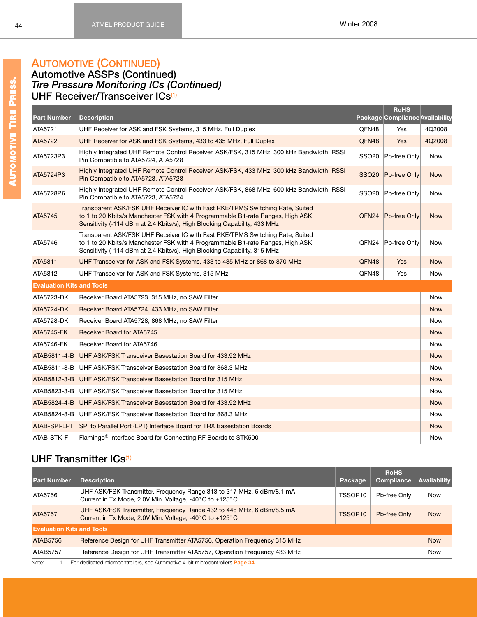# **AUTOMOTIVE (CONTINUED)**

#### **Automotive ASSPs (Continued)** *Tire Pressure Monitoring ICs (Continued)* **UHF Receiver/Transceiver ICs**[\(1\)](#page-40-0)

|                                  |                                                                                                                                                                                                                                              |                   | <b>RoHS</b>                     |            |
|----------------------------------|----------------------------------------------------------------------------------------------------------------------------------------------------------------------------------------------------------------------------------------------|-------------------|---------------------------------|------------|
| <b>Part Number</b>               | <b>Description</b>                                                                                                                                                                                                                           |                   | Package Compliance Availability |            |
| ATA5721                          | UHF Receiver for ASK and FSK Systems, 315 MHz, Full Duplex                                                                                                                                                                                   | QFN48             | Yes                             | 4Q2008     |
| <b>ATA5722</b>                   | UHF Receiver for ASK and FSK Systems, 433 to 435 MHz, Full Duplex                                                                                                                                                                            | QFN48             | <b>Yes</b>                      | 4Q2008     |
| ATA5723P3                        | Highly Integrated UHF Remote Control Receiver, ASK/FSK, 315 MHz, 300 kHz Bandwidth, RSSI<br>Pin Compatible to ATA5724, ATA5728                                                                                                               | SSO <sub>20</sub> | Pb-free Only                    | Now        |
| ATA5724P3                        | Highly Integrated UHF Remote Control Receiver, ASK/FSK, 433 MHz, 300 kHz Bandwidth, RSSI<br>Pin Compatible to ATA5723, ATA5728                                                                                                               | <b>SSO20</b>      | Pb-free Only                    | <b>Now</b> |
| ATA5728P6                        | Highly Integrated UHF Remote Control Receiver, ASK/FSK, 868 MHz, 600 kHz Bandwidth, RSSI<br>Pin Compatible to ATA5723, ATA5724                                                                                                               | <b>SSO20</b>      | Pb-free Only                    | Now        |
| ATA5745                          | Transparent ASK/FSK UHF Receiver IC with Fast RKE/TPMS Switching Rate, Suited<br>to 1 to 20 Kbits/s Manchester FSK with 4 Programmable Bit-rate Ranges, High ASK<br>Sensitivity (-114 dBm at 2.4 Kbits/s), High Blocking Capability, 433 MHz |                   | QFN24 Pb-free Only              | <b>Now</b> |
| ATA5746                          | Transparent ASK/FSK UHF Receiver IC with Fast RKE/TPMS Switching Rate, Suited<br>to 1 to 20 Kbits/s Manchester FSK with 4 Programmable Bit-rate Ranges, High ASK<br>Sensitivity (-114 dBm at 2.4 Kbits/s), High Blocking Capability, 315 MHz | QFN24             | Pb-free Only                    | <b>Now</b> |
| ATA5811                          | UHF Transceiver for ASK and FSK Systems, 433 to 435 MHz or 868 to 870 MHz                                                                                                                                                                    | QFN48             | Yes                             | <b>Now</b> |
| ATA5812                          | UHF Transceiver for ASK and FSK Systems, 315 MHz                                                                                                                                                                                             | QFN48             | Yes                             | <b>Now</b> |
| <b>Evaluation Kits and Tools</b> |                                                                                                                                                                                                                                              |                   |                                 |            |
| ATA5723-DK                       | Receiver Board ATA5723, 315 MHz, no SAW Filter                                                                                                                                                                                               |                   |                                 | Now        |
| <b>ATA5724-DK</b>                | Receiver Board ATA5724, 433 MHz, no SAW Filter                                                                                                                                                                                               |                   |                                 | <b>Now</b> |
| ATA5728-DK                       | Receiver Board ATA5728, 868 MHz, no SAW Filter                                                                                                                                                                                               |                   |                                 | <b>Now</b> |
| <b>ATA5745-EK</b>                | <b>Receiver Board for ATA5745</b>                                                                                                                                                                                                            |                   |                                 | <b>Now</b> |
| ATA5746-EK                       | Receiver Board for ATA5746                                                                                                                                                                                                                   |                   |                                 | <b>Now</b> |
| ATAB5811-4-B                     | UHF ASK/FSK Transceiver Basestation Board for 433.92 MHz                                                                                                                                                                                     |                   |                                 | <b>Now</b> |
| ATAB5811-8-B                     | UHF ASK/FSK Transceiver Basestation Board for 868.3 MHz                                                                                                                                                                                      |                   |                                 | <b>Now</b> |
| ATAB5812-3-B                     | UHF ASK/FSK Transceiver Basestation Board for 315 MHz                                                                                                                                                                                        |                   |                                 | <b>Now</b> |
| ATAB5823-3-B                     | UHF ASK/FSK Transceiver Basestation Board for 315 MHz                                                                                                                                                                                        |                   |                                 | <b>Now</b> |
| ATAB5824-4-B                     | UHF ASK/FSK Transceiver Basestation Board for 433.92 MHz                                                                                                                                                                                     |                   |                                 | <b>Now</b> |
| ATAB5824-8-B                     | UHF ASK/FSK Transceiver Basestation Board for 868.3 MHz                                                                                                                                                                                      |                   |                                 | Now        |
| ATAB-SPI-LPT                     | SPI to Parallel Port (LPT) Interface Board for TRX Basestation Boards                                                                                                                                                                        |                   |                                 | <b>Now</b> |
| ATAB-STK-F                       | Flamingo <sup>®</sup> Interface Board for Connecting RF Boards to STK500                                                                                                                                                                     |                   |                                 | <b>Now</b> |

# **UHF Transmitter ICs**[\(1\)](#page-40-0)

| <b>Part Number</b>               | <b>Description</b>                                                                                                                                  | Package             | <b>RoHS</b><br>Compliance | <b>Availability</b> |
|----------------------------------|-----------------------------------------------------------------------------------------------------------------------------------------------------|---------------------|---------------------------|---------------------|
| ATA5756                          | UHF ASK/FSK Transmitter, Frequency Range 313 to 317 MHz, 6 dBm/8.1 mA<br>Current in Tx Mode, 2.0V Min. Voltage, -40 $\degree$ C to +125 $\degree$ C | TSSOP10             | Pb-free Only              | Now                 |
| ATA5757                          | UHF ASK/FSK Transmitter, Frequency Range 432 to 448 MHz, 6 dBm/8.5 mA<br>Current in Tx Mode, 2.0V Min. Voltage, -40 $\degree$ C to +125 $\degree$ C | TSSOP <sub>10</sub> | Pb-free Only              | <b>Now</b>          |
| <b>Evaluation Kits and Tools</b> |                                                                                                                                                     |                     |                           |                     |
| ATAB5756                         | Reference Design for UHF Transmitter ATA5756, Operation Frequency 315 MHz                                                                           |                     |                           | <b>Now</b>          |
| ATAB5757                         | Reference Design for UHF Transmitter ATA5757, Operation Frequency 433 MHz                                                                           |                     |                           | Now                 |
| Note:                            | For dedicated microcontrollers, see Automotive 4-bit microcontrollers <b>Page 34</b>                                                                |                     |                           |                     |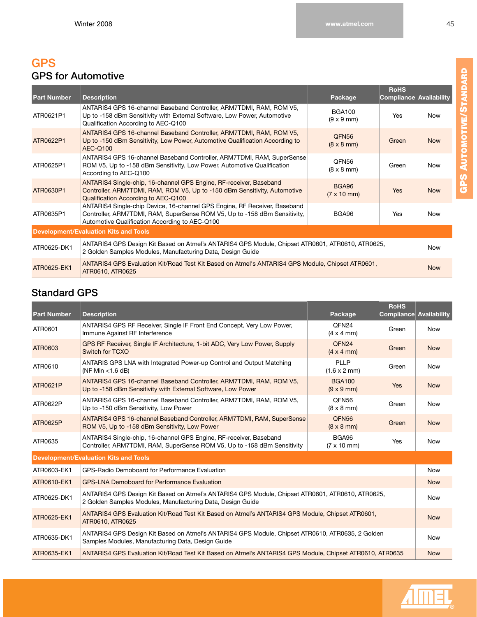# **GPS GPS for Automotive**

| <b>Part Number</b> | <b>Description</b>                                                                                                                                                                                       | Package                                        | <b>RoHS</b><br><b>Compliance Availability</b> |            |
|--------------------|----------------------------------------------------------------------------------------------------------------------------------------------------------------------------------------------------------|------------------------------------------------|-----------------------------------------------|------------|
| ATR0621P1          | ANTARIS4 GPS 16-channel Baseband Controller, ARM7TDMI, RAM, ROM V5,<br>Up to -158 dBm Sensitivity with External Software, Low Power, Automotive<br>Qualification According to AEC-Q100                   | <b>BGA100</b><br>$(9 \times 9 \text{ mm})$     | Yes                                           | Now        |
| ATR0622P1          | ANTARIS4 GPS 16-channel Baseband Controller, ARM7TDMI, RAM, ROM V5,<br>Up to -150 dBm Sensitivity, Low Power, Automotive Qualification According to<br><b>AEC-Q100</b>                                   | QFN <sub>56</sub><br>$(8 \times 8 \text{ mm})$ | Green                                         | <b>Now</b> |
| ATR0625P1          | ANTARIS4 GPS 16-channel Baseband Controller, ARM7TDMI, RAM, SuperSense<br>ROM V5, Up to -158 dBm Sensitivity, Low Power, Automotive Qualification<br>According to AEC-Q100                               | QFN56<br>$(8 \times 8 \text{ mm})$             | Green                                         | <b>Now</b> |
| ATR0630P1          | ANTARIS4 Single-chip, 16-channel GPS Engine, RF-receiver, Baseband<br>Controller, ARM7TDMI, RAM, ROM V5, Up to -150 dBm Sensitivity, Automotive<br>Qualification According to AEC-Q100                   | <b>BGA96</b><br>$(7 \times 10 \text{ mm})$     | <b>Yes</b>                                    | <b>Now</b> |
| ATR0635P1          | ANTARIS4 Single-chip Device, 16-channel GPS Engine, RF Receiver, Baseband<br>Controller, ARM7TDMI, RAM, SuperSense ROM V5, Up to -158 dBm Sensitivity,<br>Automotive Qualification According to AEC-Q100 | BGA96                                          | <b>Yes</b>                                    | <b>Now</b> |
|                    | <b>Development/Evaluation Kits and Tools</b>                                                                                                                                                             |                                                |                                               |            |
| ATR0625-DK1        | ANTARIS4 GPS Design Kit Based on Atmel's ANTARIS4 GPS Module, Chipset ATR0601, ATR0610, ATR0625,<br>2 Golden Samples Modules, Manufacturing Data, Design Guide                                           |                                                |                                               | Now        |
| ATR0625-EK1        | ANTARIS4 GPS Evaluation Kit/Road Test Kit Based on Atmel's ANTARIS4 GPS Module, Chipset ATR0601,<br>ATR0610, ATR0625                                                                                     |                                                |                                               | <b>Now</b> |

# **Standard GPS**

| <b>Part Number</b> | <b>Description</b>                                                                                                                                             | Package                                        | <b>RoHS</b><br>Compliance Availability |            |
|--------------------|----------------------------------------------------------------------------------------------------------------------------------------------------------------|------------------------------------------------|----------------------------------------|------------|
| ATR0601            | ANTARIS4 GPS RF Receiver, Single IF Front End Concept, Very Low Power,<br>Immune Against RF Interference                                                       | OFN <sub>24</sub><br>$(4 \times 4 \text{ mm})$ | Green                                  | <b>Now</b> |
| ATR0603            | GPS RF Receiver, Single IF Architecture, 1-bit ADC, Very Low Power, Supply<br>Switch for TCXO                                                                  | QFN <sub>24</sub><br>$(4 \times 4 \text{ mm})$ | Green                                  | <b>Now</b> |
| ATR0610            | ANTARIS GPS LNA with Integrated Power-up Control and Output Matching<br>(NF Min $<$ 1.6 dB)                                                                    | PLLP<br>$(1.6 \times 2 \text{ mm})$            | Green                                  | <b>Now</b> |
| ATR0621P           | ANTARIS4 GPS 16-channel Baseband Controller, ARM7TDMI, RAM, ROM V5,<br>Up to -158 dBm Sensitivity with External Software, Low Power                            | <b>BGA100</b><br>$(9 \times 9 \text{ mm})$     | Yes                                    | <b>Now</b> |
| ATR0622P           | ANTARIS4 GPS 16-channel Baseband Controller, ARM7TDMI, RAM, ROM V5,<br>Up to -150 dBm Sensitivity, Low Power                                                   | QFN56<br>$(8 \times 8 \text{ mm})$             | Green                                  | <b>Now</b> |
| ATR0625P           | ANTARIS4 GPS 16-channel Baseband Controller, ARM7TDMI, RAM, SuperSense<br>ROM V5, Up to -158 dBm Sensitivity, Low Power                                        | QFN <sub>56</sub><br>$(8 \times 8 \text{ mm})$ | Green                                  | <b>Now</b> |
| ATR0635            | ANTARIS4 Single-chip, 16-channel GPS Engine, RF-receiver, Baseband<br>Controller, ARM7TDMI, RAM, SuperSense ROM V5, Up to -158 dBm Sensitivity                 | BGA96<br>$(7 \times 10 \text{ mm})$            | Yes                                    | <b>Now</b> |
|                    | <b>Development/Evaluation Kits and Tools</b>                                                                                                                   |                                                |                                        |            |
| ATR0603-EK1        | GPS-Radio Demoboard for Performance Evaluation                                                                                                                 |                                                |                                        | <b>Now</b> |
| ATR0610-EK1        | <b>GPS-LNA Demoboard for Performance Evaluation</b>                                                                                                            |                                                |                                        | <b>Now</b> |
| ATR0625-DK1        | ANTARIS4 GPS Design Kit Based on Atmel's ANTARIS4 GPS Module, Chipset ATR0601, ATR0610, ATR0625,<br>2 Golden Samples Modules, Manufacturing Data, Design Guide |                                                |                                        | <b>Now</b> |
| ATR0625-EK1        | ANTARIS4 GPS Evaluation Kit/Road Test Kit Based on Atmel's ANTARIS4 GPS Module, Chipset ATR0601,<br>ATR0610, ATR0625                                           |                                                |                                        | <b>Now</b> |
| ATR0635-DK1        | ANTARIS4 GPS Design Kit Based on Atmel's ANTARIS4 GPS Module, Chipset ATR0610, ATR0635, 2 Golden<br>Samples Modules, Manufacturing Data, Design Guide          |                                                |                                        | <b>Now</b> |
| ATR0635-EK1        | ANTARIS4 GPS Evaluation Kit/Road Test Kit Based on Atmel's ANTARIS4 GPS Module, Chipset ATR0610, ATR0635                                                       |                                                |                                        | <b>Now</b> |



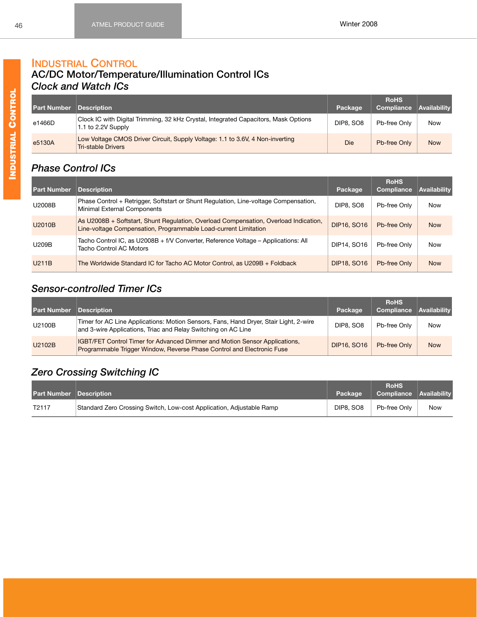#### **INDUSTRIAL CONTROL AC/DC Motor/Temperature/Illumination Control ICs**

# *Clock and Watch ICs*

| <b>Part Number Description</b> |                                                                                                            | Package   | <b>RoHS</b><br>Compliance | <b>Availability</b> |
|--------------------------------|------------------------------------------------------------------------------------------------------------|-----------|---------------------------|---------------------|
| e1466D                         | Clock IC with Digital Trimming, 32 kHz Crystal, Integrated Capacitors, Mask Options<br>1.1 to 2.2V Supply  | DIP8, SO8 | Pb-free Only              | Now                 |
| e5130A                         | Low Voltage CMOS Driver Circuit, Supply Voltage: 1.1 to 3.6V, 4 Non-inverting<br><b>Tri-stable Drivers</b> | Die       | Pb-free Only              | <b>Now</b>          |

# *Phase Control ICs*

| <b>Part Number</b> | <b>Description</b>                                                                                                                                      | Package            | <b>RoHS</b><br>Compliance | <b>Availability</b> |
|--------------------|---------------------------------------------------------------------------------------------------------------------------------------------------------|--------------------|---------------------------|---------------------|
| U2008B             | Phase Control + Retrigger, Softstart or Shunt Regulation, Line-voltage Compensation,<br>Minimal External Components                                     | <b>DIP8, SO8</b>   | Pb-free Only              | Now                 |
| U2010B             | As U2008B + Softstart, Shunt Regulation, Overload Compensation, Overload Indication,<br>Line-voltage Compensation, Programmable Load-current Limitation | <b>DIP16, SO16</b> | Pb-free Only              | <b>Now</b>          |
| <b>U209B</b>       | Tacho Control IC, as U2008B + f/V Converter, Reference Voltage – Applications: All<br>Tacho Control AC Motors                                           | DIP14, SO16        | Pb-free Only              | Now                 |
| U211B              | The Worldwide Standard IC for Tacho AC Motor Control, as U209B + Foldback                                                                               | <b>DIP18, SO16</b> | Pb-free Only              | <b>Now</b>          |

# *Sensor-controlled Timer ICs*

| <b>Part Number Description</b> |                                                                                                                                                             | Package            | <b>RoHS</b><br><b>Compliance</b> | Availability |
|--------------------------------|-------------------------------------------------------------------------------------------------------------------------------------------------------------|--------------------|----------------------------------|--------------|
| U2100B                         | Timer for AC Line Applications: Motion Sensors, Fans, Hand Dryer, Stair Light, 2-wire<br>and 3-wire Applications, Triac and Relay Switching on AC Line      | DIP8, SO8          | Pb-free Only                     | Now          |
| U2102B                         | <b>IGBT/FET Control Timer for Advanced Dimmer and Motion Sensor Applications,</b><br>Programmable Trigger Window, Reverse Phase Control and Electronic Fuse | <b>DIP16, SO16</b> | Pb-free Only                     | <b>Now</b>   |

# *Zero Crossing Switching IC*

| <b>Part Number Description</b> |                                                                      | Package          | <b>RoHS</b><br>Compliance Availability |            |
|--------------------------------|----------------------------------------------------------------------|------------------|----------------------------------------|------------|
| T <sub>2</sub> 117             | Standard Zero Crossing Switch, Low-cost Application, Adjustable Ramp | <b>DIP8, SO8</b> | Pb-free Only                           | <b>Now</b> |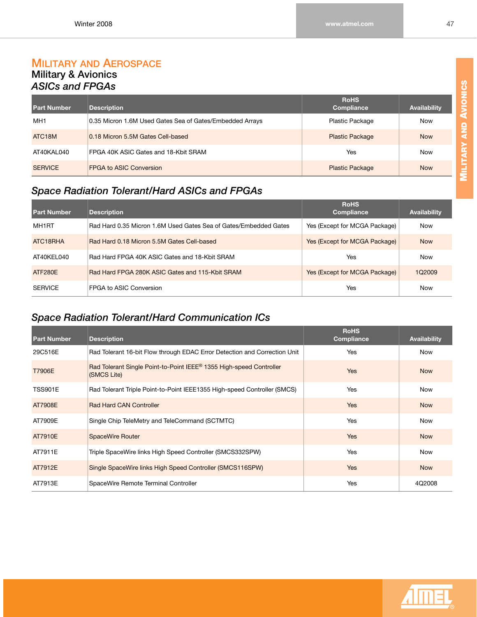#### **MILITARY AND AEROSPACE Military & Avionics** *ASICs and FPGAs*

| <b>Part Number</b> | <b>Description</b>                                       | <b>RoHS</b><br>Compliance | <b>Availability</b> |
|--------------------|----------------------------------------------------------|---------------------------|---------------------|
| MH <sub>1</sub>    | 0.35 Micron 1.6M Used Gates Sea of Gates/Embedded Arrays | Plastic Package           | Now                 |
| ATC <sub>18M</sub> | 0.18 Micron 5.5M Gates Cell-based                        | <b>Plastic Package</b>    | <b>Now</b>          |
| AT40KAL040         | FPGA 40K ASIC Gates and 18-Kbit SRAM                     | Yes                       | Now                 |
| <b>SERVICE</b>     | <b>FPGA to ASIC Conversion</b>                           | <b>Plastic Package</b>    | <b>Now</b>          |

# *Space Radiation Tolerant/Hard ASICs and FPGAs*

| <b>Part Number</b> | <b>Description</b>                                               | <b>RoHS</b><br><b>Compliance</b> | <b>Availability</b> |
|--------------------|------------------------------------------------------------------|----------------------------------|---------------------|
| MH1RT              | Rad Hard 0.35 Micron 1.6M Used Gates Sea of Gates/Embedded Gates | Yes (Except for MCGA Package)    | <b>Now</b>          |
| ATC18RHA           | Rad Hard 0.18 Micron 5.5M Gates Cell-based                       | Yes (Except for MCGA Package)    | <b>Now</b>          |
| AT40KEL040         | Rad Hard FPGA 40K ASIC Gates and 18-Kbit SRAM                    | Yes                              | <b>Now</b>          |
| ATF280F            | Rad Hard FPGA 280K ASIC Gates and 115-Kbit SRAM                  | Yes (Except for MCGA Package)    | 1Q2009              |
| <b>SERVICE</b>     | FPGA to ASIC Conversion                                          | Yes                              | <b>Now</b>          |

# *Space Radiation Tolerant/Hard Communication ICs*

| <b>Part Number</b> | <b>Description</b>                                                                             | <b>RoHS</b><br><b>Compliance</b> | <b>Availability</b> |
|--------------------|------------------------------------------------------------------------------------------------|----------------------------------|---------------------|
| 29C516E            | Rad Tolerant 16-bit Flow through EDAC Error Detection and Correction Unit                      | Yes                              | <b>Now</b>          |
| <b>T7906E</b>      | Rad Tolerant Single Point-to-Point IEEE <sup>®</sup> 1355 High-speed Controller<br>(SMCS Lite) | <b>Yes</b>                       | <b>Now</b>          |
| <b>TSS901E</b>     | Rad Tolerant Triple Point-to-Point IEEE1355 High-speed Controller (SMCS)                       | Yes                              | <b>Now</b>          |
| AT7908E            | <b>Rad Hard CAN Controller</b>                                                                 | <b>Yes</b>                       | <b>Now</b>          |
| AT7909E            | Single Chip TeleMetry and TeleCommand (SCTMTC)                                                 | Yes                              | <b>Now</b>          |
| AT7910E            | <b>SpaceWire Router</b>                                                                        | <b>Yes</b>                       | <b>Now</b>          |
| AT7911E            | Triple SpaceWire links High Speed Controller (SMCS332SPW)                                      | Yes                              | <b>Now</b>          |
| AT7912E            | Single SpaceWire links High Speed Controller (SMCS116SPW)                                      | <b>Yes</b>                       | <b>Now</b>          |
| AT7913E            | SpaceWire Remote Terminal Controller                                                           | Yes                              | 4Q2008              |

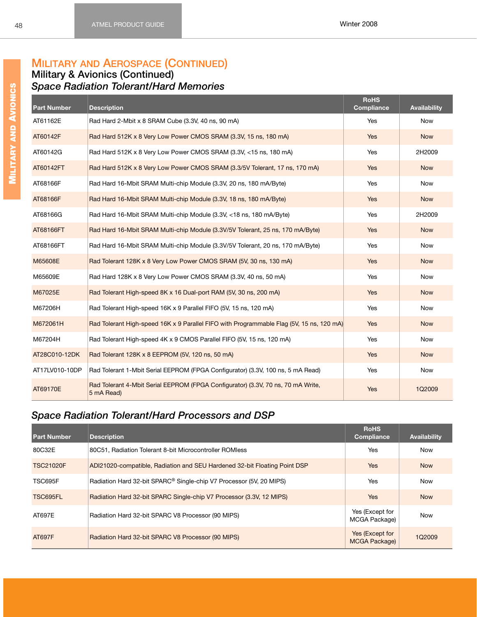# **MILITARY AND AEROSPACE (CONTINUED)**

#### **Military & Avionics (Continued)** *Space Radiation Tolerant/Hard Memories*

| <b>Part Number</b> | <b>Description</b>                                                                             | <b>RoHS</b><br><b>Compliance</b> | <b>Availability</b> |
|--------------------|------------------------------------------------------------------------------------------------|----------------------------------|---------------------|
| AT61162E           | Rad Hard 2-Mbit x 8 SRAM Cube (3.3V, 40 ns, 90 mA)                                             | Yes                              | <b>Now</b>          |
| AT60142F           | Rad Hard 512K x 8 Very Low Power CMOS SRAM (3.3V, 15 ns, 180 mA)                               | Yes                              | <b>Now</b>          |
| AT60142G           | Rad Hard 512K x 8 Very Low Power CMOS SRAM (3.3V, <15 ns, 180 mA)                              | Yes                              | 2H2009              |
| AT60142FT          | Rad Hard 512K x 8 Very Low Power CMOS SRAM (3.3/5V Tolerant, 17 ns, 170 mA)                    | Yes                              | <b>Now</b>          |
| AT68166F           | Rad Hard 16-Mbit SRAM Multi-chip Module (3.3V, 20 ns, 180 mA/Byte)                             | Yes                              | <b>Now</b>          |
| AT68166F           | Rad Hard 16-Mbit SRAM Multi-chip Module (3.3V, 18 ns, 180 mA/Byte)                             | <b>Yes</b>                       | <b>Now</b>          |
| AT68166G           | Rad Hard 16-Mbit SRAM Multi-chip Module (3.3V, <18 ns, 180 mA/Byte)                            | Yes                              | 2H2009              |
| AT68166FT          | Rad Hard 16-Mbit SRAM Multi-chip Module (3.3V/5V Tolerant, 25 ns, 170 mA/Byte)                 | Yes                              | <b>Now</b>          |
| AT68166FT          | Rad Hard 16-Mbit SRAM Multi-chip Module (3.3V/5V Tolerant, 20 ns, 170 mA/Byte)                 | Yes                              | <b>Now</b>          |
| M65608E            | Rad Tolerant 128K x 8 Very Low Power CMOS SRAM (5V, 30 ns, 130 mA)                             | <b>Yes</b>                       | <b>Now</b>          |
| M65609E            | Rad Hard 128K x 8 Very Low Power CMOS SRAM (3.3V, 40 ns, 50 mA)                                | Yes                              | <b>Now</b>          |
| M67025E            | Rad Tolerant High-speed 8K x 16 Dual-port RAM (5V, 30 ns, 200 mA)                              | Yes                              | <b>Now</b>          |
| M67206H            | Rad Tolerant High-speed 16K x 9 Parallel FIFO (5V, 15 ns, 120 mA)                              | Yes                              | Now                 |
| M672061H           | Rad Tolerant High-speed 16K x 9 Parallel FIFO with Programmable Flag (5V, 15 ns, 120 mA)       | <b>Yes</b>                       | <b>Now</b>          |
| M67204H            | Rad Tolerant High-speed 4K x 9 CMOS Parallel FIFO (5V, 15 ns, 120 mA)                          | Yes                              | Now                 |
| AT28C010-12DK      | Rad Tolerant 128K x 8 EEPROM (5V, 120 ns, 50 mA)                                               | <b>Yes</b>                       | <b>Now</b>          |
| AT17LV010-10DP     | Rad Tolerant 1-Mbit Serial EEPROM (FPGA Configurator) (3.3V, 100 ns, 5 mA Read)                | Yes                              | Now                 |
| AT69170E           | Rad Tolerant 4-Mbit Serial EEPROM (FPGA Configurator) (3.3V, 70 ns, 70 mA Write,<br>5 mA Read) | <b>Yes</b>                       | 1Q2009              |

# *Space Radiation Tolerant/Hard Processors and DSP*

| <b>Part Number</b> | <b>Description</b>                                                              | <b>RoHS</b><br><b>Compliance</b>        | Availability |
|--------------------|---------------------------------------------------------------------------------|-----------------------------------------|--------------|
| 80C32E             | 80C51. Radiation Tolerant 8-bit Microcontroller ROMless                         | <b>Yes</b>                              | <b>Now</b>   |
| <b>TSC21020F</b>   | ADI21020-compatible, Radiation and SEU Hardened 32-bit Floating Point DSP       | <b>Yes</b>                              | <b>Now</b>   |
| <b>TSC695F</b>     | Radiation Hard 32-bit SPARC <sup>®</sup> Single-chip V7 Processor (5V, 20 MIPS) | Yes                                     | <b>Now</b>   |
| TSC695FL           | Radiation Hard 32-bit SPARC Single-chip V7 Processor (3.3V, 12 MIPS)            | <b>Yes</b>                              | <b>Now</b>   |
| AT697E             | Radiation Hard 32-bit SPARC V8 Processor (90 MIPS)                              | Yes (Except for<br>MCGA Package)        | <b>Now</b>   |
| <b>AT697F</b>      | Radiation Hard 32-bit SPARC V8 Processor (90 MIPS)                              | Yes (Except for<br><b>MCGA Package)</b> | 1Q2009       |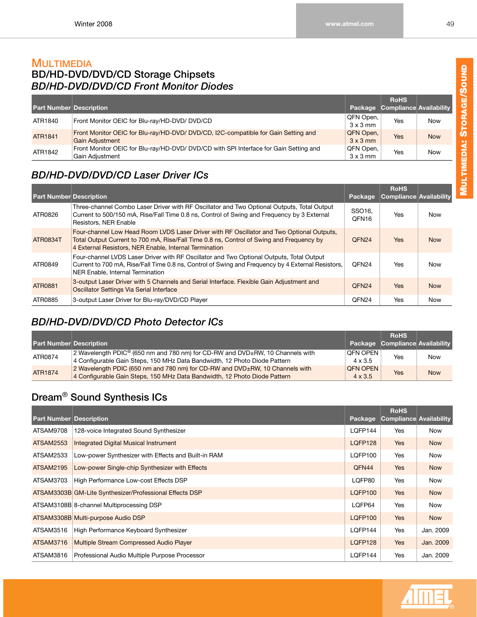### **MULTIMEDIA BD/HD-DVD/DVD/CD Storage Chipsets** *BD/HD-DVD/DVD/CD Front Monitor Diodes*

| <b>Part Number Description</b> |                                                                                                              |                              | <b>RoHS</b><br>Package Compliance Availability |            |
|--------------------------------|--------------------------------------------------------------------------------------------------------------|------------------------------|------------------------------------------------|------------|
| ATR1840                        | Front Monitor OEIC for Blu-ray/HD-DVD/ DVD/CD                                                                | QFN Open,<br>$3 \times 3$ mm | Yes                                            | <b>Now</b> |
| <b>ATR1841</b>                 | Front Monitor OEIC for Blu-ray/HD-DVD/ DVD/CD, I2C-compatible for Gain Setting and<br><b>Gain Adjustment</b> | QFN Open,<br>$3 \times 3$ mm | Yes                                            | <b>Now</b> |
| ATR1842                        | Front Monitor OEIC for Blu-ray/HD-DVD/ DVD/CD with SPI Interface for Gain Setting and<br>Gain Adjustment     | QFN Open,<br>$3 \times 3$ mm | Yes                                            | <b>Now</b> |

# *BD/HD-DVD/DVD/CD Laser Driver ICs*

| <b>Part Number Description</b> |                                                                                                                                                                                                                                                 | Package                     | <b>RoHS</b><br>Compliance Availability |            |
|--------------------------------|-------------------------------------------------------------------------------------------------------------------------------------------------------------------------------------------------------------------------------------------------|-----------------------------|----------------------------------------|------------|
| ATR0826                        | Three-channel Combo Laser Driver with RF Oscillator and Two Optional Outputs, Total Output<br>Current to 500/150 mA, Rise/Fall Time 0.8 ns, Control of Swing and Frequency by 3 External<br>Resistors, NER Enable                               | SSO16.<br>QFN <sub>16</sub> | Yes                                    | <b>Now</b> |
| ATR0834T                       | Four-channel Low Head Room LVDS Laser Driver with RF Oscillator and Two Optional Outputs,<br>Total Output Current to 700 mA, Rise/Fall Time 0.8 ns, Control of Swing and Frequency by<br>4 External Resistors, NER Enable, Internal Termination | QFN <sub>24</sub>           | <b>Yes</b>                             | <b>Now</b> |
| ATR0849                        | Four-channel LVDS Laser Driver with RF Oscillator and Two Optional Outputs, Total Output<br>Current to 700 mA, Rise/Fall Time 0.8 ns, Control of Swing and Frequency by 4 External Resistors,<br>NER Enable, Internal Termination               | QFN <sub>24</sub>           | Yes                                    | Now        |
| ATR0881                        | 3-output Laser Driver with 5 Channels and Serial Interface. Flexible Gain Adjustment and<br>Oscillator Settings Via Serial Interface                                                                                                            | QFN <sub>24</sub>           | <b>Yes</b>                             | <b>Now</b> |
| ATR0885                        | 3-output Laser Driver for Blu-ray/DVD/CD Player                                                                                                                                                                                                 | QFN <sub>24</sub>           | Yes                                    | <b>Now</b> |

# *BD/HD-DVD/DVD/CD Photo Detector ICs*

| <b>Part Number Description</b> |                                                                                                                                                                              |                                   | <b>RoHS</b><br>Package Compliance Availability |            |
|--------------------------------|------------------------------------------------------------------------------------------------------------------------------------------------------------------------------|-----------------------------------|------------------------------------------------|------------|
| ATR0874                        | 2 Wavelength PDIC <sup>®</sup> (650 nm and 780 nm) for CD-RW and DVD $\pm$ RW, 10 Channels with<br>4 Configurable Gain Steps, 150 MHz Data Bandwidth, 12 Photo Diode Pattern | <b>OFN OPEN</b><br>$4 \times 3.5$ | Yes                                            | <b>Now</b> |
| <b>ATR1874</b>                 | 2 Wavelength PDIC (650 nm and 780 nm) for CD-RW and DVD±RW, 10 Channels with<br>4 Configurable Gain Steps, 150 MHz Data Bandwidth, 12 Photo Diode Pattern                    | <b>OFN OPEN</b><br>$4 \times 3.5$ | <b>Yes</b>                                     | <b>Now</b> |

# **Dream**® **Sound Synthesis ICs**

| <b>Part Number Description</b> |                                                         | Package | <b>RoHS</b><br><b>Compliance Availability</b> |            |
|--------------------------------|---------------------------------------------------------|---------|-----------------------------------------------|------------|
| ATSAM9708                      | 128-voice Integrated Sound Synthesizer                  | LQFP144 | Yes                                           | Now        |
| ATSAM2553                      | <b>Integrated Digital Musical Instrument</b>            | LQFP128 | <b>Yes</b>                                    | <b>Now</b> |
| ATSAM2533                      | Low-power Synthesizer with Effects and Built-in RAM     | LQFP100 | Yes                                           | Now        |
| <b>ATSAM2195</b>               | Low-power Single-chip Synthesizer with Effects          | QFN44   | Yes                                           | <b>Now</b> |
| ATSAM3703                      | High Performance Low-cost Effects DSP                   | LQFP80  | Yes                                           | <b>Now</b> |
|                                | ATSAM3303B GM-Lite Synthesizer/Professional Effects DSP | LQFP100 | <b>Yes</b>                                    | <b>Now</b> |
|                                | ATSAM3108B 8-channel Multiprocessing DSP                | LQFP64  | Yes                                           | <b>Now</b> |
|                                | ATSAM3308B Multi-purpose Audio DSP                      | LQFP100 | <b>Yes</b>                                    | <b>Now</b> |
| ATSAM3516                      | High Performance Keyboard Synthesizer                   | LQFP144 | Yes                                           | Jan. 2009  |
| ATSAM3716                      | Multiple Stream Compressed Audio Player                 | LQFP128 | <b>Yes</b>                                    | Jan. 2009  |
| ATSAM3816                      | Professional Audio Multiple Purpose Processor           | LQFP144 | Yes                                           | Jan. 2009  |

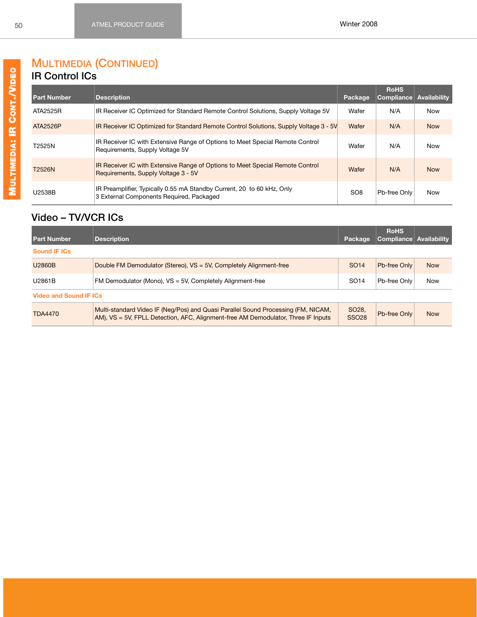# **MULTIMEDIA (CONTINUED)**

#### **IR Control ICs**

| <b>Part Number</b> | <b>Description</b>                                                                                                   | <b>Package</b>  | <b>RoHS</b><br><b>Compliance</b> | Availability |
|--------------------|----------------------------------------------------------------------------------------------------------------------|-----------------|----------------------------------|--------------|
| ATA2525R           | IR Receiver IC Optimized for Standard Remote Control Solutions, Supply Voltage 5V                                    | Wafer           | N/A                              | <b>Now</b>   |
| ATA2526P           | IR Receiver IC Optimized for Standard Remote Control Solutions, Supply Voltage 3 - 5V                                | Wafer           | N/A                              | <b>Now</b>   |
| T2525N             | IR Receiver IC with Extensive Range of Options to Meet Special Remote Control<br>Requirements, Supply Voltage 5V     | Wafer           | N/A                              | <b>Now</b>   |
| T2526N             | IR Receiver IC with Extensive Range of Options to Meet Special Remote Control<br>Requirements, Supply Voltage 3 - 5V | Wafer           | N/A                              | <b>Now</b>   |
| U2538B             | IR Preamplifier, Typically 0.55 mA Standby Current, 20 to 60 kHz, Only<br>3 External Components Required, Packaged   | SO <sub>8</sub> | Pb-free Only                     | <b>Now</b>   |

### **Video – TV/VCR ICs**

| <b>Part Number</b>            | <b>Description</b>                                                                                                                                                     | Package                          | <b>RoHS</b><br>Compliance Availability |            |  |  |
|-------------------------------|------------------------------------------------------------------------------------------------------------------------------------------------------------------------|----------------------------------|----------------------------------------|------------|--|--|
| <b>Sound IF ICs</b>           |                                                                                                                                                                        |                                  |                                        |            |  |  |
| U2860B                        | Double FM Demodulator (Stereo), VS = 5V, Completely Alignment-free                                                                                                     | SO <sub>14</sub>                 | Pb-free Only                           | <b>Now</b> |  |  |
| U2861B                        | FM Demodulator (Mono), VS = 5V, Completely Alignment-free                                                                                                              | SO <sub>14</sub>                 | Pb-free Onlv                           | <b>Now</b> |  |  |
| <b>Video and Sound IF ICs</b> |                                                                                                                                                                        |                                  |                                        |            |  |  |
| <b>TDA4470</b>                | Multi-standard Video IF (Neg/Pos) and Quasi Parallel Sound Processing (FM, NICAM,<br>AM), VS = 5V, FPLL Detection, AFC, Alignment-free AM Demodulator, Three IF Inputs | SO <sub>28</sub><br><b>SSO28</b> | Pb-free Only                           | <b>Now</b> |  |  |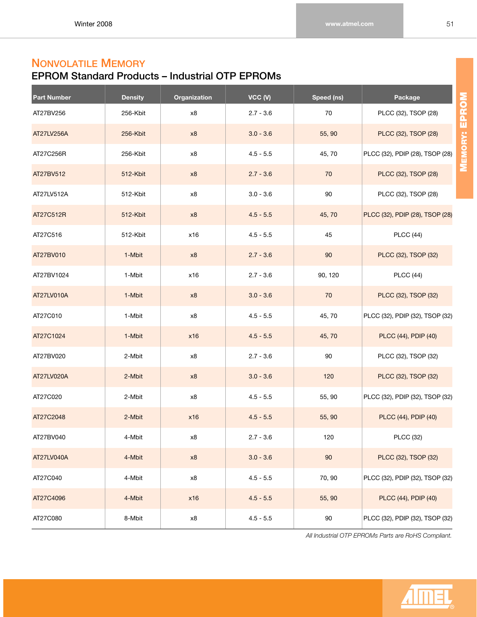# **NONVOLATILE MEMORY**

# **EPROM Standard Products – Industrial OTP EPROMs**

| <b>Part Number</b> | <b>Density</b> | Organization | VCC (V)     | Speed (ns) | Package                         |
|--------------------|----------------|--------------|-------------|------------|---------------------------------|
| AT27BV256          | 256-Kbit       | x8           | $2.7 - 3.6$ | 70         | PLCC (32), TSOP (28)            |
| AT27LV256A         | 256-Kbit       | x8           | $3.0 - 3.6$ | 55, 90     | PLCC (32), TSOP (28)            |
| AT27C256R          | 256-Kbit       | x8           | $4.5 - 5.5$ | 45,70      | PLCC (32), PDIP (28), TSOP (28) |
| AT27BV512          | 512-Kbit       | x8           | $2.7 - 3.6$ | 70         | PLCC (32), TSOP (28)            |
| AT27LV512A         | 512-Kbit       | x8           | $3.0 - 3.6$ | 90         | PLCC (32), TSOP (28)            |
| AT27C512R          | 512-Kbit       | x8           | $4.5 - 5.5$ | 45,70      | PLCC (32), PDIP (28), TSOP (28) |
| AT27C516           | 512-Kbit       | x16          | $4.5 - 5.5$ | 45         | <b>PLCC</b> (44)                |
| AT27BV010          | 1-Mbit         | x8           | $2.7 - 3.6$ | 90         | PLCC (32), TSOP (32)            |
| AT27BV1024         | 1-Mbit         | x16          | $2.7 - 3.6$ | 90, 120    | <b>PLCC</b> (44)                |
| AT27LV010A         | 1-Mbit         | x8           | $3.0 - 3.6$ | 70         | PLCC (32), TSOP (32)            |
| AT27C010           | 1-Mbit         | x8           | $4.5 - 5.5$ | 45,70      | PLCC (32), PDIP (32), TSOP (32) |
| AT27C1024          | 1-Mbit         | x16          | $4.5 - 5.5$ | 45,70      | PLCC (44), PDIP (40)            |
| AT27BV020          | 2-Mbit         | x8           | $2.7 - 3.6$ | 90         | PLCC (32), TSOP (32)            |
| AT27LV020A         | 2-Mbit         | x8           | $3.0 - 3.6$ | 120        | PLCC (32), TSOP (32)            |
| AT27C020           | 2-Mbit         | x8           | $4.5 - 5.5$ | 55, 90     | PLCC (32), PDIP (32), TSOP (32) |
| AT27C2048          | 2-Mbit         | x16          | $4.5 - 5.5$ | 55, 90     | PLCC (44), PDIP (40)            |
| AT27BV040          | 4-Mbit         | x8           | $2.7 - 3.6$ | 120        | <b>PLCC (32)</b>                |
| AT27LV040A         | 4-Mbit         | x8           | $3.0 - 3.6$ | 90         | PLCC (32), TSOP (32)            |
| AT27C040           | 4-Mbit         | $\times 8$   | $4.5 - 5.5$ | 70, 90     | PLCC (32), PDIP (32), TSOP (32) |
| AT27C4096          | 4-Mbit         | x16          | $4.5 - 5.5$ | 55, 90     | PLCC (44), PDIP (40)            |
| AT27C080           | 8-Mbit         | x8           | $4.5 - 5.5$ | 90         | PLCC (32), PDIP (32), TSOP (32) |

*All Industrial OTP EPROMs Parts are RoHS Compliant.*

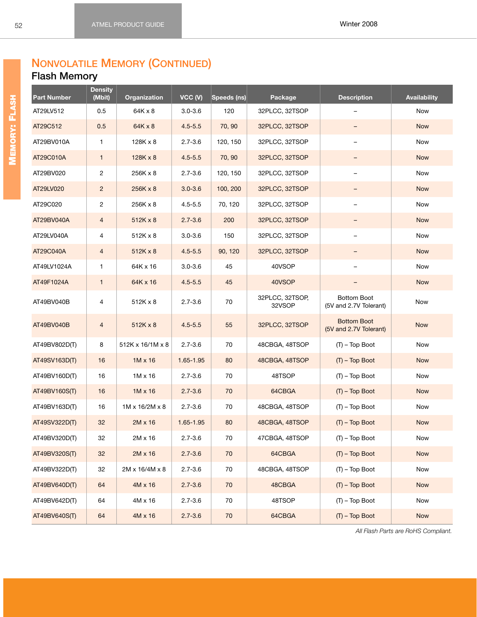#### **NONVOLATILE MEMORY (CONTINUED) Flash Memory**

| <b>Part Number</b> | <b>Density</b><br>(Mbit) | <b>Organization</b> | VCC(V)      | Speeds (ns) | Package                   | <b>Description</b>                           | <b>Availability</b> |
|--------------------|--------------------------|---------------------|-------------|-------------|---------------------------|----------------------------------------------|---------------------|
| AT29LV512          | 0.5                      | 64K x 8             | $3.0 - 3.6$ | 120         | 32PLCC, 32TSOP            |                                              | Now                 |
| AT29C512           | 0.5                      | $64K \times 8$      | $4.5 - 5.5$ | 70,90       | 32PLCC, 32TSOP            |                                              | <b>Now</b>          |
| AT29BV010A         | 1                        | 128K x 8            | $2.7 - 3.6$ | 120, 150    | 32PLCC, 32TSOP            | -                                            | Now                 |
| AT29C010A          | $\mathbf{1}$             | $128K \times 8$     | $4.5 - 5.5$ | 70,90       | 32PLCC, 32TSOP            |                                              | <b>Now</b>          |
| AT29BV020          | 2                        | 256K x 8            | $2.7 - 3.6$ | 120, 150    | 32PLCC, 32TSOP            | $\overline{\phantom{0}}$                     | <b>Now</b>          |
| AT29LV020          | $\overline{c}$           | 256K x 8            | $3.0 - 3.6$ | 100, 200    | 32PLCC, 32TSOP            |                                              | <b>Now</b>          |
| AT29C020           | $\overline{c}$           | 256K x 8            | $4.5 - 5.5$ | 70, 120     | 32PLCC, 32TSOP            |                                              | Now                 |
| AT29BV040A         | $\overline{4}$           | $512K \times 8$     | $2.7 - 3.6$ | 200         | 32PLCC, 32TSOP            |                                              | <b>Now</b>          |
| AT29LV040A         | 4                        | 512K x 8            | $3.0 - 3.6$ | 150         | 32PLCC, 32TSOP            | $\overline{\phantom{a}}$                     | Now                 |
| AT29C040A          | $\overline{4}$           | $512K \times 8$     | $4.5 - 5.5$ | 90, 120     | 32PLCC, 32TSOP            |                                              | <b>Now</b>          |
| AT49LV1024A        | 1                        | 64K x 16            | $3.0 - 3.6$ | 45          | 40VSOP                    | -                                            | Now                 |
| AT49F1024A         | $\mathbf{1}$             | 64K x 16            | $4.5 - 5.5$ | 45          | 40VSOP                    |                                              | <b>Now</b>          |
| AT49BV040B         | 4                        | 512K x 8            | $2.7 - 3.6$ | 70          | 32PLCC, 32TSOP,<br>32VSOP | Bottom Boot<br>(5V and 2.7V Tolerant)        | Now                 |
| AT49BV040B         | $\overline{4}$           | $512K \times 8$     | $4.5 - 5.5$ | 55          | 32PLCC, 32TSOP            | <b>Bottom Boot</b><br>(5V and 2.7V Tolerant) | <b>Now</b>          |
| AT49BV802D(T)      | 8                        | 512K x 16/1M x 8    | $2.7 - 3.6$ | 70          | 48CBGA, 48TSOP            | $(T)$ – Top Boot                             | Now                 |
| AT49SV163D(T)      | 16                       | $1M \times 16$      | 1.65-1.95   | 80          | 48CBGA, 48TSOP            | $(T)$ – Top Boot                             | <b>Now</b>          |
| AT49BV160D(T)      | 16                       | $1M \times 16$      | $2.7 - 3.6$ | 70          | 48TSOP                    | $(T)$ – Top Boot                             | Now                 |
| AT49BV160S(T)      | 16                       | $1M \times 16$      | $2.7 - 3.6$ | 70          | 64CBGA                    | $(T)$ – Top Boot                             | <b>Now</b>          |
| AT49BV163D(T)      | 16                       | 1M x 16/2M x 8      | $2.7 - 3.6$ | 70          | 48CBGA, 48TSOP            | $(T)$ – Top Boot                             | Now                 |
| AT49SV322D(T)      | 32                       | $2M \times 16$      | 1.65-1.95   | 80          | 48CBGA, 48TSOP            | $(T)$ – Top Boot                             | <b>Now</b>          |
| AT49BV320D(T)      | 32                       | 2M x 16             | $2.7 - 3.6$ | 70          | 47CBGA, 48TSOP            | $(T)$ – Top Boot                             | Now                 |
| AT49BV320S(T)      | 32                       | 2M x 16             | $2.7 - 3.6$ | $70\,$      | 64CBGA                    | $(T)$ – Top Boot                             | Now                 |
| AT49BV322D(T)      | 32                       | 2M x 16/4M x 8      | $2.7 - 3.6$ | 70          | 48CBGA, 48TSOP            | $(T)$ – Top Boot                             | Now                 |
| AT49BV640D(T)      | 64                       | $4M \times 16$      | $2.7 - 3.6$ | 70          | 48CBGA                    | $(T)$ – Top Boot                             | <b>Now</b>          |
| AT49BV642D(T)      | 64                       | 4M x 16             | $2.7 - 3.6$ | 70          | 48TSOP                    | $(T)$ – Top Boot                             | Now                 |
| AT49BV640S(T)      | 64                       | 4M x 16             | $2.7 - 3.6$ | $70\,$      | 64CBGA                    | $(T)$ – Top Boot                             | <b>Now</b>          |

*All Flash Parts are RoHS Compliant.*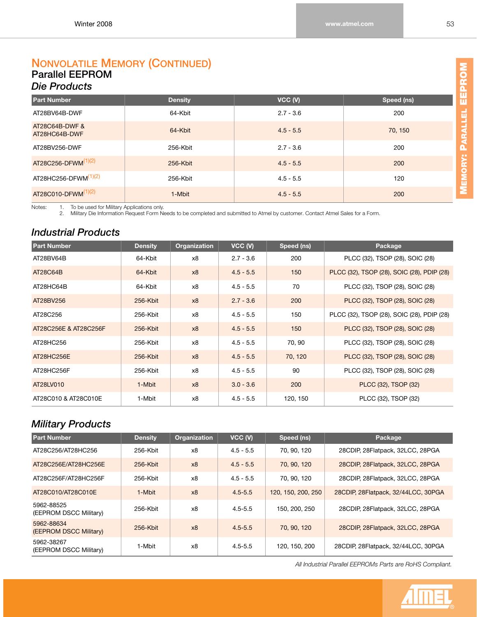#### **NONVOLATILE MEMORY (CONTINUED) Parallel EEPROM**  *Die Products*

| <b>Part Number</b>              | <b>Density</b> | VCC (V)     | Speed (ns) |
|---------------------------------|----------------|-------------|------------|
| AT28BV64B-DWF                   | 64-Kbit        | $2.7 - 3.6$ | 200        |
| AT28C64B-DWF &<br>AT28HC64B-DWF | 64-Kbit        | $4.5 - 5.5$ | 70, 150    |
| AT28BV256-DWF                   | 256-Kbit       | $2.7 - 3.6$ | 200        |
| AT28C256-DFWM <sup>(1)(2)</sup> | 256-Kbit       | $4.5 - 5.5$ | 200        |
| AT28HC256-DFWM $(1)(2)$         | 256-Kbit       | $4.5 - 5.5$ | 120        |
| AT28C010-DFWM <sup>(1)(2)</sup> | 1-Mbit         | $4.5 - 5.5$ | 200        |

<span id="page-59-1"></span><span id="page-59-0"></span>Notes: 1. To be used for Military Applications only.<br>2. Military Die Information Request Form Needs to be completed and submitted to Atmel by customer. Contact Atmel Sales for a Form.

#### *Industrial Products*

| <b>Part Number</b>    | <b>Density</b> | Organization | VCC (V)     | Speed (ns) | Package                                    |
|-----------------------|----------------|--------------|-------------|------------|--------------------------------------------|
| AT28BV64B             | 64-Kbit        | x8           | $2.7 - 3.6$ | 200        | PLCC (32), TSOP (28), SOIC (28)            |
| AT28C64B              | 64-Kbit        | x8           | $4.5 - 5.5$ | 150        | PLCC (32), TSOP (28), SOIC (28), PDIP (28) |
| AT28HC64B             | 64-Kbit        | x8           | $4.5 - 5.5$ | 70         | PLCC (32), TSOP (28), SOIC (28)            |
| AT28BV256             | 256-Kbit       | x8           | $2.7 - 3.6$ | 200        | PLCC (32), TSOP (28), SOIC (28)            |
| AT28C256              | 256-Kbit       | x8           | $4.5 - 5.5$ | 150        | PLCC (32), TSOP (28), SOIC (28), PDIP (28) |
| AT28C256E & AT28C256F | 256-Kbit       | x8           | $4.5 - 5.5$ | 150        | PLCC (32), TSOP (28), SOIC (28)            |
| AT28HC256             | 256-Kbit       | x8           | $4.5 - 5.5$ | 70, 90     | PLCC (32), TSOP (28), SOIC (28)            |
| AT28HC256E            | 256-Kbit       | x8           | $4.5 - 5.5$ | 70, 120    | PLCC (32), TSOP (28), SOIC (28)            |
| AT28HC256F            | 256-Kbit       | x8           | $4.5 - 5.5$ | 90         | PLCC (32), TSOP (28), SOIC (28)            |
| AT28LV010             | 1-Mbit         | x8           | $3.0 - 3.6$ | 200        | PLCC (32), TSOP (32)                       |
| AT28C010 & AT28C010E  | 1-Mbit         | x8           | $4.5 - 5.5$ | 120, 150   | PLCC (32), TSOP (32)                       |

#### *Military Products*

| <b>Part Number</b>                   | <b>Density</b> | <b>Organization</b> | VCC (V)     | Speed (ns)         | Package                             |
|--------------------------------------|----------------|---------------------|-------------|--------------------|-------------------------------------|
| AT28C256/AT28HC256                   | 256-Kbit       | x8                  | $4.5 - 5.5$ | 70.90.120          | 28CDIP, 28Flatpack, 32LCC, 28PGA    |
| AT28C256E/AT28HC256E                 | $256 - Kbit$   | x8                  | $4.5 - 5.5$ | 70, 90, 120        | 28CDIP, 28Flatpack, 32LCC, 28PGA    |
| AT28C256F/AT28HC256F                 | 256-Kbit       | x8                  | $4.5 - 5.5$ | 70.90.120          | 28CDIP, 28Flatpack, 32LCC, 28PGA    |
| AT28C010/AT28C010E                   | 1-Mbit         | x8                  | $4.5 - 5.5$ | 120, 150, 200, 250 | 28CDIP, 28Flatpack, 32/44LCC, 30PGA |
| 5962-88525<br>(EEPROM DSCC Military) | 256-Kbit       | x8                  | $4.5 - 5.5$ | 150, 200, 250      | 28CDIP, 28Flatpack, 32LCC, 28PGA    |
| 5962-88634<br>(EEPROM DSCC Military) | $256 - Kbit$   | x8                  | $4.5 - 5.5$ | 70, 90, 120        | 28CDIP, 28Flatpack, 32LCC, 28PGA    |
| 5962-38267<br>(EEPROM DSCC Military) | 1-Mbit         | x8                  | $4.5 - 5.5$ | 120, 150, 200      | 28CDIP, 28Flatpack, 32/44LCC, 30PGA |

*All Industrial Parallel EEPROMs Parts are RoHS Compliant.*

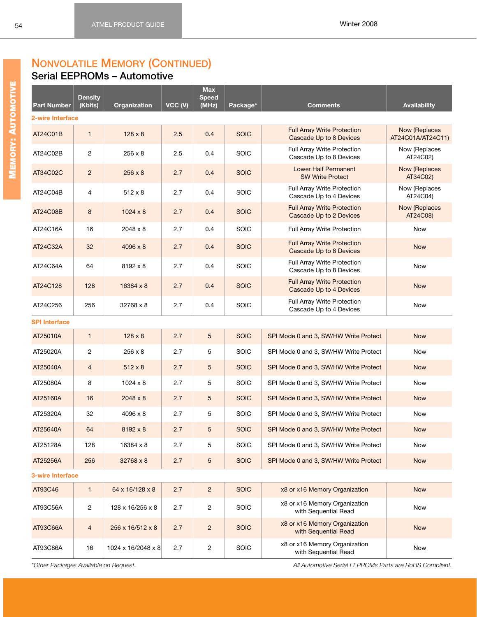#### **NONVOLATILE MEMORY (CONTINUED) Serial EEPROMs – Automotive**

| <b>Part Number</b>      | <b>Density</b><br>(Kbits) | Organization       | VCC (V) | <b>Max</b><br><b>Speed</b><br>(MHz) | Package*    | <b>Comments</b>                                               | <b>Availability</b>                |
|-------------------------|---------------------------|--------------------|---------|-------------------------------------|-------------|---------------------------------------------------------------|------------------------------------|
| 2-wire Interface        |                           |                    |         |                                     |             |                                                               |                                    |
| AT24C01B                | $\mathbf{1}$              | $128 \times 8$     | 2.5     | 0.4                                 | <b>SOIC</b> | <b>Full Array Write Protection</b><br>Cascade Up to 8 Devices | Now (Replaces<br>AT24C01A/AT24C11) |
| AT24C02B                | $\overline{2}$            | $256 \times 8$     | 2.5     | 0.4                                 | <b>SOIC</b> | Full Array Write Protection<br>Cascade Up to 8 Devices        | Now (Replaces<br>AT24C02)          |
| AT34C02C                | $\overline{2}$            | $256 \times 8$     | 2.7     | 0.4                                 | <b>SOIC</b> | <b>Lower Half Permanent</b><br><b>SW Write Protect</b>        | Now (Replaces<br>AT34C02)          |
| AT24C04B                | 4                         | $512 \times 8$     | 2.7     | 0.4                                 | SOIC        | Full Array Write Protection<br>Cascade Up to 4 Devices        | Now (Replaces<br>AT24C04)          |
| AT24C08B                | 8                         | $1024 \times 8$    | 2.7     | 0.4                                 | <b>SOIC</b> | <b>Full Array Write Protection</b><br>Cascade Up to 2 Devices | Now (Replaces<br>AT24C08)          |
| AT24C16A                | 16                        | 2048 x 8           | 2.7     | 0.4                                 | <b>SOIC</b> | Full Array Write Protection                                   | Now                                |
| AT24C32A                | 32                        | 4096 x 8           | 2.7     | 0.4                                 | <b>SOIC</b> | <b>Full Array Write Protection</b><br>Cascade Up to 8 Devices | <b>Now</b>                         |
| AT24C64A                | 64                        | 8192 x 8           | 2.7     | 0.4                                 | <b>SOIC</b> | Full Array Write Protection<br>Cascade Up to 8 Devices        | Now                                |
| AT24C128                | 128                       | 16384 x 8          | 2.7     | 0.4                                 | <b>SOIC</b> | <b>Full Array Write Protection</b><br>Cascade Up to 4 Devices | <b>Now</b>                         |
| AT24C256                | 256                       | 32768 x 8          | 2.7     | 0.4                                 | <b>SOIC</b> | Full Array Write Protection<br>Cascade Up to 4 Devices        | Now                                |
| <b>SPI Interface</b>    |                           |                    |         |                                     |             |                                                               |                                    |
| AT25010A                | $\mathbf{1}$              | $128 \times 8$     | 2.7     | 5                                   | <b>SOIC</b> | SPI Mode 0 and 3, SW/HW Write Protect                         | <b>Now</b>                         |
| AT25020A                | $\overline{c}$            | $256 \times 8$     | 2.7     | 5                                   | SOIC        | SPI Mode 0 and 3, SW/HW Write Protect                         | Now                                |
| AT25040A                | $\overline{4}$            | $512 \times 8$     | 2.7     | 5                                   | <b>SOIC</b> | SPI Mode 0 and 3, SW/HW Write Protect                         | <b>Now</b>                         |
| AT25080A                | 8                         | $1024 \times 8$    | 2.7     | 5                                   | <b>SOIC</b> | SPI Mode 0 and 3, SW/HW Write Protect                         | Now                                |
| AT25160A                | 16                        | $2048 \times 8$    | 2.7     | 5                                   | <b>SOIC</b> | SPI Mode 0 and 3, SW/HW Write Protect                         | <b>Now</b>                         |
| AT25320A                | 32                        | 4096 x 8           | 2.7     | 5                                   | <b>SOIC</b> | SPI Mode 0 and 3, SW/HW Write Protect                         | Now                                |
| AT25640A                | 64                        | $8192 \times 8$    | 2.7     | 5                                   | <b>SOIC</b> | SPI Mode 0 and 3, SW/HW Write Protect                         | <b>Now</b>                         |
| AT25128A                | 128                       | 16384 x 8          | 2.7     | 5                                   | SOIC        | SPI Mode 0 and 3, SW/HW Write Protect                         | Now                                |
| AT25256A                | 256                       | 32768 x 8          | 2.7     | 5                                   | <b>SOIC</b> | SPI Mode 0 and 3, SW/HW Write Protect                         | <b>Now</b>                         |
| <b>3-wire Interface</b> |                           |                    |         |                                     |             |                                                               |                                    |
| AT93C46                 | $\mathbf{1}$              | 64 x 16/128 x 8    | 2.7     | $\overline{2}$                      | <b>SOIC</b> | x8 or x16 Memory Organization                                 | <b>Now</b>                         |
| AT93C56A                | $\overline{c}$            | 128 x 16/256 x 8   | 2.7     | $\overline{c}$                      | <b>SOIC</b> | x8 or x16 Memory Organization<br>with Sequential Read         | Now                                |
| AT93C66A                | $\overline{4}$            | 256 x 16/512 x 8   | 2.7     | $\overline{2}$                      | <b>SOIC</b> | x8 or x16 Memory Organization<br>with Sequential Read         | <b>Now</b>                         |
| AT93C86A                | 16                        | 1024 x 16/2048 x 8 | 2.7     | $\overline{c}$                      | <b>SOIC</b> | x8 or x16 Memory Organization<br>with Sequential Read         | Now                                |

*\*Other Packages Available on Request. All Automotive Serial EEPROMs Parts are RoHS Compliant.*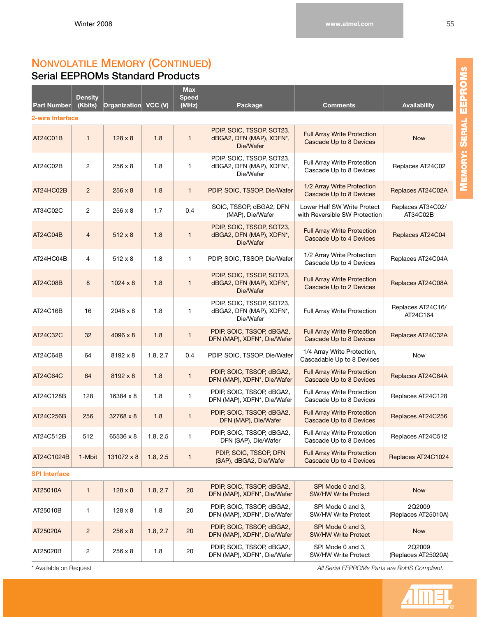### **NONVOLATILE MEMORY (CONTINUED) Serial EEPROMs Standard Products**

| Part Number          | <b>Density</b><br>(Kbits) | Organization VCC (V) |          | <b>Max</b><br><b>Speed</b><br>(MHz) | Package                                                            | <b>Comments</b>                                               | <b>Availability</b>           |
|----------------------|---------------------------|----------------------|----------|-------------------------------------|--------------------------------------------------------------------|---------------------------------------------------------------|-------------------------------|
| 2-wire Interface     |                           |                      |          |                                     |                                                                    |                                                               |                               |
| AT24C01B             | $\mathbf{1}$              | $128 \times 8$       | 1.8      | $\mathbf{1}$                        | PDIP, SOIC, TSSOP, SOT23,<br>dBGA2, DFN (MAP), XDFN*,<br>Die/Wafer | <b>Full Array Write Protection</b><br>Cascade Up to 8 Devices | <b>Now</b>                    |
| AT24C02B             | $\overline{2}$            | $256 \times 8$       | 1.8      | 1                                   | PDIP, SOIC, TSSOP, SOT23,<br>dBGA2, DFN (MAP), XDFN*,<br>Die/Wafer | Full Array Write Protection<br>Cascade Up to 8 Devices        | Replaces AT24C02              |
| AT24HC02B            | $\overline{2}$            | $256 \times 8$       | 1.8      | $\mathbf{1}$                        | PDIP, SOIC, TSSOP, Die/Wafer                                       | 1/2 Array Write Protection<br>Cascade Up to 8 Devices         | Replaces AT24C02A             |
| AT34C02C             | 2                         | 256 x 8              | 1.7      | 0.4                                 | SOIC, TSSOP, dBGA2, DFN<br>(MAP), Die/Wafer                        | Lower Half SW Write Protect<br>with Reversible SW Protection  | Replaces AT34C02/<br>AT34C02B |
| AT24C04B             | $\overline{4}$            | $512 \times 8$       | 1.8      | $\mathbf{1}$                        | PDIP, SOIC, TSSOP, SOT23,<br>dBGA2, DFN (MAP), XDFN*,<br>Die/Wafer | <b>Full Array Write Protection</b><br>Cascade Up to 4 Devices | Replaces AT24C04              |
| AT24HC04B            | 4                         | $512 \times 8$       | 1.8      | $\mathbf{1}$                        | PDIP, SOIC, TSSOP, Die/Wafer                                       | 1/2 Array Write Protection<br>Cascade Up to 4 Devices         | Replaces AT24C04A             |
| AT24C08B             | 8                         | $1024 \times 8$      | 1.8      | $\mathbf{1}$                        | PDIP, SOIC, TSSOP, SOT23,<br>dBGA2, DFN (MAP), XDFN*,<br>Die/Wafer | <b>Full Array Write Protection</b><br>Cascade Up to 2 Devices | Replaces AT24C08A             |
| AT24C16B             | 16                        | $2048 \times 8$      | 1.8      | 1.                                  | PDIP, SOIC, TSSOP, SOT23,<br>dBGA2, DFN (MAP), XDFN*,<br>Die/Wafer | Full Array Write Protection                                   | Replaces AT24C16/<br>AT24C164 |
| AT24C32C             | 32                        | $4096 \times 8$      | 1.8      | $\mathbf{1}$                        | PDIP, SOIC, TSSOP, dBGA2,<br>DFN (MAP), XDFN*, Die/Wafer           | <b>Full Array Write Protection</b><br>Cascade Up to 8 Devices | Replaces AT24C32A             |
| AT24C64B             | 64                        | $8192 \times 8$      | 1.8, 2.7 | 0.4                                 | PDIP, SOIC, TSSOP, Die/Wafer                                       | 1/4 Array Write Protection,<br>Cascadable Up to 8 Devices     | Now                           |
| AT24C64C             | 64                        | $8192 \times 8$      | 1.8      | $\mathbf{1}$                        | PDIP, SOIC, TSSOP, dBGA2,<br>DFN (MAP), XDFN*, Die/Wafer           | <b>Full Array Write Protection</b><br>Cascade Up to 8 Devices | Replaces AT24C64A             |
| AT24C128B            | 128                       | 16384 x 8            | 1.8      | 1                                   | PDIP, SOIC, TSSOP, dBGA2,<br>DFN (MAP), XDFN*, Die/Wafer           | Full Array Write Protection<br>Cascade Up to 8 Devices        | Replaces AT24C128             |
| AT24C256B            | 256                       | 32768 x 8            | 1.8      | $\mathbf{1}$                        | PDIP, SOIC, TSSOP, dBGA2,<br>DFN (MAP), Die/Wafer                  | <b>Full Array Write Protection</b><br>Cascade Up to 8 Devices | Replaces AT24C256             |
| AT24C512B            | 512                       | 65536 x 8            | 1.8, 2.5 | 1                                   | PDIP, SOIC, TSSOP, dBGA2,<br>DFN (SAP), Die/Wafer                  | Full Array Write Protection<br>Cascade Up to 8 Devices        | Replaces AT24C512             |
| AT24C1024B           | 1-Mbit                    | 131072 x 8           | 1.8, 2.5 | $\mathbf{1}$                        | PDIP, SOIC, TSSOP, DFN<br>(SAP), dBGA2, Die/Wafer                  | <b>Full Array Write Protection</b><br>Cascade Up to 4 Devices | Replaces AT24C1024            |
| <b>SPI Interface</b> |                           |                      |          |                                     |                                                                    |                                                               |                               |
| AT25010A             | $\mathbf{1}$              | $128 \times 8$       | 1.8, 2.7 | 20                                  | PDIP, SOIC, TSSOP, dBGA2,<br>DFN (MAP), XDFN*, Die/Wafer           | SPI Mode 0 and 3,<br><b>SW/HW Write Protect</b>               | <b>Now</b>                    |
| AT25010B             | 1                         | $128 \times 8$       | 1.8      | 20                                  | PDIP, SOIC, TSSOP, dBGA2,<br>DFN (MAP), XDFN*, Die/Wafer           | SPI Mode 0 and 3,<br><b>SW/HW Write Protect</b>               | 2Q2009<br>(Replaces AT25010A) |
| AT25020A             | $\overline{c}$            | $256 \times 8$       | 1.8, 2.7 | 20                                  | PDIP, SOIC, TSSOP, dBGA2,<br>DFN (MAP), XDFN*, Die/Wafer           | SPI Mode 0 and 3,<br><b>SW/HW Write Protect</b>               | <b>Now</b>                    |
| AT25020B             | $\overline{c}$            | $256 \times 8$       | 1.8      | 20                                  | PDIP, SOIC, TSSOP, dBGA2,<br>DFN (MAP), XDFN*, Die/Wafer           | SPI Mode 0 and 3,<br><b>SW/HW Write Protect</b>               | 2Q2009<br>(Replaces AT25020A) |

\* Available on Request *All Serial EEPROMs Parts are RoHS Compliant.*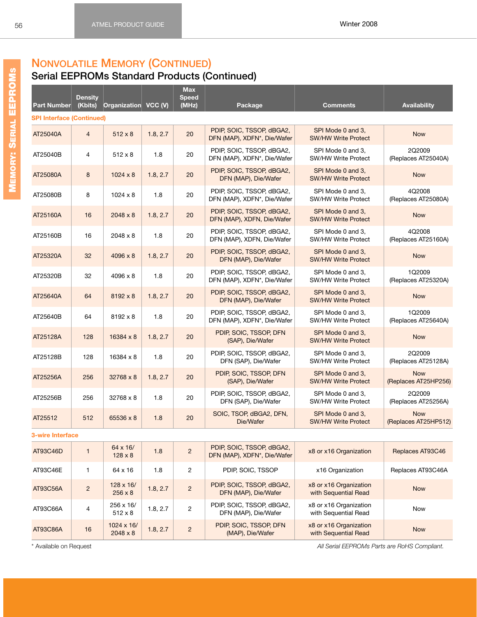# **NONVOLATILE MEMORY (CONTINUED)**

### **Serial EEPROMs Standard Products (Continued)**

| Part Number                      | <b>Density</b><br>(Kbits) | Organization VCC (V)        |          | <b>Max</b><br><b>Speed</b><br>(MHz) | Package                                                  | <b>Comments</b>                                 | <b>Availability</b>                |
|----------------------------------|---------------------------|-----------------------------|----------|-------------------------------------|----------------------------------------------------------|-------------------------------------------------|------------------------------------|
| <b>SPI Interface (Continued)</b> |                           |                             |          |                                     |                                                          |                                                 |                                    |
| AT25040A                         | $\overline{4}$            | $512 \times 8$              | 1.8, 2.7 | 20                                  | PDIP, SOIC, TSSOP, dBGA2,<br>DFN (MAP), XDFN*, Die/Wafer | SPI Mode 0 and 3.<br><b>SW/HW Write Protect</b> | <b>Now</b>                         |
| AT25040B                         | 4                         | $512 \times 8$              | 1.8      | 20                                  | PDIP, SOIC, TSSOP, dBGA2,<br>DFN (MAP), XDFN*, Die/Wafer | SPI Mode 0 and 3,<br><b>SW/HW Write Protect</b> | 2Q2009<br>(Replaces AT25040A)      |
| AT25080A                         | 8                         | $1024 \times 8$             | 1.8, 2.7 | 20                                  | PDIP, SOIC, TSSOP, dBGA2,<br>DFN (MAP), Die/Wafer        | SPI Mode 0 and 3.<br><b>SW/HW Write Protect</b> | <b>Now</b>                         |
| AT25080B                         | 8                         | $1024 \times 8$             | 1.8      | 20                                  | PDIP, SOIC, TSSOP, dBGA2,<br>DFN (MAP), XDFN*, Die/Wafer | SPI Mode 0 and 3,<br><b>SW/HW Write Protect</b> | 4Q2008<br>(Replaces AT25080A)      |
| AT25160A                         | 16                        | $2048 \times 8$             | 1.8, 2.7 | 20                                  | PDIP, SOIC, TSSOP, dBGA2,<br>DFN (MAP), XDFN, Die/Wafer  | SPI Mode 0 and 3,<br><b>SW/HW Write Protect</b> | <b>Now</b>                         |
| AT25160B                         | 16                        | $2048 \times 8$             | 1.8      | 20                                  | PDIP, SOIC, TSSOP, dBGA2,<br>DFN (MAP), XDFN, Die/Wafer  | SPI Mode 0 and 3,<br><b>SW/HW Write Protect</b> | 4Q2008<br>(Replaces AT25160A)      |
| AT25320A                         | 32                        | 4096 x 8                    | 1.8, 2.7 | 20                                  | PDIP, SOIC, TSSOP, dBGA2,<br>DFN (MAP), Die/Wafer        | SPI Mode 0 and 3,<br><b>SW/HW Write Protect</b> | <b>Now</b>                         |
| AT25320B                         | 32                        | 4096 x 8                    | 1.8      | 20                                  | PDIP, SOIC, TSSOP, dBGA2.<br>DFN (MAP), XDFN*, Die/Wafer | SPI Mode 0 and 3,<br><b>SW/HW Write Protect</b> | 1Q2009<br>(Replaces AT25320A)      |
| AT25640A                         | 64                        | $8192 \times 8$             | 1.8, 2.7 | 20                                  | PDIP, SOIC, TSSOP, dBGA2,<br>DFN (MAP), Die/Wafer        | SPI Mode 0 and 3.<br><b>SW/HW Write Protect</b> | <b>Now</b>                         |
| AT25640B                         | 64                        | $8192 \times 8$             | 1.8      | 20                                  | PDIP, SOIC, TSSOP, dBGA2,<br>DFN (MAP), XDFN*, Die/Wafer | SPI Mode 0 and 3,<br><b>SW/HW Write Protect</b> | 1Q2009<br>(Replaces AT25640A)      |
| AT25128A                         | 128                       | $16384 \times 8$            | 1.8, 2.7 | 20                                  | PDIP, SOIC, TSSOP, DFN<br>(SAP), Die/Wafer               | SPI Mode 0 and 3,<br><b>SW/HW Write Protect</b> | <b>Now</b>                         |
| AT25128B                         | 128                       | 16384 x 8                   | 1.8      | 20                                  | PDIP, SOIC, TSSOP, dBGA2,<br>DFN (SAP), Die/Wafer        | SPI Mode 0 and 3,<br><b>SW/HW Write Protect</b> | 2Q2009<br>(Replaces AT25128A)      |
| AT25256A                         | 256                       | 32768 x 8                   | 1.8, 2.7 | 20                                  | PDIP, SOIC, TSSOP, DFN<br>(SAP), Die/Wafer               | SPI Mode 0 and 3,<br><b>SW/HW Write Protect</b> | <b>Now</b><br>(Replaces AT25HP256) |
| AT25256B                         | 256                       | 32768 x 8                   | 1.8      | 20                                  | PDIP, SOIC, TSSOP, dBGA2,<br>DFN (SAP), Die/Wafer        | SPI Mode 0 and 3,<br><b>SW/HW Write Protect</b> | 2Q2009<br>(Replaces AT25256A)      |
| AT25512                          | 512                       | 65536 x 8                   | 1.8      | 20                                  | SOIC, TSOP, dBGA2, DFN,<br>Die/Wafer                     | SPI Mode 0 and 3.<br><b>SW/HW Write Protect</b> | <b>Now</b><br>(Replaces AT25HP512) |
| <b>3-wire Interface</b>          |                           |                             |          |                                     |                                                          |                                                 |                                    |
| AT93C46D                         | $\mathbf{1}$              | 64 x 16/<br>$128 \times 8$  | 1.8      | $\sqrt{2}$                          | PDIP, SOIC, TSSOP, dBGA2,<br>DFN (MAP), XDFN*, Die/Wafer | x8 or x16 Organization                          | Replaces AT93C46                   |
| AT93C46E                         | $\mathbf{1}$              | 64 x 16                     | 1.8      | $\overline{c}$                      | PDIP, SOIC, TSSOP                                        | x16 Organization                                | Replaces AT93C46A                  |
| AT93C56A                         | $\overline{c}$            | 128 x 16/<br>$256 \times 8$ | 1.8, 2.7 | $\sqrt{2}$                          | PDIP, SOIC, TSSOP, dBGA2,<br>DFN (MAP), Die/Wafer        | x8 or x16 Organization<br>with Sequential Read  | <b>Now</b>                         |

1.8, 2.7 2 PDIP, SOIC, TSSOP, dBGA2,

1.8, 2.7 2 PDIP, SOIC, TSSOP, DFN

DFN (MAP), Die/Wafer

(MAP), Die/Wafer

 $AT93C66A$  4  $256 \times 16/$ <br>512 x 8

 $AT93C86A$  16  $1024 \times 16/$ <br>2048 x 8

\* Available on Request *All Serial EEPROMs Parts are RoHS Compliant.*

xs or x i o Organization<br>with Sequential Read Now

xo or x i o Organization<br>with Sequential Read

x8 or x16 Organization

x8 or x16 Organization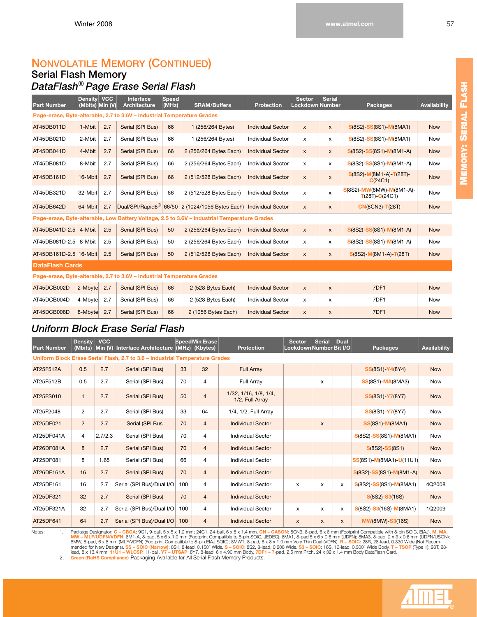# **NONVOLATILE MEMORY (CONTINUED)**

#### **Serial Flash Memory** *DataFlash*® *Page Erase Serial Flash*

| <b>Part Number</b>     | <b>Density</b><br>(Mbits) Min (V) | <b>VCC</b> | Interface<br><b>Architecture</b>                                        | <b>Speed</b><br>(MHz) | <b>SRAM/Buffers</b>                                                                          | <b>Protection</b>        | <b>Sector</b><br><b>Lockdown Number</b> | <b>Serial</b>      | <b>Packages</b>                                | Availability |
|------------------------|-----------------------------------|------------|-------------------------------------------------------------------------|-----------------------|----------------------------------------------------------------------------------------------|--------------------------|-----------------------------------------|--------------------|------------------------------------------------|--------------|
|                        |                                   |            | Page-erase, Byte-alterable, 2.7 to 3.6V - Industrial Temperature Grades |                       |                                                                                              |                          |                                         |                    |                                                |              |
| AT45DB011D             | 1-Mbit                            | 2.7        | Serial (SPI Bus)                                                        | 66                    | 1 (256/264 Bytes)                                                                            | <b>Individual Sector</b> | $\mathsf{x}$                            | $\mathsf{x}$       | S(8S2)-SS(8S1)-M(8MA1)                         | <b>Now</b>   |
| AT45DB021D             | 2-Mbit                            | 2.7        | Serial (SPI Bus)                                                        | 66                    | 1 (256/264 Bytes)                                                                            | <b>Individual Sector</b> | x                                       | x                  | S(8S2)-SS(8S1)-M(8MA1)                         | Now          |
| AT45DB041D             | 4-Mbit                            | 2.7        | Serial (SPI Bus)                                                        | 66                    | 2 (256/264 Bytes Each)                                                                       | <b>Individual Sector</b> | $\mathsf{x}$                            | $\pmb{\mathsf{X}}$ | $S(8S2) - SS(8S1) - M(8M1-A)$                  | <b>Now</b>   |
| AT45DB081D             | 8-Mbit                            | 2.7        | Serial (SPI Bus)                                                        | 66                    | 2 (256/264 Bytes Each)                                                                       | <b>Individual Sector</b> | $\boldsymbol{\mathsf{x}}$               | x                  | $S(8S2) - SS(8S1) - M(8M1-A)$                  | Now          |
| AT45DB161D             | 16-Mbit                           | 2.7        | Serial (SPI Bus)                                                        | 66                    | 2 (512/528 Bytes Each)                                                                       | <b>Individual Sector</b> | $\pmb{\times}$                          | $\mathsf{x}$       | $S(8S2) - M(8M1-A) - T(28T) -$<br>C(24C1)      | <b>Now</b>   |
| AT45DB321D             | 32-Mbit                           | 2.7        | Serial (SPI Bus)                                                        | 66                    | 2 (512/528 Bytes Each)                                                                       | <b>Individual Sector</b> | X                                       | X                  | S(8S2)-MW(8MW)-M(8M1-A)-<br>$T(28T) - C(24C1)$ | Now          |
| AT45DB642D             | $64$ -Mbit                        | 2.7        |                                                                         |                       | Dual/SPI/Rapid8 <sup>®</sup> 66/50 2 (1024/1056 Bytes Each)                                  | <b>Individual Sector</b> | $\mathsf{x}$                            | $\pmb{\mathsf{X}}$ | <b>CN(8CN3)-T(28T)</b>                         | <b>Now</b>   |
|                        |                                   |            |                                                                         |                       | Page-erase, Byte-alterable, Low Battery Voltage, 2.5 to 3.6V - Industrial Temperature Grades |                          |                                         |                    |                                                |              |
| AT45DB041D-2.5         | 4-Mbit                            | 2.5        | Serial (SPI Bus)                                                        | 50                    | 2 (256/264 Bytes Each)                                                                       | <b>Individual Sector</b> | $\mathsf{x}$                            | $\pmb{\mathsf{X}}$ | S(8S2)-SS(8S1)-M(8M1-A)                        | <b>Now</b>   |
| AT45DB081D-2.5         | 8-Mbit                            | 2.5        | Serial (SPI Bus)                                                        | 50                    | 2 (256/264 Bytes Each)                                                                       | <b>Individual Sector</b> | $\boldsymbol{\mathsf{x}}$               | x                  | $S(8S2) - SS(8S1) - M(8M1-A)$                  | Now          |
| AT45DB161D-2.5 16-Mbit |                                   | 2.5        | Serial (SPI Bus)                                                        | 50                    | 2 (512/528 Bytes Each)                                                                       | <b>Individual Sector</b> | $\mathsf{x}$                            | $\pmb{\mathsf{X}}$ | $S(8S2) - M(8M1-A) - T(28T)$                   | <b>Now</b>   |
| <b>DataFlash Cards</b> |                                   |            |                                                                         |                       |                                                                                              |                          |                                         |                    |                                                |              |
|                        |                                   |            | Page-erase, Byte-alterable, 2.7 to 3.6V - Industrial Temperature Grades |                       |                                                                                              |                          |                                         |                    |                                                |              |
| AT45DCB002D            | $2$ -Mbyte                        | 2.7        | Serial (SPI Bus)                                                        | 66                    | 2 (528 Bytes Each)                                                                           | <b>Individual Sector</b> | $\pmb{\times}$                          | $\pmb{\mathsf{X}}$ | 7DF1                                           | <b>Now</b>   |
| AT45DCB004D            | 4-Mbyte                           | 2.7        | Serial (SPI Bus)                                                        | 66                    | 2 (528 Bytes Each)                                                                           | <b>Individual Sector</b> | $\mathsf{x}$                            | $\mathsf{x}$       | 7DF1                                           | Now          |
| AT45DCB008D            | $ 8 - M$ byte                     | 2.7        | Serial (SPI Bus)                                                        | 66                    | 2 (1056 Bytes Each)                                                                          | <b>Individual Sector</b> | $\pmb{\times}$                          | $\pmb{\mathsf{X}}$ | 7DF1                                           | <b>Now</b>   |

### *Uniform Block Erase Serial Flash*

| <b>Part Number</b> | <b>Density</b><br>(Mbits) | <b>VCC</b> | Min (V) Interface Architecture (MHz) (Kbytes)                                |     | Speed Min Erase | <b>Protection</b>                        | <b>Sector</b><br>Lockdown Number Bit I/O | <b>Serial</b>             | <b>Dual</b>  | <b>Packages</b>              | Availability |
|--------------------|---------------------------|------------|------------------------------------------------------------------------------|-----|-----------------|------------------------------------------|------------------------------------------|---------------------------|--------------|------------------------------|--------------|
|                    |                           |            | Uniform Block Erase Serial Flash, 2.7 to 3.6 - Industrial Temperature Grades |     |                 |                                          |                                          |                           |              |                              |              |
| AT25F512A          | 0.5                       | 2.7        | Serial (SPI Bus)                                                             | 33  | 32              | <b>Full Array</b>                        |                                          |                           |              | <b>SS(8S1)-Y4(8Y4)</b>       | <b>Now</b>   |
| AT25F512B          | 0.5                       | 2.7        | Serial (SPI Bus)                                                             | 70  | 4               | Full Array                               |                                          | $\mathsf{x}$              |              | <b>SS(8S1)-MA(8MA3)</b>      | <b>Now</b>   |
| AT25FS010          | $\mathbf{1}$              | 2.7        | Serial (SPI Bus)                                                             | 50  | $\overline{4}$  | 1/32, 1/16, 1/8, 1/4,<br>1/2, Full Array |                                          |                           |              | <b>SS(8S1)-Y7(8Y7)</b>       | <b>Now</b>   |
| AT25F2048          | 2                         | 2.7        | Serial (SPI Bus)                                                             | 33  | 64              | 1/4, 1/2, Full Array                     |                                          |                           |              | <b>SS(8S1)-Y7(8Y7)</b>       | Now          |
| AT25DF021          | $\overline{2}$            | 2.7        | Serial (SPI Bus                                                              | 70  | $\overline{4}$  | <b>Individual Sector</b>                 |                                          | $\boldsymbol{\mathsf{x}}$ |              | <b>SS(8S1)-M(8MA1)</b>       | <b>Now</b>   |
| AT25DF041A         | 4                         | 2.7/2.3    | Serial (SPI Bus)                                                             | 70  | 4               | <b>Individual Sector</b>                 |                                          |                           |              | $S(8S2) - SS(8S1) - M(8MA1)$ | Now          |
| AT26DF081A         | 8                         | 2.7        | Serial (SPI Bus)                                                             | 70  | $\overline{4}$  | <b>Individual Sector</b>                 |                                          |                           |              | $S(8S2) - SS(8S1)$           | <b>Now</b>   |
| AT25DF081          | 8                         | 1.65       | Serial (SPI Bus)                                                             | 66  | 4               | <b>Individual Sector</b>                 |                                          |                           |              | $ SS(8S1)-M(8MA1)-U(11U1) $  | <b>Now</b>   |
| AT26DF161A         | 16                        | 2.7        | Serial (SPI Bus)                                                             | 70  | $\overline{4}$  | <b>Individual Sector</b>                 |                                          |                           |              | S(8S2)-SS(8S1)-M(8M1-A)      | <b>Now</b>   |
| AT25DF161          | 16                        | 2.7        | Serial (SPI Bus)/Dual I/O                                                    | 100 | 4               | <b>Individual Sector</b>                 | x                                        | $\mathsf{x}$              | x            | $S(8S2) - SS(8S1) - M(8MA1)$ | 4Q2008       |
| AT25DF321          | 32                        | 2.7        | Serial (SPI Bus)                                                             | 70  | $\overline{4}$  | <b>Individual Sector</b>                 |                                          |                           |              | $S(8S2) - S3(16S)$           | <b>Now</b>   |
| AT25DF321A         | 32                        | 2.7        | Serial (SPI Bus)/Dual I/O                                                    | 100 | 4               | <b>Individual Sector</b>                 | X                                        | $\boldsymbol{\mathsf{x}}$ | X            | $S(8S2) - S3(16S) - M(8MA1)$ | 1Q2009       |
| AT25DF641          | 64                        | 2.7        | Serial (SPI Bus)/Dual I/O                                                    | 100 | $\overline{4}$  | <b>Individual Sector</b>                 | X                                        | $\mathsf{x}$              | $\mathsf{x}$ | <b>MW(8MW)-S3(16S)</b>       | <b>Now</b>   |

Notes:<br>1. Package Designator: **C - CBGA**: 9C1, 9-ball, 5 x 5 x 1.2 mm; 24C1, 24-ball, 6 x 8 x 1.4 mm. **CN - CASON**: 8CN3, 8-pad, 6 x 8 mm (Footprint Compatible with 8-pin SOIC, EIAJ). M, MA,<br>MW - MLF/UDFN/WDFN: 8M1-A, 8-pa

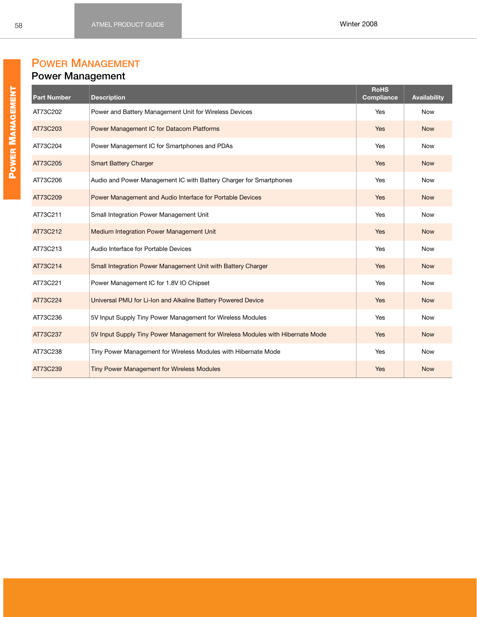# **POWER MANAGEMENT**

# **Power Management**

| <b>Part Number</b> | <b>Description</b>                                                             | <b>RoHS</b><br>Compliance | Availability |
|--------------------|--------------------------------------------------------------------------------|---------------------------|--------------|
| AT73C202           | Power and Battery Management Unit for Wireless Devices                         | Yes                       | <b>Now</b>   |
| AT73C203           | Power Management IC for Datacom Platforms                                      | Yes                       | <b>Now</b>   |
| AT73C204           | Power Management IC for Smartphones and PDAs                                   | Yes                       | <b>Now</b>   |
| AT73C205           | <b>Smart Battery Charger</b>                                                   | Yes                       | <b>Now</b>   |
| AT73C206           | Audio and Power Management IC with Battery Charger for Smartphones             | Yes                       | <b>Now</b>   |
| AT73C209           | Power Management and Audio Interface for Portable Devices                      | Yes                       | <b>Now</b>   |
| AT73C211           | Small Integration Power Management Unit                                        | Yes                       | <b>Now</b>   |
| AT73C212           | Medium Integration Power Management Unit                                       | Yes                       | <b>Now</b>   |
| AT73C213           | Audio Interface for Portable Devices                                           | Yes                       | <b>Now</b>   |
| AT73C214           | Small Integration Power Management Unit with Battery Charger                   | Yes                       | <b>Now</b>   |
| AT73C221           | Power Management IC for 1.8V IO Chipset                                        | Yes                       | <b>Now</b>   |
| AT73C224           | Universal PMU for Li-Ion and Alkaline Battery Powered Device                   | Yes                       | <b>Now</b>   |
| AT73C236           | 5V Input Supply Tiny Power Management for Wireless Modules                     | Yes                       | <b>Now</b>   |
| AT73C237           | 5V Input Supply Tiny Power Management for Wireless Modules with Hibernate Mode | Yes                       | <b>Now</b>   |
| AT73C238           | Tiny Power Management for Wireless Modules with Hibernate Mode                 | Yes                       | <b>Now</b>   |
| AT73C239           | <b>Tiny Power Management for Wireless Modules</b>                              | Yes                       | <b>Now</b>   |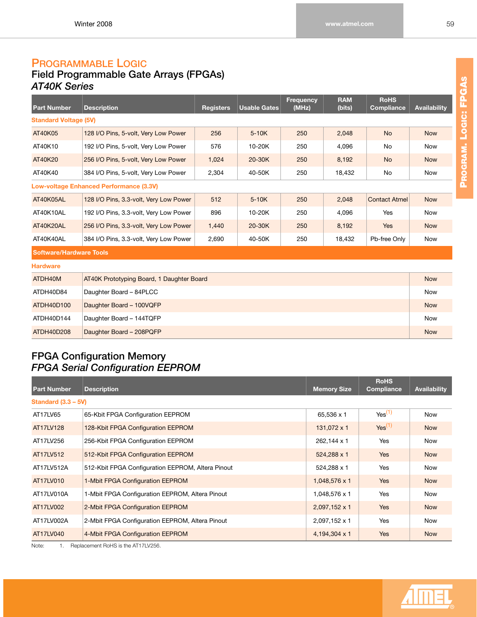# **PROGRAMMABLE LOGIC**

# **Field Programmable Gate Arrays (FPGAs)** *AT40K Series*

| <b>Part Number</b>                      | <b>Description</b>                        | <b>Registers</b> | <b>Usable Gates</b> | <b>Frequency</b><br>(MHz) | <b>RAM</b><br>(bits) | <b>RoHS</b><br><b>Compliance</b> | <b>Availability</b> |  |  |
|-----------------------------------------|-------------------------------------------|------------------|---------------------|---------------------------|----------------------|----------------------------------|---------------------|--|--|
| <b>Standard Voltage (5V)</b>            |                                           |                  |                     |                           |                      |                                  |                     |  |  |
| AT40K05                                 | 128 I/O Pins, 5-volt, Very Low Power      | 256              | $5-10K$             | 250                       | 2,048                | <b>No</b>                        | <b>Now</b>          |  |  |
| AT40K10                                 | 192 I/O Pins, 5-volt, Very Low Power      | 576              | 10-20K              | 250                       | 4,096                | No                               | <b>Now</b>          |  |  |
| AT40K20                                 | 256 I/O Pins, 5-volt, Very Low Power      | 1,024            | 20-30K              | 250                       | 8,192                | <b>No</b>                        | <b>Now</b>          |  |  |
| AT40K40                                 | 384 I/O Pins, 5-volt, Very Low Power      | 2,304            | 40-50K              | 250                       | 18,432               | No                               | <b>Now</b>          |  |  |
| Low-voltage Enhanced Performance (3.3V) |                                           |                  |                     |                           |                      |                                  |                     |  |  |
| AT40K05AL                               | 128 I/O Pins, 3.3-volt, Very Low Power    | 512              | $5-10K$             | 250                       | 2,048                | <b>Contact Atmel</b>             | <b>Now</b>          |  |  |
| AT40K10AL                               | 192 I/O Pins, 3.3-volt, Very Low Power    | 896              | 10-20K              | 250                       | 4,096                | Yes                              | <b>Now</b>          |  |  |
| AT40K20AL                               | 256 I/O Pins, 3.3-volt, Very Low Power    | 1,440            | 20-30K              | 250                       | 8,192                | <b>Yes</b>                       | <b>Now</b>          |  |  |
| AT40K40AL                               | 384 I/O Pins, 3.3-volt, Very Low Power    | 2,690            | 40-50K              | 250                       | 18,432               | Pb-free Only                     | <b>Now</b>          |  |  |
| <b>Software/Hardware Tools</b>          |                                           |                  |                     |                           |                      |                                  |                     |  |  |
| <b>Hardware</b>                         |                                           |                  |                     |                           |                      |                                  |                     |  |  |
| ATDH40M                                 | AT40K Prototyping Board, 1 Daughter Board |                  |                     |                           |                      |                                  | <b>Now</b>          |  |  |
| ATDH40D84                               | Daughter Board - 84PLCC                   |                  |                     |                           |                      |                                  | <b>Now</b>          |  |  |
| ATDH40D100                              | Daughter Board - 100VQFP                  |                  |                     |                           |                      |                                  | <b>Now</b>          |  |  |
| ATDH40D144                              | Daughter Board - 144TQFP                  |                  |                     |                           |                      |                                  | Now                 |  |  |

ATDH40D208 Daughter Board – 208PQFP Now and the contract of the contract of the contract of the contract of the contract of the contract of the contract of the contract of the contract of the contract of the contract of th

### **FPGA Configuration Memory** *FPGA Serial Configuration EEPROM*

| <b>Part Number</b>    | <b>Description</b>                                | <b>Memory Size</b> | <b>RoHS</b><br><b>Compliance</b> | <b>Availability</b> |
|-----------------------|---------------------------------------------------|--------------------|----------------------------------|---------------------|
| Standard $(3.3 - 5V)$ |                                                   |                    |                                  |                     |
| AT17LV65              | 65-Kbit FPGA Configuration EEPROM                 | 65,536 x 1         | Yes <sup>(1)</sup>               | <b>Now</b>          |
| AT17LV128             | 128-Kbit FPGA Configuration EEPROM                | 131,072 x 1        | Yes <sup>(1)</sup>               | <b>Now</b>          |
| AT17LV256             | 256-Kbit FPGA Configuration EEPROM                | 262,144 x 1        | Yes                              | <b>Now</b>          |
| AT17LV512             | 512-Kbit FPGA Configuration EEPROM                | 524,288 x 1        | <b>Yes</b>                       | <b>Now</b>          |
| AT17LV512A            | 512-Kbit FPGA Configuration EEPROM, Altera Pinout | 524,288 x 1        | Yes                              | <b>Now</b>          |
| AT17LV010             | 1-Mbit FPGA Configuration EEPROM                  | 1,048,576 x 1      | <b>Yes</b>                       | <b>Now</b>          |
| AT17LV010A            | 1-Mbit FPGA Configuration EEPROM, Altera Pinout   | 1,048,576 x 1      | Yes                              | <b>Now</b>          |
| AT17LV002             | 2-Mbit FPGA Configuration EEPROM                  | 2,097,152 x 1      | <b>Yes</b>                       | <b>Now</b>          |
| AT17LV002A            | 2-Mbit FPGA Configuration EEPROM, Altera Pinout   | 2,097,152 x 1      | Yes                              | <b>Now</b>          |
| AT17LV040             | 4-Mbit FPGA Configuration EEPROM                  | 4,194,304 x 1      | Yes                              | <b>Now</b>          |

<span id="page-65-0"></span>Note: 1. Replacement RoHS is the AT17LV256.



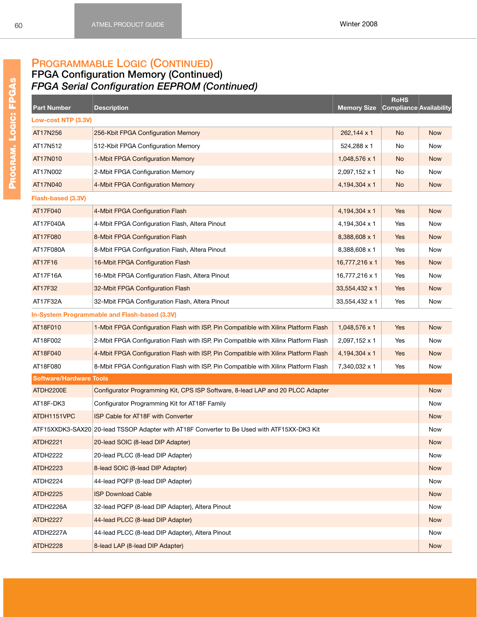## **PROGRAMMABLE LOGIC (CONTINUED)**

#### **FPGA Configuration Memory (Continued)** *FPGA Serial Configuration EEPROM (Continued)*

| <b>Part Number</b>             | <b>Description</b>                                                                          | <b>Memory Size</b> | <b>RoHS</b><br>Compliance Availability |            |
|--------------------------------|---------------------------------------------------------------------------------------------|--------------------|----------------------------------------|------------|
| Low-cost NTP (3.3V)            |                                                                                             |                    |                                        |            |
| AT17N256                       | 256-Kbit FPGA Configuration Memory                                                          | 262,144 x 1        | <b>No</b>                              | <b>Now</b> |
| AT17N512                       | 512-Kbit FPGA Configuration Memory                                                          | 524,288 x 1        | No                                     | Now        |
| AT17N010                       | 1-Mbit FPGA Configuration Memory                                                            | 1,048,576 x 1      | <b>No</b>                              | <b>Now</b> |
| AT17N002                       | 2-Mbit FPGA Configuration Memory                                                            | 2,097,152 x 1      | No                                     | Now        |
| AT17N040                       | 4-Mbit FPGA Configuration Memory                                                            | 4,194,304 x 1      | No                                     | <b>Now</b> |
| Flash-based (3.3V)             |                                                                                             |                    |                                        |            |
| AT17F040                       | 4-Mbit FPGA Configuration Flash                                                             | 4,194,304 x 1      | Yes                                    | <b>Now</b> |
| AT17F040A                      | 4-Mbit FPGA Configuration Flash, Altera Pinout                                              | 4,194,304 x 1      | Yes                                    | Now        |
| AT17F080                       | 8-Mbit FPGA Configuration Flash                                                             | 8,388,608 x 1      | Yes                                    | <b>Now</b> |
| AT17F080A                      | 8-Mbit FPGA Configuration Flash, Altera Pinout                                              | 8,388,608 x 1      | Yes                                    | Now        |
| AT17F16                        | 16-Mbit FPGA Configuration Flash                                                            | 16,777,216 x 1     | Yes                                    | <b>Now</b> |
| AT17F16A                       | 16-Mbit FPGA Configuration Flash, Altera Pinout                                             | 16,777,216 x 1     | Yes                                    | Now        |
| AT17F32                        | 32-Mbit FPGA Configuration Flash                                                            | 33,554,432 x 1     | Yes                                    | <b>Now</b> |
| AT17F32A                       | 32-Mbit FPGA Configuration Flash, Altera Pinout                                             | 33,554,432 x 1     | Yes                                    | Now        |
|                                | In-System Programmable and Flash-based (3.3V)                                               |                    |                                        |            |
| AT18F010                       | 1-Mbit FPGA Configuration Flash with ISP, Pin Compatible with Xilinx Platform Flash         | 1,048,576 x 1      | Yes                                    | <b>Now</b> |
| AT18F002                       | 2-Mbit FPGA Configuration Flash with ISP, Pin Compatible with Xilinx Platform Flash         | 2,097,152 x 1      | Yes                                    | Now        |
| AT18F040                       | 4-Mbit FPGA Configuration Flash with ISP, Pin Compatible with Xilinx Platform Flash         | 4,194,304 x 1      | Yes                                    | <b>Now</b> |
| AT18F080                       | 8-Mbit FPGA Configuration Flash with ISP, Pin Compatible with Xilinx Platform Flash         | 7,340,032 x 1      | Yes                                    | Now        |
| <b>Software/Hardware Tools</b> |                                                                                             |                    |                                        |            |
| ATDH2200E                      | Configurator Programming Kit, CPS ISP Software, 8-lead LAP and 20 PLCC Adapter              |                    |                                        | <b>Now</b> |
| AT18F-DK3                      | Configurator Programming Kit for AT18F Family                                               |                    |                                        | Now        |
| ATDH1151VPC                    | ISP Cable for AT18F with Converter                                                          |                    |                                        | <b>Now</b> |
|                                | ATF15XXDK3-SAX20 20-lead TSSOP Adapter with AT18F Converter to Be Used with ATF15XX-DK3 Kit |                    |                                        | Now        |
| <b>ATDH2221</b>                | 20-lead SOIC (8-lead DIP Adapter)                                                           |                    |                                        | <b>Now</b> |
| ATDH2222                       | 20-lead PLCC (8-lead DIP Adapter)                                                           |                    |                                        | Now        |
| <b>ATDH2223</b>                | 8-lead SOIC (8-lead DIP Adapter)                                                            |                    |                                        | <b>Now</b> |
| ATDH2224                       | 44-lead PQFP (8-lead DIP Adapter)                                                           |                    |                                        | Now        |
| <b>ATDH2225</b>                | <b>ISP Download Cable</b>                                                                   |                    |                                        | <b>Now</b> |
| ATDH2226A                      | 32-lead PQFP (8-lead DIP Adapter), Altera Pinout                                            |                    |                                        | Now        |
| <b>ATDH2227</b>                | 44-lead PLCC (8-lead DIP Adapter)                                                           |                    |                                        | <b>Now</b> |
| ATDH2227A                      | 44-lead PLCC (8-lead DIP Adapter), Altera Pinout                                            |                    |                                        | Now        |
| <b>ATDH2228</b>                | 8-lead LAP (8-lead DIP Adapter)                                                             |                    |                                        | <b>Now</b> |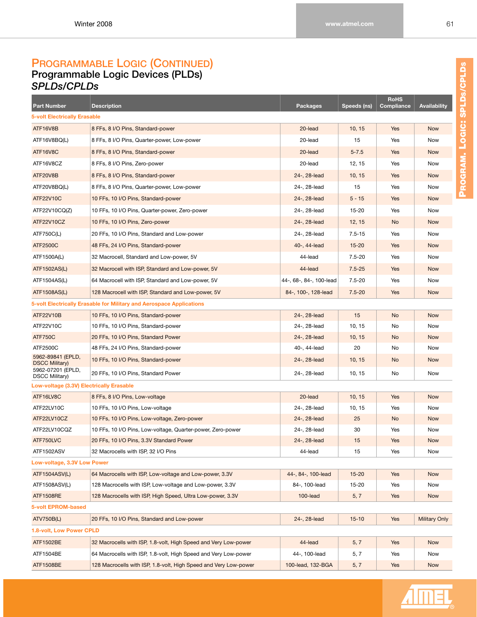#### **PROGRAMMABLE LOGIC (CONTINUED) Programmable Logic Devices (PLDs)** *SPLDs/CPLDs*

| <b>Part Number</b>                         | <b>Description</b>                                                   | Packages                | Speeds (ns) | <b>RoHS</b><br><b>Compliance</b> | <b>Availability</b>  |
|--------------------------------------------|----------------------------------------------------------------------|-------------------------|-------------|----------------------------------|----------------------|
| <b>5-volt Electrically Erasable</b>        |                                                                      |                         |             |                                  |                      |
| ATF16V8B                                   | 8 FFs, 8 I/O Pins, Standard-power                                    | 20-lead                 | 10, 15      | Yes                              | <b>Now</b>           |
| ATF16V8BQ(L)                               | 8 FFs, 8 I/O Pins, Quarter-power, Low-power                          | 20-lead                 | 15          | Yes                              | Now                  |
| ATF16V8C                                   | 8 FFs, 8 I/O Pins, Standard-power                                    | 20-lead                 | $5 - 7.5$   | Yes                              | <b>Now</b>           |
| ATF16V8CZ                                  | 8 FFs, 8 I/O Pins, Zero-power                                        | 20-lead                 | 12, 15      | Yes                              | Now                  |
| ATF20V8B                                   | 8 FFs, 8 I/O Pins, Standard-power                                    | 24-, 28-lead            | 10, 15      | Yes                              | <b>Now</b>           |
| ATF20V8BQ(L)                               | 8 FFs, 8 I/O Pins, Quarter-power, Low-power                          | 24-, 28-lead            | 15          | Yes                              | Now                  |
| ATF22V10C                                  | 10 FFs, 10 I/O Pins, Standard-power                                  | 24-, 28-lead            | $5 - 15$    | Yes                              | <b>Now</b>           |
| ATF22V10CQ(Z)                              | 10 FFs, 10 I/O Pins, Quarter-power, Zero-power                       | 24-, 28-lead            | 15-20       | Yes                              | Now                  |
| ATF22V10CZ                                 | 10 FFs, 10 I/O Pins, Zero-power                                      | 24-, 28-lead            | 12, 15      | No                               | <b>Now</b>           |
| ATF750C(L)                                 | 20 FFs, 10 I/O Pins, Standard and Low-power                          | 24-, 28-lead            | $7.5 - 15$  | Yes                              | Now                  |
| ATF2500C                                   | 48 FFs, 24 I/O Pins, Standard-power                                  | 40-, 44-lead            | $15 - 20$   | Yes                              | <b>Now</b>           |
| ATF1500A(L)                                | 32 Macrocell, Standard and Low-power, 5V                             | 44-lead                 | $7.5 - 20$  | Yes                              | Now                  |
| ATF1502AS(L)                               | 32 Macrocell with ISP, Standard and Low-power, 5V                    | 44-lead                 | $7.5 - 25$  | Yes                              | <b>Now</b>           |
| ATF1504AS(L)                               | 64 Macrocell with ISP, Standard and Low-power, 5V                    | 44-, 68-, 84-, 100-lead | 7.5-20      | Yes                              | Now                  |
| ATF1508AS(L)                               | 128 Macrocell with ISP, Standard and Low-power, 5V                   | 84-, 100-, 128-lead     | $7.5 - 20$  | Yes                              | <b>Now</b>           |
|                                            | 5-volt Electrically Erasable for Military and Aerospace Applications |                         |             |                                  |                      |
| ATF22V10B                                  | 10 FFs, 10 I/O Pins, Standard-power                                  | 24-, 28-lead            | 15          | <b>No</b>                        | <b>Now</b>           |
| ATF22V10C                                  | 10 FFs, 10 I/O Pins, Standard-power                                  | 24-, 28-lead            | 10, 15      | No                               | Now                  |
| <b>ATF750C</b>                             | 20 FFs, 10 I/O Pins, Standard Power                                  | 24-, 28-lead            | 10, 15      | <b>No</b>                        | <b>Now</b>           |
| ATF2500C                                   | 48 FFs, 24 I/O Pins, Standard-power                                  | 40-, 44-lead            | 20          | No                               | Now                  |
| 5962-89841 (EPLD,<br><b>DSCC Military)</b> | 10 FFs, 10 I/O Pins, Standard-power                                  | 24-, 28-lead            | 10, 15      | No                               | <b>Now</b>           |
| 5962-07201 (EPLD,<br><b>DSCC Military)</b> | 20 FFs, 10 I/O Pins, Standard Power                                  | 24-, 28-lead            | 10, 15      | No                               | Now                  |
| Low-voltage (3.3V) Electrically Erasable   |                                                                      |                         |             |                                  |                      |
| ATF16LV8C                                  | 8 FFs, 8 I/O Pins, Low-voltage                                       | 20-lead                 | 10, 15      | Yes                              | <b>Now</b>           |
| ATF22LV10C                                 | 10 FFs, 10 I/O Pins, Low-voltage                                     | 24-, 28-lead            | 10, 15      | Yes                              | Now                  |
| ATF22LV10CZ                                | 10 FFs, 10 I/O Pins, Low-voltage, Zero-power                         | 24-, 28-lead            | 25          | <b>No</b>                        | <b>Now</b>           |
| ATF22LV10CQZ                               | 10 FFs, 10 I/O Pins, Low-voltage, Quarter-power, Zero-power          | 24-, 28-lead            | 30          | Yes                              | Now                  |
| ATF750LVC                                  | 20 FFs, 10 I/O Pins, 3.3V Standard Power                             | 24-, 28-lead            | 15          | Yes                              | <b>Now</b>           |
| ATF1502ASV                                 | 32 Macrocells with ISP, 32 I/O Pins                                  | 44-lead                 | 15          | Yes                              | Now                  |
| Low-voltage, 3.3V Low Power                |                                                                      |                         |             |                                  |                      |
| ATF1504ASV(L)                              | 64 Macrocells with ISP, Low-voltage and Low-power, 3.3V              | 44-, 84-, 100-lead      | $15 - 20$   | Yes                              | <b>Now</b>           |
| ATF1508ASV(L)                              | 128 Macrocells with ISP, Low-voltage and Low-power, 3.3V             | 84-, 100-lead           | 15-20       | Yes                              | Now                  |
| <b>ATF1508RE</b>                           | 128 Macrocells with ISP, High Speed, Ultra Low-power, 3.3V           | 100-lead                | 5, 7        | Yes                              | <b>Now</b>           |
| 5-volt EPROM-based                         |                                                                      |                         |             |                                  |                      |
| ATV750B(L)                                 | 20 FFs, 10 I/O Pins, Standard and Low-power                          | 24-, 28-lead            | $15 - 10$   | Yes                              | <b>Military Only</b> |
| 1.8-volt, Low Power CPLD                   |                                                                      |                         |             |                                  |                      |
| ATF1502BE                                  | 32 Macrocells with ISP, 1.8-volt, High Speed and Very Low-power      | 44-lead                 | 5, 7        | Yes                              | <b>Now</b>           |
| ATF1504BE                                  | 64 Macrocells with ISP, 1.8-volt, High Speed and Very Low-power      | 44-, 100-lead           | 5, 7        | Yes                              | Now                  |
| ATF1508BE                                  | 128 Macrocells with ISP, 1.8-volt, High Speed and Very Low-power     | 100-lead, 132-BGA       | 5, 7        | Yes                              | <b>Now</b>           |

*Almen*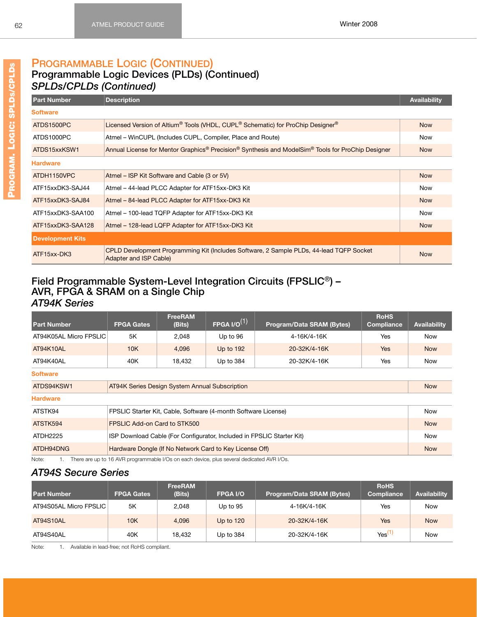# **PROGRAMMABLE LOGIC (CONTINUED)**

### **Programmable Logic Devices (PLDs) (Continued)** *SPLDs/CPLDs (Continued)*

| <b>Part Number</b>      | <b>Description</b>                                                                                                                    | <b>Availability</b> |
|-------------------------|---------------------------------------------------------------------------------------------------------------------------------------|---------------------|
| <b>Software</b>         |                                                                                                                                       |                     |
| ATDS1500PC              | Licensed Version of Altium <sup>®</sup> Tools (VHDL, CUPL <sup>®</sup> Schematic) for ProChip Designer <sup>®</sup>                   | <b>Now</b>          |
| ATDS1000PC              | Atmel – WinCUPL (Includes CUPL, Compiler, Place and Route)                                                                            | Now                 |
| ATDS15xxKSW1            | Annual License for Mentor Graphics <sup>®</sup> Precision <sup>®</sup> Synthesis and ModelSim <sup>®</sup> Tools for ProChip Designer | <b>Now</b>          |
| <b>Hardware</b>         |                                                                                                                                       |                     |
| ATDH1150VPC             | Atmel – ISP Kit Software and Cable (3 or 5V)                                                                                          | <b>Now</b>          |
| ATF15xxDK3-SAJ44        | Atmel - 44-lead PLCC Adapter for ATF15xx-DK3 Kit                                                                                      | <b>Now</b>          |
| ATF15xxDK3-SAJ84        | Atmel - 84-lead PLCC Adapter for ATF15xx-DK3 Kit                                                                                      | <b>Now</b>          |
| ATF15xxDK3-SAA100       | Atmel - 100-lead TQFP Adapter for ATF15xx-DK3 Kit                                                                                     | <b>Now</b>          |
| ATF15xxDK3-SAA128       | Atmel - 128-lead LQFP Adapter for ATF15xx-DK3 Kit                                                                                     | <b>Now</b>          |
| <b>Development Kits</b> |                                                                                                                                       |                     |
| ATF15xx-DK3             | CPLD Development Programming Kit (Includes Software, 2 Sample PLDs, 44-lead TQFP Socket<br>Adapter and ISP Cable)                     | <b>Now</b>          |

#### **Field Programmable System-Level Integration Circuits (FPSLIC**®**) – AVR, FPGA & SRAM on a Single Chip** *AT94K Series*

| <b>Part Number</b>                       | <b>FPGA Gates</b>                                                     | <b>FreeRAM</b><br>(Bits) | $FP$ GA I/O $^{(1)}$                                           | <b>Program/Data SRAM (Bytes)</b> | <b>RoHS</b><br>Compliance | Availability |
|------------------------------------------|-----------------------------------------------------------------------|--------------------------|----------------------------------------------------------------|----------------------------------|---------------------------|--------------|
| AT94K05AL Micro FPSLIC                   | 5K                                                                    | 2,048                    | Up to 96                                                       | 4-16K/4-16K                      | <b>Yes</b>                | Now          |
| AT94K10AL                                | 10K                                                                   | 4.096                    | Up to 192                                                      | 20-32K/4-16K                     | <b>Yes</b>                | <b>Now</b>   |
| AT94K40AL                                | 40K                                                                   | 18,432                   | Up to 384                                                      | 20-32K/4-16K                     | Yes                       | Now          |
| <b>Software</b>                          |                                                                       |                          |                                                                |                                  |                           |              |
| ATDS94KSW1                               | <b>AT94K Series Design System Annual Subscription</b>                 |                          |                                                                |                                  |                           | <b>Now</b>   |
| <b>Hardware</b>                          |                                                                       |                          |                                                                |                                  |                           |              |
| ATSTK94                                  |                                                                       |                          | FPSLIC Starter Kit, Cable, Software (4-month Software License) |                                  |                           | <b>Now</b>   |
| ATSTK594<br>FPSLIC Add-on Card to STK500 |                                                                       |                          |                                                                |                                  | <b>Now</b>                |              |
| ATDH2225                                 | ISP Download Cable (For Configurator, Included in FPSLIC Starter Kit) |                          |                                                                |                                  |                           | <b>Now</b>   |
| ATDH94DNG                                |                                                                       |                          | Hardware Dongle (If No Network Card to Key License Off)        |                                  |                           | <b>Now</b>   |

Note: 1. There are up to 16 AVR programmable I/Os on each device, plus several dedicated AVR I/Os.

#### *AT94S Secure Series*

| <b>Part Number</b>     | <b>FPGA Gates</b> | <b>FreeRAM</b><br>(Bits) | <b>FPGA I/O</b>  | <b>Program/Data SRAM (Bytes)</b> | <b>RoHS</b><br>Compliance | <b>Availability</b> |
|------------------------|-------------------|--------------------------|------------------|----------------------------------|---------------------------|---------------------|
| AT94S05AL Micro FPSLIC | 5K                | 2.048                    | Up to 95         | 4-16K/4-16K                      | Yes                       | Now                 |
| AT94S10AL              | 10K               | 4.096                    | <b>Up to 120</b> | 20-32K/4-16K                     | Yes                       | <b>Now</b>          |
| AT94S40AL              | 40K               | 18.432                   | Up to 384        | 20-32K/4-16K                     | Yes <sup>(1`</sup>        | <b>Now</b>          |

<span id="page-68-0"></span>Note: 1. Available in lead-free; not RoHS compliant.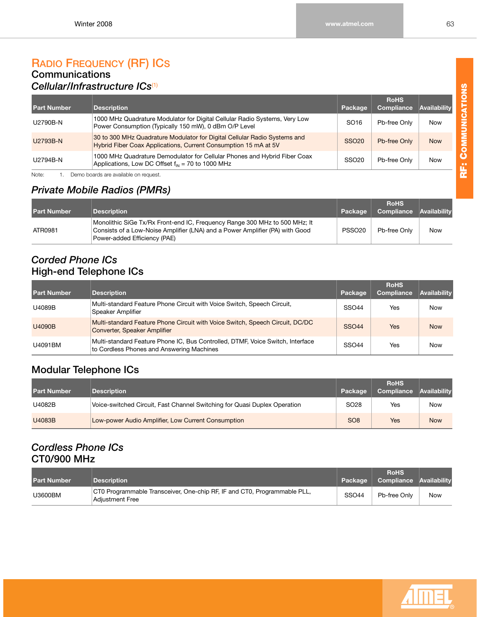### **RADIO FREQUENCY (RF) ICS Communications**

## *Cellular/Infrastructure ICs*[\(1\)](#page-69-0)

| <b>Part Number</b> | <b>Description</b>                                                                                                                           | Package           | <b>RoHS</b><br><b>Compliance</b> | Availability |
|--------------------|----------------------------------------------------------------------------------------------------------------------------------------------|-------------------|----------------------------------|--------------|
| U2790B-N           | 1000 MHz Quadrature Modulator for Digital Cellular Radio Systems, Very Low<br>Power Consumption (Typically 150 mW), 0 dBm O/P Level          | SO <sub>16</sub>  | Pb-free Only                     | <b>Now</b>   |
| U2793B-N           | 30 to 300 MHz Quadrature Modulator for Digital Cellular Radio Systems and<br>Hybrid Fiber Coax Applications, Current Consumption 15 mA at 5V | SSO <sub>20</sub> | Pb-free Only                     | <b>Now</b>   |
| U2794B-N           | 1000 MHz Quadrature Demodulator for Cellular Phones and Hybrid Fiber Coax<br>Applications, Low DC Offset $f_{in}$ = 70 to 1000 MHz           | SSO <sub>20</sub> | Pb-free Only                     | <b>Now</b>   |
| Note:              | Demo boards are available on request.                                                                                                        |                   |                                  |              |

# <span id="page-69-0"></span>*Private Mobile Radios (PMRs)*

| <b>Part Number</b> | <b>Description</b>                                                                                                                                                                         | LPackage <b>'</b>  | <b>RoHS</b><br><b>Compliance Availability</b> |     |
|--------------------|--------------------------------------------------------------------------------------------------------------------------------------------------------------------------------------------|--------------------|-----------------------------------------------|-----|
| ATR0981            | Monolithic SiGe Tx/Rx Front-end IC, Frequency Range 300 MHz to 500 MHz; It<br>Consists of a Low-Noise Amplifier (LNA) and a Power Amplifier (PA) with Good<br>Power-added Efficiency (PAE) | PSSO <sub>20</sub> | Pb-free Only                                  | Now |

#### *Corded Phone ICs*  **High-end Telephone ICs**

| <b>Part Number</b> | <b>Description</b>                                                                                                          | Package      | <b>RoHS</b><br>Compliance | Availability |
|--------------------|-----------------------------------------------------------------------------------------------------------------------------|--------------|---------------------------|--------------|
| U4089B             | Multi-standard Feature Phone Circuit with Voice Switch, Speech Circuit,<br>Speaker Amplifier                                | <b>SSO44</b> | Yes                       | Now          |
| U4090B             | Multi-standard Feature Phone Circuit with Voice Switch, Speech Circuit, DC/DC<br>Converter, Speaker Amplifier               | <b>SSO44</b> | Yes                       | <b>Now</b>   |
| U4091BM            | Multi-standard Feature Phone IC, Bus Controlled, DTMF, Voice Switch, Interface<br>to Cordless Phones and Answering Machines | <b>SSO44</b> | Yes                       | Now          |

# **Modular Telephone ICs**

| <b>Part Number</b> | <b>Description</b>                                                        | Package          | <b>RoHS</b><br>Compliance | <b>Availability</b> |
|--------------------|---------------------------------------------------------------------------|------------------|---------------------------|---------------------|
| U4082B             | Voice-switched Circuit, Fast Channel Switching for Quasi Duplex Operation | SO <sub>28</sub> | Yes                       | Now                 |
| U4083B             | Low-power Audio Amplifier, Low Current Consumption                        | SO <sub>8</sub>  | Yes                       | <b>Now</b>          |

## *Cordless Phone ICs* **CT0/900 MHz**

| <b>Part Number</b> | <b>Description</b>                                                                          | Package      | <b>RoHS</b><br>Compliance Availability |     |
|--------------------|---------------------------------------------------------------------------------------------|--------------|----------------------------------------|-----|
| U3600BM            | CT0 Programmable Transceiver, One-chip RF, IF and CT0, Programmable PLL,<br>Adiustment Free | <b>SSO44</b> | Pb-free Only                           | Now |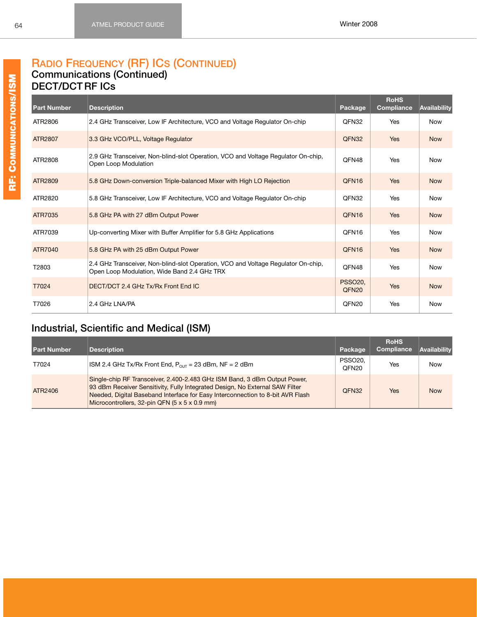### **RADIO FREQUENCY (RF) ICS (CONTINUED) Communications (Continued)**

#### **DECT/DCT RF ICs**

| <b>Part Number</b> | <b>Description</b>                                                                                                               | Package                             | <b>RoHS</b><br><b>Compliance</b> | Availability |
|--------------------|----------------------------------------------------------------------------------------------------------------------------------|-------------------------------------|----------------------------------|--------------|
| ATR2806            | 2.4 GHz Transceiver, Low IF Architecture, VCO and Voltage Regulator On-chip                                                      | QFN32                               | Yes                              | <b>Now</b>   |
| ATR2807            | 3.3 GHz VCO/PLL, Voltage Regulator                                                                                               | QFN32                               | <b>Yes</b>                       | <b>Now</b>   |
| ATR2808            | 2.9 GHz Transceiver, Non-blind-slot Operation, VCO and Voltage Regulator On-chip,<br>Open Loop Modulation                        | QFN48                               | Yes                              | <b>Now</b>   |
| ATR2809            | 5.8 GHz Down-conversion Triple-balanced Mixer with High LO Rejection                                                             | QFN <sub>16</sub>                   | <b>Yes</b>                       | <b>Now</b>   |
| ATR2820            | 5.8 GHz Transceiver, Low IF Architecture, VCO and Voltage Regulator On-chip                                                      | QFN32                               | Yes                              | Now          |
| ATR7035            | 5.8 GHz PA with 27 dBm Output Power                                                                                              | QFN <sub>16</sub>                   | <b>Yes</b>                       | <b>Now</b>   |
| ATR7039            | Up-converting Mixer with Buffer Amplifier for 5.8 GHz Applications                                                               | QFN <sub>16</sub>                   | Yes                              | <b>Now</b>   |
| ATR7040            | 5.8 GHz PA with 25 dBm Output Power                                                                                              | QFN <sub>16</sub>                   | <b>Yes</b>                       | <b>Now</b>   |
| T2803              | 2.4 GHz Transceiver, Non-blind-slot Operation, VCO and Voltage Regulator On-chip,<br>Open Loop Modulation, Wide Band 2.4 GHz TRX | QFN48                               | Yes                              | <b>Now</b>   |
| T7024              | DECT/DCT 2.4 GHz Tx/Rx Front End IC                                                                                              | <b>PSSO20.</b><br>QFN <sub>20</sub> | <b>Yes</b>                       | <b>Now</b>   |
| T7026              | 2.4 GHz LNA/PA                                                                                                                   | QFN <sub>20</sub>                   | Yes                              | <b>Now</b>   |

# **Industrial, Scientific and Medical (ISM)**

| <b>Part Number</b> | <b>Description</b>                                                                                                                                                                                                                                                                           | Package                             | <b>RoHS</b><br>Compliance | Availability |
|--------------------|----------------------------------------------------------------------------------------------------------------------------------------------------------------------------------------------------------------------------------------------------------------------------------------------|-------------------------------------|---------------------------|--------------|
| T7024              | ISM 2.4 GHz Tx/Rx Front End, $P_{OUT}$ = 23 dBm, NF = 2 dBm                                                                                                                                                                                                                                  | <b>PSSO20.</b><br>QFN <sub>20</sub> | Yes                       | Now          |
| ATR2406            | Single-chip RF Transceiver, 2.400-2.483 GHz ISM Band, 3 dBm Output Power,<br>93 dBm Receiver Sensitivity, Fully Integrated Design, No External SAW Filter<br>Needed, Digital Baseband Interface for Easy Interconnection to 8-bit AVR Flash<br>Microcontrollers, 32-pin QFN (5 x 5 x 0.9 mm) | QFN32                               | Yes                       | <b>Now</b>   |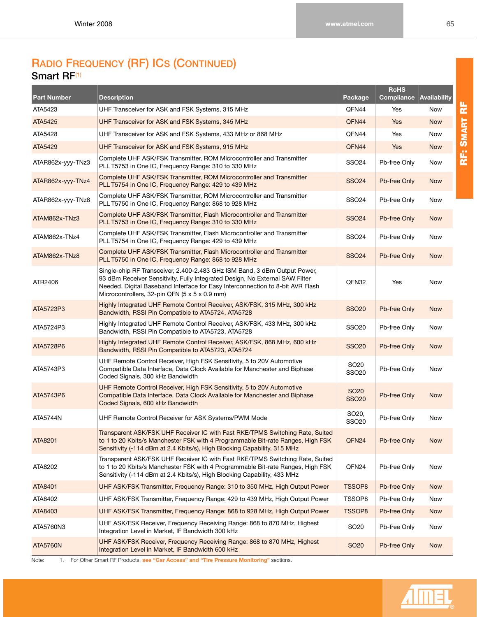# **RADIO FREQUENCY (RF) ICS (CONTINUED) Smart RF**[\(1\)](#page-71-0)

| <b>Part Number</b> | <b>Description</b>                                                                                                                                                                                                                                                                           | Package                          | <b>RoHS</b><br>Compliance | Availability |
|--------------------|----------------------------------------------------------------------------------------------------------------------------------------------------------------------------------------------------------------------------------------------------------------------------------------------|----------------------------------|---------------------------|--------------|
| ATA5423            | UHF Transceiver for ASK and FSK Systems, 315 MHz                                                                                                                                                                                                                                             | QFN44                            | Yes                       | Now          |
| ATA5425            | UHF Transceiver for ASK and FSK Systems, 345 MHz                                                                                                                                                                                                                                             | QFN44                            | Yes                       | <b>Now</b>   |
| ATA5428            | UHF Transceiver for ASK and FSK Systems, 433 MHz or 868 MHz                                                                                                                                                                                                                                  | QFN44                            | Yes                       | Now          |
| ATA5429            | UHF Transceiver for ASK and FSK Systems, 915 MHz                                                                                                                                                                                                                                             | QFN44                            | <b>Yes</b>                | <b>Now</b>   |
| ATAR862x-yyy-TNz3  | Complete UHF ASK/FSK Transmitter, ROM Microcontroller and Transmitter<br>PLL T5753 in One IC, Frequency Range: 310 to 330 MHz                                                                                                                                                                | SSO24                            | Pb-free Only              | Now          |
| ATAR862x-yyy-TNz4  | Complete UHF ASK/FSK Transmitter, ROM Microcontroller and Transmitter<br>PLL T5754 in One IC, Frequency Range: 429 to 439 MHz                                                                                                                                                                | <b>SSO24</b>                     | Pb-free Only              | <b>Now</b>   |
| ATAR862x-yyy-TNz8  | Complete UHF ASK/FSK Transmitter, ROM Microcontroller and Transmitter<br>PLL T5750 in One IC, Frequency Range: 868 to 928 MHz                                                                                                                                                                | SSO24                            | Pb-free Only              | Now          |
| ATAM862x-TNz3      | Complete UHF ASK/FSK Transmitter, Flash Microcontroller and Transmitter<br>PLL T5753 in One IC, Frequency Range: 310 to 330 MHz                                                                                                                                                              | <b>SSO24</b>                     | Pb-free Only              | <b>Now</b>   |
| ATAM862x-TNz4      | Complete UHF ASK/FSK Transmitter, Flash Microcontroller and Transmitter<br>PLL T5754 in One IC, Frequency Range: 429 to 439 MHz                                                                                                                                                              | SSO24                            | Pb-free Only              | Now          |
| ATAM862x-TNz8      | Complete UHF ASK/FSK Transmitter, Flash Microcontroller and Transmitter<br>PLL T5750 in One IC, Frequency Range: 868 to 928 MHz                                                                                                                                                              | <b>SSO24</b>                     | Pb-free Only              | <b>Now</b>   |
| ATR2406            | Single-chip RF Transceiver, 2.400-2.483 GHz ISM Band, 3 dBm Output Power,<br>93 dBm Receiver Sensitivity, Fully Integrated Design, No External SAW Filter<br>Needed, Digital Baseband Interface for Easy Interconnection to 8-bit AVR Flash<br>Microcontrollers, 32-pin QFN (5 x 5 x 0.9 mm) | QFN32                            | Yes                       | <b>Now</b>   |
| ATA5723P3          | Highly Integrated UHF Remote Control Receiver, ASK/FSK, 315 MHz, 300 kHz<br>Bandwidth, RSSI Pin Compatible to ATA5724, ATA5728                                                                                                                                                               | <b>SSO20</b>                     | Pb-free Only              | <b>Now</b>   |
| ATA5724P3          | Highly Integrated UHF Remote Control Receiver, ASK/FSK, 433 MHz, 300 kHz<br>Bandwidth, RSSI Pin Compatible to ATA5723, ATA5728                                                                                                                                                               | <b>SSO20</b>                     | Pb-free Only              | Now          |
| ATA5728P6          | Highly Integrated UHF Remote Control Receiver, ASK/FSK, 868 MHz, 600 kHz<br>Bandwidth, RSSI Pin Compatible to ATA5723, ATA5724                                                                                                                                                               | <b>SSO20</b>                     | Pb-free Only              | <b>Now</b>   |
| ATA5743P3          | UHF Remote Control Receiver, High FSK Sensitivity, 5 to 20V Automotive<br>Compatible Data Interface, Data Clock Available for Manchester and Biphase<br>Coded Signals, 300 kHz Bandwidth                                                                                                     | SO <sub>20</sub><br>SSO20        | Pb-free Only              | Now          |
| ATA5743P6          | UHF Remote Control Receiver, High FSK Sensitivity, 5 to 20V Automotive<br>Compatible Data Interface, Data Clock Available for Manchester and Biphase<br>Coded Signals, 600 kHz Bandwidth                                                                                                     | <b>SO20</b><br><b>SSO20</b>      | Pb-free Only              | <b>Now</b>   |
| ATA5744N           | UHF Remote Control Receiver for ASK Systems/PWM Mode                                                                                                                                                                                                                                         | SO <sub>20</sub><br><b>SSO20</b> | Pb-free Only              | Now          |
| ATA8201            | Transparent ASK/FSK UHF Receiver IC with Fast RKE/TPMS Switching Rate, Suited<br>to 1 to 20 Kbits/s Manchester FSK with 4 Programmable Bit-rate Ranges, High FSK<br>Sensitivity (-114 dBm at 2.4 Kbits/s), High Blocking Capability, 315 MHz                                                 | QFN24                            | Pb-free Only              | <b>Now</b>   |
| ATA8202            | Transparent ASK/FSK UHF Receiver IC with Fast RKE/TPMS Switching Rate, Suited<br>to 1 to 20 Kbits/s Manchester FSK with 4 Programmable Bit-rate Ranges, High FSK<br>Sensitivity (-114 dBm at 2.4 Kbits/s), High Blocking Capability, 433 MHz                                                 | QFN24                            | Pb-free Only              | Now          |
| ATA8401            | UHF ASK/FSK Transmitter, Frequency Range: 310 to 350 MHz, High Output Power                                                                                                                                                                                                                  | <b>TSSOP8</b>                    | Pb-free Only              | <b>Now</b>   |
| ATA8402            | UHF ASK/FSK Transmitter, Frequency Range: 429 to 439 MHz, High Output Power                                                                                                                                                                                                                  | TSSOP8                           | Pb-free Only              | Now          |
| ATA8403            | UHF ASK/FSK Transmitter, Frequency Range: 868 to 928 MHz, High Output Power                                                                                                                                                                                                                  | <b>TSSOP8</b>                    | Pb-free Only              | <b>Now</b>   |
| ATA5760N3          | UHF ASK/FSK Receiver, Frequency Receiving Range: 868 to 870 MHz, Highest<br>Integration Level in Market, IF Bandwidth 300 kHz                                                                                                                                                                | SO <sub>20</sub>                 | Pb-free Only              | Now          |
| <b>ATA5760N</b>    | UHF ASK/FSK Receiver, Frequency Receiving Range: 868 to 870 MHz, Highest<br>Integration Level in Market, IF Bandwidth 600 kHz                                                                                                                                                                | <b>SO20</b>                      | Pb-free Only              | <b>Now</b>   |

<span id="page-71-0"></span>Note: 1. For Other Smart RF Products, **see "Car Access" and "Tire Pressure Monitoring"** sections.

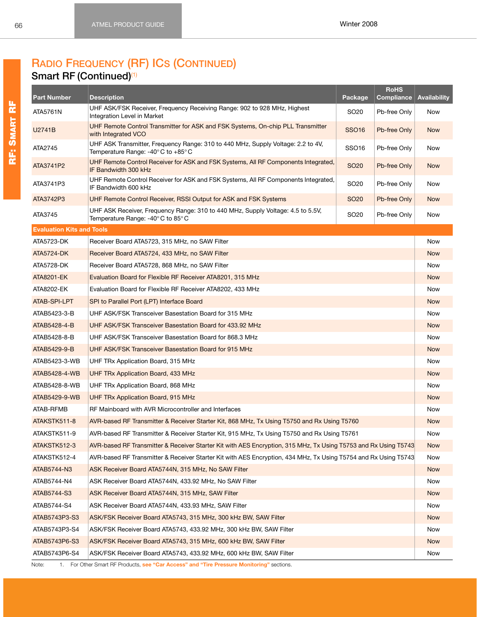# **RADIO FREQUENCY (RF) ICS (CONTINUED)**

### **Smart RF (Continued)**[\(1\)](#page-72-0)

<span id="page-72-34"></span><span id="page-72-33"></span><span id="page-72-32"></span><span id="page-72-31"></span><span id="page-72-30"></span><span id="page-72-29"></span><span id="page-72-28"></span><span id="page-72-27"></span><span id="page-72-26"></span><span id="page-72-25"></span><span id="page-72-24"></span><span id="page-72-23"></span><span id="page-72-22"></span><span id="page-72-21"></span><span id="page-72-20"></span><span id="page-72-19"></span><span id="page-72-18"></span><span id="page-72-17"></span><span id="page-72-16"></span><span id="page-72-15"></span><span id="page-72-14"></span><span id="page-72-13"></span><span id="page-72-12"></span><span id="page-72-11"></span><span id="page-72-10"></span><span id="page-72-9"></span><span id="page-72-8"></span><span id="page-72-7"></span><span id="page-72-6"></span><span id="page-72-5"></span><span id="page-72-4"></span><span id="page-72-3"></span><span id="page-72-2"></span><span id="page-72-1"></span><span id="page-72-0"></span>

| <b>Part Number</b>               | <b>Description</b>                                                                                                                                                             | Package                      | <b>RoHS</b><br><b>Compliance</b> | Availability |  |  |  |  |  |  |  |
|----------------------------------|--------------------------------------------------------------------------------------------------------------------------------------------------------------------------------|------------------------------|----------------------------------|--------------|--|--|--|--|--|--|--|
| ATA5761N                         | UHF ASK/FSK Receiver, Frequency Receiving Range: 902 to 928 MHz, Highest<br>Integration Level in Market                                                                        | SO <sub>20</sub>             | Pb-free Only                     | Now          |  |  |  |  |  |  |  |
| U2741B                           | UHF Remote Control Transmitter for ASK and FSK Systems, On-chip PLL Transmitter<br>with Integrated VCO                                                                         | <b>SSO16</b><br>Pb-free Only |                                  |              |  |  |  |  |  |  |  |
| ATA2745                          | UHF ASK Transmitter, Frequency Range: 310 to 440 MHz, Supply Voltage: 2.2 to 4V,<br>SSO <sub>16</sub><br>Pb-free Only<br>Temperature Range: -40 $\degree$ C to +85 $\degree$ C |                              |                                  |              |  |  |  |  |  |  |  |
| ATA3741P2                        | UHF Remote Control Receiver for ASK and FSK Systems, All RF Components Integrated,<br>IF Bandwidth 300 kHz                                                                     | <b>SO20</b>                  | Pb-free Only                     | <b>Now</b>   |  |  |  |  |  |  |  |
| ATA3741P3                        | UHF Remote Control Receiver for ASK and FSK Systems, All RF Components Integrated,<br>IF Bandwidth 600 kHz                                                                     | SO <sub>20</sub>             | Pb-free Only                     | Now          |  |  |  |  |  |  |  |
| ATA3742P3                        | UHF Remote Control Receiver, RSSI Output for ASK and FSK Systems                                                                                                               | SO <sub>20</sub>             | Pb-free Only                     | <b>Now</b>   |  |  |  |  |  |  |  |
| ATA3745                          | UHF ASK Receiver, Frequency Range: 310 to 440 MHz, Supply Voltage: 4.5 to 5.5V,<br>Temperature Range: -40°C to 85°C                                                            | SO <sub>20</sub>             | Pb-free Only                     | Now          |  |  |  |  |  |  |  |
| <b>Evaluation Kits and Tools</b> |                                                                                                                                                                                |                              |                                  |              |  |  |  |  |  |  |  |
| ATA5723-DK                       | Receiver Board ATA5723, 315 MHz, no SAW Filter                                                                                                                                 |                              |                                  | Now          |  |  |  |  |  |  |  |
| <b>ATA5724-DK</b>                | Receiver Board ATA5724, 433 MHz, no SAW Filter                                                                                                                                 |                              |                                  | <b>Now</b>   |  |  |  |  |  |  |  |
| ATA5728-DK                       | Receiver Board ATA5728, 868 MHz, no SAW Filter                                                                                                                                 |                              |                                  | Now          |  |  |  |  |  |  |  |
| ATA8201-EK                       | Evaluation Board for Flexible RF Receiver ATA8201, 315 MHz                                                                                                                     |                              |                                  | <b>Now</b>   |  |  |  |  |  |  |  |
| ATA8202-EK                       | Evaluation Board for Flexible RF Receiver ATA8202, 433 MHz                                                                                                                     |                              |                                  | Now          |  |  |  |  |  |  |  |
| ATAB-SPI-LPT                     | SPI to Parallel Port (LPT) Interface Board                                                                                                                                     |                              |                                  | <b>Now</b>   |  |  |  |  |  |  |  |
| ATAB5423-3-B                     | UHF ASK/FSK Transceiver Basestation Board for 315 MHz                                                                                                                          |                              |                                  | Now          |  |  |  |  |  |  |  |
| ATAB5428-4-B                     | UHF ASK/FSK Transceiver Basestation Board for 433.92 MHz                                                                                                                       |                              |                                  |              |  |  |  |  |  |  |  |
| ATAB5428-8-B                     | UHF ASK/FSK Transceiver Basestation Board for 868.3 MHz                                                                                                                        |                              |                                  |              |  |  |  |  |  |  |  |
| ATAB5429-9-B                     | UHF ASK/FSK Transceiver Basestation Board for 915 MHz                                                                                                                          |                              |                                  |              |  |  |  |  |  |  |  |
| ATAB5423-3-WB                    | UHF TRx Application Board, 315 MHz                                                                                                                                             |                              |                                  | Now          |  |  |  |  |  |  |  |
| ATAB5428-4-WB                    | UHF TRx Application Board, 433 MHz                                                                                                                                             |                              |                                  | <b>Now</b>   |  |  |  |  |  |  |  |
| ATAB5428-8-WB                    | UHF TRx Application Board, 868 MHz                                                                                                                                             |                              |                                  | Now          |  |  |  |  |  |  |  |
| ATAB5429-9-WB                    | UHF TRx Application Board, 915 MHz                                                                                                                                             |                              |                                  | <b>Now</b>   |  |  |  |  |  |  |  |
| ATAB-RFMB                        | RF Mainboard with AVR Microcontroller and Interfaces                                                                                                                           |                              |                                  | Now          |  |  |  |  |  |  |  |
| ATAKSTK511-8                     | AVR-based RF Transmitter & Receiver Starter Kit, 868 MHz, Tx Using T5750 and Rx Using T5760                                                                                    |                              |                                  | <b>Now</b>   |  |  |  |  |  |  |  |
| ATAKSTK511-9                     | AVR-based RF Transmitter & Receiver Starter Kit, 915 MHz, Tx Using T5750 and Rx Using T5761                                                                                    |                              |                                  | Now          |  |  |  |  |  |  |  |
| ATAKSTK512-3                     | AVR-based RF Transmitter & Receiver Starter Kit with AES Encryption, 315 MHz, Tx Using T5753 and Rx Using T5743                                                                |                              |                                  | <b>Now</b>   |  |  |  |  |  |  |  |
| ATAKSTK512-4                     | AVR-based RF Transmitter & Receiver Starter Kit with AES Encryption, 434 MHz, Tx Using T5754 and Rx Using T5743                                                                |                              |                                  | Now          |  |  |  |  |  |  |  |
| ATAB5744-N3                      | ASK Receiver Board ATA5744N, 315 MHz, No SAW Filter                                                                                                                            |                              |                                  | <b>Now</b>   |  |  |  |  |  |  |  |
| ATAB5744-N4                      | ASK Receiver Board ATA5744N, 433.92 MHz, No SAW Filter                                                                                                                         |                              |                                  | Now          |  |  |  |  |  |  |  |
| ATAB5744-S3                      | ASK Receiver Board ATA5744N, 315 MHz, SAW Filter                                                                                                                               |                              |                                  | <b>Now</b>   |  |  |  |  |  |  |  |
| ATAB5744-S4                      | ASK Receiver Board ATA5744N, 433.93 MHz, SAW Filter                                                                                                                            |                              |                                  | Now          |  |  |  |  |  |  |  |
| ATAB5743P3-S3                    | ASK/FSK Receiver Board ATA5743, 315 MHz, 300 kHz BW, SAW Filter                                                                                                                |                              |                                  | <b>Now</b>   |  |  |  |  |  |  |  |
| ATAB5743P3-S4                    | ASK/FSK Receiver Board ATA5743, 433.92 MHz, 300 kHz BW, SAW Filter                                                                                                             |                              |                                  | Now          |  |  |  |  |  |  |  |
| ATAB5743P6-S3                    | ASK/FSK Receiver Board ATA5743, 315 MHz, 600 kHz BW, SAW Filter                                                                                                                |                              |                                  | <b>Now</b>   |  |  |  |  |  |  |  |
| ATAB5743P6-S4                    | ASK/FSK Receiver Board ATA5743, 433.92 MHz, 600 kHz BW, SAW Filter                                                                                                             |                              |                                  | Now          |  |  |  |  |  |  |  |
| Note:                            | 1. For Other Smart RF Products, see "Car Access" and "Tire Pressure Monitoring" sections.                                                                                      |                              |                                  |              |  |  |  |  |  |  |  |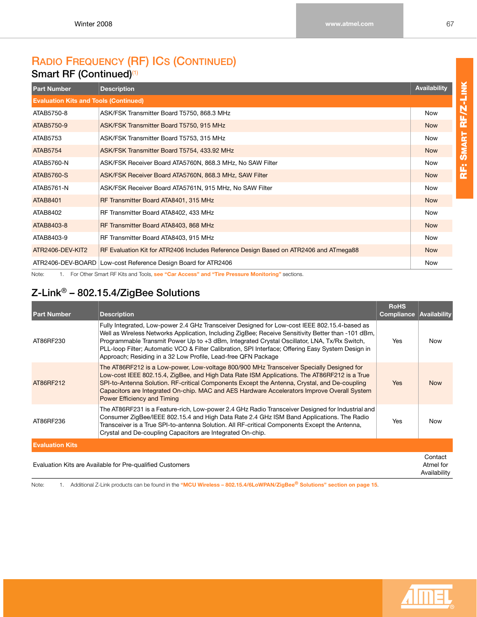# **RADIO FREQUENCY (RF) ICS (CONTINUED) Smart RF (Continued)**<sup>[\(1\)](#page-73-0)</sup>

<span id="page-73-9"></span><span id="page-73-8"></span><span id="page-73-7"></span><span id="page-73-6"></span><span id="page-73-5"></span><span id="page-73-4"></span>

| <b>Part Number</b>                           | <b>Description</b>                                                                    | <b>Availability</b> |  |  |  |  |
|----------------------------------------------|---------------------------------------------------------------------------------------|---------------------|--|--|--|--|
| <b>Evaluation Kits and Tools (Continued)</b> |                                                                                       |                     |  |  |  |  |
| ATAB5750-8                                   | ASK/FSK Transmitter Board T5750, 868.3 MHz                                            | <b>Now</b>          |  |  |  |  |
| ATAB5750-9                                   | ASK/FSK Transmitter Board T5750, 915 MHz                                              | <b>Now</b>          |  |  |  |  |
| ATAB5753                                     | ASK/FSK Transmitter Board T5753, 315 MHz                                              | <b>Now</b>          |  |  |  |  |
| ATAB5754                                     | ASK/FSK Transmitter Board T5754, 433.92 MHz                                           | <b>Now</b>          |  |  |  |  |
| ATAB5760-N                                   | ASK/FSK Receiver Board ATA5760N, 868.3 MHz, No SAW Filter                             | <b>Now</b>          |  |  |  |  |
| ATAB5760-S                                   | ASK/FSK Receiver Board ATA5760N, 868.3 MHz, SAW Filter                                | <b>Now</b>          |  |  |  |  |
| ATAB5761-N                                   | ASK/FSK Receiver Board ATA5761N, 915 MHz, No SAW Filter                               | <b>Now</b>          |  |  |  |  |
| <b>ATAB8401</b>                              | RF Transmitter Board ATA8401, 315 MHz                                                 | <b>Now</b>          |  |  |  |  |
| ATAB8402                                     | RF Transmitter Board ATA8402, 433 MHz                                                 | Now                 |  |  |  |  |
| ATAB8403-8                                   | RF Transmitter Board ATA8403, 868 MHz                                                 | <b>Now</b>          |  |  |  |  |
| ATAB8403-9                                   | RF Transmitter Board ATA8403, 915 MHz                                                 | <b>Now</b>          |  |  |  |  |
| ATR2406-DEV-KIT2                             | RF Evaluation Kit for ATR2406 Includes Reference Design Based on ATR2406 and ATmega88 | <b>Now</b>          |  |  |  |  |
| ATR2406-DEV-BOARD                            | Low-cost Reference Design Board for ATR2406                                           | Now                 |  |  |  |  |

<span id="page-73-16"></span><span id="page-73-15"></span><span id="page-73-14"></span><span id="page-73-13"></span><span id="page-73-12"></span><span id="page-73-11"></span><span id="page-73-10"></span><span id="page-73-0"></span>Note: 1. For Other Smart RF Kits and Tools, **see "Car Access" and "Tire Pressure Monitoring"** sections.

# **Z-Link**® **– 802.15.4/ZigBee Solutions**

<span id="page-73-2"></span><span id="page-73-1"></span>

| <b>Part Number</b>                                        | <b>Description</b>                                                                                                                                                                                                                                                                                                                                                                                                                                                       | <b>RoHS</b><br><b>Compliance</b> | Availability |  |
|-----------------------------------------------------------|--------------------------------------------------------------------------------------------------------------------------------------------------------------------------------------------------------------------------------------------------------------------------------------------------------------------------------------------------------------------------------------------------------------------------------------------------------------------------|----------------------------------|--------------|--|
| AT86RF230                                                 | Fully Integrated, Low-power 2.4 GHz Transceiver Designed for Low-cost IEEE 802.15.4-based as<br>Well as Wireless Networks Application, Including ZigBee; Receive Sensitivity Better than -101 dBm,<br>Programmable Transmit Power Up to +3 dBm, Integrated Crystal Oscillator, LNA, Tx/Rx Switch,<br>PLL-loop Filter; Automatic VCO & Filter Calibration, SPI Interface; Offering Easy System Design in<br>Approach; Residing in a 32 Low Profile, Lead-free QFN Package | <b>Yes</b>                       | <b>Now</b>   |  |
| AT86RF212                                                 | The AT86RF212 is a Low-power, Low-voltage 800/900 MHz Transceiver Specially Designed for<br>Low-cost IEEE 802.15.4, ZigBee, and High Data Rate ISM Applications. The AT86RF212 is a True<br>SPI-to-Antenna Solution. RF-critical Components Except the Antenna, Crystal, and De-coupling<br>Capacitors are Integrated On-chip. MAC and AES Hardware Accelerators Improve Overall System<br>Power Efficiency and Timing                                                   | <b>Yes</b>                       | <b>Now</b>   |  |
| AT86RF236                                                 | The AT86RF231 is a Feature-rich, Low-power 2.4 GHz Radio Transceiver Designed for Industrial and<br>Consumer ZigBee/IEEE 802.15.4 and High Data Rate 2.4 GHz ISM Band Applications. The Radio<br>Transceiver is a True SPI-to-antenna Solution. All RF-critical Components Except the Antenna,<br>Crystal and De-coupling Capacitors are Integrated On-chip.                                                                                                             | <b>Yes</b>                       | Now          |  |
| <b>Evaluation Kits</b>                                    |                                                                                                                                                                                                                                                                                                                                                                                                                                                                          |                                  |              |  |
| Evaluation Kits are Available for Pre-qualified Customers |                                                                                                                                                                                                                                                                                                                                                                                                                                                                          |                                  |              |  |

<span id="page-73-3"></span>Note: 1. Additional Z-Link products can be found in the **["MCU Wireless – 802.15.4/6LoWPAN/ZigBee](#page-21-0)® Solutions" section on page 15**.

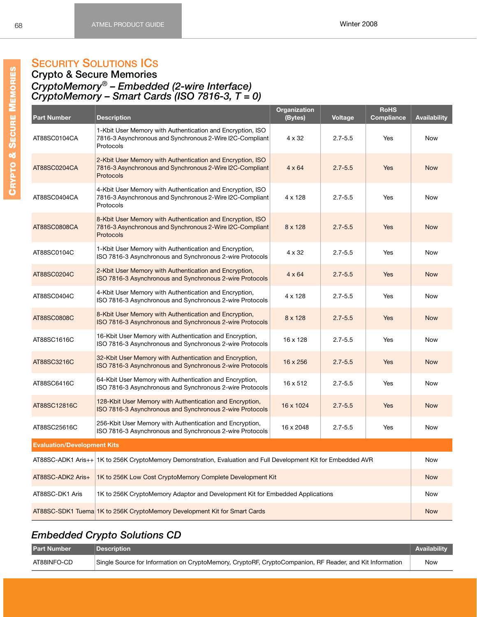# **SECURITY SOLUTIONS ICS**

### **Crypto & Secure Memories** *CryptoMemory*® *– Embedded (2-wire Interface) CryptoMemory – Smart Cards (ISO 7816-3, T = 0)*

<span id="page-74-8"></span><span id="page-74-7"></span><span id="page-74-6"></span><span id="page-74-5"></span><span id="page-74-4"></span><span id="page-74-3"></span><span id="page-74-2"></span><span id="page-74-1"></span>

| <b>Part Number</b>                                                                                             | <b>Description</b>                                                                                                                         | Organization<br>(Bytes) | <b>Voltage</b> | <b>RoHS</b><br><b>Compliance</b> | <b>Availability</b> |  |  |
|----------------------------------------------------------------------------------------------------------------|--------------------------------------------------------------------------------------------------------------------------------------------|-------------------------|----------------|----------------------------------|---------------------|--|--|
| AT88SC0104CA                                                                                                   | 1-Kbit User Memory with Authentication and Encryption, ISO<br>7816-3 Asynchronous and Synchronous 2-Wire I2C-Compliant<br>Protocols        | $4 \times 32$           | $2.7 - 5.5$    | Yes                              | <b>Now</b>          |  |  |
| AT88SC0204CA                                                                                                   | 2-Kbit User Memory with Authentication and Encryption, ISO<br>7816-3 Asynchronous and Synchronous 2-Wire I2C-Compliant<br>Protocols        | $4 \times 64$           | $2.7 - 5.5$    | Yes                              | <b>Now</b>          |  |  |
| AT88SC0404CA                                                                                                   | 4-Kbit User Memory with Authentication and Encryption, ISO<br>7816-3 Asynchronous and Synchronous 2-Wire I2C-Compliant<br>Protocols        | 4 x 128                 | $2.7 - 5.5$    | Yes                              | Now                 |  |  |
| AT88SC0808CA                                                                                                   | 8-Kbit User Memory with Authentication and Encryption, ISO<br>7816-3 Asynchronous and Synchronous 2-Wire I2C-Compliant<br><b>Protocols</b> | $8 \times 128$          | $2.7 - 5.5$    | <b>Yes</b>                       | <b>Now</b>          |  |  |
| AT88SC0104C                                                                                                    | 1-Kbit User Memory with Authentication and Encryption,<br>ISO 7816-3 Asynchronous and Synchronous 2-wire Protocols                         | $4 \times 32$           | $2.7 - 5.5$    | Yes                              | <b>Now</b>          |  |  |
| AT88SC0204C                                                                                                    | 2-Kbit User Memory with Authentication and Encryption,<br>ISO 7816-3 Asynchronous and Synchronous 2-wire Protocols                         | $4 \times 64$           | $2.7 - 5.5$    | Yes                              | <b>Now</b>          |  |  |
| AT88SC0404C                                                                                                    | 4-Kbit User Memory with Authentication and Encryption,<br>ISO 7816-3 Asynchronous and Synchronous 2-wire Protocols                         | 4 x 128                 | $2.7 - 5.5$    | Yes                              | <b>Now</b>          |  |  |
| AT88SC0808C                                                                                                    | 8-Kbit User Memory with Authentication and Encryption,<br>ISO 7816-3 Asynchronous and Synchronous 2-wire Protocols                         | $8 \times 128$          | $2.7 - 5.5$    | <b>Yes</b>                       | <b>Now</b>          |  |  |
| AT88SC1616C                                                                                                    | 16-Kbit User Memory with Authentication and Encryption,<br>ISO 7816-3 Asynchronous and Synchronous 2-wire Protocols                        | 16 x 128                | $2.7 - 5.5$    | Yes                              | <b>Now</b>          |  |  |
| AT88SC3216C                                                                                                    | 32-Kbit User Memory with Authentication and Encryption,<br>ISO 7816-3 Asynchronous and Synchronous 2-wire Protocols                        | 16 x 256                | $2.7 - 5.5$    | Yes                              | <b>Now</b>          |  |  |
| AT88SC6416C                                                                                                    | 64-Kbit User Memory with Authentication and Encryption,<br>ISO 7816-3 Asynchronous and Synchronous 2-wire Protocols                        | 16 x 512                | $2.7 - 5.5$    | Yes                              | <b>Now</b>          |  |  |
| AT88SC12816C                                                                                                   | 128-Kbit User Memory with Authentication and Encryption,<br>ISO 7816-3 Asynchronous and Synchronous 2-wire Protocols                       | 16 x 1024               | $2.7 - 5.5$    | Yes                              | <b>Now</b>          |  |  |
| AT88SC25616C                                                                                                   | 256-Kbit User Memory with Authentication and Encryption,<br>ISO 7816-3 Asynchronous and Synchronous 2-wire Protocols                       | 16 x 2048               | $2.7 - 5.5$    | Yes                              | Now                 |  |  |
| <b>Evaluation/Development Kits</b>                                                                             |                                                                                                                                            |                         |                |                                  |                     |  |  |
| AT88SC-ADK1 Aris++ 1K to 256K CryptoMemory Demonstration, Evaluation and Full Development Kit for Embedded AVR |                                                                                                                                            |                         |                |                                  |                     |  |  |
| AT88SC-ADK2 Aris+                                                                                              | 1K to 256K Low Cost CryptoMemory Complete Development Kit                                                                                  |                         |                |                                  | <b>Now</b>          |  |  |
| AT88SC-DK1 Aris                                                                                                | 1K to 256K CryptoMemory Adaptor and Development Kit for Embedded Applications                                                              |                         |                |                                  | Now                 |  |  |
|                                                                                                                | AT88SC-SDK1 Tuema 1K to 256K CryptoMemory Development Kit for Smart Cards                                                                  |                         |                |                                  | <b>Now</b>          |  |  |

# <span id="page-74-17"></span><span id="page-74-16"></span><span id="page-74-15"></span><span id="page-74-14"></span><span id="page-74-13"></span><span id="page-74-12"></span><span id="page-74-11"></span><span id="page-74-10"></span><span id="page-74-9"></span>*Embedded Crypto Solutions CD*

<span id="page-74-0"></span>

| <b>Part Number</b> | <b>Description</b>                                                                                       | <b>Availability</b> |
|--------------------|----------------------------------------------------------------------------------------------------------|---------------------|
| AT88INFO-CD        | Single Source for Information on CryptoMemory, CryptoRF, CryptoCompanion, RF Reader, and Kit Information | Now                 |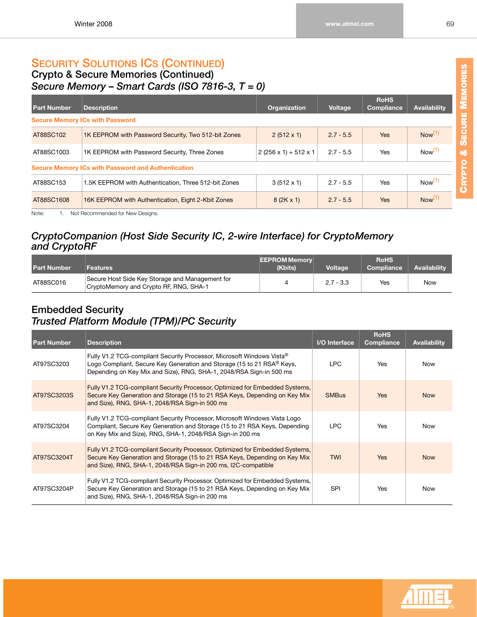### **SECURITY SOLUTIONS ICS (CONTINUED) Crypto & [Secure Memories](https://www.cardlogix.com/product-category/smart-cards/memory-cards/protected-memory-cards/) (Continued)** *Secure Memory* **–** *[Smart Cards](https://www.cardlogix.com/product-category/smart-cards/) (ISO 7816-3, T = 0)*

<span id="page-75-2"></span><span id="page-75-1"></span>

| <b>Part Number</b> | <b>Description</b>                                        | <b>Organization</b>              | Voltage     | <b>RoHS</b><br><b>Compliance</b> | <b>Availability</b> |
|--------------------|-----------------------------------------------------------|----------------------------------|-------------|----------------------------------|---------------------|
|                    | <b>Secure Memory ICs with Password</b>                    |                                  |             |                                  |                     |
| AT88SC102          | 1K EEPROM with Password Security, Two 512-bit Zones       | $2(512 \times 1)$                | $2.7 - 5.5$ | <b>Yes</b>                       | Now <sup>(1)</sup>  |
| AT88SC1003         | 1K EEPROM with Password Security, Three Zones             | $2(256 \times 1) + 512 \times 1$ | $2.7 - 5.5$ | Yes                              | Now <sup>(1)</sup>  |
|                    | <b>Secure Memory ICs with Password and Authentication</b> |                                  |             |                                  |                     |
| AT88SC153          | 1.5K EEPROM with Authentication. Three 512-bit Zones      | $3(512 \times 1)$                | $2.7 - 5.5$ | <b>Yes</b>                       | Now <sup>(1)</sup>  |
| AT88SC1608         | 16K EEPROM with Authentication, Eight 2-Kbit Zones        | $8(2K \times 1)$                 | $2.7 - 5.5$ | <b>Yes</b>                       | Now <sup>(1)</sup>  |

<span id="page-75-4"></span><span id="page-75-3"></span><span id="page-75-0"></span>Note: 1. Not Recommended for New Designs.

### *CryptoCompanion (Host Side Security IC, 2-wire Interface) for CryptoMemory and CryptoRF*

| <b>Part Number</b> | <b>Features</b>                                                                           | <b>EEPROM Memory</b><br>(Kbits) | <b>Voltage</b> | <b>RoHS</b><br><b>Compliance</b> | <b>Availability</b> |
|--------------------|-------------------------------------------------------------------------------------------|---------------------------------|----------------|----------------------------------|---------------------|
| AT88SC016          | Secure Host Side Key Storage and Management for<br>CryptoMemory and Crypto RF, RNG, SHA-1 |                                 | $2.7 - 3.3$    | Yes                              | <b>Now</b>          |

### **Embedded Security** *b Trusted Platform Module (TPM)/PC Security*

<span id="page-75-9"></span><span id="page-75-8"></span><span id="page-75-7"></span><span id="page-75-6"></span><span id="page-75-5"></span>

| <b>Part Number</b> | <b>Description</b>                                                                                                                                                                                                                 | I/O Interface | <b>RoHS</b><br>Compliance | <b>Availability</b> |
|--------------------|------------------------------------------------------------------------------------------------------------------------------------------------------------------------------------------------------------------------------------|---------------|---------------------------|---------------------|
| AT97SC3203         | Fully V1.2 TCG-compliant Security Processor, Microsoft Windows Vista <sup>®</sup><br>Logo Compliant, Secure Key Generation and Storage (15 to 21 RSA® Keys,<br>Depending on Key Mix and Size), RNG, SHA-1, 2048/RSA Sign-in 500 ms | LPC.          | Yes                       | Now                 |
| AT97SC3203S        | Fully V1.2 TCG-compliant Security Processor, Optimized for Embedded Systems,<br>Secure Key Generation and Storage (15 to 21 RSA Keys, Depending on Key Mix<br>and Size), RNG, SHA-1, 2048/RSA Sign-in 500 ms                       | <b>SMBus</b>  | <b>Yes</b>                | <b>Now</b>          |
| AT97SC3204         | Fully V1.2 TCG-compliant Security Processor, Microsoft Windows Vista Logo<br>Compliant, Secure Key Generation and Storage (15 to 21 RSA Keys, Depending<br>on Key Mix and Size), RNG, SHA-1, 2048/RSA Sign-in 200 ms               | LPC.          | Yes                       | <b>Now</b>          |
| AT97SC3204T        | Fully V1.2 TCG-compliant Security Processor, Optimized for Embedded Systems,<br>Secure Key Generation and Storage (15 to 21 RSA Keys, Depending on Key Mix<br>and Size), RNG, SHA-1, 2048/RSA Sign-in 200 ms, I2C-compatible       | <b>TWI</b>    | <b>Yes</b>                | <b>Now</b>          |
| AT97SC3204P        | Fully V1.2 TCG-compliant Security Processor, Optimized for Embedded Systems,<br>Secure Key Generation and Storage (15 to 21 RSA Keys, Depending on Key Mix<br>and Size), RNG, SHA-1, 2048/RSA Sign-in 200 ms                       | <b>SPI</b>    | Yes                       | Now                 |

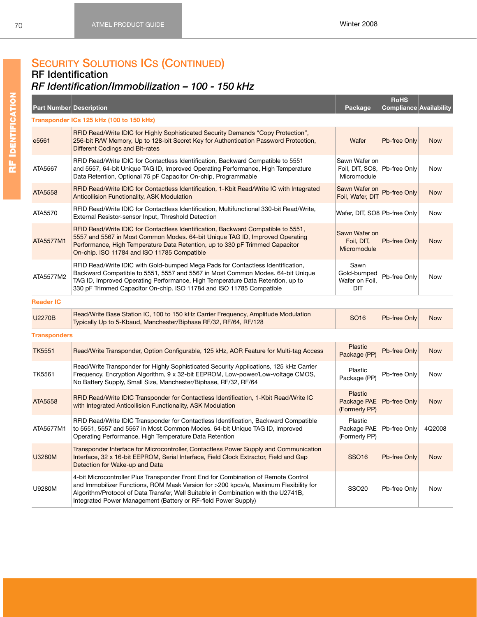**RoHS** 

**Compliance Availability**

## **SECURITY SOLUTIONS ICS (CONTINUED)**

### **RF Identification**

# *RF Identification/Immobilization – 100 - 150 kHz*

**Part Number Description Package**

<span id="page-76-10"></span><span id="page-76-9"></span><span id="page-76-8"></span><span id="page-76-7"></span><span id="page-76-6"></span><span id="page-76-5"></span><span id="page-76-4"></span><span id="page-76-3"></span><span id="page-76-2"></span><span id="page-76-1"></span><span id="page-76-0"></span>

|                     | Transponder ICs 125 kHz (100 to 150 kHz)                                                                                                                                                                                                                                                                                           |                                                              |                     |            |
|---------------------|------------------------------------------------------------------------------------------------------------------------------------------------------------------------------------------------------------------------------------------------------------------------------------------------------------------------------------|--------------------------------------------------------------|---------------------|------------|
| e5561               | RFID Read/Write IDIC for Highly Sophisticated Security Demands "Copy Protection",<br>256-bit R/W Memory, Up to 128-bit Secret Key for Authentication Password Protection,<br>Different Codings and Bit-rates                                                                                                                       | Wafer                                                        | Pb-free Only        | <b>Now</b> |
| ATA5567             | RFID Read/Write IDIC for Contactless Identification, Backward Compatible to 5551<br>and 5557, 64-bit Unique TAG ID, Improved Operating Performance, High Temperature<br>Data Retention, Optional 75 pF Capacitor On-chip, Programmable                                                                                             | Sawn Wafer on<br>Foil, DIT, SO8, Pb-free Only<br>Micromodule |                     | <b>Now</b> |
| <b>ATA5558</b>      | RFID Read/Write IDIC for Contactless Identification, 1-Kbit Read/Write IC with Integrated<br><b>Anticollision Functionality, ASK Modulation</b>                                                                                                                                                                                    | Sawn Wafer on<br>Foil, Wafer, DIT                            | Pb-free Only        | <b>Now</b> |
| ATA5570             | RFID Read/Write IDIC for Contactless Identification, Multifunctional 330-bit Read/Write,<br>External Resistor-sensor Input, Threshold Detection                                                                                                                                                                                    | Wafer, DIT, SO8 Pb-free Only                                 |                     | Now        |
| ATA5577M1           | RFID Read/Write IDIC for Contactless Identification, Backward Compatible to 5551,<br>5557 and 5567 in Most Common Modes. 64-bit Unique TAG ID, Improved Operating<br>Performance, High Temperature Data Retention, up to 330 pF Trimmed Capacitor<br>On-chip. ISO 11784 and ISO 11785 Compatible                                   | Sawn Wafer on<br>Foil, DIT,<br>Micromodule                   | Pb-free Only        | <b>Now</b> |
| ATA5577M2           | RFID Read/Write IDIC with Gold-bumped Mega Pads for Contactless Identification,<br>Backward Compatible to 5551, 5557 and 5567 in Most Common Modes. 64-bit Unique<br>TAG ID, Improved Operating Performance, High Temperature Data Retention, up to<br>330 pF Trimmed Capacitor On-chip. ISO 11784 and ISO 11785 Compatible        | Sawn<br>Gold-bumped<br>Wafer on Foil,<br>DIT                 | Pb-free Only        | Now        |
| <b>Reader IC</b>    |                                                                                                                                                                                                                                                                                                                                    |                                                              |                     |            |
| <b>U2270B</b>       | Read/Write Base Station IC, 100 to 150 kHz Carrier Frequency, Amplitude Modulation<br>Typically Up to 5-Kbaud, Manchester/Biphase RF/32, RF/64, RF/128                                                                                                                                                                             | SO <sub>16</sub>                                             | Pb-free Only        | <b>Now</b> |
| <b>Transponders</b> |                                                                                                                                                                                                                                                                                                                                    |                                                              |                     |            |
| <b>TK5551</b>       | Read/Write Transponder, Option Configurable, 125 kHz, AOR Feature for Multi-tag Access                                                                                                                                                                                                                                             | <b>Plastic</b><br>Package (PP)                               | <b>Pb-free Only</b> | <b>Now</b> |
| <b>TK5561</b>       | Read/Write Transponder for Highly Sophisticated Security Applications, 125 kHz Carrier<br>Frequency, Encryption Algorithm, 9 x 32-bit EEPROM, Low-power/Low-voltage CMOS,<br>No Battery Supply, Small Size, Manchester/Biphase, RF/32, RF/64                                                                                       | Plastic<br>Package (PP)                                      | Pb-free Only        | <b>Now</b> |
| <b>ATA5558</b>      | RFID Read/Write IDIC Transponder for Contactless Identification, 1-Kbit Read/Write IC<br>with Integrated Anticollision Functionality, ASK Modulation                                                                                                                                                                               | Plastic<br>Package PAE<br>(Formerly PP)                      | Pb-free Only        | <b>Now</b> |
| ATA5577M1           | RFID Read/Write IDIC Transponder for Contactless Identification, Backward Compatible<br>to 5551, 5557 and 5567 in Most Common Modes. 64-bit Unique TAG ID, Improved<br>Operating Performance, High Temperature Data Retention                                                                                                      | Plastic<br>Package PAE<br>(Formerly PP)                      | Pb-free Only        | 4Q2008     |
| <b>U3280M</b>       | Transponder Interface for Microcontroller, Contactless Power Supply and Communication<br>Interface, 32 x 16-bit EEPROM, Serial Interface, Field Clock Extractor, Field and Gap<br>Detection for Wake-up and Data                                                                                                                   | <b>SSO16</b>                                                 | Pb-free Only        | <b>Now</b> |
| U9280M              | 4-bit Microcontroller Plus Transponder Front End for Combination of Remote Control<br>and Immobilizer Functions, ROM Mask Version for >200 kpcs/a, Maximum Flexibility for<br>Algorithm/Protocol of Data Transfer, Well Suitable in Combination with the U2741B,<br>Integrated Power Management (Battery or RF-field Power Supply) | <b>SSO20</b>                                                 | Pb-free Only        | Now        |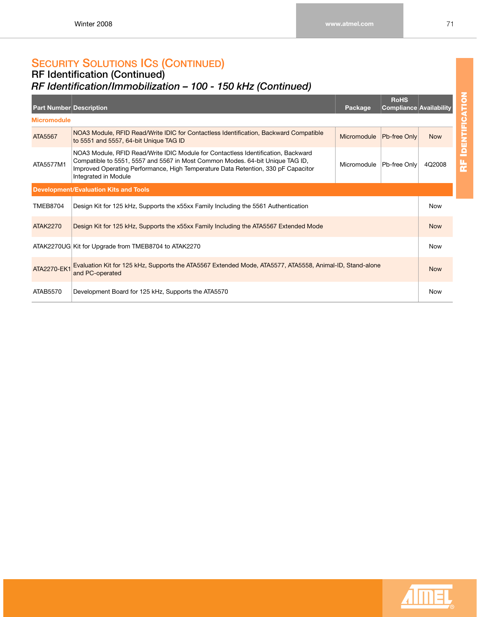### **RF Identification (Continued)** *RF Identification/Immobilization – 100 - 150 kHz (Continued)*

<span id="page-77-6"></span><span id="page-77-5"></span><span id="page-77-4"></span><span id="page-77-3"></span><span id="page-77-2"></span><span id="page-77-1"></span><span id="page-77-0"></span>

| <b>Part Number Description</b> |                                                                                                                                                                                                                                                                                 | Package     | <b>RoHS</b><br>Compliance Availability |            |  |  |  |
|--------------------------------|---------------------------------------------------------------------------------------------------------------------------------------------------------------------------------------------------------------------------------------------------------------------------------|-------------|----------------------------------------|------------|--|--|--|
| <b>Micromodule</b>             |                                                                                                                                                                                                                                                                                 |             |                                        |            |  |  |  |
| ATA5567                        | NOA3 Module, RFID Read/Write IDIC for Contactless Identification, Backward Compatible<br>Micromodule<br>Pb-free Only<br>to 5551 and 5557, 64-bit Unique TAG ID                                                                                                                  |             |                                        |            |  |  |  |
| ATA5577M1                      | NOA3 Module, RFID Read/Write IDIC Module for Contactless Identification, Backward<br>Compatible to 5551, 5557 and 5567 in Most Common Modes. 64-bit Unique TAG ID,<br>Improved Operating Performance, High Temperature Data Retention, 330 pF Capacitor<br>Integrated in Module | Micromodule | Pb-free Only                           | 4Q2008     |  |  |  |
|                                | <b>Development/Evaluation Kits and Tools</b>                                                                                                                                                                                                                                    |             |                                        |            |  |  |  |
| <b>TMEB8704</b>                | Design Kit for 125 kHz, Supports the x55xx Family Including the 5561 Authentication                                                                                                                                                                                             |             |                                        | <b>Now</b> |  |  |  |
| <b>ATAK2270</b>                | Design Kit for 125 kHz, Supports the x55xx Family Including the ATA5567 Extended Mode                                                                                                                                                                                           |             |                                        |            |  |  |  |
|                                | ATAK2270UG Kit for Upgrade from TMEB8704 to ATAK2270                                                                                                                                                                                                                            |             |                                        | <b>Now</b> |  |  |  |
| ATA2270-EK1                    | Evaluation Kit for 125 kHz, Supports the ATA5567 Extended Mode, ATA5577, ATA5558, Animal-ID, Stand-alone<br>and PC-operated                                                                                                                                                     |             |                                        |            |  |  |  |
| ATAB5570                       | Development Board for 125 kHz, Supports the ATA5570                                                                                                                                                                                                                             |             |                                        | Now        |  |  |  |

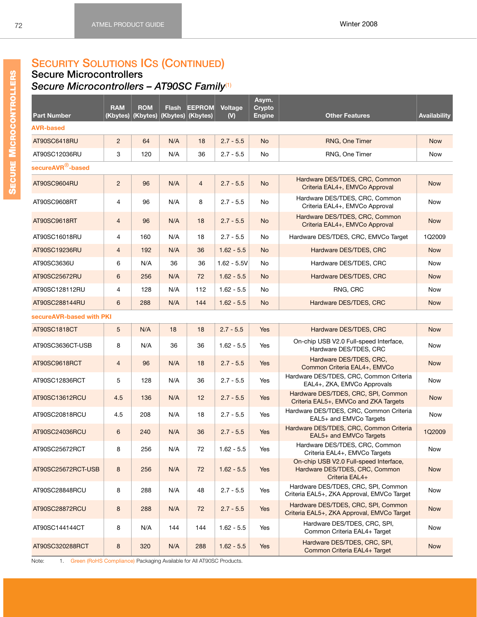### **Secure Microcontrollers** *Secure Microcontrollers – AT90SC Family*[\(1\)](#page-78-0)

<span id="page-78-24"></span><span id="page-78-22"></span><span id="page-78-21"></span><span id="page-78-20"></span><span id="page-78-19"></span><span id="page-78-14"></span><span id="page-78-13"></span><span id="page-78-8"></span><span id="page-78-7"></span><span id="page-78-6"></span><span id="page-78-2"></span><span id="page-78-1"></span>

| <b>Part Number</b>            | <b>RAM</b><br>(Kbytes) | <b>ROM</b><br>(Kbytes) | <b>Flash</b> | <b>EEPROM</b><br>Kbytes) (Kbytes) | Voltage<br>(V) | Asym.<br><b>Crypto</b><br><b>Engine</b> | <b>Other Features</b>                                                                      | <b>Availability</b> |
|-------------------------------|------------------------|------------------------|--------------|-----------------------------------|----------------|-----------------------------------------|--------------------------------------------------------------------------------------------|---------------------|
| <b>AVR-based</b>              |                        |                        |              |                                   |                |                                         |                                                                                            |                     |
| AT90SC6418RU                  | $\overline{2}$         | 64                     | N/A          | 18                                | $2.7 - 5.5$    | <b>No</b>                               | RNG, One Timer                                                                             | <b>Now</b>          |
| AT90SC12036RU                 | 3                      | 120                    | N/A          | 36                                | $2.7 - 5.5$    | No                                      | RNG, One Timer                                                                             | Now                 |
| secureAVR <sup>®</sup> -based |                        |                        |              |                                   |                |                                         |                                                                                            |                     |
| AT90SC9604RU                  | $\overline{2}$         | 96                     | N/A          | $\overline{4}$                    | $2.7 - 5.5$    | <b>No</b>                               | Hardware DES/TDES, CRC, Common<br>Criteria EAL4+, EMVCo Approval                           | <b>Now</b>          |
| AT90SC9608RT                  | $\overline{4}$         | 96                     | N/A          | 8                                 | $2.7 - 5.5$    | No                                      | Hardware DES/TDES, CRC, Common<br>Criteria EAL4+, EMVCo Approval                           | <b>Now</b>          |
| AT90SC9618RT                  | $\overline{4}$         | 96                     | N/A          | 18                                | $2.7 - 5.5$    | <b>No</b>                               | Hardware DES/TDES, CRC, Common<br>Criteria EAL4+, EMVCo Approval                           | <b>Now</b>          |
| AT90SC16018RU                 | $\overline{4}$         | 160                    | N/A          | 18                                | $2.7 - 5.5$    | No                                      | Hardware DES/TDES, CRC, EMVCo Target                                                       | 1Q2009              |
| AT90SC19236RU                 | $\overline{4}$         | 192                    | N/A          | 36                                | $1.62 - 5.5$   | <b>No</b>                               | Hardware DES/TDES, CRC                                                                     | <b>Now</b>          |
| AT90SC3636U                   | 6                      | N/A                    | 36           | 36                                | $1.62 - 5.5V$  | No                                      | Hardware DES/TDES, CRC                                                                     | <b>Now</b>          |
| AT90SC25672RU                 | 6                      | 256                    | N/A          | 72                                | $1.62 - 5.5$   | <b>No</b>                               | Hardware DES/TDES, CRC                                                                     | <b>Now</b>          |
| AT90SC128112RU                | $\overline{4}$         | 128                    | N/A          | 112                               | $1.62 - 5.5$   | No                                      | RNG, CRC                                                                                   | Now                 |
| AT90SC288144RU                | 6                      | 288                    | N/A          | 144                               | $1.62 - 5.5$   | <b>No</b>                               | Hardware DES/TDES, CRC                                                                     | <b>Now</b>          |
| secureAVR-based with PKI      |                        |                        |              |                                   |                |                                         |                                                                                            |                     |
| AT90SC1818CT                  | 5                      | N/A                    | 18           | 18                                | $2.7 - 5.5$    | <b>Yes</b>                              | Hardware DES/TDES, CRC                                                                     | <b>Now</b>          |
| AT90SC3636CT-USB              | 8                      | N/A                    | 36           | 36                                | $1.62 - 5.5$   | Yes                                     | On-chip USB V2.0 Full-speed Interface,<br>Hardware DES/TDES, CRC                           | Now                 |
| AT90SC9618RCT                 | $\overline{4}$         | 96                     | N/A          | 18                                | $2.7 - 5.5$    | <b>Yes</b>                              | Hardware DES/TDES, CRC,<br>Common Criteria EAL4+, EMVCo                                    | <b>Now</b>          |
| AT90SC12836RCT                | 5                      | 128                    | N/A          | 36                                | $2.7 - 5.5$    | Yes                                     | Hardware DES/TDES, CRC, Common Criteria<br>EAL4+, ZKA, EMVCo Approvals                     | Now                 |
| AT90SC13612RCU                | 4.5                    | 136                    | N/A          | 12                                | $2.7 - 5.5$    | <b>Yes</b>                              | Hardware DES/TDES, CRC, SPI, Common<br>Criteria EAL5+, EMVCo and ZKA Targets               | <b>Now</b>          |
| AT90SC20818RCU                | 4.5                    | 208                    | N/A          | 18                                | $2.7 - 5.5$    | Yes                                     | Hardware DES/TDES, CRC, Common Criteria<br>EAL5+ and EMVCo Targets                         | <b>Now</b>          |
| AT90SC24036RCU                | 6                      | 240                    | N/A          | 36                                | $2.7 - 5.5$    | Yes                                     | Hardware DES/TDES, CRC, Common Criteria<br>EAL5+ and EMVCo Targets                         | 1Q2009              |
| AT90SC25672RCT                | 8                      | 256                    | N/A          | 72                                | $1.62 - 5.5$   | Yes                                     | Hardware DES/TDES, CRC, Common<br>Criteria EAL4+, EMVCo Targets                            | Now                 |
| AT90SC25672RCT-USB            | $\bf 8$                | 256                    | N/A          | 72                                | $1.62 - 5.5$   | Yes                                     | On-chip USB V2.0 Full-speed Interface,<br>Hardware DES/TDES, CRC, Common<br>Criteria EAL4+ | <b>Now</b>          |
| AT90SC28848RCU                | 8                      | 288                    | N/A          | 48                                | $2.7 - 5.5$    | Yes                                     | Hardware DES/TDES, CRC, SPI, Common<br>Criteria EAL5+, ZKA Approval, EMVCo Target          | Now                 |
| AT90SC28872RCU                | 8                      | 288                    | N/A          | 72                                | $2.7 - 5.5$    | Yes                                     | Hardware DES/TDES, CRC, SPI, Common<br>Criteria EAL5+, ZKA Approval, EMVCo Target          | <b>Now</b>          |
| AT90SC144144CT                | 8                      | N/A                    | 144          | 144                               | $1.62 - 5.5$   | Yes                                     | Hardware DES/TDES, CRC, SPI,<br>Common Criteria EAL4+ Target                               | Now                 |
| AT90SC320288RCT               | 8                      | 320                    | N/A          | 288                               | $1.62 - 5.5$   | Yes                                     | Hardware DES/TDES, CRC, SPI,<br>Common Criteria EAL4+ Target                               | <b>Now</b>          |

<span id="page-78-23"></span><span id="page-78-18"></span><span id="page-78-17"></span><span id="page-78-16"></span><span id="page-78-15"></span><span id="page-78-12"></span><span id="page-78-11"></span><span id="page-78-10"></span><span id="page-78-9"></span><span id="page-78-5"></span><span id="page-78-4"></span><span id="page-78-3"></span><span id="page-78-0"></span>Note: 1. Green (RoHS Compliance) Packaging Available for All AT90SC Products.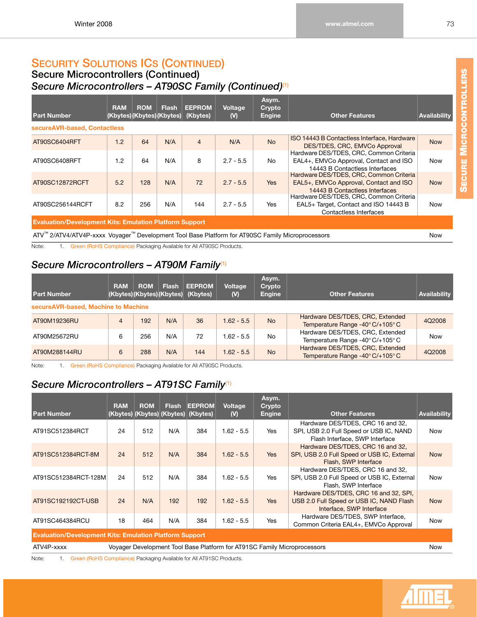### **Secure Microcontrollers (Continued)** *Secure Microcontrollers – AT90SC Family (Continued)*[\(1\)](#page-79-0)

<span id="page-79-9"></span><span id="page-79-8"></span>

| <b>Part Number</b>                                                                               | <b>RAM</b> | <b>ROM</b><br>(Kbytes)(Kbytes)(Kbytes) | <b>Flash</b> | <b>EEPROM</b><br>(Kbytes) | Voltage<br>(V) | Asym.<br>Crypto<br>Engine | <b>Other Features</b>                                                                                               | <b>Availability</b> |  |  |
|--------------------------------------------------------------------------------------------------|------------|----------------------------------------|--------------|---------------------------|----------------|---------------------------|---------------------------------------------------------------------------------------------------------------------|---------------------|--|--|
| secureAVR-based, Contactless                                                                     |            |                                        |              |                           |                |                           |                                                                                                                     |                     |  |  |
| AT90SC6404RFT                                                                                    | 1.2        | 64                                     | N/A          | $\overline{4}$            | N/A            | <b>No</b>                 | ISO 14443 B Contactless Interface, Hardware<br>DES/TDES, CRC, EMVCo Approval                                        | <b>Now</b>          |  |  |
| AT90SC6408RFT                                                                                    | 1.2        | 64                                     | N/A          | 8                         | $2.7 - 5.5$    | No                        | Hardware DES/TDES, CRC, Common Criteria<br>EAL4+, EMVCo Approval, Contact and ISO<br>14443 B Contactless Interfaces | <b>Now</b>          |  |  |
| AT90SC12872RCFT                                                                                  | 5.2        | 128                                    | N/A          | 72                        | $2.7 - 5.5$    | <b>Yes</b>                | Hardware DES/TDES, CRC, Common Criteria<br>EAL5+, EMVCo Approval, Contact and ISO<br>14443 B Contactless Interfaces | <b>Now</b>          |  |  |
| AT90SC256144RCFT                                                                                 | 8.2        | 256                                    | N/A          | 144                       | $2.7 - 5.5$    | <b>Yes</b>                | Hardware DES/TDES, CRC, Common Criteria<br>EAL5+ Target, Contact and ISO 14443 B<br>Contactless Interfaces          | <b>Now</b>          |  |  |
| <b>Evaluation/Development Kits: Emulation Platform Support</b>                                   |            |                                        |              |                           |                |                           |                                                                                                                     |                     |  |  |
| ATV™ 2/ATV4/ATV4P-xxxx Voyager™ Development Tool Base Platform for AT90SC Family Microprocessors |            |                                        |              |                           |                |                           |                                                                                                                     | <b>Now</b>          |  |  |

<span id="page-79-14"></span><span id="page-79-7"></span><span id="page-79-6"></span><span id="page-79-0"></span>Note: 1. Green (RoHS Compliance) Packaging Available for All AT90SC Products.

# *Secure Microcontrollers – AT90M Family*[\(1\)](#page-79-1)

<span id="page-79-3"></span>

| <b>Part Number</b>                  | <b>RAM</b> | <b>ROM</b> | Flash<br>(Kbytes)(Kbytes)(Kbytes) | <b>EEPROM</b><br>(Kbytes) | Voltage<br>(V) | Asym.<br>Crypto<br><b>Engine</b> | <b>Other Features</b>                                                | <b>Availability</b> |
|-------------------------------------|------------|------------|-----------------------------------|---------------------------|----------------|----------------------------------|----------------------------------------------------------------------|---------------------|
| secureAVR-based, Machine to Machine |            |            |                                   |                           |                |                                  |                                                                      |                     |
| AT90M19236RU                        | 4          | 192        | N/A                               | 36                        | $.62 - 5.5$    | <b>No</b>                        | Hardware DES/TDES, CRC, Extended<br>Temperature Range -40° C/+105° C | 4Q2008              |
| AT90M25672RU                        | 6          | 256        | N/A                               | 72                        | $.62 - 5.5$    | No                               | Hardware DES/TDES, CRC, Extended<br>Temperature Range -40° C/+105° C | <b>Now</b>          |
| AT90M288144RU                       | 6          | 288        | N/A                               | 144                       | $.62 - 5.5$    | <b>No</b>                        | Hardware DES/TDES, CRC, Extended<br>Temperature Range -40° C/+105° C | 402008              |

<span id="page-79-5"></span><span id="page-79-4"></span><span id="page-79-2"></span>Note: 1. Green (RoHS Compliance) Packaging Available for All AT90SC Products.

# *Secure Microcontrollers – AT91SC Family*[\(1\)](#page-79-0)

<span id="page-79-13"></span><span id="page-79-12"></span>

| <b>Part Number</b>                                             | <b>RAM</b>                                                               | <b>ROM</b> | <b>Flash</b> | <b>EEPROM</b><br>(Kbytes) (Kbytes) (Kbytes) (Kbytes) | <b>Voltage</b><br>(V) | Asym.<br>Crypto<br><b>Engine</b> | <b>Other Features</b>                                                                                          | <b>Availability</b> |
|----------------------------------------------------------------|--------------------------------------------------------------------------|------------|--------------|------------------------------------------------------|-----------------------|----------------------------------|----------------------------------------------------------------------------------------------------------------|---------------------|
| AT91SC512384RCT                                                | 24                                                                       | 512        | N/A          | 384                                                  | $1.62 - 5.5$          | <b>Yes</b>                       | Hardware DES/TDES, CRC 16 and 32,<br>SPI, USB 2.0 Full Speed or USB IC, NAND<br>Flash Interface, SWP Interface | <b>Now</b>          |
| AT91SC512384RCT-8M                                             | 24                                                                       | 512        | N/A          | 384                                                  | $1.62 - 5.5$          | <b>Yes</b>                       | Hardware DES/TDES, CRC 16 and 32,<br>SPI, USB 2.0 Full Speed or USB IC, External<br>Flash, SWP Interface       | <b>Now</b>          |
| AT91SC512384RCT-128M                                           | 24                                                                       | 512        | N/A          | 384                                                  | $1.62 - 5.5$          | Yes                              | Hardware DES/TDES, CRC 16 and 32,<br>SPI, USB 2.0 Full Speed or USB IC, External<br>Flash, SWP Interface       | <b>Now</b>          |
| AT91SC192192CT-USB                                             | 24                                                                       | N/A        | 192          | 192                                                  | $1.62 - 5.5$          | <b>Yes</b>                       | Hardware DES/TDES, CRC 16 and 32, SPI,<br>USB 2.0 Full Speed or USB IC, NAND Flash<br>Interface, SWP Interface | <b>Now</b>          |
| AT91SC464384RCU                                                | 18                                                                       | 464        | N/A          | 384                                                  | $1.62 - 5.5$          | <b>Yes</b>                       | Hardware DES/TDES, SWP Interface,<br>Common Criteria EAL4+, EMVCo Approval                                     | <b>Now</b>          |
| <b>Evaluation/Development Kits: Emulation Platform Support</b> |                                                                          |            |              |                                                      |                       |                                  |                                                                                                                |                     |
| ATV4P-xxxx                                                     | Voyager Development Tool Base Platform for AT91SC Family Microprocessors |            | Now          |                                                      |                       |                                  |                                                                                                                |                     |

<span id="page-79-15"></span><span id="page-79-11"></span><span id="page-79-10"></span><span id="page-79-1"></span>Note: 1. Green (RoHS Compliance) Packaging Available for All AT91SC Products.

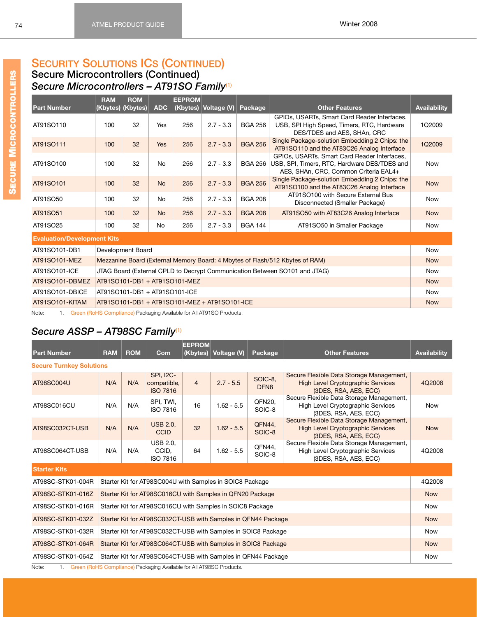**Secure Microcontrollers (Continued)** *Secure Microcontrollers – AT91SO Family*[\(1\)](#page-79-2)

<span id="page-80-12"></span><span id="page-80-10"></span><span id="page-80-9"></span><span id="page-80-2"></span><span id="page-80-1"></span>

|                                    | <b>RAM</b> | <b>ROM</b>                    |            | <b>EEPROM</b>                 |                                               |                |                                                                                                                                       |                     |  |
|------------------------------------|------------|-------------------------------|------------|-------------------------------|-----------------------------------------------|----------------|---------------------------------------------------------------------------------------------------------------------------------------|---------------------|--|
| <b>Part Number</b>                 |            | (Kbytes) (Kbytes)             | <b>ADC</b> | (Kbytes)                      | Voltage (V)                                   | Package        | <b>Other Features</b>                                                                                                                 | <b>Availability</b> |  |
| AT91SO110                          | 100        | 32                            | Yes        | 256                           | $2.7 - 3.3$                                   | <b>BGA 256</b> | GPIOs, USARTs, Smart Card Reader Interfaces,<br>USB, SPI High Speed, Timers, RTC, Hardware<br>DES/TDES and AES, SHAn, CRC             | 1Q2009              |  |
| AT91SO111                          | 100        | 32                            | Yes        | 256                           | $2.7 - 3.3$                                   | <b>BGA 256</b> | Single Package-solution Embedding 2 Chips: the<br>AT91SO110 and the AT83C26 Analog Interface                                          | 1Q2009              |  |
| AT91SO100                          | 100        | 32                            | <b>No</b>  | 256                           | $2.7 - 3.3$                                   | <b>BGA 256</b> | GPIOs, USARTs, Smart Card Reader Interfaces,<br>USB, SPI, Timers, RTC, Hardware DES/TDES and<br>AES, SHAn, CRC, Common Criteria EAL4+ | <b>Now</b>          |  |
| AT91SO101                          | 100        | 32                            | <b>No</b>  | 256                           | $2.7 - 3.3$                                   | <b>BGA 256</b> | Single Package-solution Embedding 2 Chips: the<br>AT91SO100 and the AT83C26 Analog Interface                                          | <b>Now</b>          |  |
| AT91SO50                           | 100        | 32                            | No         | 256                           | $2.7 - 3.3$                                   | <b>BGA 208</b> | AT91SO100 with Secure External Bus<br>Disconnected (Smaller Package)                                                                  | <b>Now</b>          |  |
| AT91SO51                           | 100        | 32                            | <b>No</b>  | 256                           | $2.7 - 3.3$                                   | <b>BGA 208</b> | AT91SO50 with AT83C26 Analog Interface                                                                                                | <b>Now</b>          |  |
| AT91SO25                           | 100        | 32                            | No         | 256                           | $2.7 - 3.3$                                   | <b>BGA 144</b> | AT91SO50 in Smaller Package                                                                                                           | <b>Now</b>          |  |
| <b>Evaluation/Development Kits</b> |            |                               |            |                               |                                               |                |                                                                                                                                       |                     |  |
| AT91SO101-DB1                      |            | Development Board             |            |                               |                                               |                |                                                                                                                                       | <b>Now</b>          |  |
| AT91SO101-MEZ                      |            |                               |            |                               |                                               |                | Mezzanine Board (External Memory Board: 4 Mbytes of Flash/512 Kbytes of RAM)                                                          | <b>Now</b>          |  |
| AT91SO101-ICE                      |            |                               |            |                               |                                               |                | JTAG Board (External CPLD to Decrypt Communication Between SO101 and JTAG)                                                            | <b>Now</b>          |  |
| AT91SO101-DBMEZ                    |            |                               |            | AT91SO101-DB1 + AT91SO101-MEZ |                                               |                |                                                                                                                                       | <b>Now</b>          |  |
| AT91SO101-DBICE                    |            | AT91SO101-DB1 + AT91SO101-ICE |            |                               |                                               |                |                                                                                                                                       |                     |  |
| AT91SO101-KITAM                    |            |                               |            |                               | AT91SO101-DB1 + AT91SO101-MEZ + AT91SO101-ICE |                |                                                                                                                                       | <b>Now</b>          |  |

<span id="page-80-13"></span><span id="page-80-11"></span><span id="page-80-8"></span><span id="page-80-7"></span><span id="page-80-6"></span><span id="page-80-5"></span><span id="page-80-4"></span><span id="page-80-3"></span>Note: 1. Green (RoHS Compliance) Packaging Available for All AT91SO Products.

# *Secure ASSP – AT98SC Family*[\(1\)](#page-80-0)

<span id="page-80-24"></span><span id="page-80-23"></span><span id="page-80-22"></span><span id="page-80-21"></span><span id="page-80-20"></span><span id="page-80-19"></span><span id="page-80-18"></span><span id="page-80-17"></span><span id="page-80-16"></span><span id="page-80-15"></span><span id="page-80-14"></span><span id="page-80-0"></span>

| <b>Part Number</b>              | <b>RAM</b>                                                    | <b>ROM</b> | Com                                                                  | <b>EEPROM</b><br>(Kbytes) | Voltage (V)  | Package                     | <b>Other Features</b>                                                                                         | <b>Availability</b> |
|---------------------------------|---------------------------------------------------------------|------------|----------------------------------------------------------------------|---------------------------|--------------|-----------------------------|---------------------------------------------------------------------------------------------------------------|---------------------|
| <b>Secure Turnkey Solutions</b> |                                                               |            |                                                                      |                           |              |                             |                                                                                                               |                     |
| AT98SC004U                      | N/A                                                           | N/A        | <b>SPI, I2C-</b><br>compatible,<br><b>ISO 7816</b>                   | $\overline{4}$            | $2.7 - 5.5$  | SOIC-8.<br>DFN <sub>8</sub> | Secure Flexible Data Storage Management,<br><b>High Level Cryptographic Services</b><br>(3DES, RSA, AES, ECC) | 4Q2008              |
| AT98SC016CU                     | N/A                                                           | N/A        | SPI, TWI,<br>ISO 7816                                                | 16                        | $1.62 - 5.5$ | QFN20,<br>SOIC-8            | Secure Flexible Data Storage Management,<br><b>High Level Cryptographic Services</b><br>(3DES, RSA, AES, ECC) | <b>Now</b>          |
| AT98SC032CT-USB                 | N/A                                                           | N/A        | <b>USB 2.0.</b><br>CCID                                              | 32                        | $1.62 - 5.5$ | QFN44,<br>SOIC-8            | Secure Flexible Data Storage Management,<br><b>High Level Cryptographic Services</b><br>(3DES, RSA, AES, ECC) | <b>Now</b>          |
| AT98SC064CT-USB                 | N/A                                                           | N/A        | <b>USB 2.0.</b><br>CCID.<br>ISO 7816                                 | 64                        | $1.62 - 5.5$ | QFN44,<br>SOIC-8            | Secure Flexible Data Storage Management,<br>High Level Cryptographic Services<br>(3DES, RSA, AES, ECC)        | 4Q2008              |
| <b>Starter Kits</b>             |                                                               |            |                                                                      |                           |              |                             |                                                                                                               |                     |
| AT98SC-STK01-004R               | Starter Kit for AT98SC004U with Samples in SOIC8 Package      |            |                                                                      | 4Q2008                    |              |                             |                                                                                                               |                     |
| AT98SC-STK01-016Z               |                                                               |            | Starter Kit for AT98SC016CU with Samples in QFN20 Package            |                           |              |                             |                                                                                                               | <b>Now</b>          |
| AT98SC-STK01-016R               |                                                               |            | Starter Kit for AT98SC016CU with Samples in SOIC8 Package            |                           |              |                             |                                                                                                               | <b>Now</b>          |
| AT98SC-STK01-032Z               |                                                               |            | Starter Kit for AT98SC032CT-USB with Samples in QFN44 Package        |                           |              |                             |                                                                                                               | <b>Now</b>          |
| AT98SC-STK01-032R               | Starter Kit for AT98SC032CT-USB with Samples in SOIC8 Package |            | <b>Now</b>                                                           |                           |              |                             |                                                                                                               |                     |
| AT98SC-STK01-064R               | Starter Kit for AT98SC064CT-USB with Samples in SOIC8 Package |            |                                                                      |                           | <b>Now</b>   |                             |                                                                                                               |                     |
| AT98SC-STK01-064Z               |                                                               |            | Starter Kit for AT98SC064CT-USB with Samples in QFN44 Package        |                           |              |                             |                                                                                                               | <b>Now</b>          |
| Note:<br>1.                     |                                                               |            | Green (RoHS Compliance) Packaging Available for All AT98SC Products. |                           |              |                             |                                                                                                               |                     |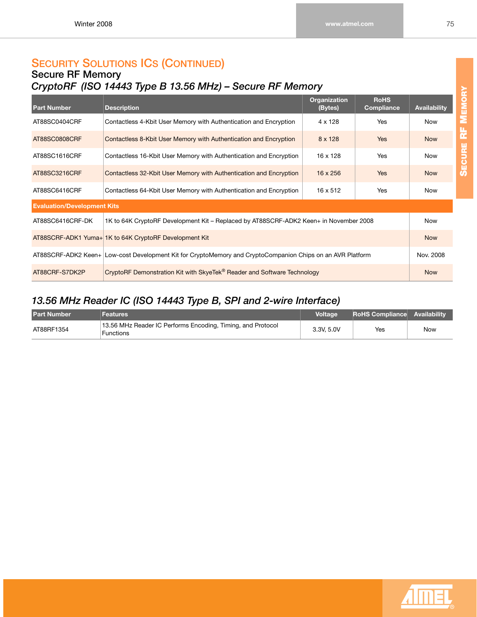### **Secure RF Memory** *CryptoRF (ISO 14443 Type B 13.56 MHz) – Secure RF Memory*

<span id="page-81-6"></span><span id="page-81-5"></span><span id="page-81-4"></span><span id="page-81-3"></span><span id="page-81-2"></span>

| <b>Part Number</b>                 | <b>Description</b>                                                                                         | <b>Organization</b><br>(Bytes) | <b>RoHS</b><br><b>Compliance</b> | <b>Availability</b> |
|------------------------------------|------------------------------------------------------------------------------------------------------------|--------------------------------|----------------------------------|---------------------|
| AT88SC0404CRF                      | Contactless 4-Kbit User Memory with Authentication and Encryption                                          | $4 \times 128$                 | <b>Yes</b>                       | <b>Now</b>          |
| AT88SC0808CRF                      | Contactless 8-Kbit User Memory with Authentication and Encryption                                          | 8 x 128                        | <b>Yes</b>                       | <b>Now</b>          |
| AT88SC1616CRF                      | Contactless 16-Kbit User Memory with Authentication and Encryption                                         | 16 x 128                       | Yes                              | <b>Now</b>          |
| AT88SC3216CRF                      | Contactless 32-Kbit User Memory with Authentication and Encryption                                         | 16 x 256                       | <b>Yes</b>                       | <b>Now</b>          |
| AT88SC6416CRF                      | Contactless 64-Kbit User Memory with Authentication and Encryption                                         | 16 x 512                       | <b>Yes</b>                       | <b>Now</b>          |
| <b>Evaluation/Development Kits</b> |                                                                                                            |                                |                                  |                     |
| AT88SC6416CRF-DK                   | 1K to 64K CryptoRF Development Kit – Replaced by AT88SCRF-ADK2 Keen+ in November 2008                      |                                |                                  | Now                 |
|                                    | AT88SCRF-ADK1 Yuma+ 1K to 64K CryptoRF Development Kit                                                     |                                |                                  | <b>Now</b>          |
|                                    | AT88SCRF-ADK2 Keen+ Low-cost Development Kit for CryptoMemory and CryptoCompanion Chips on an AVR Platform |                                |                                  | Nov. 2008           |
| AT88CRF-S7DK2P                     | CryptoRF Demonstration Kit with SkyeTek® Reader and Software Technology                                    |                                |                                  | <b>Now</b>          |

# <span id="page-81-9"></span><span id="page-81-8"></span><span id="page-81-7"></span><span id="page-81-0"></span>*13.56 MHz Reader IC (ISO 14443 Type B, SPI and 2-wire Interface)*

<span id="page-81-1"></span>

| <b>Part Number</b> | Features                                                                 | <b>Voltage</b> | <b>RoHS Compliance Availability</b> |     |
|--------------------|--------------------------------------------------------------------------|----------------|-------------------------------------|-----|
| AT88RF1354         | 13.56 MHz Reader IC Performs Encoding, Timing, and Protocol<br>Functions | 3.3V, 5.0V     | Yes                                 | Now |

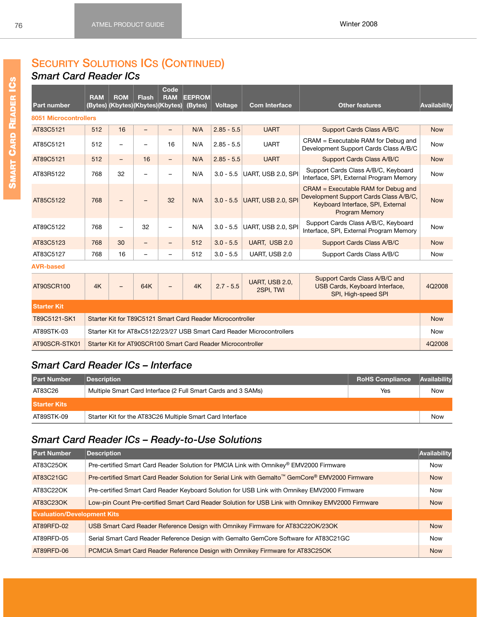*Smart Card Reader ICs*

<span id="page-82-11"></span><span id="page-82-9"></span><span id="page-82-8"></span><span id="page-82-5"></span>

| <b>Part number</b>           | <b>RAM</b> | <b>ROM</b><br>(Bytes) (Kbytes) (Kbytes) (Kbytes) | <b>Flash</b> | Code<br><b>RAM</b> | <b>EEPROM</b><br>(Bytes) | <b>Voltage</b> | <b>Com Interface</b>        | <b>Other features</b>                                                                                                                        | Availability |
|------------------------------|------------|--------------------------------------------------|--------------|--------------------|--------------------------|----------------|-----------------------------|----------------------------------------------------------------------------------------------------------------------------------------------|--------------|
| <b>8051 Microcontrollers</b> |            |                                                  |              |                    |                          |                |                             |                                                                                                                                              |              |
| AT83C5121                    | 512        | 16                                               | -            |                    | N/A                      | $2.85 - 5.5$   | <b>UART</b>                 | Support Cards Class A/B/C                                                                                                                    | <b>Now</b>   |
| AT85C5121                    | 512        | -                                                |              | 16                 | N/A                      | $2.85 - 5.5$   | <b>UART</b>                 | CRAM = Executable RAM for Debug and<br>Development Support Cards Class A/B/C                                                                 | <b>Now</b>   |
| AT89C5121                    | 512        | -                                                | 16           | $\qquad \qquad -$  | N/A                      | $2.85 - 5.5$   | <b>UART</b>                 | Support Cards Class A/B/C                                                                                                                    | <b>Now</b>   |
| AT83R5122                    | 768        | 32                                               |              |                    | N/A                      | $3.0 - 5.5$    | UART, USB 2.0, SPI          | Support Cards Class A/B/C, Keyboard<br>Interface, SPI, External Program Memory                                                               | <b>Now</b>   |
| AT85C5122                    | 768        |                                                  |              | 32                 | N/A                      | $3.0 - 5.5$    | UART, USB 2.0, SPI          | $CRAM = Executive RAM$ for Debug and<br>Development Support Cards Class A/B/C,<br>Keyboard Interface, SPI, External<br><b>Program Memory</b> | <b>Now</b>   |
| AT89C5122                    | 768        |                                                  | 32           |                    | N/A                      | $3.0 - 5.5$    | UART, USB 2.0, SPI          | Support Cards Class A/B/C, Keyboard<br>Interface, SPI, External Program Memory                                                               | <b>Now</b>   |
| AT83C5123                    | 768        | 30                                               | -            |                    | 512                      | $3.0 - 5.5$    | UART, USB 2.0               | Support Cards Class A/B/C                                                                                                                    | <b>Now</b>   |
| AT83C5127                    | 768        | 16                                               | -            |                    | 512                      | $3.0 - 5.5$    | UART, USB 2.0               | Support Cards Class A/B/C                                                                                                                    | <b>Now</b>   |
| <b>AVR-based</b>             |            |                                                  |              |                    |                          |                |                             |                                                                                                                                              |              |
| AT90SCR100                   | 4K         |                                                  | 64K          |                    | 4K                       | $2.7 - 5.5$    | UART, USB 2.0,<br>2SPI, TWI | Support Cards Class A/B/C and<br><b>USB Cards, Keyboard Interface,</b><br>SPI, High-speed SPI                                                | 4Q2008       |

<span id="page-82-20"></span><span id="page-82-18"></span><span id="page-82-16"></span><span id="page-82-12"></span><span id="page-82-10"></span><span id="page-82-7"></span><span id="page-82-6"></span>

| <b>Starter Kit</b> |                                                                        |            |
|--------------------|------------------------------------------------------------------------|------------|
| T89C5121-SK1       | Starter Kit for T89C5121 Smart Card Reader Microcontroller             | <b>Now</b> |
| AT89STK-03         | Starter Kit for AT8xC5122/23/27 USB Smart Card Reader Microcontrollers | Now        |
| AT90SCR-STK01      | Starter Kit for AT90SCR100 Smart Card Reader Microcontroller           | 4Q2008     |

### <span id="page-82-19"></span>*Smart Card Reader ICs – Interface*

<span id="page-82-4"></span>

| <b>Part Number</b>  | <b>Description</b>                                            | <b>RoHS Compliance</b> | Availability |
|---------------------|---------------------------------------------------------------|------------------------|--------------|
| AT83C26             | Multiple Smart Card Interface (2 Full Smart Cards and 3 SAMs) | Yes                    | Now          |
| <b>Starter Kits</b> |                                                               |                        |              |
| AT89STK-09          | Starter Kit for the AT83C26 Multiple Smart Card Interface     |                        | Now          |

# <span id="page-82-17"></span>*Smart Card Reader ICs – Ready-to-Use Solutions*

<span id="page-82-15"></span><span id="page-82-14"></span><span id="page-82-13"></span><span id="page-82-3"></span><span id="page-82-2"></span><span id="page-82-1"></span><span id="page-82-0"></span>

| <b>Part Number</b>                 | <b>Description</b>                                                                                | Availability |  |  |  |  |  |
|------------------------------------|---------------------------------------------------------------------------------------------------|--------------|--|--|--|--|--|
| AT83C25OK                          | Pre-certified Smart Card Reader Solution for PMCIA Link with Omnikey® EMV2000 Firmware            | <b>Now</b>   |  |  |  |  |  |
| AT83C21GC                          | Pre-certified Smart Card Reader Solution for Serial Link with Gemalto™ GemCore® EMV2000 Firmware  | <b>Now</b>   |  |  |  |  |  |
| AT83C22OK                          | Pre-certified Smart Card Reader Keyboard Solution for USB Link with Omnikey EMV2000 Firmware      | <b>Now</b>   |  |  |  |  |  |
| AT83C23OK                          | Low-pin Count Pre-certified Smart Card Reader Solution for USB Link with Omnikey EMV2000 Firmware |              |  |  |  |  |  |
| <b>Evaluation/Development Kits</b> |                                                                                                   |              |  |  |  |  |  |
| AT89RFD-02                         | USB Smart Card Reader Reference Design with Omnikey Firmware for AT83C22OK/23OK                   | <b>Now</b>   |  |  |  |  |  |
| AT89RFD-05                         | Serial Smart Card Reader Reference Design with Gemalto GemCore Software for AT83C21GC             | <b>Now</b>   |  |  |  |  |  |
| AT89RFD-06                         | PCMCIA Smart Card Reader Reference Design with Omnikey Firmware for AT83C25OK                     | <b>Now</b>   |  |  |  |  |  |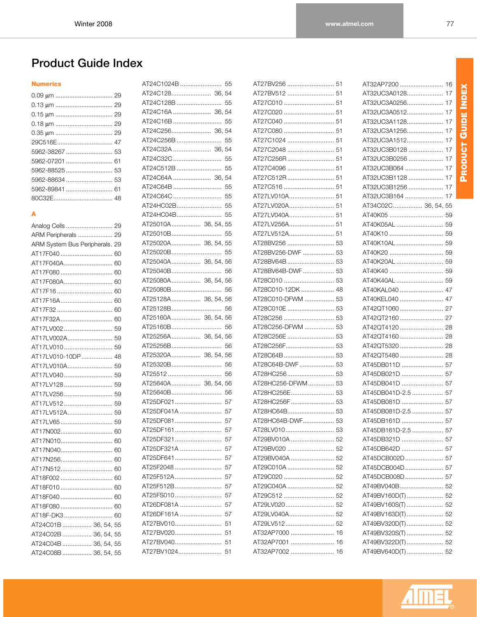PRODUCT GUIDE INDEX **PRODUCT GUIDE INDEX**

# **Product Guide Index**

#### **Numerics**

| 5962-89841  61 |
|----------------|
|                |
|                |

#### **A**

| ARM Peripherals  29            |
|--------------------------------|
| ARM System Bus Peripherals. 29 |
|                                |
| AT17F040A 60                   |
| AT17F080 60                    |
| AT17F080A 60                   |
|                                |
| AT17F16A 60                    |
|                                |
| AT17F32A 60                    |
| AT17LV002 59                   |
| AT17LV002A 59                  |
|                                |
| AT17LV010-10DP 48              |
| AT17LV010A 59                  |
| AT17LV040 59                   |
| AT17LV128 59                   |
| AT17LV256 59                   |
| AT17LV512 59                   |
| AT17LV512A 59                  |
| AT17LV65 59                    |
| AT17N002 60                    |
| AT17N010 60                    |
| AT17N040 60                    |
| AT17N256 60                    |
| AT17N512 60                    |
| AT18F002  60                   |
| AT18F010 60                    |
| AT18F040  60                   |
| AT18F080 60                    |
| AT18F-DK3 60                   |
| AT24C01B  36, 54, 55           |
| AT24C02B  36, 54, 55           |
| AT24C04B  36, 54, 55           |
| AT24C08B  36, 54, 55           |
|                                |

| AT24C1024B  55<br>AT24C128 36, 54<br>AT24C128B<br>55<br>AT24C16A  36,<br>AT24C16B<br>AT24C256B |    |
|------------------------------------------------------------------------------------------------|----|
|                                                                                                |    |
|                                                                                                |    |
|                                                                                                |    |
|                                                                                                | 54 |
|                                                                                                | 55 |
|                                                                                                | 54 |
|                                                                                                | 55 |
| AT24C32A  36,                                                                                  | 54 |
| AT24C32C                                                                                       | 55 |
| AT24C512B                                                                                      | 55 |
| AT24C64A  36,                                                                                  | 54 |
| AT24C64B                                                                                       | 55 |
| AT24C64C                                                                                       | 55 |
| AT24HC02B                                                                                      | 55 |
| AT24HC04B                                                                                      | 55 |
| AT25010A 36, 54, 55                                                                            |    |
| AT25010B                                                                                       | 55 |
| AT25020A 36, 54, 55                                                                            |    |
| AT25020B                                                                                       | 55 |
| AT25040A 36, 54, 56                                                                            |    |
| AT25040B                                                                                       | 56 |
| AT25080A 36, 54, 56                                                                            |    |
| AT25080B                                                                                       | 56 |
| AT25128A 36, 54, 56                                                                            |    |
| AT25128B                                                                                       | 56 |
| AT25160A 36, 54, 56                                                                            |    |
| AT25160B                                                                                       | 56 |
| AT25256A 36, 54, 56                                                                            |    |
| AT25256B                                                                                       | 56 |
| AT25320A 36, 54, 56                                                                            |    |
| AT25320B                                                                                       | 56 |
|                                                                                                |    |
| AT25512                                                                                        | 56 |
| AT25640A 36, 54, 56                                                                            |    |
| AT25640B                                                                                       | 56 |
| AT25DF021                                                                                      | 57 |
| AT25DF041A                                                                                     | 57 |
| AT25DF081                                                                                      | 57 |
| AT25DF161                                                                                      | 57 |
| AT25DF321                                                                                      | 57 |
| AT25DF321A                                                                                     | 57 |
| AT25DF641                                                                                      | 57 |
| AT25F2048                                                                                      | 57 |
| AT25F512A                                                                                      | 57 |
| AT25F512B                                                                                      | 57 |
| AT25FS010                                                                                      | 57 |
|                                                                                                | 57 |
| AT26DF081A<br>AT26DF161A                                                                       | 57 |
| AT27BV010                                                                                      | 51 |
| AT27BV020                                                                                      | 51 |
| AT27BV040                                                                                      | 51 |

| AT27BV256  51                    |    |
|----------------------------------|----|
| AT27BV512  51                    |    |
|                                  |    |
|                                  |    |
|                                  |    |
| AT27C080  51                     |    |
| AT27C1024  51                    |    |
| AT27C2048  51                    |    |
|                                  |    |
| AT27C4096  51                    |    |
| AT27C512R 51                     |    |
|                                  |    |
| AT27LV010A 51                    |    |
| AT27LV020A 51                    |    |
| AT27LV040A 51                    |    |
| AT27LV256A 51                    |    |
|                                  |    |
|                                  |    |
| AT28BV256-DWF  53                |    |
|                                  |    |
| AT28BV64B-DWF 53                 |    |
|                                  |    |
| AT28C010-12DK  48                |    |
| AT28C010-DFWM  53                |    |
|                                  |    |
|                                  |    |
| AT28C256-DFWM  53                |    |
|                                  |    |
|                                  |    |
|                                  |    |
| AT28C64B-DWF  53                 |    |
|                                  |    |
| AT28HC256-DFWM 53                |    |
|                                  |    |
| AT28HC256F  53                   |    |
|                                  |    |
|                                  |    |
|                                  |    |
| AT28HC64B-DWF 53                 |    |
| AT28LV010                        | 53 |
|                                  |    |
| AT29BV020  52                    |    |
| AT29BV040A  52                   |    |
|                                  |    |
|                                  |    |
|                                  |    |
|                                  |    |
|                                  |    |
|                                  |    |
|                                  |    |
| AT32AP7000  16                   |    |
| AT32AP7001  16<br>AT32AP7002  16 |    |

| AT32AP7200        | 16 |
|-------------------|----|
| AT32UC3A0128      | 17 |
| AT32UC3A0256      | 17 |
| AT32UC3A0512      | 17 |
| AT32UC3A1128      | 17 |
| AT32UC3A1256      | 17 |
| AT32UC3A1512      | 17 |
| AT32UC3B0128      | 17 |
| AT32UC3B0256      | 17 |
| AT32UC3B064       | 17 |
| AT32UC3B1128      | 17 |
| AT32UC3B1256      | 17 |
| AT32UC3B164       | 17 |
| AT34C02C 36, 54,  | 55 |
| AT40K05           | 59 |
| AT40K05AL         | 59 |
| AT40K10           | 59 |
| AT40K10AL         | 59 |
| AT40K20           | 59 |
| AT40K20AL         | 59 |
| AT40K40           | 59 |
| AT40K40AL         | 59 |
| AT40KAL040        | 47 |
| AT40KEL040        | 47 |
| AT42QT1060        | 27 |
| AT42QT2160        | 27 |
| AT42QT4120        | 28 |
| AT42QT4160        | 28 |
| AT42QT5320        | 28 |
| AT42QT5480        | 28 |
| AT45DB011D        | 57 |
| AT45DB021D        | 57 |
| AT45DB041D        | 57 |
| AT45DB041D-2.5    | 57 |
| AT45DB081D        | 57 |
| AT45DB081D-2.5    | 57 |
| AT45DB161D        | 57 |
| AT45DB161D-2.5    | 57 |
| AT45DB321D        | 57 |
| AT45DB642D        | 57 |
| AT45DCB002D  57   |    |
| AT45DCB004D       | 57 |
| AT45DCB008D       | 57 |
| AT49BV040B        | 52 |
| AT49BV160D(T)     | 52 |
| AT49BV160S(T)     | 52 |
| AT49BV163D(T)  52 |    |
| AT49BV320D(T)  52 |    |
| AT49BV320S(T)  52 |    |
| AT49BV322D(T)  52 |    |
| AT49BV640D(T)  52 |    |

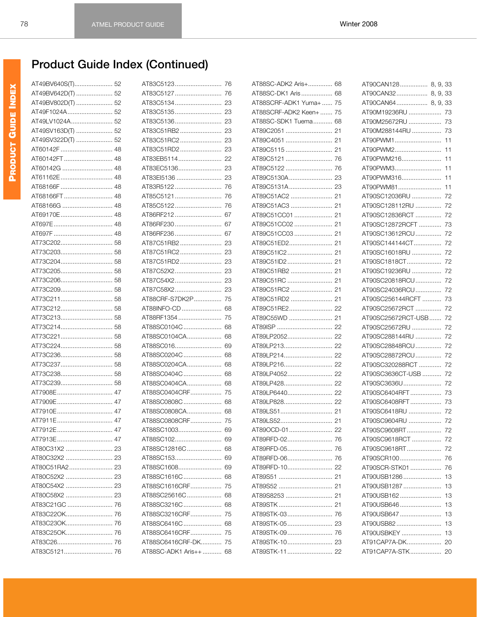| AT49BV640S(T) 52  |
|-------------------|
| AT49BV642D(T)  52 |
| AT49BV802D(T)  52 |
| AT49F1024A 52     |
| AT49LV1024A 52    |
| AT49SV163D(T)  52 |
| AT49SV322D(T)  52 |
| AT60142F  48      |
| AT60142FT  48     |
| AT60142G  48      |
| AT61162E 48       |
| AT68166F  48      |
| AT68166FT  48     |
| AT68166G  48      |
| AT69170E 48       |
|                   |
|                   |
|                   |
|                   |
|                   |
|                   |
|                   |
|                   |
|                   |
|                   |
|                   |
|                   |
|                   |
|                   |
|                   |
|                   |
| AT73C238 58       |
| AT73C239 58       |
| AT7908E 47        |
| AT7909E 47        |
| AT7910E 47        |
| AT7911E 47        |
| AT7912E<br>47     |
| AT7913E 47        |
|                   |
|                   |
|                   |
|                   |
| AT80C54X2  23     |
|                   |
| AT80C58X2  23     |
|                   |
| AT83C22OK 76      |
|                   |
|                   |
|                   |
|                   |

| AT83C5123              | 76  |
|------------------------|-----|
| AT83C5127              | 76  |
| AT83C5134              | 23  |
| AT83C5135              | 23  |
| AT83C5136              | 23  |
| AT83C51RB2             | 23  |
| AT83C51RC2             | 23  |
| AT83C51RD2             | 23  |
| AT83EB5114             | 22  |
| AT83EC5136             | 23  |
| AT83El5136             | 23  |
| AT83R5122              | 76  |
| AT85C5121              | 76  |
| AT85C5122              | 76  |
| AT86RF212              | 67  |
| AT86RF230              | 67  |
| AT86RF236              | 67  |
| AT87C51RB2             | 23  |
| AT87C51RC2             | 23  |
| AT87C51RD2             | 23  |
| AT87C52X2              | 23  |
| AT87C54X2              | 23  |
| AT87C58X2              | 23  |
| AT88CRF-S7DK2P         | 75  |
| AT88INFO-CD            | 68  |
| AT88RF1354             | 75  |
| AT88SC0104C            | 68  |
| AT88SC0104CA           | 68  |
| AT88SC016              | 69  |
| AT88SC0204C            | 68  |
| AT88SC0204CA           | 68  |
| AT88SC0404C            | 68  |
| AT88SC0404CA           | 68  |
| AT88SC0404CRF          | 75  |
| AT88SC0808C            | 68  |
| AT88SC0808CA           | 68  |
| AT88SC0808CRF          | 75  |
| AT88SC1003             | 69  |
|                        |     |
| AT88SC12816C           | 68  |
| AT88SC153              | -69 |
| AT88SC1608             | 69  |
| AT88SC1616C            | 68  |
| AT88SC1616CRF          | 75  |
| AT88SC25616C           | 68  |
| AT88SC3216C            | 68  |
| AT88SC3216CRF          | 75  |
| AT88SC6416C            | 68  |
| AT88SC6416CRF          | 75  |
| AT88SC6416CRF-DK       | 75  |
| AT88SC-ADK1 Aris++  68 |     |

| AT88SC-ADK2 Aris+ 68    |     |
|-------------------------|-----|
| AT88SC-DK1 Aris 68      |     |
| AT88SCRF-ADK1 Yuma+  75 |     |
|                         |     |
| AT88SCRF-ADK2 Keen+  75 |     |
| AT88SC-SDK1 Tuema 68    |     |
| AT89C2051  21           |     |
|                         |     |
|                         |     |
| AT89C5121               | 76  |
| AT89C5122               | 76  |
|                         |     |
|                         |     |
|                         |     |
|                         |     |
| AT89C51CC01  21         |     |
| AT89C51CC02  21         |     |
|                         |     |
|                         |     |
|                         |     |
|                         |     |
|                         |     |
|                         |     |
|                         |     |
|                         |     |
| AT89C51RE2 22           |     |
| AT89C55WD  21           |     |
|                         |     |
|                         |     |
|                         |     |
|                         |     |
| AT89LP214 22            |     |
| AT89LP216 22            |     |
|                         |     |
| AT89LP428 22            |     |
| AT89LP6440 22           |     |
| AT89LP828 22            |     |
|                         |     |
|                         |     |
| AT89OCD-01              | -22 |
|                         |     |
| AT89RFD-05 76           |     |
| AT89RFD-06              | 76  |
| AT89RFD-10 22           |     |
| AT89S51  21             |     |
|                         |     |
|                         |     |
|                         |     |
| AT89STK-03              | 76  |
|                         |     |
|                         |     |
|                         |     |
|                         |     |
|                         |     |

| AT90CAN128 8, 9, 33    |    |
|------------------------|----|
| AT90CAN32 8, 9, 33     |    |
| AT90CAN64 8, 9, 33     |    |
| AT90M19236RU  73       |    |
| AT90M25672RU  73       |    |
| AT90M288144RU  73      |    |
| AT90PWM1               | 11 |
| AT90PWM2               | 11 |
| AT90PWM216             | 11 |
| AT90PWM3               | 11 |
| AT90PWM316             | 11 |
| AT90PWM81              | 11 |
| AT90SC12036RU  72      |    |
| AT90SC128112RU  72     |    |
| AT90SC12836RCT  72     |    |
| AT90SC12872RCFT  73    |    |
| AT90SC13612RCU 72      |    |
| AT90SC144144CT 72      |    |
| AT90SC16018RU          | 72 |
| AT90SC1818CT           | 72 |
| AT90SC19236RU          | 72 |
| AT90SC20818RCU 72      |    |
|                        |    |
| AT90SC24036RCU 72      |    |
| AT90SC256144RCFT  73   |    |
| AT90SC25672RCT  72     |    |
| AT90SC25672RCT-USB  72 |    |
| AT90SC25672RU  72      |    |
| AT90SC288144RU  72     |    |
| AT90SC28848RCU 72      |    |
| AT90SC28872RCU 72      |    |
| AT90SC320288RCT  72    |    |
| AT90SC3636CT-USB  72   |    |
| AT90SC3636U            | 72 |
| AT90SC6404RFT          | 73 |
|                        |    |
| AT90SC6418RU           | 72 |
| AT90SC9604RU           | 72 |
| AT90SC9608RT           | 72 |
| AT90SC9618RCT          | 72 |
| AT90SC9618RT           | 72 |
| AT90SCR100             | 76 |
| AT90SCR-STK01          | 76 |
| AT90USB1286            | 13 |
| AT90USB1287            | 13 |
| AT90USB162             | 13 |
| AT90USB646             | 13 |
| AT90USB647             | 13 |
| AT90USB82              | 13 |
| AT90USBKEY             | 13 |
| AT91CAP7A-DK           | 20 |
| AT91CAP7A-STK          | 20 |
|                        |    |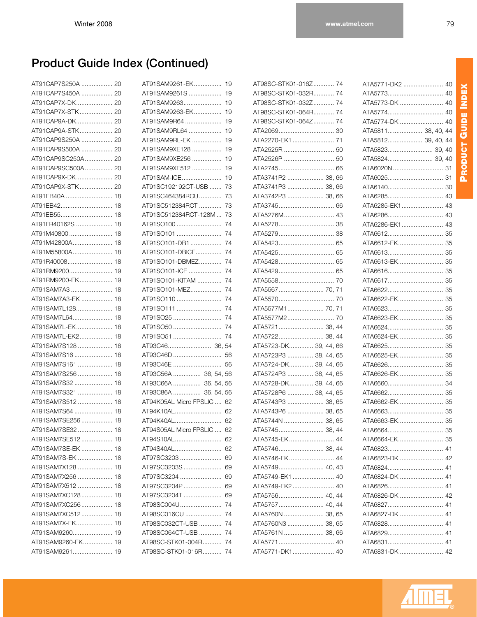| AT91CAP7S250A  20    |  |
|----------------------|--|
| AT91CAP7S450A  20    |  |
| AT91CAP7X-DK 20      |  |
| AT91CAP7X-STK 20     |  |
| AT91CAP9A-DK 20      |  |
| AT91CAP9A-STK 20     |  |
| AT91CAP9S250A  20    |  |
| AT91CAP9S500A  20    |  |
| AT91CAP9SC250A<br>20 |  |
| AT91CAP9SC500A 20    |  |
| AT91CAP9X-DK 20      |  |
| AT91CAP9X-STK 20     |  |
| AT91EB40A<br>18      |  |
| AT91EB42<br>18       |  |
| AT91EB55<br>18       |  |
| AT91FR40162S<br>18   |  |
| AT91M40800<br>18     |  |
| AT91M42800A<br>18    |  |
| AT91M55800A<br>18    |  |
| AT91R40008<br>18     |  |
| AT91RM9200<br>19     |  |
| AT91RM9200-EK<br>19  |  |
| AT91SAM7A3<br>18     |  |
| AT91SAM7A3-EK<br>18  |  |
| AT91SAM7L128<br>18   |  |
| AT91SAM7L64<br>18    |  |
| AT91SAM7L-EK<br>18   |  |
| AT91SAM7L-EK2<br>18  |  |
| AT91SAM7S128<br>18   |  |
| AT91SAM7S16<br>18    |  |
| AT91SAM7S161<br>18   |  |
| AT91SAM7S256<br>18   |  |
| AT91SAM7S32<br>18    |  |
| AT91SAM7S321<br>18   |  |
| AT91SAM7S512<br>18   |  |
| AT91SAM7S64<br>18    |  |
| AT91SAM7SE256<br>18  |  |
| AT91SAM7SE32<br>18   |  |
| AT91SAM7SE512<br>18  |  |
| AT91SAM7SE-EK<br>18  |  |
| AT91SAM7S-EK<br>18   |  |
| AT91SAM7X128<br>18   |  |
| AT91SAM7X256<br>18   |  |
| AT91SAM7X512<br>18   |  |
| AT91SAM7XC128<br>18  |  |
| AT91SAM7XC256<br>18  |  |
| AT91SAM7XC512<br>18  |  |
| AT91SAM7X-EK<br>18   |  |
| AT91SAM9260<br>19    |  |
| AT91SAM9260-EK<br>19 |  |
| AT91SAM9261 19       |  |

| AT91SAM9261-EK             | 19 |
|----------------------------|----|
| AT91SAM9261S               | 19 |
| AT91SAM9263                | 19 |
| AT91SAM9263-EK             | 19 |
| AT91SAM9R64                | 19 |
| AT91SAM9RL64               | 19 |
| AT91SAM9RL-EK              | 19 |
| AT91SAM9XE128              | 19 |
| AT91SAM9XE256              | 19 |
| AT91SAM9XE512              | 19 |
| AT91SAM-ICE                | 19 |
| AT91SC192192CT-USB         | 73 |
| AT91SC464384RCU            | 73 |
| AT91SC512384RCT            | 73 |
| AT91SC512384RCT-128M       | 73 |
| AT91SO100                  | 74 |
| AT91SO101                  | 74 |
| AT91SO101-DB1              | 74 |
| AT91SO101-DBICE            | 74 |
| AT91SO101-DBMEZ            | 74 |
| AT91SO101-ICE              | 74 |
| AT91SO101-KITAM            | 74 |
| AT91SO101-MEZ              | 74 |
| AT91SO110                  | 74 |
| AT91SO111                  | 74 |
| AT91SO25                   | 74 |
| AT91SO50                   | 74 |
| AT91SO51                   | 74 |
|                            |    |
| AT93C46D                   | 56 |
| AT93C46E                   | 56 |
| AT93C56A  36, 54, 56       |    |
| AT93C66A  36, 54, 56       |    |
| AT93C86A  36, 54, 56       |    |
| AT94K05AL Micro FPSLIC  62 |    |
| AT94K10AL                  | 62 |
| AT94K40AL 62               |    |
| AT94S05AL Micro FPSLIC  62 |    |
| AT94S10AL                  | 62 |
| AT94S40AL                  | 62 |
| AT97SC3203                 | 69 |
| AT97SC3203S                | 69 |
| AT97SC3204                 | 69 |
| AT97SC3204P                | 69 |
| AT97SC3204T                | 69 |
| AT98SC004U                 | 74 |
| AT98SC016CU                | 74 |
| AT98SC032CT-USB            | 74 |
| AT98SC064CT-USB            | 74 |
| AT98SC-STK01-004R          | 74 |
| AT98SC-STK01-016R          | 74 |

| AT98SC-STK01-016Z 74  |  |
|-----------------------|--|
| AT98SC-STK01-032R 74  |  |
| AT98SC-STK01-032Z 74  |  |
| AT98SC-STK01-064R 74  |  |
| AT98SC-STK01-064Z 74  |  |
|                       |  |
| ATA2270-EK1 71        |  |
|                       |  |
|                       |  |
|                       |  |
| ATA3741P2  38, 66     |  |
| ATA3741P3  38, 66     |  |
| ATA3742P3  38, 66     |  |
|                       |  |
| ATA5276M 43           |  |
|                       |  |
|                       |  |
|                       |  |
|                       |  |
|                       |  |
|                       |  |
|                       |  |
| ATA5567 70, 71        |  |
|                       |  |
| ATA5577M1 70, 71      |  |
|                       |  |
| ATA5721 38, 44        |  |
| ATA5722 38, 44        |  |
| ATA5723-DK 39, 44, 66 |  |
| ATA5723P3  38, 44, 65 |  |
| ATA5724-DK 39, 44, 66 |  |
| ATA5724P3  38, 44, 65 |  |
| ATA5728-DK 39, 44, 66 |  |
| ATA5728P6  38, 44, 65 |  |
| ATA5743P3  38, 65     |  |
| ATA5743P6  38, 65     |  |
| ATA5744N  38, 65      |  |
| ATA5745 38, 44        |  |
| ATA5745-EK 44         |  |
| ATA5746 38, 44        |  |
| ATA5746-EK 44         |  |
| ATA5749 40, 43        |  |
| ATA5749-EK1 40        |  |
| ATA5749-EK2 40        |  |
| ATA5756 40, 44        |  |
| ATA5757 40, 44        |  |
| ATA5760N  38, 65      |  |
| ATA5760N3  38, 65     |  |
| ATA5761N  38, 66      |  |
|                       |  |
| ATA5771-DK1 40        |  |

| ATA5771-DK2  40    |    |
|--------------------|----|
| ATA5773 40         |    |
|                    |    |
| ATA5774 40         |    |
| ATA5774-DK  40     |    |
| ATA5811 38, 40, 44 |    |
| ATA5812 39.40.44   |    |
| ATA5823 39, 40     |    |
| ATA5824 39, 40     |    |
| ATA6020N  31       |    |
|                    |    |
|                    |    |
| ATA6285 43         |    |
| ATA6285-EK1 43     |    |
| ATA6286 43         |    |
| ATA6286-EK1 43     |    |
|                    |    |
|                    |    |
|                    |    |
| ATA6613-EK 35      |    |
|                    |    |
|                    |    |
|                    |    |
| ATA6622-EK 35      |    |
|                    |    |
| ATA6623-EK 35      |    |
|                    |    |
|                    |    |
| ATA6624-EK 35      |    |
|                    |    |
| ATA6625-EK 35      |    |
|                    |    |
| ATA6626-EK 35      |    |
|                    |    |
|                    |    |
| ATA6662-EK 35      |    |
|                    |    |
| ATA6663-EK 35      |    |
|                    |    |
| ATA6664-EK         | 35 |
| ATA6823            | 41 |
| ATA6823-DK         | 42 |
| ATA6824            | 41 |
| ATA6824-DK         | 41 |
| ATA6826            | 41 |
| ATA6826-DK         | 42 |
| ATA6827…………………………… | 41 |
| ATA6827-DK         | 41 |
| ATA6828            | 41 |
| ATA6829            | 41 |
| ATA6831            | 41 |
| ATA6831-DK         | 42 |

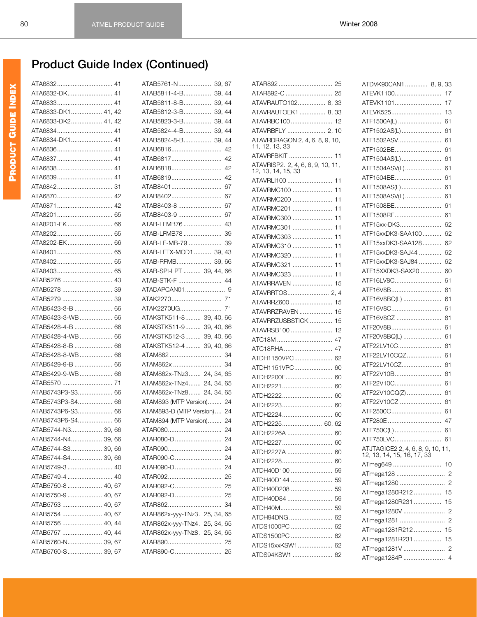| ATA6832 41         |  |
|--------------------|--|
| ATA6832-DK 41      |  |
|                    |  |
| ATA6833-DK1 41, 42 |  |
| ATA6833-DK2 41, 42 |  |
|                    |  |
| ATA6834-DK1 41     |  |
|                    |  |
|                    |  |
|                    |  |
|                    |  |
|                    |  |
|                    |  |
|                    |  |
|                    |  |
| ATA8201-EK 66      |  |
|                    |  |
| ATA8202-EK 66      |  |
|                    |  |
|                    |  |
|                    |  |
|                    |  |
|                    |  |
|                    |  |
| ATAB5423-3-B  66   |  |
| ATAB5423-3-WB 66   |  |
| ATAB5428-4-B  66   |  |
| ATAB5428-4-WB 66   |  |
|                    |  |
| ATAB5428-8-B  66   |  |
| ATAB5428-8-WB 66   |  |
| ATAB5429-9-B  66   |  |
| ATAB5429-9-WB 66   |  |
|                    |  |
| ATAB5743P3-S3 66   |  |
| ATAB5743P3-S4 66   |  |
| ATAB5743P6-S3 66   |  |
| ATAB5743P6-S4 66   |  |
| ATAB5744-N3 39,66  |  |
| ATAB5744-N4 39, 66 |  |
| ATAB5744-S3 39, 66 |  |
| ATAB5744-S4 39, 66 |  |
| ATAB5749-3  40     |  |
| ATAB5749-4  40     |  |
| ATAB5750-8  40, 67 |  |
| ATAB5750-9  40, 67 |  |
| ATAB5753  40, 67   |  |
| ATAB5754  40, 67   |  |
| ATAB5756  40, 44   |  |
| ATAB5757  40, 44   |  |
| ATAB5760-N 39, 67  |  |
| ATAB5760-S 39, 67  |  |
|                    |  |

| ATAB5761-N 39,67              |  |
|-------------------------------|--|
| ATAB5811-4-B 39, 44           |  |
| ATAB5811-8-B 39, 44           |  |
| ATAB5812-3-B 39, 44           |  |
| ATAB5823-3-B 39, 44           |  |
| ATAB5824-4-B 39, 44           |  |
| ATAB5824-8-B 39, 44           |  |
| ATAB6816 42                   |  |
| ATAB6817 42                   |  |
| ATAB6818 42                   |  |
| ATAB6819 42                   |  |
| ATAB8401 67                   |  |
| ATAB8402 67                   |  |
| ATAB8403-8  67                |  |
| ATAB8403-9  67                |  |
| ATAB-LFMB76 43                |  |
| ATAB-LFMB78 39                |  |
| ATAB-LF-MB-79  39             |  |
| ATAB-LFTX-MOD1 39, 43         |  |
|                               |  |
| ATAB-RFMB 39, 66              |  |
| ATAB-SPI-LPT  39, 44, 66      |  |
| ATAB-STK-F  44                |  |
|                               |  |
|                               |  |
|                               |  |
| ATAKSTK511-8 39, 40, 66       |  |
| ATAKSTK511-9 39, 40, 66       |  |
| ATAKSTK512-3 39, 40, 66       |  |
| ATAKSTK512-4 39, 40, 66       |  |
|                               |  |
| ATAM862x  34                  |  |
| ATAM862x-TNz3 24, 34, 65      |  |
| ATAM862x-TNz4 24, 34, 65      |  |
| ATAM862x-TNz8 24, 34, 65      |  |
| ATAM893 (MTP Version) 24      |  |
| ATAM893-D (MTP Version) 24    |  |
| ATAM894 (MTP Version) 24      |  |
|                               |  |
| ATAR080-D 24                  |  |
|                               |  |
|                               |  |
|                               |  |
|                               |  |
|                               |  |
|                               |  |
|                               |  |
| ATAR862x-yyy-TNz3. 25, 34, 65 |  |
| ATAR862x-yyy-TNz4. 25, 34, 65 |  |
| ATAR862x-yyy-TNz8. 25, 34, 65 |  |
|                               |  |
|                               |  |
|                               |  |

| ATAVRAUTO102 8, 33                                      |    |
|---------------------------------------------------------|----|
| ATAVRAUTOEK1 8, 33                                      |    |
| ATAVRBC100 12                                           |    |
| ATAVRBFLY  2, 10                                        |    |
| ATAVRDRAGON 2, 4, 6, 8, 9, 10,<br>11, 12, 13, 33        |    |
| ATAVRFBKIT  11                                          |    |
| ATAVRISP2. 2, 4, 6, 8, 9, 10, 11,<br>12, 13, 14, 15, 33 |    |
| ATAVRLI100                                              | 11 |
| ATAVRMC100                                              | 11 |
| ATAVRMC200                                              | 11 |
| ATAVRMC201                                              | 11 |
| ATAVRMC300                                              | 11 |
| ATAVRMC301                                              | 11 |
| ATAVRMC303                                              | 11 |
| ATAVRMC310                                              | 11 |
| ATAVRMC320                                              | 11 |
| ATAVRMC321                                              | 11 |
| ATAVRMC323                                              | 11 |
| ATAVRRAVEN                                              | 15 |
|                                                         |    |
| ATAVRRZ600                                              | 15 |
| ATAVRRZRAVEN                                            | 15 |
| ATAVRRZUSBSTICK                                         | 15 |
| ATAVRSB100                                              | 12 |
| ATC18M                                                  | 47 |
| ATC18RHA                                                | 47 |
| ATDH1150VPC                                             | 62 |
| ATDH1151VPC                                             | 60 |
| ATDH2200E                                               | 60 |
| ATDH2221                                                |    |
| ATDH2222                                                | 60 |
|                                                         | 60 |
| ATDH2223                                                | 60 |
| ATDH2224                                                | 60 |
| ATDH2225 60, 62                                         |    |
| ATDH2226A                                               | 60 |
| ATDH2227                                                | 60 |
| ATDH2227A                                               | 60 |
| ATDH2228                                                | 60 |
| ATDH40D100                                              | 59 |
| ATDH40D144                                              | 59 |
| ATDH40D208                                              | 59 |
| ATDH40D84                                               | 59 |
| ATDH40M                                                 | 59 |
| ATDH94DNG                                               | 62 |
| ATDS1000PC                                              | 62 |
| ATDS1500PC                                              | 62 |
| ATDS15xxKSW1                                            | 62 |
| ATDS94KSW1                                              | 62 |

| ATDVK90CAN1 8, 9, 33                                            |  |    |
|-----------------------------------------------------------------|--|----|
| ATEVK1100                                                       |  | 17 |
| ATEVK1101                                                       |  | 17 |
| ATEVK525                                                        |  | 13 |
| ATF1500A(L)                                                     |  | 61 |
| ATF1502AS(L)                                                    |  | 61 |
| ATF1502ASV                                                      |  | 61 |
| ATF1502BE                                                       |  | 61 |
| ATF1504AS(L)                                                    |  | 61 |
| ATF1504ASV(L)                                                   |  | 61 |
| ATF1504BE                                                       |  | 61 |
| ATF1508AS(L)                                                    |  | 61 |
| ATF1508ASV(L)                                                   |  | 61 |
| ATF1508BE                                                       |  | 61 |
| ATF1508RE                                                       |  | 61 |
| ATF15xx-DK3                                                     |  | 62 |
| ATF15xxDK3-SAA100                                               |  | 62 |
| ATF15xxDK3-SAA128                                               |  | 62 |
| ATF15xxDK3-SAJ44                                                |  | 62 |
| ATF15xxDK3-SAJ84                                                |  | 62 |
| ATF15XXDK3-SAX20                                                |  | 60 |
| ATF16LV8C                                                       |  | 61 |
| ATF16V8B                                                        |  | 61 |
| ATF16V8BQ(L)                                                    |  | 61 |
| ATF16V8C                                                        |  | 61 |
| ATF16V8CZ                                                       |  | 61 |
| ATF20V8B                                                        |  | 61 |
|                                                                 |  |    |
| ATF20V8BQ(L)                                                    |  | 61 |
| ATF22LV10C                                                      |  | 61 |
| ATF22LV10CQZ                                                    |  | 61 |
| ATF22LV10CZ                                                     |  | 61 |
| ATF22V10B                                                       |  | 61 |
| ATF22V10C                                                       |  | 61 |
| ATF22V10CQ(Z)                                                   |  | 61 |
| ATF22V10CZ                                                      |  | 61 |
| ATF2500C                                                        |  | 61 |
| ATF280E                                                         |  | 47 |
| ATF750C(L)  61                                                  |  |    |
| ATF750LVC 61                                                    |  |    |
| ATJTAGICE2 2, 4, 6, 8, 9, 10, 11,<br>12, 13, 14, 15, 16, 17, 33 |  |    |
| ATmeg649                                                        |  | 10 |
|                                                                 |  |    |
|                                                                 |  |    |
| ATmega1280R212 15                                               |  |    |
| ATmega1280R231  15                                              |  |    |
|                                                                 |  |    |
|                                                                 |  |    |
| ATmega1281R212 15                                               |  |    |
| ATmega1281R231  15                                              |  |    |
|                                                                 |  |    |
| ATmega1284P  4                                                  |  |    |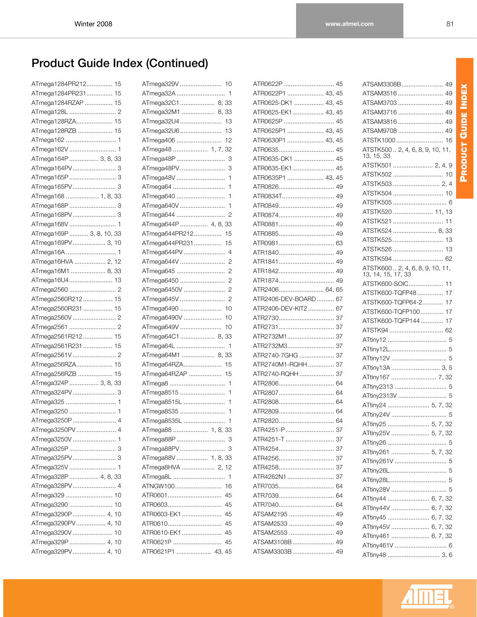PRODUCT GUIDE INDEX **PRODUCT GUIDE INDEX**

| ATmega1284PR212 15                     |
|----------------------------------------|
| ATmega1284PR231 15                     |
| ATmega1284RZAP  15                     |
|                                        |
| ATmega128RZA 15                        |
| ATmega128RZB  15                       |
|                                        |
|                                        |
| ATmega164P  3, 8, 33                   |
|                                        |
|                                        |
|                                        |
| ATmega168  1, 8, 33                    |
|                                        |
|                                        |
|                                        |
| ATmega169P  3, 8, 10, 33               |
| ATmega169PV 3, 10                      |
|                                        |
| ATmega16HVA  2, 12                     |
| ATmega16M1  8, 33                      |
| ATmega16U4 13                          |
|                                        |
| ATmega2560R212 15                      |
| ATmega2560R231 15                      |
|                                        |
|                                        |
|                                        |
| ATmega2561R212 15<br>ATmega2561R231 15 |
|                                        |
|                                        |
| ATmega256RZA 15                        |
| ATmega256RZB  15                       |
| ATmega324P  3, 8, 33                   |
|                                        |
|                                        |
|                                        |
| ATmega3250P  4                         |
| ATmega3250PV 4                         |
| ATmega3250V  1                         |
| ATmega325P  3                          |
|                                        |
|                                        |
| ATmega328P  4, 8, 33                   |
| ATmega328PV 4                          |
| ATmega329<br>10                        |
| ATmega3290<br>10                       |
| ATmega3290P  4,<br>10                  |
| ATmega3290PV 4,<br>10                  |
| ATmega3290V<br>10                      |
| ATmega329P  4,<br>10                   |
| ATmega329PV 4,<br>10                   |

| ATmega32C1 8, 33              |
|-------------------------------|
| ATmega32M1  8, 33             |
|                               |
| ATmega32U6<br>13              |
| ATmega406<br>12               |
| ATmega48  1, 7, 32            |
|                               |
|                               |
| ATmega48V<br>1                |
| ATmega64<br>1                 |
| ATmega640<br>1                |
| ATmega640V<br>1               |
| ATmega644<br>2                |
| ATmega644P  4, 8, 33          |
| ATmega644PR212 15             |
| ATmega644PR231 15             |
|                               |
| ATmega644V<br>2               |
| ATmega645<br>2                |
| ATmega6450<br>2               |
| ATmega6450V<br>$\overline{2}$ |
| ATmega645V<br>$\overline{c}$  |
| ATmega6490  10                |
| ATmega6490V<br>10             |
| ATmega649V<br>10              |
| ATmega64C1 8, 33              |
|                               |
| ATmega64M1  8, 33             |
| ATmega64RZA<br>15             |
| ATmega64RZAP  15              |
| ATmega8<br>$\mathbf{1}$       |
| ATmega8515<br>1               |
| ATmega8515L<br>1              |
| ATmega8535<br>1               |
| ATmega8535L<br>1              |
| ATmega88  1, 8, 33            |
|                               |
| ATmega88PV<br>3               |
| ATmega88V  1, 8, 33           |
| ATmega8HVA  2, 12             |
| ATmega8L<br>$\mathbf{1}$      |
| ATNGW100<br>16                |
| ATR0601<br>45                 |
| ATR0603<br>45                 |
| ATR0603-EK1<br>45             |
| ATR0610<br>45                 |
| ATR0610-EK1<br>45             |
| ATR0621P<br>45                |
| ATR0621P1  43, 45             |

| ATR0622P  45         |    |
|----------------------|----|
| ATR0622P1  43, 45    |    |
| ATR0625-DK1  43, 45  |    |
| ATR0625-EK1 43, 45   |    |
| ATR0625P  45         |    |
| ATR0625P1  43, 45    |    |
| ATR0630P1  43, 45    |    |
| ATR0635 45           |    |
| ATR0635-DK1  45      |    |
| ATR0635-EK1 45       |    |
| ATR0635P1  43, 45    |    |
| ATR0826 49           |    |
| ATR0834T 49          |    |
| ATR0849 49           |    |
| ATR0874 49           |    |
| ATR0881 49           |    |
| ATR0885 49           |    |
| ATR0981 63           |    |
| ATR1840 49           |    |
| ATR1841 49           |    |
| ATR1842 49           |    |
| ATR1874 49           |    |
| ATR2406 64, 65       |    |
| ATR2406-DEV-BOARD 67 |    |
| ATR2406-DEV-KIT2 67  |    |
|                      |    |
|                      |    |
|                      |    |
| ATR2732M3 37         |    |
| ATR2740-7GHG  37     |    |
| ATR2740M1-RQHH  37   |    |
| ATR2740-RQHH  37     |    |
| ATR2806 64           |    |
| ATR2807 64           |    |
|                      |    |
|                      |    |
|                      |    |
| ATR4251-P            | 37 |
| ATR4251-T  37        |    |
| ATR4254 37           |    |
| ATR4256              | 37 |
| ATR4258              | 37 |
| ATR4262N1            | 37 |
| ATR7035              | 64 |
| ATR7039              | 64 |
| ATR7040              | 64 |
| ATSAM2195            | 49 |
| ATSAM2533            | 49 |
| ATSAM2553  49        |    |
| ATSAM3108B  49       |    |
| ATSAM3303B  49       |    |
|                      |    |

| ATSTK1000  16                                           |
|---------------------------------------------------------|
| ATSTK500  2, 4, 6, 8, 9, 10, 11,<br>13, 15, 33          |
| ATSTK501  2, 4, 9                                       |
| ATSTK502  10                                            |
|                                                         |
| ATSTK504  10                                            |
|                                                         |
| ATSTK520  11, 13                                        |
| ATSTK521<br>11                                          |
| ATSTK524  8,<br>33                                      |
| ATSTK525  13                                            |
| ATSTK526<br>13                                          |
| ATSTK594<br>62                                          |
| ATSTK600 . 2, 4, 6, 8, 9, 10, 11,<br>13, 14, 15, 17, 33 |
| ATSTK600-SOIC<br>11                                     |
| 17<br>ATSTK600-TQFP48                                   |
| 17<br>ATSTK600-TQFP64-2                                 |
| 17<br>ATSTK600-TQFP100                                  |
| ATSTK600-TQFP144<br>17                                  |
| ATSTK94  62                                             |
|                                                         |
|                                                         |
|                                                         |
| ATtiny13A  3, 5                                         |
| ATtiny167  7, 32                                        |
| ATtiny2313  5                                           |
| ATtiny2313V  5                                          |
| ATtiny24  5, 7, 32                                      |
|                                                         |
| ATtiny25  5, 7, 32                                      |
| ATtiny25V  5, 7, 32                                     |
| ATtiny26<br>5                                           |
| ATtiny261  5, 7, 32                                     |
| ATtiny261V  5                                           |
|                                                         |
|                                                         |
|                                                         |
| ATtiny44  6, 7, 32                                      |
| ATtiny44V  6, 7, 32                                     |
| ATtiny45  6, 7, 32                                      |
| ATtiny45V  6, 7, 32                                     |
|                                                         |
| ATtiny461  6, 7, 32                                     |
| ATtiny461V  6                                           |

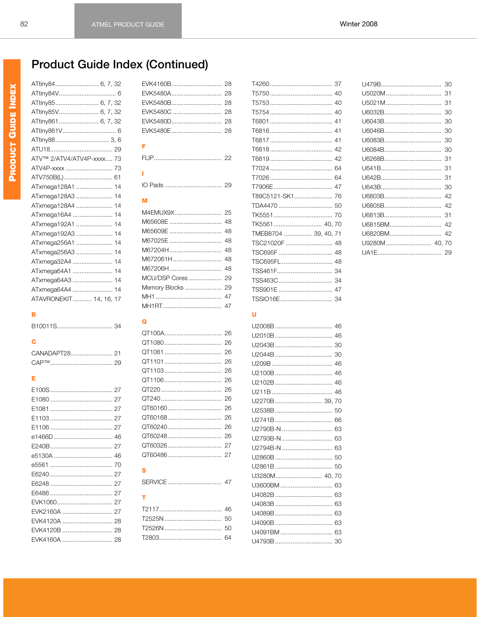| ATtiny84 6, 7, 32         |
|---------------------------|
|                           |
| ATtiny85 6, 7, 32         |
| ATtiny85V 6, 7, 32        |
| ATtiny861 6, 7, 32        |
| ATtiny861V 6              |
| ATtiny88 3,6              |
|                           |
| ATV™ 2/ATV4/ATV4P-xxxx 73 |
| ATV4P-xxxx  73            |
| ATV750B(L) 61             |
| ATxmega128A1  14          |
| ATxmega128A3  14          |
| ATxmega128A4  14          |
| ATxmega16A4  14           |
| ATxmega192A1  14          |
| ATxmega192A3<br>14        |
| ATxmega256A1<br>14        |
| ATxmega256A3<br>14        |
| ATxmega32A4  14           |
| ATxmega64A1  14           |
| ATxmega64A3  14           |
| ATxmega64A4  14           |
| ATAVRONEKIT 14. 16. 17    |

#### $\overline{\mathbf{B}}$

|--|--|

### $\mathbf c$

| <b>CAP™</b> |  |
|-------------|--|

### E

| EVK2160A  27 |
|--------------|
| EVK4120A  28 |
|              |
|              |

| F |  |
|---|--|

Ť.

### M

| Memory Blocks  29 |  |
|-------------------|--|
|                   |  |
|                   |  |

#### $\Omega$

### $\mathbf{s}$

### $\bar{\mathbf{T}}$

| T89C5121-SK1 76      |
|----------------------|
|                      |
|                      |
|                      |
| TMEB8704  39, 40, 71 |
| TSC21020F  48        |
|                      |
| TSC695FL  48         |
|                      |
|                      |
|                      |
|                      |

#### $\overline{\mathsf{U}}$

| U2270B  39. 70 |
|----------------|
|                |
|                |
| U2790B-N  63   |
|                |
| U2794B-N  63   |
|                |
|                |
| U3280M 40, 70  |
|                |
|                |
|                |
|                |
|                |
|                |
|                |

|         | 30 |
|---------|----|
|         | 31 |
| U5021M  | 31 |
| U6032B  | 30 |
| U6043B  | 30 |
| U6046B  | 30 |
| U6083B  | 30 |
| U6084B  | 30 |
|         | 31 |
|         | 31 |
|         | 31 |
|         | 30 |
| U6803B  | 42 |
| U6805B  | 42 |
| U6813B  | 31 |
| U6815BM | 42 |
| U6820BM | 42 |
|         |    |
|         | 29 |
|         |    |